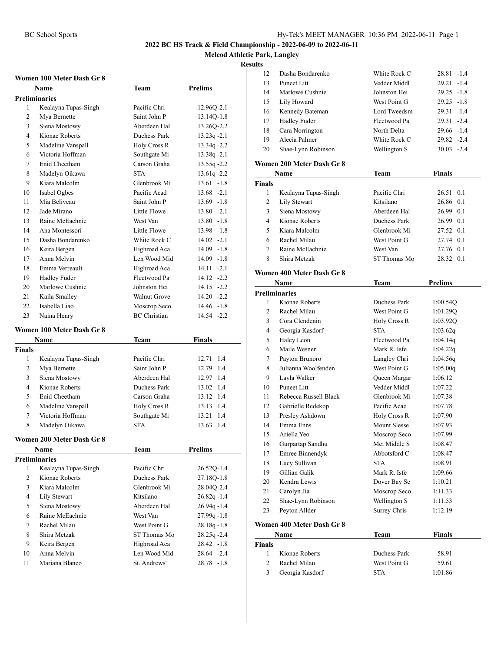**Mcleod Athletic Park, Langley**

#### **Results**

| Women 100 Meter Dash Gr 8<br>Prelims<br>Name<br>Team |                           |                               |                |  |
|------------------------------------------------------|---------------------------|-------------------------------|----------------|--|
|                                                      | <b>Preliminaries</b>      |                               |                |  |
| 1                                                    | Kealayna Tupas-Singh      | Pacific Chri                  | 12.96Q-2.1     |  |
| 2                                                    | Mya Bernette              | Saint John P                  | 13.14Q-1.8     |  |
| 3                                                    | Siena Mostowy             | Aberdeen Hal                  | 13.26Q-2.2     |  |
| 4                                                    | Kionae Roberts            | Duchess Park                  | $13.23q - 2.1$ |  |
| 5                                                    | Madeline Vanspall         | Holy Cross R                  | $13.34q - 2.2$ |  |
| 6                                                    | Victoria Hoffman          | Southgate Mi                  | $13.38q - 2.1$ |  |
| 7                                                    | Enid Cheetham             | Carson Graha                  | $13.55q - 2.2$ |  |
| 8                                                    | Madelyn Oikawa            | <b>STA</b>                    | $13.61q - 2.2$ |  |
| 9                                                    | Kiara Malcolm             | Glenbrook Mi                  | $13.61 - 1.8$  |  |
| 10                                                   | Isabel Ogbes              | Pacific Acad                  | $13.68 - 2.1$  |  |
| 11                                                   | Mia Beliveau              | Saint John P                  | $13.69 - 1.8$  |  |
| 12                                                   | Jade Mirano               | Little Flowe                  | $13.80 -2.1$   |  |
| 13                                                   | Raine McEachnie           | West Van                      | $13.80 -1.8$   |  |
| 14                                                   | Ana Montessori            | Little Flowe                  | 13.98 -1.8     |  |
| 15                                                   | Dasha Bondarenko          | White Rock C                  | $14.02 -2.1$   |  |
| 16                                                   | Keira Bergen              | Highroad Aca                  | 14.09 -1.8     |  |
| 17                                                   | Anna Melvin               | Len Wood Mid                  | 14.09 -1.8     |  |
| 18                                                   | Emma Verreault            | Highroad Aca                  | $14.11 -2.1$   |  |
| 19                                                   | <b>Hadley Fuder</b>       | Fleetwood Pa                  | $14.12 -2.2$   |  |
| 20                                                   | Marlowe Cushnie           | Johnston Hei                  | $14.15 -2.2$   |  |
| 21                                                   | Kaila Smalley             | <b>Walnut Grove</b>           | $14.20 -2.2$   |  |
| 22                                                   | Isabella Liao             | $14.46 - 1.8$<br>Moscrop Seco |                |  |
| 23                                                   | Naina Henry               | <b>BC</b> Christian           | 14.54 -2.2     |  |
|                                                      | Women 100 Meter Dash Gr 8 |                               |                |  |
|                                                      | Name                      | <b>Team</b>                   | Finals         |  |
| <b>Finals</b>                                        |                           |                               |                |  |
| 1                                                    | Kealayna Tupas-Singh      | Pacific Chri                  | 1.4<br>12.71   |  |
| 2                                                    | Mya Bernette              | Saint John P                  | 12.79 1.4      |  |
| 3                                                    | Siena Mostowy             | Aberdeen Hal                  | 12.97 1.4      |  |
| $\overline{4}$                                       | Kionae Roberts            | Duchess Park                  | 13.02 1.4      |  |
| 5                                                    | Enid Cheetham             | Carson Graha                  | 13.12 1.4      |  |
| 6                                                    | Madeline Vanspall         | <b>Holy Cross R</b>           | 13.13 1.4      |  |
| 7                                                    | Victoria Hoffman          | Southgate Mi                  | 1.4<br>13.21   |  |
| 8                                                    | Madelyn Oikawa            | <b>STA</b>                    | 13.63 1.4      |  |
|                                                      | Women 200 Meter Dash Gr 8 |                               |                |  |
|                                                      | Name                      | Team                          | <b>Prelims</b> |  |
|                                                      | <b>Preliminaries</b>      |                               |                |  |
| 1                                                    | Kealayna Tupas-Singh      | Pacific Chri                  | 26.52Q-1.4     |  |
| 2                                                    | Kionae Roberts            | Duchess Park                  | 27.18O-1.8     |  |
| 3                                                    | Kiara Malcolm             | Glenbrook Mi                  | 28.04O-2.4     |  |
| $\overline{4}$                                       | Lily Stewart              | Kitsilano                     | $26.82q - 1.4$ |  |
| 5                                                    | Siena Mostowy             | Aberdeen Hal                  | $26.94q - 1.4$ |  |
| 6                                                    | Raine McEachnie           | West Van                      | $27.99q - 1.8$ |  |
| 7                                                    | Rachel Milau              | West Point G                  | $28.18q - 1.8$ |  |
| 8                                                    | Shira Metzak              | ST Thomas Mo                  | $28.25q - 2.4$ |  |
| 9                                                    | Keira Bergen              | Highroad Aca                  | $28.42 -1.8$   |  |
| 10                                                   | Anna Melvin               | Len Wood Mid                  | 28.64 -2.4     |  |
| 11                                                   | Mariana Blanco            | St. Andrews'                  | 28.78 -1.8     |  |

| э  |                    |              |                 |
|----|--------------------|--------------|-----------------|
| 12 | Dasha Bondarenko   | White Rock C | $28.81 - 1.4$   |
| 13 | Puneet Litt        | Vedder Middl | $29.21 - 1.4$   |
| 14 | Marlowe Cushnie    | Johnston Hei | $29.25 - 1.8$   |
| 15 | Lily Howard        | West Point G | $29.25 - 1.8$   |
| 16 | Kennedy Bateman    | Lord Tweedsm | $29.31 - 1.4$   |
| 17 | Hadley Fuder       | Fleetwood Pa | $29.31 - 2.4$   |
| 18 | Cara Norrington    | North Delta  | $29.66 - 1.4$   |
| 19 | Alecia Palmer      | White Rock C | $29.82 -2.4$    |
| 20 | Shae-Lynn Robinson | Wellington S | $-2.4$<br>30.03 |
|    |                    |              |                 |

# **Women 200 Meter Dash Gr 8**

| Name          |                      | Team         | Finals    |
|---------------|----------------------|--------------|-----------|
| <b>Finals</b> |                      |              |           |
|               | Kealayna Tupas-Singh | Pacific Chri | 26.51 0.1 |
| 2             | Lily Stewart         | Kitsilano    | 26.86 0.1 |
| 3             | Siena Mostowy        | Aberdeen Hal | 26.99 0.1 |
| 4             | Kionae Roberts       | Duchess Park | 26.99 0.1 |
| 5             | Kiara Malcolm        | Glenbrook Mi | 27.52 0.1 |
| 6             | Rachel Milau         | West Point G | 27.74 0.1 |
| 7             | Raine McEachnie      | West Van     | 27.76 0.1 |
| 8             | Shira Metzak         | ST Thomas Mo | 28.32 0.1 |
|               |                      |              |           |

# **Women 400 Meter Dash Gr 8**

| Name                 |                       | Team                | <b>Prelims</b> |  |  |
|----------------------|-----------------------|---------------------|----------------|--|--|
| <b>Preliminaries</b> |                       |                     |                |  |  |
| 1                    | Kionae Roberts        | Duchess Park        | 1:00.54Q       |  |  |
| $\overline{c}$       | Rachel Milau          | West Point G        | 1:01.29Q       |  |  |
| 3                    | Cora Clendenin        | Holy Cross R        | 1:03.920       |  |  |
| $\overline{4}$       | Georgia Kasdorf       | <b>STA</b>          | 1:03.62q       |  |  |
| 5                    | Haley Leon            | Fleetwood Pa        | 1:04.14q       |  |  |
| 6                    | Maile Wesner          | Mark R. Isfe        | 1:04.22q       |  |  |
| 7                    | Payton Brunoro        | Langley Chri        | 1:04.56q       |  |  |
| 8                    | Julianna Woolfenden   | West Point G        | 1:05.00q       |  |  |
| 9                    | Layla Walker          | Queen Margar        | 1:06.12        |  |  |
| 10                   | Puneet Litt           | Vedder Middl        | 1:07.22        |  |  |
| 11                   | Rebecca Russell Black | Glenbrook Mi        | 1:07.38        |  |  |
| 12                   | Gabrielle Redekop     | Pacific Acad        | 1:07.78        |  |  |
| 13                   | Presley Ashdown       | <b>Holy Cross R</b> | 1:07.90        |  |  |
| 14                   | Emma Enns             | Mount Slesse        | 1:07.93        |  |  |
| 15                   | Ariella Yeo           | Moscrop Seco        | 1:07.99        |  |  |
| 16                   | Gurpartap Sandhu      | Mei Middle S        | 1:08.47        |  |  |
| 17                   | Emree Binnendyk       | Abbotsford C        | 1:08.47        |  |  |
| 18                   | Lucy Sullivan         | <b>STA</b>          | 1:08.91        |  |  |
| 19                   | Gillian Galik         | Mark R. Isfe        | 1:09.66        |  |  |
| 20                   | Kendra Lewis          | Dover Bay Se        | 1:10.21        |  |  |
| 21                   | Carolyn Jia           | Moscrop Seco        | 1:11.33        |  |  |
| 22                   | Shae-Lynn Robinson    | Wellington S        | 1:11.53        |  |  |
| 23                   | Peyton Allder         | Surrey Chris        | 1:12.19        |  |  |
|                      |                       |                     |                |  |  |

#### **Women 400 Meter Dash Gr 8**

| Name          |                 | Team         | <b>Finals</b> |  |
|---------------|-----------------|--------------|---------------|--|
| <b>Finals</b> |                 |              |               |  |
|               | Kionae Roberts  | Duchess Park | 58.91         |  |
|               | Rachel Milau    | West Point G | 59.61         |  |
| 3             | Georgia Kasdorf | <b>STA</b>   | 1:01.86       |  |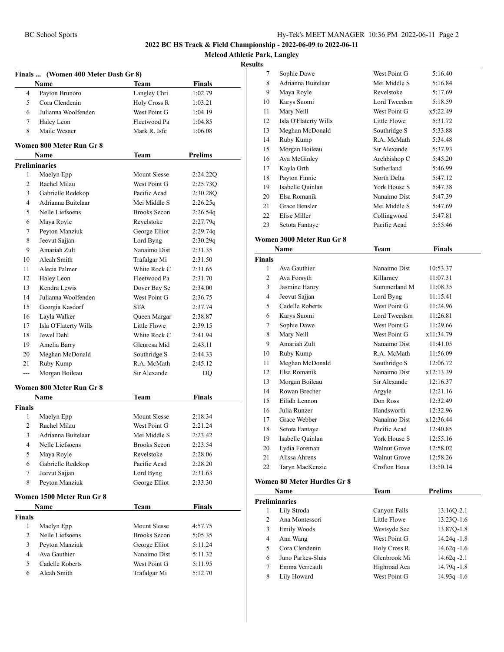**Mcleod Athletic Park, Langley**

#### **Results**

| Finals  (Women 400 Meter Dash Gr 8) |                                 |                              |               |  |
|-------------------------------------|---------------------------------|------------------------------|---------------|--|
|                                     | Name                            | Team                         | <b>Finals</b> |  |
| 4                                   | Payton Brunoro                  | Langley Chri                 | 1:02.79       |  |
| 5                                   | Cora Clendenin                  | Holy Cross R                 | 1:03.21       |  |
| 6                                   | Julianna Woolfenden             | West Point G                 | 1:04.19       |  |
| 7                                   | Haley Leon                      | Fleetwood Pa                 | 1:04.85       |  |
| 8                                   | Maile Wesner                    | Mark R. Isfe                 | 1:06.08       |  |
|                                     | Women 800 Meter Run Gr 8        |                              |               |  |
|                                     | Name                            | Team                         | Prelims       |  |
|                                     | <b>Preliminaries</b>            |                              |               |  |
| 1                                   | Maelyn Epp                      | <b>Mount Slesse</b>          | 2:24.22Q      |  |
| 2                                   | Rachel Milau                    | West Point G                 | 2:25.73Q      |  |
| 3                                   | Gabrielle Redekop               | Pacific Acad                 | 2:30.28Q      |  |
| 4                                   | Adrianna Buitelaar              | Mei Middle S                 | 2:26.25q      |  |
| 5                                   | Nelle Liefsoens                 | <b>Brooks Secon</b>          | 2:26.54q      |  |
| 6                                   | Maya Royle                      | Revelstoke                   | 2:27.79q      |  |
| 7                                   | Peyton Manziuk                  | George Elliot                | 2:29.74q      |  |
| 8                                   | Jeevut Sajjan                   | Lord Byng                    | 2:30.29q      |  |
| 9                                   | Amariah Zult                    | Nanaimo Dist                 | 2:31.35       |  |
| 10                                  | Aleah Smith                     | Trafalgar Mi                 | 2:31.50       |  |
| 11                                  | Alecia Palmer                   | White Rock C                 | 2:31.65       |  |
| 12                                  | Haley Leon                      | Fleetwood Pa                 | 2:31.70       |  |
| 13                                  | Kendra Lewis                    | Dover Bay Se                 | 2:34.00       |  |
| 14                                  | Julianna Woolfenden             | West Point G                 | 2:36.75       |  |
| 15                                  | Georgia Kasdorf                 | <b>STA</b>                   | 2:37.74       |  |
| 16                                  | Layla Walker                    | Queen Margar                 | 2:38.87       |  |
| 17                                  | Isla O'Flaterty Wills           | Little Flowe                 | 2:39.15       |  |
| 18                                  | Jewel Dahl                      | White Rock C                 | 2:41.94       |  |
| 19                                  | Amelia Barry                    | Glenrosa Mid                 | 2:43.11       |  |
| 20                                  | Meghan McDonald                 | Southridge S                 | 2:44.33       |  |
| 21                                  | Ruby Kump                       | R.A. McMath                  | 2:45.12       |  |
| ---                                 | Morgan Boileau                  | Sir Alexande                 | DQ            |  |
|                                     | Women 800 Meter Run Gr 8        |                              |               |  |
|                                     | Name                            | Team                         | <b>Finals</b> |  |
| <b>Finals</b>                       |                                 |                              |               |  |
| 1                                   | Maelyn Epp                      | <b>Mount Slesse</b>          | 2:18.34       |  |
| 2                                   | Rachel Milau                    | West Point G                 | 2:21.24       |  |
| 3                                   | Adrianna Buitelaar              | Mei Middle S                 | 2:23.42       |  |
| 4                                   | Nelle Liefsoens                 | <b>Brooks Secon</b>          | 2:23.54       |  |
| 5                                   | Maya Royle                      | Revelstoke                   | 2:28.06       |  |
| 6                                   | Gabrielle Redekop               | Pacific Acad                 | 2:28.20       |  |
| 7                                   | Jeevut Sajjan                   | Lord Byng                    | 2:31.63       |  |
| 8                                   | Peyton Manziuk                  | George Elliot                | 2:33.30       |  |
|                                     | Women 1500 Meter Run Gr 8       |                              |               |  |
|                                     | <b>Name</b>                     | <b>Team</b>                  | <b>Finals</b> |  |
| <b>Finals</b>                       |                                 |                              |               |  |
| 1                                   | Maelyn Epp<br>Nelle Liefsoens   | Mount Slesse                 | 4:57.75       |  |
| 2                                   |                                 | <b>Brooks Secon</b>          | 5:05.35       |  |
| 3                                   | Peyton Manziuk                  | George Elliot                | 5:11.24       |  |
| 4                                   | Ava Gauthier<br>Cadelle Roberts | Nanaimo Dist<br>West Point G | 5:11.32       |  |
| 5                                   |                                 |                              | 5:11.95       |  |
| 6                                   | Aleah Smith                     | Trafalgar Mi                 | 5:12.70       |  |

| ś. |                       |              |          |  |
|----|-----------------------|--------------|----------|--|
| 7  | Sophie Dawe           | West Point G | 5:16.40  |  |
| 8  | Adrianna Buitelaar    | Mei Middle S | 5:16.84  |  |
| 9  | Maya Royle            | Revelstoke   | 5:17.69  |  |
| 10 | Karys Suomi           | Lord Tweedsm | 5:18.59  |  |
| 11 | Mary Neill            | West Point G | x5:22.49 |  |
| 12 | Isla O'Flaterty Wills | Little Flowe | 5:31.72  |  |
| 13 | Meghan McDonald       | Southridge S | 5:33.88  |  |
| 14 | Ruby Kump             | R.A. McMath  | 5:34.48  |  |
| 15 | Morgan Boileau        | Sir Alexande | 5:37.93  |  |
| 16 | Ava McGinley          | Archbishop C | 5:45.20  |  |
| 17 | Kayla Orth            | Sutherland   | 5:46.99  |  |
| 18 | Payton Finnie         | North Delta  | 5:47.12  |  |
| 19 | Isabelle Quinlan      | York House S | 5:47.38  |  |
| 20 | Elsa Romanik          | Nanaimo Dist | 5:47.39  |  |
| 21 | Grace Bensler         | Mei Middle S | 5:47.69  |  |
| 22 | Elise Miller          | Collingwood  | 5:47.81  |  |
| 23 | Setota Fantaye        | Pacific Acad | 5:55.46  |  |
|    |                       |              |          |  |

#### **Women 3000 Meter Run Gr 8**

| Name          |                  | Team                | Finals    |  |
|---------------|------------------|---------------------|-----------|--|
| <b>Finals</b> |                  |                     |           |  |
| 1             | Ava Gauthier     | Nanaimo Dist        | 10:53.37  |  |
| 2             | Ava Forsyth      | Killarney           | 11:07.31  |  |
| 3             | Jasmine Hanry    | Summerland M        | 11:08.35  |  |
| 4             | Jeevut Sajjan    | Lord Byng           | 11:15.41  |  |
| 5             | Cadelle Roberts  | West Point G        | 11:24.96  |  |
| 6             | Karys Suomi      | Lord Tweedsm        | 11:26.81  |  |
| 7             | Sophie Dawe      | West Point G        | 11:29.66  |  |
| 8             | Mary Neill       | West Point G        | x11:34.79 |  |
| 9             | Amariah Zult     | Nanaimo Dist        | 11:41.05  |  |
| 10            | Ruby Kump        | R.A. McMath         | 11:56.09  |  |
| 11            | Meghan McDonald  | Southridge S        | 12:06.72  |  |
| 12            | Elsa Romanik     | Nanaimo Dist        | x12:13.39 |  |
| 13            | Morgan Boileau   | Sir Alexande        | 12:16.37  |  |
| 14            | Rowan Brecher    | Argyle              | 12:21.16  |  |
| 15            | Eilidh Lennon    | Don Ross            | 12:32.49  |  |
| 16            | Julia Runzer     | Handsworth          | 12:32.96  |  |
| 17            | Grace Webber     | Nanaimo Dist        | x12:36.44 |  |
| 18            | Setota Fantaye   | Pacific Acad        | 12:40.85  |  |
| 19            | Isabelle Quinlan | York House S        | 12:55.16  |  |
| 20            | Lydia Foreman    | <b>Walnut Grove</b> | 12:58.02  |  |
| 21            | Alissa Ahrens    | <b>Walnut Grove</b> | 12:58.26  |  |
| 22            | Taryn MacKenzie  | <b>Crofton Hous</b> | 13:50.14  |  |

#### **Women 80 Meter Hurdles Gr 8**

| Name |                      | Team         | <b>Prelims</b> |  |
|------|----------------------|--------------|----------------|--|
|      | <b>Preliminaries</b> |              |                |  |
|      | Lily Stroda          | Canyon Falls | 13.160-2.1     |  |
| 2    | Ana Montessori       | Little Flowe | 13.230-1.6     |  |
| 3    | Emily Woods          | Westsyde Sec | 13.87Q-1.8     |  |
| 4    | Ann Wang             | West Point G | $14.24q - 1.8$ |  |
| 5    | Cora Clendenin       | Holy Cross R | $14.62q - 1.6$ |  |
| 6    | Juno Parkes-Sluis    | Glenbrook Mi | $14.62q -2.1$  |  |
|      | Emma Verreault       | Highroad Aca | $14.79q - 1.8$ |  |
| 8    | Lily Howard          | West Point G | $14.93q - 1.6$ |  |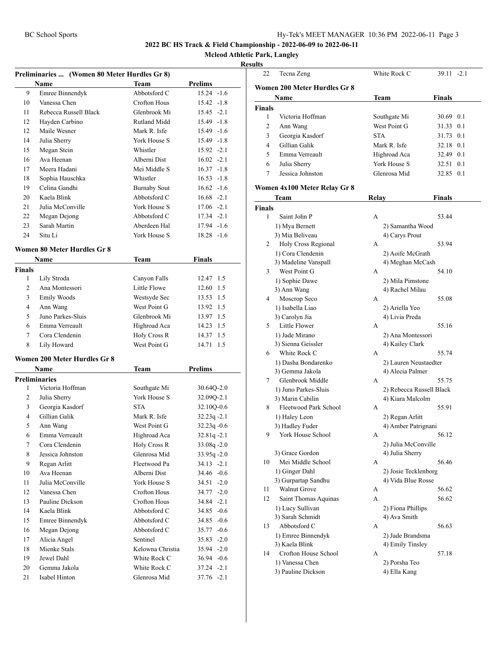**Mcleod Athletic Park, Langley**

| Preliminaries  (Women 80 Meter Hurdles Gr 8) |                                     |                     |                 |  |
|----------------------------------------------|-------------------------------------|---------------------|-----------------|--|
|                                              | Name                                | Team                | Prelims         |  |
| 9                                            | Emree Binnendyk                     | Abbotsford C        | $15.24 - 1.6$   |  |
| 10                                           | Vanessa Chen                        | <b>Crofton Hous</b> | $15.42 -1.8$    |  |
| 11                                           | Rebecca Russell Black               | Glenbrook Mi        | $15.45 -2.1$    |  |
| 12                                           | Hayden Carbino                      | Rutland Midd        | 15.49 -1.8      |  |
| 12                                           | Maile Wesner                        | Mark R. Isfe        | 15.49 -1.6      |  |
| 14                                           | Julia Sherry                        | York House S        | $15.49 - 1.8$   |  |
| 15                                           | Megan Stein                         | Whistler            | $15.92 -2.1$    |  |
| 16                                           | Ava Heenan                          | Alberni Dist        | $16.02 -2.1$    |  |
| 17                                           | Meera Hadani                        | Mei Middle S        | $16.37 - 1.8$   |  |
| 18                                           | Sophia Hauschka                     | Whistler            | $16.53 - 1.8$   |  |
| 19                                           | Celina Gandhi                       | <b>Burnaby Sout</b> | $16.62 - 1.6$   |  |
| 20                                           | Kaela Blink                         | Abbotsford C        | $16.68 - 2.1$   |  |
| 21                                           | Julia McConville                    | York House S        | $17.06 -2.1$    |  |
| 22                                           | Megan Dejong                        | Abbotsford C        | $17.34 -2.1$    |  |
| 23                                           | Sarah Martin                        | Aberdeen Hal        | 17.94 -1.6      |  |
| 24                                           | Situ Li                             | York House S        | $18.28 - 1.6$   |  |
|                                              |                                     |                     |                 |  |
|                                              | <b>Women 80 Meter Hurdles Gr 8</b>  |                     |                 |  |
|                                              | Name                                | Team                | <b>Finals</b>   |  |
| <b>Finals</b>                                |                                     |                     |                 |  |
| 1                                            | Lily Stroda                         | Canyon Falls        | 1.5<br>12.47    |  |
| 2                                            | Ana Montessori                      | Little Flowe        | 12.60<br>1.5    |  |
| 3                                            | Emily Woods                         | Westsyde Sec        | 13.53 1.5       |  |
| 4                                            | Ann Wang                            | West Point G        | 13.92 1.5       |  |
| 5                                            | Juno Parkes-Sluis                   | Glenbrook Mi        | 13.97 1.5       |  |
| 6                                            | Emma Verreault                      | Highroad Aca        | 14.23 1.5       |  |
| 7                                            | Cora Clendenin                      | Holy Cross R        | 14.37 1.5       |  |
| 8                                            | Lily Howard                         | West Point G        | 1.5<br>14.71    |  |
|                                              | <b>Women 200 Meter Hurdles Gr 8</b> |                     |                 |  |
|                                              | Name                                | Team                | <b>Prelims</b>  |  |
|                                              | <b>Preliminaries</b>                |                     |                 |  |
| 1                                            | Victoria Hoffman                    | Southgate Mi        | 30.64Q-2.0      |  |
| 2                                            | Julia Sherry                        | York House S        | 32.09Q-2.1      |  |
| 3                                            | Georgia Kasdorf                     | <b>STA</b>          | 32.10Q-0.6      |  |
| 4                                            | Gillian Galik                       | Mark R. Isfe        | $32.23q - 2.1$  |  |
| 5                                            | Ann Wang                            | West Point G        | $32.23q -0.6$   |  |
| 6                                            | Emma Verreault                      | Highroad Aca        | 32.81q-2.1      |  |
| 7                                            | Cora Clendenin                      | Holy Cross R        | 33.08q-2.0      |  |
| 8                                            | Jessica Johnston                    | Glenrosa Mid        | 33.95q-2.0      |  |
| 9                                            | Regan Arlitt                        | Fleetwood Pa        | $34.13 - 2.1$   |  |
| 10                                           | Ava Heenan                          | Alberni Dist        | 34.46 -0.6      |  |
| 11                                           | Julia McConville                    | York House S        | $-2.0$<br>34.51 |  |
| 12                                           | Vanessa Chen                        | Crofton Hous        | 34.77 -2.0      |  |
| 13                                           | Pauline Dickson                     | Crofton Hous        | 34.84 -2.1      |  |
| 14                                           | Kaela Blink                         | Abbotsford C        | 34.85 -0.6      |  |
| 15                                           | Emree Binnendyk                     | Abbotsford C        | $34.85 - 0.6$   |  |
| 16                                           | Megan Dejong                        | Abbotsford C        | $-0.6$<br>35.77 |  |
| 17                                           | Alicia Angel                        | Sentinel            | $35.83 - 2.0$   |  |
| 18                                           | Mienke Stals                        | Kelowna Christia    | 35.94 -2.0      |  |
| 19                                           | Jewel Dahl                          | White Rock C        | 36.94 -0.6      |  |
| 20                                           | Gemma Jakola                        | White Rock C        | $37.24 -2.1$    |  |
| 21                                           | Isabel Hinton                       | Glenrosa Mid        | $37.76 - 2.1$   |  |

| uns           |                              |                          |               |
|---------------|------------------------------|--------------------------|---------------|
| 22            | Tecna Zeng                   | White Rock C             | 39.11 -2.1    |
|               | Women 200 Meter Hurdles Gr 8 |                          |               |
|               |                              | <b>Team</b>              | <b>Finals</b> |
|               | Name                         |                          |               |
| <b>Finals</b> | Victoria Hoffman             |                          |               |
| 1             |                              | Southgate Mi             | 30.69 0.1     |
| 2             | Ann Wang                     | West Point G             | 31.33<br>0.1  |
| 3             | Georgia Kasdorf              | <b>STA</b>               | 31.73 0.1     |
| 4             | Gillian Galik                | Mark R. Isfe             | 32.18 0.1     |
| 5             | Emma Verreault               | Highroad Aca             | 32.49 0.1     |
| 6             | Julia Sherry                 | York House S             | 32.51 0.1     |
| 7             | Jessica Johnston             | Glenrosa Mid             | 32.85 0.1     |
|               | Women 4x100 Meter Relay Gr 8 |                          |               |
|               | Team                         | <b>Relay</b>             | <b>Finals</b> |
| <b>Finals</b> |                              |                          |               |
| 1             | Saint John P                 | A                        | 53.44         |
|               | 1) Mya Bernett               | 2) Samantha Wood         |               |
|               | 3) Mia Beliveau              | 4) Carys Prout           |               |
| 2             | Holy Cross Regional          | А                        | 53.94         |
|               | 1) Cora Clendenin            | 2) Aoife McGrath         |               |
|               | 3) Madeline Vanspall         | 4) Meghan McCash         |               |
| 3             | West Point G                 | A                        | 54.10         |
|               | 1) Sophie Dawe               | 2) Mila Pimstone         |               |
|               | 3) Ann Wang                  | 4) Rachel Milau          |               |
| 4             | Moscrop Seco                 | А                        | 55.08         |
|               | 1) Isabella Liao             | 2) Ariella Yeo           |               |
|               | 3) Carolyn Jia               | 4) Livia Preda           |               |
| 5             | Little Flower                | A                        | 55.16         |
|               | 1) Jade Mirano               | 2) Ana Montessori        |               |
|               | 3) Sienna Geissler           | 4) Kailey Clark          |               |
| 6             | White Rock C                 | A                        | 55.74         |
|               | 1) Dasha Bondarenko          | 2) Lauren Neustaedter    |               |
|               | 3) Gemma Jakola              | 4) Alecia Palmer         |               |
| 7             | Glenbrook Middle             | A                        | 55.75         |
|               | 1) Juno Parkes-Sluis         | 2) Rebecca Russell Black |               |
|               | 3) Marin Cabilin             | 4) Kiara Malcolm         |               |
| 8             | Fleetwood Park School        | А                        | 55.91         |
|               | 1) Haley Leon                | 2) Regan Arlitt          |               |
|               | 3) Hadley Fuder              | 4) Amber Patrignani      |               |
| 9.            | York House School            | А                        | 56.12         |
|               |                              | 2) Julia McConville      |               |
|               | 3) Grace Gordon              | 4) Julia Sherry          |               |
| 10            | Mei Middle School            | А                        | 56.46         |
|               | 1) Ginger Dahl               | 2) Josie Tecklenborg     |               |
|               | 3) Gurpartap Sandhu          | 4) Vida Blue Rosse       |               |
| 11            | Walnut Grove                 | А                        | 56.62         |
| 12            | Saint Thomas Aquinas         | A                        | 56.62         |
|               | 1) Lucy Sullivan             | 2) Fiona Phillips        |               |
|               | 3) Sarah Schmidt             | 4) Ava Smith             |               |
| 13            | Abbotsford C                 | А                        | 56.63         |
|               | 1) Emree Binnendyk           | 2) Jade Brandsma         |               |
|               | 3) Kaela Blink               | 4) Emily Tinsley         |               |
| 14            | Crofton House School         | А                        | 57.18         |
|               | 1) Vanessa Chen              | 2) Porsha Teo            |               |
|               | 3) Pauline Dickson           | 4) Ella Kang             |               |
|               |                              |                          |               |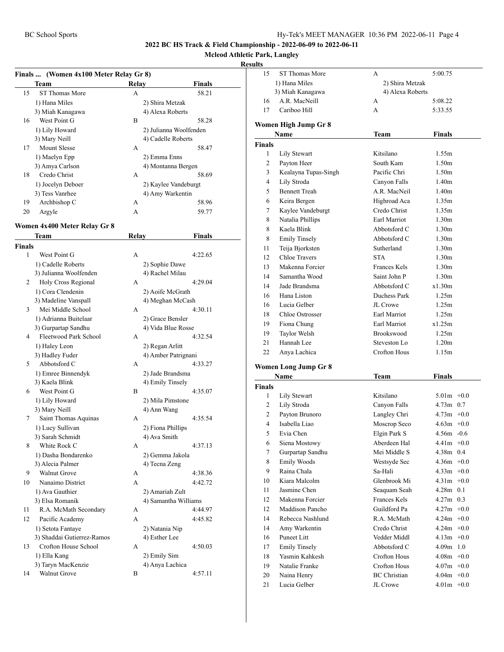### **Mcleod Athletic Park, Langley**

|        | Finals  (Women 4x100 Meter Relay Gr 8) |       |                            |
|--------|----------------------------------------|-------|----------------------------|
|        | Team                                   | Relay | <b>Finals</b>              |
| 15     | ST Thomas More                         | A     | 58.21                      |
|        | 1) Hana Miles                          |       | 2) Shira Metzak            |
|        | 3) Miah Kanagawa                       |       | 4) Alexa Roberts           |
| 16     | West Point G                           | B     | 58.28                      |
|        | 1) Lily Howard                         |       | 2) Julianna Woolfenden     |
|        | 3) Mary Neill                          |       | 4) Cadelle Roberts         |
| 17     | Mount Slesse                           | А     | 58.47                      |
|        | 1) Maelyn Epp                          |       | 2) Emma Enns               |
|        | 3) Amya Carlson                        |       | 4) Montanna Bergen         |
| 18     | Credo Christ                           | А     | 58.69                      |
|        | 1) Jocelyn Deboer                      |       | 2) Kaylee Vandeburgt       |
|        | 3) Tess Vanrhee                        |       | 4) Amy Warkentin           |
| 19     | Archbishop C                           | А     | 58.96                      |
| 20     | Argyle                                 | А     | 59.77                      |
|        |                                        |       |                            |
|        | Women 4x400 Meter Relay Gr 8           |       |                            |
|        | Team                                   | Relay | <b>Finals</b>              |
| Finals |                                        |       |                            |
| 1      | West Point G                           | A     | 4:22.65                    |
|        | 1) Cadelle Roberts                     |       | 2) Sophie Dawe             |
|        | 3) Julianna Woolfenden                 |       | 4) Rachel Milau            |
| 2      | Holy Cross Regional                    | А     | 4:29.04                    |
|        | 1) Cora Clendenin                      |       | 2) Aoife McGrath           |
|        | 3) Madeline Vanspall                   |       | 4) Meghan McCash           |
| 3      | Mei Middle School                      | А     | 4:30.11                    |
|        | 1) Adrianna Buitelaar                  |       | 2) Grace Bensler           |
|        | 3) Gurpartap Sandhu                    |       | 4) Vida Blue Rosse         |
| 4      | Fleetwood Park School                  | А     | 4:32.54                    |
|        | 1) Haley Leon                          |       | 2) Regan Arlitt            |
|        | 3) Hadley Fuder                        |       | 4) Amber Patrignani        |
| 5      | Abbotsford C                           | А     | 4:33.27                    |
|        | 1) Emree Binnendyk                     |       | 2) Jade Brandsma           |
|        | 3) Kaela Blink                         |       | 4) Emily Tinsely           |
| 6      | West Point G                           | B     | 4:35.07                    |
|        | 1) Lily Howard                         |       | 2) Mila Pimstone           |
|        | 3) Mary Neill                          |       | 4) Ann Wang                |
| 7      | Saint Thomas Aquinas                   | А     | 4:35.54                    |
|        | 1) Lucy Sullivan                       |       | 2) Fiona Phillips          |
|        | 3) Sarah Schmidt                       |       | 4) Ava Smith               |
| 8      | White Rock C                           | А     | 4:37.13                    |
|        | 1) Dasha Bondarenko                    |       | 2) Gemma Jakola            |
|        | 3) Alecia Palmer                       |       | 4) Tecna Zeng              |
| 9      | Walnut Grove                           | А     | 4:38.36                    |
| 10     | Nanaimo District                       | А     | 4:42.72                    |
|        | 1) Ava Gauthier                        |       | 2) Amariah Zult            |
|        | 3) Elsa Romanik                        |       | 4) Samantha Williams       |
| 11     | R.A. McMath Secondary                  | А     | 4:44.97                    |
| 12     | Pacific Academy                        | A     | 4:45.82                    |
|        | 1) Setota Fantaye                      |       | 2) Natania Nip             |
|        | 3) Shaddai Gutierrez-Ramos             |       | 4) Esther Lee              |
| 13     | Crofton House School                   | А     | 4:50.03                    |
|        |                                        |       |                            |
|        | 1) Ella Kang<br>3) Taryn MacKenzie     |       | 2) Emily Sim               |
| 14     | Walnut Grove                           | В     | 4) Anya Lachica<br>4:57.11 |
|        |                                        |       |                            |

| 15             | ST Thomas More       | А                   | 5:00.75           |
|----------------|----------------------|---------------------|-------------------|
|                | 1) Hana Miles        | 2) Shira Metzak     |                   |
|                | 3) Miah Kanagawa     | 4) Alexa Roberts    |                   |
| 16             | A.R. MacNeill        | А                   | 5:08.22           |
| 17             | Cariboo Hill         | A                   | 5:33.55           |
|                | Women High Jump Gr 8 |                     |                   |
|                | Name                 | Team                | <b>Finals</b>     |
| <b>Finals</b>  |                      |                     |                   |
| 1              | <b>Lily Stewart</b>  | Kitsilano           | 1.55m             |
| 2              | Payton Heer          | South Kam           | 1.50m             |
| 3              | Kealayna Tupas-Singh | Pacific Chri        | 1.50m             |
| $\overline{4}$ | Lily Stroda          | Canyon Falls        | 1.40 <sub>m</sub> |
| 5              | <b>Bennett Treah</b> | A.R. MacNeil        | 1.40 <sub>m</sub> |
| 6              | Keira Bergen         | Highroad Aca        | 1.35m             |
| 7              | Kaylee Vandeburgt    | Credo Christ        | 1.35m             |
| 8              | Natalia Phillips     | Earl Marriot        | 1.30 <sub>m</sub> |
| 8              | Kaela Blink          | Abbotsford C        | 1.30 <sub>m</sub> |
| 8              | <b>Emily Tinsely</b> | Abbotsford C        | 1.30 <sub>m</sub> |
| 11             | Teija Bjorksten      | Sutherland          | 1.30 <sub>m</sub> |
| 12             | <b>Chloe Travers</b> | <b>STA</b>          | 1.30 <sub>m</sub> |
| 13             | Makenna Forcier      | <b>Frances Kels</b> | 1.30 <sub>m</sub> |
| 14             | Samantha Wood        | Saint John P        | 1.30 <sub>m</sub> |
| 14             | Jade Brandsma        | Abbotsford C        | x1.30m            |
| 16             | Hana Liston          | Duchess Park        | 1.25m             |
| 16             | Lucia Gelber         | JL Crowe            | 1.25m             |
| 18             | Chloe Ostrosser      | Earl Marriot        | 1.25m             |
| 19             | Fiona Chung          | Earl Marriot        | x1.25m            |
| 19             | Taylor Welsh         | Brookswood          | 1.25m             |
| 21             | Hannah Lee           | Steveston Lo        | 1.20 <sub>m</sub> |
| 22             | Anya Lachica         | <b>Crofton Hous</b> | 1.15m             |
|                | Women Long Jump Gr 8 |                     |                   |
|                | Name                 | Team                | Finals            |
| <b>Finals</b>  |                      |                     |                   |
| 1              | <b>Lily Stewart</b>  | Kitsilano           | $5.01m + 0.0$     |
| 2              | Lily Stroda          | Canyon Falls        | $4.73m$ 0.7       |
| 2              | Payton Brunoro       | Langley Chri        | $4.73m + 0.0$     |
| $\overline{4}$ | Isabella Liao        | Moscrop Seco        | $4.63m +0.0$      |
| 5              | Evia Chen            | Elgin Park S        | $4.56m - 0.6$     |
| 6              | Siena Mostowy        | Aberdeen Hal        | $4.41m + 0.0$     |
| $\tau$         | Gurpartap Sandhu     | Mei Middle S        | 4.38m<br>0.4      |
| 8              | Emily Woods          | Westsyde Sec        | $4.36m + 0.0$     |
| 9              | Raina Chala          | Sa-Hali             | $4.33m +0.0$      |
| 10             | Kiara Malcolm        | Glenbrook Mi        | $4.31m +0.0$      |
| 11             | Jasmine Chen         | Seaquam Seah        | $4.28m$ 0.1       |
| 12             | Makenna Forcier      | Frances Kels        | 0.3<br>4.27m      |
| 12             | Maddison Pancho      | Guildford Pa        | $4.27m +0.0$      |
| 14             | Rebecca Nashlund     | R.A. McMath         | $4.24m + 0.0$     |
| 14             | Amy Warkentin        | Credo Christ        | $4.24m +0.0$      |
| 16             | <b>Puneet Litt</b>   | Vedder Middl        | $4.13m +0.0$      |
| 17             | <b>Emily Tinsely</b> | Abbotsford C        | $4.09m$ 1.0       |
| 18             | Yasmin Kahkesh       | Crofton Hous        | $4.08m + 0.0$     |
| 19             | Natalie Franke       | Crofton Hous        | $4.07m + 0.0$     |
| 20             | Naina Henry          | <b>BC</b> Christian | $4.04m$ +0.0      |
| 21             | Lucia Gelber         | JL Crowe            | $4.01m + 0.0$     |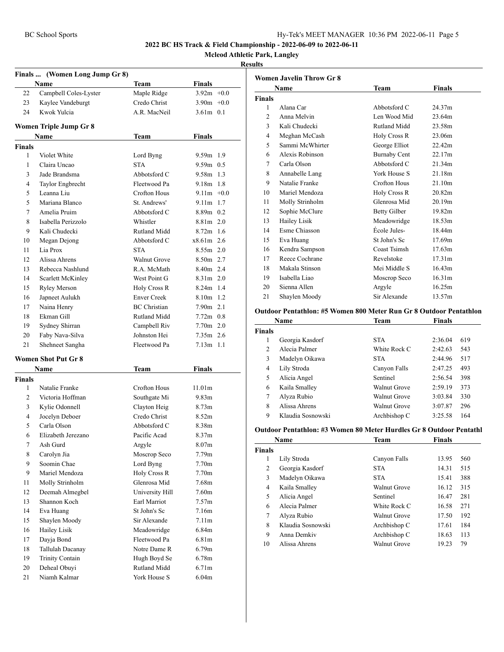#### BC School Sports Hy-Tek's MEET MANAGER 10:36 PM 2022-06-11 Page 5

#### **2022 BC HS Track & Field Championship - 2022-06-09 to 2022-06-11**

**Mcleod Athletic Park, Langley**

#### **Results**

|                | Finals  (Women Long Jump Gr 8) |                     |                   |  |
|----------------|--------------------------------|---------------------|-------------------|--|
|                | Name                           | Team                | Finals            |  |
| 22             | Campbell Coles-Lyster          | Maple Ridge         | $3.92m +0.0$      |  |
| 23             | Kaylee Vandeburgt              | Credo Christ        | $3.90m + 0.0$     |  |
| 24             | Kwok Yulcia                    | A.R. MacNeil        | $3.61m$ 0.1       |  |
|                | Women Triple Jump Gr 8         |                     |                   |  |
|                | Name                           | Team                | Finals            |  |
| <b>Finals</b>  |                                |                     |                   |  |
| 1              | Violet White                   | Lord Byng           | 9.59m 1.9         |  |
| 1              | Claira Uncao                   | <b>STA</b>          | $9.59m$ 0.5       |  |
| 3              | Jade Brandsma                  | Abbotsford C        | $9.58m$ 1.3       |  |
| 4              | Taylor Engbrecht               | Fleetwood Pa        | 9.18m 1.8         |  |
| 5              | Leanna Liu                     | Crofton Hous        | $9.11m +0.0$      |  |
| 5              | Mariana Blanco                 | St. Andrews'        | $9.11m$ 1.7       |  |
| 7              | Amelia Pruim                   | Abbotsford C        | 8.89m 0.2         |  |
| 8              | Isabella Perizzolo             | Whistler            | $8.81m$ 2.0       |  |
| 9              | Kali Chudecki                  | Rutland Midd        | $8.72m$ 1.6       |  |
| 10             | Megan Dejong                   | Abbotsford C        | $x8.61m$ 2.6      |  |
| 11             | Lia Prox                       | <b>STA</b>          | $8.55m$ 2.0       |  |
| 12             | Alissa Ahrens                  | Walnut Grove        | 8.50m 2.7         |  |
| 13             | Rebecca Nashlund               | R.A. McMath         | 8.40m 2.4         |  |
| 14             | Scarlett McKinley              | West Point G        | $8.31m$ 2.0       |  |
| 15             | <b>Ryley Merson</b>            | Holy Cross R        | 8.24m 1.4         |  |
| 16             | Japneet Aulukh                 | <b>Enver Creek</b>  | 8.10m 1.2         |  |
| 17             | Naina Henry                    | <b>BC</b> Christian | $7.90m$ 2.1       |  |
| 18             | Ekman Gill                     | Rutland Midd        | $7.72m$ 0.8       |  |
| 19             | Sydney Shirran                 | Campbell Riv        | $7.70m$ 2.0       |  |
| 20             | Faby Nava-Silva                | Johnston Hei        | $7.35m$ 2.6       |  |
| 21             | Shehneet Sangha                | Fleetwood Pa        | $7.13m$ 1.1       |  |
|                | <b>Women Shot Put Gr 8</b>     |                     |                   |  |
|                | Name                           | Team                | <b>Finals</b>     |  |
| <b>Finals</b>  |                                |                     |                   |  |
| 1              | Natalie Franke                 | Crofton Hous        | 11.01m            |  |
| $\overline{c}$ | Victoria Hoffman               | Southgate Mi        | 9.83 <sub>m</sub> |  |
| 3              | Kylie Odonnell                 | Clayton Heig        | 8.73 <sub>m</sub> |  |
| $\overline{4}$ | Jocelyn Deboer                 | Credo Christ        | 8.52m             |  |
| 5              | Carla Olson                    | Abbotsford C        | 8.38m             |  |
| 6              | Elizabeth Jerezano             | Pacific Acad        | 8.37m             |  |
| 7              | Ash Gurd                       | Argyle              | 8.07 <sub>m</sub> |  |
| 8              | Carolyn Jia                    | Moscrop Seco        | 7.79 <sub>m</sub> |  |
| 9              | Soomin Chae                    | Lord Byng           | 7.70 <sub>m</sub> |  |
| 9              | Mariel Mendoza                 | Holy Cross R        | 7.70 <sub>m</sub> |  |
| 11             | Molly Strinholm                | Glenrosa Mid        | 7.68m             |  |
| 12             | Deemah Almegbel                | University Hill     | 7.60m             |  |
| 13             | Shannon Koch                   | Earl Marriot        | 7.57 <sub>m</sub> |  |
| 14             | Eva Huang                      | St John's Sc        | 7.16m             |  |
| 15             | Shaylen Moody                  | Sir Alexande        | 7.11m             |  |
| 16             | <b>Hailey Lisik</b>            | Meadowridge         | 6.84m             |  |
| 17             | Dayja Bond                     | Fleetwood Pa        | 6.81 <sub>m</sub> |  |
| 18             | Tallulah Dacanay               | Notre Dame R        | 6.79 <sub>m</sub> |  |
| 19             | Trinity Contain                | Hugh Boyd Se        | 6.78m             |  |
| 20             | Deheal Obuyi                   | Rutland Midd        | 6.71 <sub>m</sub> |  |
| 21             | Niamh Kalmar                   | York House S        | 6.04m             |  |

|                | <b>Women Javelin Throw Gr 8</b> |                     |                    |
|----------------|---------------------------------|---------------------|--------------------|
|                | Name                            | Team                | <b>Finals</b>      |
| <b>Finals</b>  |                                 |                     |                    |
| 1              | Alana Car                       | Abbotsford C        | 24.37m             |
| $\overline{c}$ | Anna Melvin                     | Len Wood Mid        | 23.64m             |
| 3              | Kali Chudecki                   | Rutland Midd        | 23.58m             |
| 4              | Meghan McCash                   | Holy Cross R        | 23.06m             |
| 5              | Sammi McWhirter                 | George Elliot       | 22.42m             |
| 6              | Alexis Robinson                 | <b>Burnaby Cent</b> | 22.17m             |
| 7              | Carla Olson                     | Abbotsford C        | 21.34m             |
| 8              | Annabelle Lang                  | York House S        | 21.18m             |
| 9              | Natalie Franke                  | <b>Crofton Hous</b> | 21.10m             |
| 10             | Mariel Mendoza                  | Holy Cross R        | 20.82m             |
| 11             | Molly Strinholm                 | Glenrosa Mid        | 20.19m             |
| 12             | Sophie McClure                  | <b>Betty Gilber</b> | 19.82m             |
| 13             | Hailey Lisik                    | Meadowridge         | 18.53m             |
| 14             | Esme Chiasson                   | École Jules-        | 18.44m             |
| 15             | Eva Huang                       | St John's Sc        | 17.69m             |
| 16             | Kendra Sampson                  | Coast Tsimsh        | 17.63m             |
| 17             | Reece Cochrane                  | Revelstoke          | 17.31 <sub>m</sub> |
| 18             | Makala Stinson                  | Mei Middle S        | 16.43m             |
| 19             | Isabella Liao                   | Moscrop Seco        | 16.31m             |
| 20             | Sienna Allen                    | Argyle              | 16.25m             |
| 21             | Shaylen Moody                   | Sir Alexande        | 13.57m             |
|                |                                 |                     |                    |

#### **Outdoor Pentathlon: #5 Women 800 Meter Run Gr 8 Outdoor Pentathlon**

|                | Name              | Team         | <b>Finals</b> |     |
|----------------|-------------------|--------------|---------------|-----|
| <b>Finals</b>  |                   |              |               |     |
| 1              | Georgia Kasdorf   | <b>STA</b>   | 2:36.04       | 619 |
| $\mathfrak{D}$ | Alecia Palmer     | White Rock C | 2:42.63       | 543 |
| 3              | Madelyn Oikawa    | <b>STA</b>   | 2:44.96       | 517 |
| 4              | Lily Stroda       | Canyon Falls | 2:47.25       | 493 |
| 5              | Alicia Angel      | Sentinel     | 2:56.54       | 398 |
| 6              | Kaila Smalley     | Walnut Grove | 2:59.19       | 373 |
| 7              | Alyza Rubio       | Walnut Grove | 3:03.84       | 330 |
| 8              | Alissa Ahrens     | Walnut Grove | 3:07.87       | 296 |
| 9              | Klaudia Sosnowski | Archbishop C | 3:25.58       | 164 |

#### **Outdoor Pentathlon: #3 Women 80 Meter Hurdles Gr 8 Outdoor Pentathl**

|               | Name              | Team                | Finals |     |
|---------------|-------------------|---------------------|--------|-----|
| <b>Finals</b> |                   |                     |        |     |
| 1             | Lily Stroda       | Canyon Falls        | 13.95  | 560 |
| 2             | Georgia Kasdorf   | <b>STA</b>          | 14.31  | 515 |
| 3             | Madelyn Oikawa    | <b>STA</b>          | 15.41  | 388 |
| 4             | Kaila Smalley     | Walnut Grove        | 16.12  | 315 |
| 5             | Alicia Angel      | Sentinel            | 16.47  | 281 |
| 6             | Alecia Palmer     | White Rock C        | 16.58  | 271 |
| 7             | Alyza Rubio       | Walnut Grove        | 17.50  | 192 |
| 8             | Klaudia Sosnowski | Archbishop C        | 17.61  | 184 |
| 9             | Anna Demkiy       | Archbishop C        | 18.63  | 113 |
| 10            | Alissa Ahrens     | <b>Walnut Grove</b> | 19.23  | 79  |
|               |                   |                     |        |     |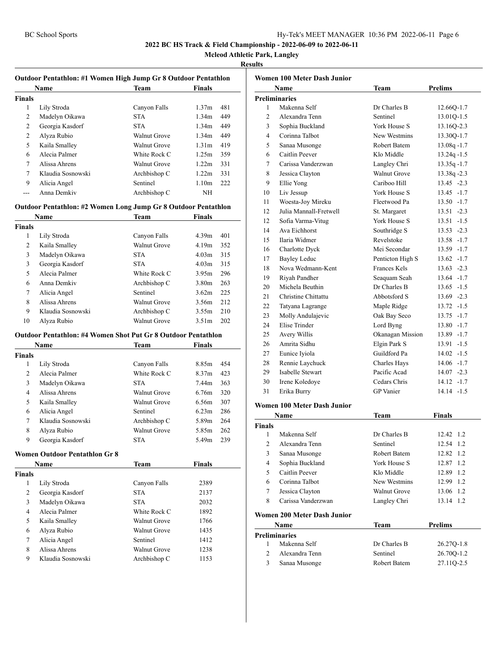**Mcleod Athletic Park, Langley**

#### **Results**

|               | <b>Outdoor Pentathlon: #1 Women High Jump Gr 8 Outdoor Pentathlon</b> |              |                   |     |
|---------------|-----------------------------------------------------------------------|--------------|-------------------|-----|
|               | <b>Name</b>                                                           | Team         | <b>Finals</b>     |     |
| <b>Finals</b> |                                                                       |              |                   |     |
| 1             | Lily Stroda                                                           | Canyon Falls | 1.37 <sub>m</sub> | 481 |
| 2             | Madelyn Oikawa                                                        | <b>STA</b>   | 1.34m             | 449 |
| 2             | Georgia Kasdorf                                                       | <b>STA</b>   | 1.34m             | 449 |
| 2             | Alyza Rubio                                                           | Walnut Grove | 1.34m             | 449 |
| 5             | Kaila Smalley                                                         | Walnut Grove | 1.31 <sub>m</sub> | 419 |
| 6             | Alecia Palmer                                                         | White Rock C | 1.25m             | 359 |
| 7             | Alissa Ahrens                                                         | Walnut Grove | 1.22m             | 331 |
| 7             | Klaudia Sosnowski                                                     | Archbishop C | 1.22m             | 331 |
| 9             | Alicia Angel                                                          | Sentinel     | 1.10m             | 222 |
|               | Anna Demkiy                                                           | Archbishop C | NH                |     |

#### **Outdoor Pentathlon: #2 Women Long Jump Gr 8 Outdoor Pentathlon**

|               | <b>Name</b>       | <b>Team</b>  | <b>Finals</b>     |     |
|---------------|-------------------|--------------|-------------------|-----|
| <b>Finals</b> |                   |              |                   |     |
| 1             | Lily Stroda       | Canyon Falls | 4.39m             | 401 |
| 2             | Kaila Smalley     | Walnut Grove | 4.19m             | 352 |
| 3             | Madelyn Oikawa    | <b>STA</b>   | 4.03m             | 315 |
| 3             | Georgia Kasdorf   | <b>STA</b>   | 4.03m             | 315 |
| 5             | Alecia Palmer     | White Rock C | 3.95m             | 296 |
| 6             | Anna Demkiy       | Archbishop C | 3.80 <sub>m</sub> | 263 |
| 7             | Alicia Angel      | Sentinel     | 3.62m             | 225 |
| 8             | Alissa Ahrens     | Walnut Grove | 3.56m             | 212 |
| 9             | Klaudia Sosnowski | Archbishop C | 3.55m             | 210 |
| 10            | Alvza Rubio       | Walnut Grove | 3.51m             | 202 |

#### **Outdoor Pentathlon: #4 Women Shot Put Gr 8 Outdoor Pentathlon**

|        | <b>Name</b>       | <b>Team</b>  | <b>Finals</b> |     |
|--------|-------------------|--------------|---------------|-----|
| Finals |                   |              |               |     |
| 1      | Lily Stroda       | Canyon Falls | 8.85m         | 454 |
| 2      | Alecia Palmer     | White Rock C | 8.37m         | 423 |
| 3      | Madelyn Oikawa    | <b>STA</b>   | 7.44m         | 363 |
| 4      | Alissa Ahrens     | Walnut Grove | 6.76m         | 320 |
| 5      | Kaila Smalley     | Walnut Grove | 6.56m         | 307 |
| 6      | Alicia Angel      | Sentinel     | 6.23m         | 286 |
| 7      | Klaudia Sosnowski | Archbishop C | 5.89m         | 264 |
| 8      | Alyza Rubio       | Walnut Grove | 5.85m         | 262 |
| 9      | Georgia Kasdorf   | <b>STA</b>   | 5.49m         | 239 |
|        |                   |              |               |     |

#### **Women Outdoor Pentathlon Gr 8**

| Name              | <b>Team</b>  | Finals |  |
|-------------------|--------------|--------|--|
|                   |              |        |  |
| Lily Stroda       | Canyon Falls | 2389   |  |
| Georgia Kasdorf   | <b>STA</b>   | 2137   |  |
| Madelyn Oikawa    | <b>STA</b>   | 2032   |  |
| Alecia Palmer     | White Rock C | 1892   |  |
| Kaila Smalley     | Walnut Grove | 1766   |  |
| Alyza Rubio       | Walnut Grove | 1435   |  |
| Alicia Angel      | Sentinel     | 1412   |  |
| Alissa Ahrens     | Walnut Grove | 1238   |  |
| Klaudia Sosnowski | Archbishop C | 1153   |  |
|                   |              |        |  |

|    | Women 100 Meter Dash Junior        |                     |                |
|----|------------------------------------|---------------------|----------------|
|    | Name                               | Team                | <b>Prelims</b> |
|    | <b>Preliminaries</b>               |                     |                |
| 1  | Makenna Self                       | Dr Charles B        | 12.66Q-1.7     |
| 2  | Alexandra Tenn                     | Sentinel            | 13.01Q-1.5     |
| 3  | Sophia Buckland                    | York House S        | 13.16Q-2.3     |
| 4  | Corinna Talbot                     | New Westmins        | 13.30Q-1.7     |
| 5  | Sanaa Musonge                      | Robert Batem        | $13.08q - 1.7$ |
| 6  | Caitlin Peever                     | Klo Middle          | $13.24q - 1.5$ |
| 7  | Carissa Vanderzwan                 | Langley Chri        | $13.35q - 1.7$ |
| 8  | Jessica Clayton                    | <b>Walnut Grove</b> | 13.38q-2.3     |
| 9  | Ellie Yong                         | Cariboo Hill        | $13.45 -2.3$   |
| 10 | Liv Jessup                         | York House S        | $13.45 - 1.7$  |
| 11 | Woesta-Joy Mireku                  | Fleetwood Pa        | $13.50 - 1.7$  |
| 12 | Julia Mannall-Fretwell             | St. Margaret        | $13.51 - 2.3$  |
| 12 | Sofia Varma-Vitug                  | York House S        | $13.51 - 1.5$  |
| 14 | Ava Eichhorst                      | Southridge S        | $13.53 - 2.3$  |
| 15 | Ilaria Widmer                      | Revelstoke          | $13.58 - 1.7$  |
| 16 | Charlotte Dyck                     | Mei Secondar        | $13.59 - 1.7$  |
| 17 | <b>Bayley Leduc</b>                | Penticton High S    | $13.62 - 1.7$  |
| 18 | Nova Wedmann-Kent                  | <b>Frances Kels</b> | $13.63 - 2.3$  |
| 19 | Riyah Pandher                      | Seaquam Seah        | $13.64 - 1.7$  |
| 20 | Michela Beuthin                    | Dr Charles B        | $13.65 - 1.5$  |
| 21 | Christine Chittattu                | Abbotsford S        | $13.69 - 2.3$  |
| 22 | Tatyana Lagrange                   | Maple Ridge         | $13.72 - 1.5$  |
| 23 | Molly Andulajevic                  | Oak Bay Seco        | $13.75 - 1.7$  |
| 24 | Elise Trinder                      | Lord Byng           | $13.80 - 1.7$  |
| 25 | Avery Willis                       | Okanagan Mission    | 13.89 -1.7     |
| 26 | Amrita Sidhu                       | Elgin Park S        | $13.91 - 1.5$  |
| 27 | Eunice Iyiola                      | Guildford Pa        | $14.02 - 1.5$  |
| 28 | Rennie Laychuck                    | Charles Hays        | $14.06 - 1.7$  |
| 29 | Isabelle Stewart                   | Pacific Acad        | $14.07 -2.3$   |
| 30 | Irene Koledoye                     | Cedars Chris        | $14.12 - 1.7$  |
| 31 | Erika Burry                        | <b>GP</b> Vanier    | $14.14 - 1.5$  |
|    | <b>Women 100 Meter Dash Junior</b> |                     |                |
|    | Name                               | Team                | Finals         |

|               | Name                        | 1eam                | Finals        |
|---------------|-----------------------------|---------------------|---------------|
| <b>Finals</b> |                             |                     |               |
|               | Makenna Self                | Dr Charles B        | 12.42 1.2     |
| 2             | Alexandra Tenn              | Sentinel            | 12.54 1.2     |
| 3             | Sanaa Musonge               | Robert Batem        | 12.82 1.2     |
| 4             | Sophia Buckland             | York House S        | 12.87 1.2     |
| 5             | Caitlin Peever              | Klo Middle          | 12.89<br>-1.2 |
| 6             | Corinna Talbot              | New Westmins        | 12.99 1.2     |
| 7             | Jessica Clayton             | <b>Walnut Grove</b> | 13.06 1.2     |
| 8             | Carissa Vanderzwan          | Langley Chri        | 13.14 1.2     |
|               | Women 200 Meter Dash Junior |                     |               |
|               | Name                        | Team                | Prelims       |
|               | <b>Preliminaries</b>        |                     |               |
| 1             | Makenna Self                | Dr Charles B        | 26.270-1.8    |
| 2             | Alexandra Tenn              | Sentinel            | 26.70Q-1.2    |
| 3             | Sanaa Musonge               | Robert Batem        | 27.11Q-2.5    |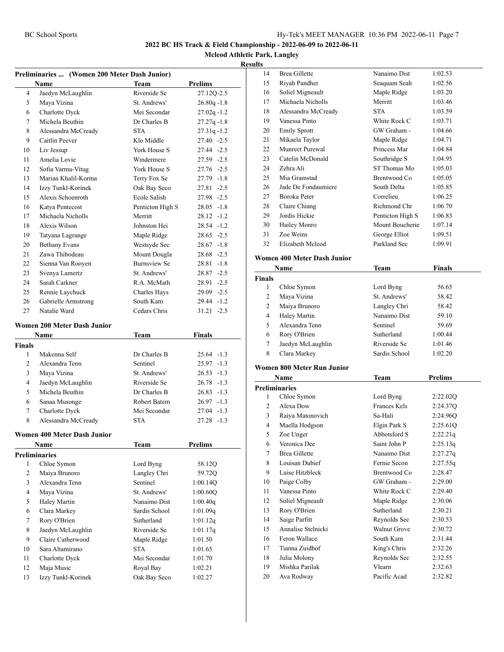14 Brea Gillette Nanaimo Dist 1:02.53

#### **2022 BC HS Track & Field Championship - 2022-06-09 to 2022-06-11**

**Mcleod Athletic Park, Langley**

|                | Preliminaries  (Women 200 Meter Dash Junior) |                           |                |
|----------------|----------------------------------------------|---------------------------|----------------|
|                | Name                                         | <b>Team</b>               | <b>Prelims</b> |
| 4              | Jaedyn McLaughlin                            | Riverside Se              | 27.12Q-2.5     |
| 5              | Maya Vizina                                  | St. Andrews'              | $26.80q - 1.8$ |
| 6              | Charlotte Dyck                               | Mei Secondar              | $27.02q - 1.2$ |
| 7              | Michela Beuthin                              | Dr Charles B              | $27.27q - 1.8$ |
| 8              | Alessandra McCready                          | <b>STA</b>                | $27.31q - 1.2$ |
| 9              | Caitlin Peever                               | Klo Middle                | $27.40 -2.5$   |
| 10             | Liv Jessup                                   | York House S              | 27.44 -2.5     |
| 11             | Amelia Lovie                                 | Windermere                | 27.59 -2.5     |
| 12             | Sofia Varma-Vitug                            | York House S              | 27.76 -2.5     |
| 13             | Marian Khalil-Korma                          | Terry Fox Se              | 27.79 -1.8     |
| 14             | Izzy Tunkl-Korinek                           | Oak Bay Seco              | $27.81 - 2.5$  |
| 15             | Alexis Schoenroth                            | <b>Ecole Salish</b>       | 27.98 -2.5     |
| 16             | Katya Pentecost                              | Penticton High S          | $28.05 -1.8$   |
| 17             | Michaela Nicholls                            | Merritt                   | $28.12 -1.2$   |
| 18             | Alexis Wilson                                | Johnston Hei              | $28.54 - 1.2$  |
| 19             | Tatyana Lagrange                             | Maple Ridge               | $28.65 - 2.5$  |
| 20             | <b>Bethany Evans</b>                         | Westsyde Sec              | $28.67 - 1.8$  |
| 21             | Zawa Thibodeau                               | Mount Dougla              | $28.68 - 2.5$  |
| 22             | Sienna Van Rooyen                            | <b>Burnsview Se</b>       | $28.81 - 1.8$  |
| 23             | Svenya Lamertz                               | St. Andrews'              | $28.87 - 2.5$  |
| 24             | Sarah Carkner                                | R.A. McMath               | $28.91 - 2.5$  |
| 25             | Rennie Laychuck                              | Charles Hays              | 29.09 -2.5     |
| 26             | Gabrielle Armstrong                          | South Kam                 | 29.44 -1.2     |
| 27             | Natalie Ward                                 | Cedars Chris              | $31.21 -2.5$   |
|                | Women 200 Meter Dash Junior                  |                           |                |
|                | Name                                         | <b>Team</b>               | <b>Finals</b>  |
| Finals         |                                              |                           |                |
| 1              | Makenna Self                                 | Dr Charles B              | $25.64 -1.3$   |
| 2              | Alexandra Tenn                               | Sentinel                  | 25.97 -1.3     |
|                |                                              |                           |                |
| 3              | Maya Vizina                                  | St. Andrews'              | $26.53 -1.3$   |
| 4              | Jaedyn McLaughlin                            | Riverside Se              | $26.78 - 1.3$  |
| 5              | Michela Beuthin                              | Dr Charles B              | 26.83 -1.3     |
| 6              | Sanaa Musonge                                | Robert Batem              | $26.97 -1.3$   |
| 7              | Charlotte Dyck                               | Mei Secondar              | $27.04 -1.3$   |
| 8              | Alessandra McCready                          | STA                       | 27.28 -1.3     |
|                | <b>Women 400 Meter Dash Junior</b>           |                           |                |
|                | Name                                         | Team                      | <b>Prelims</b> |
|                | <b>Preliminaries</b>                         |                           |                |
| 1              | Chloe Symon                                  | Lord Byng                 | 58.12Q         |
| $\overline{c}$ | Maiya Brunoro                                | Langley Chri              | 59.72Q         |
| 3              | Alexandra Tenn                               | Sentinel                  | 1:00.14Q       |
| 4              | Maya Vizina                                  | St. Andrews'              | 1:00.60Q       |
| 5              | Haley Martin                                 | Nanaimo Dist              | 1:00.40q       |
| 6              | Clara Markey                                 | Sardis School             | 1:01.09q       |
| 7              | Rory O'Brien                                 | Sutherland                | 1:01.12q       |
| 8              | Jaedyn McLaughlin                            | Riverside Se              | 1:01.17q       |
| 9              | Claire Catherwood                            | Maple Ridge               | 1:01.50        |
| 10             | Sara Altamirano                              | <b>STA</b>                | 1:01.65        |
| 11             | Charlotte Dyck                               | Mei Secondar              | 1:01.70        |
| 12             | Maja Music                                   | Royal Bay<br>Oak Bay Seco | 1:02.21        |

| 15                   | Riyah Pandher                     | Seaquam Seah<br>1:02.56 |                |
|----------------------|-----------------------------------|-------------------------|----------------|
| 16                   | Soliel Migneault                  | Maple Ridge             | 1:03.20        |
| 17                   | Michaela Nicholls                 | Merritt                 | 1:03.46        |
| 18                   | Alessandra McCready               | <b>STA</b>              | 1:03.59        |
| 19                   | Vanessa Pinto                     | White Rock C            | 1:03.71        |
| 20                   | <b>Emily Sprott</b>               | GW Graham -             | 1:04.66        |
| 21                   | Mikaela Taylor                    | Maple Ridge             | 1:04.71        |
| 22                   | Munreet Purewal                   | Princess Mar            | 1:04.84        |
| 23                   | Catelin McDonald                  | Southridge S            | 1:04.95        |
| 24                   | Zehra Ali                         | ST Thomas Mo            | 1:05.03        |
| 25                   | Mia Gramstad                      | Brentwood Co            | 1:05.05        |
| 26                   | Jade De Fondaumiere               | South Delta             | 1:05.85        |
| 27                   | Boroka Peter                      | Correlieu               | 1:06.25        |
| 28                   | Claire Chiang                     | Richmond Chr            | 1:06.70        |
| 29                   | Jordis Hickie                     | Penticton High S        | 1:06.83        |
| 30                   | Hailey Monro                      | Mount Boucherie         | 1:07.14        |
| 31                   | Zoe Weins                         | George Elliot           | 1:09.51        |
| 32                   | Elizabeth Mcleod                  | Parkland Sec            |                |
|                      |                                   |                         | 1:09.91        |
|                      | Women 400 Meter Dash Junior       |                         |                |
|                      | Name                              | Team                    | <b>Finals</b>  |
| <b>Finals</b>        |                                   |                         |                |
| 1                    | Chloe Symon                       | Lord Byng               | 56.65          |
| 2                    | Maya Vizina                       | St. Andrews'            | 58.42          |
| 2                    | Maiya Brunoro                     | Langley Chri            | 58.42          |
| 4                    | <b>Haley Martin</b>               | Nanaimo Dist            | 59.10          |
| 5                    | Alexandra Tenn                    | Sentinel                | 59.69          |
| 6                    | Rory O'Brien                      | Sutherland<br>1:00.44   |                |
|                      |                                   |                         |                |
| 7                    |                                   | Riverside Se            | 1:01.46        |
| 8                    | Jaedyn McLaughlin<br>Clara Markey | Sardis School           | 1:02.20        |
|                      |                                   |                         |                |
|                      | <b>Women 800 Meter Run Junior</b> |                         |                |
|                      | <b>Name</b>                       | Team                    | <b>Prelims</b> |
| <b>Preliminaries</b> |                                   |                         |                |
| 1                    | Chloe Symon                       | Lord Byng               | 2:22.02Q       |
| 2                    | Alexa Dow                         | Frances Kels            | 2:24.37Q       |
| 3                    | Raiya Matonovich                  | Sa-Hali                 | 2:24.96Q       |
| 4                    | Maella Hodgson                    | Elgin Park S            | 2:25.61Q       |
| 5                    | Zoe Unger                         | Abbotsford S            | 2:22.21q       |
| 6                    | Veronica Dee                      | Saint John P            | 2:25.13q       |
| 7                    | <b>Brea Gillette</b>              | Nanaimo Dist            | 2:27.27q       |
| 8                    | Louisan Dubief                    | Fernie Secon            | 2:27.55q       |
| 9                    | Luise Hitzbleck                   | Brentwood Co            | 2:28.47        |
| 10                   | Paige Colby                       | GW Graham -             | 2:29.00        |
| 11                   | Vanessa Pinto                     | White Rock C            | 2:29.40        |
| 12                   | Soliel Migneault                  | Maple Ridge             | 2:30.06        |
| 13                   | Rory O'Brien                      | Sutherland              | 2:30.21        |
| 14                   | Saige Parfitt                     | Reynolds Sec            | 2:30.53        |
| 15                   | Annalise Stelnicki                | <b>Walnut Grove</b>     | 2:30.72        |
| 16                   | Feron Wallace                     | South Kam               | 2:31.44        |
| 17                   | Tianna Zuidhof                    | King's Chris            | 2:32.26        |
| 18                   | Julia Molony                      | Reynolds Sec            | 2:32.55        |
| 19                   | Mishka Parilak                    | Vlearn                  | 2:32.63        |
| 20                   | Ava Rodway                        | Pacific Acad            | 2:32.82        |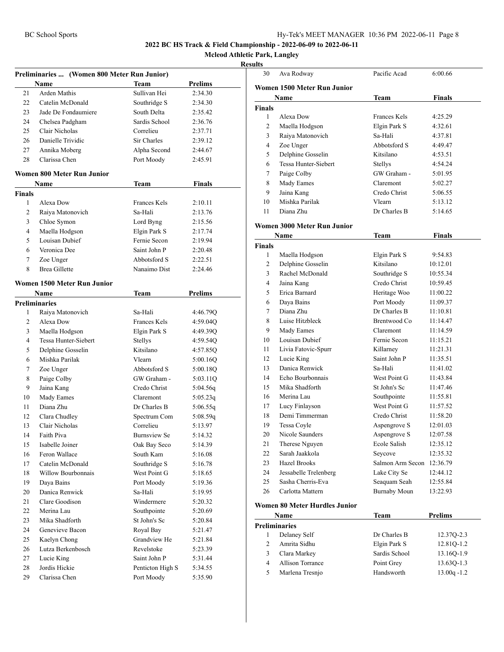**Mcleod Athletic Park, Langley**

#### **Results**

|                      | Preliminaries  (Women 800 Meter Run Junior) |                     |                |
|----------------------|---------------------------------------------|---------------------|----------------|
|                      | Name                                        | Team                | <b>Prelims</b> |
| 21                   | Arden Mathis                                | Sullivan Hei        | 2:34.30        |
| 22                   | Catelin McDonald                            | Southridge S        | 2:34.30        |
| 23                   | Jade De Fondaumiere                         | South Delta         | 2:35.42        |
| 24                   | Chelsea Padgham                             | Sardis School       | 2:36.76        |
| 25                   | Clair Nicholas                              | Correlieu           | 2:37.71        |
| 26                   | Danielle Trividic                           | Sir Charles         | 2:39.12        |
| 27                   | Annika Moberg                               | Alpha Second        | 2:44.67        |
| 28                   | Clarissa Chen                               | Port Moody          | 2:45.91        |
|                      |                                             |                     |                |
|                      | <b>Women 800 Meter Run Junior</b>           |                     |                |
|                      | Name                                        | Team                | Finals         |
| <b>Finals</b>        |                                             |                     |                |
| 1                    | Alexa Dow                                   | <b>Frances Kels</b> | 2:10.11        |
| 2                    | Raiya Matonovich                            | Sa-Hali             | 2:13.76        |
| 3                    | Chloe Symon                                 | Lord Byng           | 2:15.56        |
| 4                    | Maella Hodgson                              | Elgin Park S        | 2:17.74        |
| 5                    | Louisan Dubief                              | Fernie Secon        | 2:19.94        |
| 6                    | Veronica Dee                                | Saint John P        | 2:20.48        |
| 7                    | Zoe Unger                                   | Abbotsford S        | 2:22.51        |
| 8                    | <b>Brea Gillette</b>                        | Nanaimo Dist        | 2:24.46        |
|                      | Women 1500 Meter Run Junior                 |                     |                |
|                      | Name                                        | <b>Team</b>         | <b>Prelims</b> |
| <b>Preliminaries</b> |                                             |                     |                |
| 1                    | Raiya Matonovich                            | Sa-Hali             | 4:46.79Q       |
| 2                    | Alexa Dow                                   | <b>Frances Kels</b> | 4:59.04Q       |
| 3                    | Maella Hodgson                              | Elgin Park S        | 4:49.39Q       |
| $\overline{4}$       | Tessa Hunter-Siebert                        | Stellys             | 4:59.54Q       |
| 5                    | Delphine Gosselin                           | Kitsilano           | 4:57.85Q       |
| 6                    | Mishka Parilak                              | Vlearn              | 5:00.16Q       |
| 7                    |                                             | Abbotsford S        |                |
| 8                    | Zoe Unger<br>Paige Colby                    | GW Graham -         | 5:00.18Q       |
| 9                    |                                             | Credo Christ        | 5:03.11Q       |
|                      | Jaina Kang                                  |                     | 5:04.56q       |
| 10                   | Mady Eames                                  | Claremont           | 5:05.23q       |
| 11                   | Diana Zhu                                   | Dr Charles B        | 5:06.55q       |
| 12                   | Clara Chudley                               | Spectrum Com        | 5:08.59q       |
| 13                   | Clair Nicholas                              | Correlieu           | 5:13.97        |
| 14                   | Faith Piva                                  | <b>Burnsview Se</b> | 5:14.32        |
| 15                   | Isabelle Joiner                             | Oak Bay Seco        | 5:14.39        |
| 16                   | Feron Wallace                               | South Kam           | 5:16.08        |
| 17                   | Catelin McDonald                            | Southridge S        | 5:16.78        |
| 18                   | Willow Bourbonnais                          | West Point G        | 5:18.65        |
| 19                   | Daya Bains                                  | Port Moody          | 5:19.36        |
| 20                   | Danica Renwick                              | Sa-Hali             | 5:19.95        |
| 21                   | Clare Goodison                              | Windermere          | 5:20.32        |
| 22                   | Merina Lau                                  | Southpointe         | 5:20.69        |
| 23                   | Mika Shadforth                              | St John's Sc        | 5:20.84        |
| 24                   | Genevieve Bacon                             | Royal Bay           | 5:21.47        |
| 25                   | Kaelyn Chong                                | Grandview He        | 5:21.84        |
| 26                   | Lutza Berkenbosch                           | Revelstoke          | 5:23.39        |
| 27                   | Lucie King                                  | Saint John P        | 5:31.44        |
| 28                   | Jordis Hickie                               | Penticton High S    | 5:34.55        |
| 29                   | Clarissa Chen                               | Port Moody          | 5:35.90        |

| 30                            | Ava Rodway                  | Pacific Acad        | 6:00.66  |  |  |  |
|-------------------------------|-----------------------------|---------------------|----------|--|--|--|
|                               | Women 1500 Meter Run Junior |                     |          |  |  |  |
|                               | Name<br>Team<br>Finals      |                     |          |  |  |  |
| <b>Finals</b>                 |                             |                     |          |  |  |  |
| 1                             | Alexa Dow                   | <b>Frances Kels</b> | 4:25.29  |  |  |  |
| 2                             | Maella Hodgson              | Elgin Park S        | 4:32.61  |  |  |  |
| 3                             | Raiya Matonovich            | Sa-Hali             | 4:37.81  |  |  |  |
| 4                             | Zoe Unger                   | Abbotsford S        | 4:49.47  |  |  |  |
| 5                             | Delphine Gosselin           | Kitsilano           | 4:53.51  |  |  |  |
| 6                             | Tessa Hunter-Siebert        | Stellys             | 4:54.24  |  |  |  |
| 7                             | Paige Colby                 | GW Graham -         | 5:01.95  |  |  |  |
| 8                             | Mady Eames                  | Claremont           | 5:02.27  |  |  |  |
| 9                             | Jaina Kang                  | Credo Christ        | 5:06.55  |  |  |  |
| 10                            | Mishka Parilak              | Vlearn              | 5:13.12  |  |  |  |
| 11                            | Diana Zhu                   | Dr Charles B        | 5:14.65  |  |  |  |
|                               | Women 3000 Meter Run Junior |                     |          |  |  |  |
|                               | Name                        | Team                | Finals   |  |  |  |
| Finals                        |                             |                     |          |  |  |  |
| 1                             | Maella Hodgson              | Elgin Park S        | 9:54.83  |  |  |  |
| 2                             | Delphine Gosselin           | Kitsilano           | 10:12.01 |  |  |  |
| 3                             | Rachel McDonald             | Southridge S        | 10:55.34 |  |  |  |
| 4                             | Jaina Kang                  | Credo Christ        | 10:59.45 |  |  |  |
| 5                             | Erica Barnard               | Heritage Woo        | 11:00.22 |  |  |  |
| 6                             | Daya Bains                  | Port Moody          | 11:09.37 |  |  |  |
| 7                             | Diana Zhu                   | Dr Charles B        | 11:10.81 |  |  |  |
| 8                             | Luise Hitzbleck             | Brentwood Co        | 11:14.47 |  |  |  |
| 9                             | Mady Eames                  | Claremont           | 11:14.59 |  |  |  |
| 10                            | Louisan Dubief              | Fernie Secon        | 11:15.21 |  |  |  |
| 11                            | Livia Fatovic-Spurr         | Killarney           | 11:21.31 |  |  |  |
| 12                            | Lucie King                  | Saint John P        | 11:35.51 |  |  |  |
| 13                            | Danica Renwick              | Sa-Hali             | 11:41.02 |  |  |  |
| 14                            | Echo Bourbonnais            | West Point G        | 11:43.84 |  |  |  |
| 15                            | Mika Shadforth              | St John's Sc        | 11:47.46 |  |  |  |
| 16                            | Merina Lau                  | Southpointe         | 11:55.81 |  |  |  |
| 17                            | Lucy Finlayson              | West Point G        | 11:57.52 |  |  |  |
| 18                            | Demi Timmerman              | Credo Christ        | 11:58.20 |  |  |  |
| 19                            | Tessa Coyle                 | Aspengrove S        | 12:01.03 |  |  |  |
| 20                            | Nicole Saunders             | Aspengrove S        | 12:07.58 |  |  |  |
| 21                            | Therese Nguyen              | Ecole Salish        | 12:35.12 |  |  |  |
| 22                            | Sarah Jaakkola              | Seycove             | 12:35.32 |  |  |  |
| 23                            | <b>Hazel Brooks</b>         | Salmon Arm Secon    | 12:36.79 |  |  |  |
| 24                            | Jessabelle Trelenberg       | Lake City Se        | 12:44.12 |  |  |  |
| 25                            | Sasha Cherris-Eva           | Seaquam Seah        | 12:55.84 |  |  |  |
| 26                            | Carlotta Mattern            | <b>Burnaby Moun</b> | 13:22.93 |  |  |  |
| Women 80 Meter Hurdles Junior |                             |                     |          |  |  |  |

| Name |                      | Team          | <b>Prelims</b> |
|------|----------------------|---------------|----------------|
|      | <b>Preliminaries</b> |               |                |
|      | Delaney Self         | Dr Charles B  | 12.370-2.3     |
|      | Amrita Sidhu         | Elgin Park S  | 12.810-1.2     |
| 3    | Clara Markey         | Sardis School | 13.160-1.9     |
| 4    | Allison Torrance     | Point Grey    | 13.630-1.3     |
| 5    | Marlena Tresnjo      | Handsworth    | $13.00q - 1.2$ |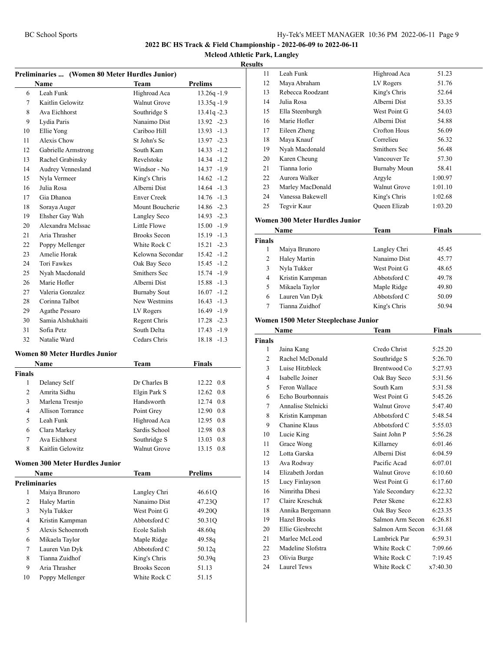**Mcleod Athletic Park, Langley**

#### **Results**

| Preliminaries  (Women 80 Meter Hurdles Junior) |                                       |                                     |                |
|------------------------------------------------|---------------------------------------|-------------------------------------|----------------|
|                                                | <b>Name</b>                           | Team                                | Prelims        |
| 6                                              | Leah Funk                             | Highroad Aca                        | 13.26q-1.9     |
| 7                                              | Kaitlin Gelowitz                      | Walnut Grove                        | $13.35q - 1.9$ |
| 8                                              | Ava Eichhorst                         | Southridge S                        | $13.41q - 2.3$ |
| 9                                              | Lydia Paris                           | Nanaimo Dist                        | 13.92 -2.3     |
| 10                                             | Ellie Yong                            | Cariboo Hill                        | $13.93 - 1.3$  |
| 11                                             | Alexis Chow                           | St John's Sc                        | 13.97 -2.3     |
| 12                                             | Gabrielle Armstrong                   | South Kam                           | $14.33 - 1.2$  |
| 13                                             | Rachel Grabinsky                      | Revelstoke                          | $14.34 - 1.2$  |
| 14                                             | Audrey Vennesland                     | Windsor - No                        | 14.37 -1.9     |
| 15                                             | Nyla Vermeer                          | King's Chris                        | $14.62 - 1.2$  |
| 16                                             | Julia Rosa                            | Alberni Dist                        | $14.64 - 1.3$  |
| 17                                             | Gia Dhanoa                            | <b>Enver Creek</b>                  | $14.76 - 1.3$  |
| 18                                             | Soraya Auger                          | Mount Boucherie                     | 14.86 -2.3     |
| 19                                             | Ehsher Gay Wah                        | Langley Seco                        | 14.93 -2.3     |
| 20                                             | Alexandra McIssac                     | Little Flowe                        | $15.00 -1.9$   |
| 21                                             | Aria Thrasher                         | <b>Brooks Secon</b>                 | 15.19 -1.3     |
| 22                                             | Poppy Mellenger                       | White Rock C                        | $15.21 -2.3$   |
| 23                                             | Amelie Horak                          | Kelowna Secondar                    | $15.42 - 1.2$  |
| 24                                             | <b>Tori Fawkes</b>                    | Oak Bay Seco                        | 15.45 -1.2     |
| 25                                             | Nyah Macdonald                        | Smithers Sec                        | 15.74 -1.9     |
| 26                                             | Marie Hofler                          | Alberni Dist                        | 15.88 -1.3     |
| 27                                             | Valeria Gonzalez                      | <b>Burnaby Sout</b>                 | $16.07 - 1.2$  |
| 28                                             | Corinna Talbot                        | New Westmins                        | $16.43 - 1.3$  |
| 29                                             | Agathe Pessaro                        | LV Rogers                           | 16.49 -1.9     |
| 30                                             | Samia Alshukhaiti                     | Regent Chris                        | 17.28 -2.3     |
| 31                                             | Sofia Petz                            | South Delta                         | 17.43 -1.9     |
| 32                                             | Natalie Ward                          | Cedars Chris                        | 18.18 -1.3     |
|                                                | <b>Women 80 Meter Hurdles Junior</b>  |                                     |                |
|                                                | Name                                  | Team                                | Finals         |
| <b>Finals</b>                                  |                                       |                                     |                |
| 1                                              | Delaney Self                          | Dr Charles B                        | 12.22 0.8      |
| 2                                              | Amrita Sidhu                          | Elgin Park S                        | 12.62 0.8      |
| 3                                              | Marlena Tresnjo                       | Handsworth                          | 12.74 0.8      |
| 4                                              | Allison Torrance                      | Point Grey                          | 12.90 0.8      |
| 5                                              | Leah Funk                             | Highroad Aca                        | 12.95 0.8      |
| 6                                              | Clara Markey                          | Sardis School                       | 12.98 0.8      |
| 7                                              | Ava Eichhorst                         | Southridge S                        | 13.03 0.8      |
| 8                                              | Kaitlin Gelowitz                      | <b>Walnut Grove</b>                 | 13.15 0.8      |
|                                                |                                       |                                     |                |
|                                                | Women 300 Meter Hurdles Junior        |                                     |                |
|                                                | Name                                  | <b>Team</b>                         | Prelims        |
|                                                | <b>Preliminaries</b><br>Maiya Brunoro |                                     |                |
| 1                                              |                                       | Langley Chri                        | 46.61Q         |
| 2                                              | Haley Martin                          | Nanaimo Dist                        | 47.23Q         |
| 3                                              | Nyla Tukker                           | West Point G                        | 49.20Q         |
| 4                                              | Kristin Kampman                       | Abbotsford C                        | 50.31Q         |
| 5                                              | Alexis Schoenroth                     | Ecole Salish                        | 48.60q         |
| 6                                              | Mikaela Taylor                        | Maple Ridge                         | 49.58q         |
| 7                                              | Lauren Van Dyk                        | Abbotsford C                        | 50.12q         |
| 8                                              | Tianna Zuidhof                        | King's Chris                        | 50.39q         |
| 9                                              | Aria Thrasher                         | <b>Brooks Secon</b><br>White Rock C | 51.13          |
| 10                                             | Poppy Mellenger                       |                                     | 51.15          |

| LS. |                  |                     |         |  |
|-----|------------------|---------------------|---------|--|
| 11  | Leah Funk        | Highroad Aca        | 51.23   |  |
| 12  | Maya Abraham     | LV Rogers           | 51.76   |  |
| 13  | Rebecca Roodzant | King's Chris        | 52.64   |  |
| 14  | Julia Rosa       | Alberni Dist        | 53.35   |  |
| 15  | Ella Steenburgh  | West Point G        | 54.03   |  |
| 16  | Marie Hofler     | Alberni Dist        | 54.88   |  |
| 17  | Eileen Zheng     | Crofton Hous        | 56.09   |  |
| 18  | Maya Knauf       | Correlieu           | 56.32   |  |
| 19  | Nyah Macdonald   | Smithers Sec        | 56.48   |  |
| 20  | Karen Cheung     | Vancouver Te        | 57.30   |  |
| 21  | Tianna Iorio     | <b>Burnaby Moun</b> | 58.41   |  |
| 22  | Aurora Walker    | Argyle              | 1:00.97 |  |
| 23  | Marley MacDonald | Walnut Grove        | 1:01.10 |  |
| 24  | Vanessa Bakewell | King's Chris        | 1:02.68 |  |
| 25  | Tegvir Kaur      | Queen Elizab        | 1:03.20 |  |
|     |                  |                     |         |  |

#### **Women 300 Meter Hurdles Junior**

| Name          |                 | Team         | <b>Finals</b> |  |
|---------------|-----------------|--------------|---------------|--|
| <b>Finals</b> |                 |              |               |  |
|               | Maiya Brunoro   | Langley Chri | 45.45         |  |
| 2             | Haley Martin    | Nanaimo Dist | 45.77         |  |
| 3             | Nyla Tukker     | West Point G | 48.65         |  |
| 4             | Kristin Kampman | Abbotsford C | 49.78         |  |
| 5             | Mikaela Taylor  | Maple Ridge  | 49.80         |  |
| 6             | Lauren Van Dyk  | Abbotsford C | 50.09         |  |
|               | Tianna Zuidhof  | King's Chris | 50.94         |  |

#### **Women 1500 Meter Steeplechase Junior**

| Name<br>Team   |                    | Finals              |          |  |
|----------------|--------------------|---------------------|----------|--|
| <b>Finals</b>  |                    |                     |          |  |
| 1              | Jaina Kang         | Credo Christ        | 5:25.20  |  |
| $\overline{c}$ | Rachel McDonald    | Southridge S        | 5:26.70  |  |
| 3              | Luise Hitzbleck    | Brentwood Co        | 5:27.93  |  |
| 4              | Isabelle Joiner    | Oak Bay Seco        | 5:31.56  |  |
| 5              | Feron Wallace      | South Kam           | 5:31.58  |  |
| 6              | Echo Bourbonnais   | West Point G        | 5:45.26  |  |
| 7              | Annalise Stelnicki | <b>Walnut Grove</b> | 5:47.40  |  |
| 8              | Kristin Kampman    | Abbotsford C        | 5:48.54  |  |
| 9              | Chanine Klaus      | Abbotsford C        | 5:55.03  |  |
| 10             | Lucie King         | Saint John P        | 5:56.28  |  |
| 11             | Grace Wong         | Killarney           | 6:01.46  |  |
| 12             | Lotta Garska       | Alberni Dist        | 6:04.59  |  |
| 13             | Ava Rodway         | Pacific Acad        | 6:07.01  |  |
| 14             | Elizabeth Jordan   | Walnut Grove        | 6:10.60  |  |
| 15             | Lucy Finlayson     | West Point G        | 6:17.60  |  |
| 16             | Nimritha Dhesi     | Yale Secondary      | 6:22.32  |  |
| 17             | Claire Kreschuk    | Peter Skene         | 6:22.83  |  |
| 18             | Annika Bergemann   | Oak Bay Seco        | 6:23.35  |  |
| 19             | Hazel Brooks       | Salmon Arm Secon    | 6:26.81  |  |
| 20             | Ellie Giesbrecht   | Salmon Arm Secon    | 6:31.68  |  |
| 21             | Marlee McLeod      | Lambrick Par        | 6:59.31  |  |
| 22             | Madeline Slofstra  | White Rock C        | 7:09.66  |  |
| 23             | Olivia Burge       | White Rock C        | 7:19.45  |  |
| 24             | Laurel Tews        | White Rock C        | x7:40.30 |  |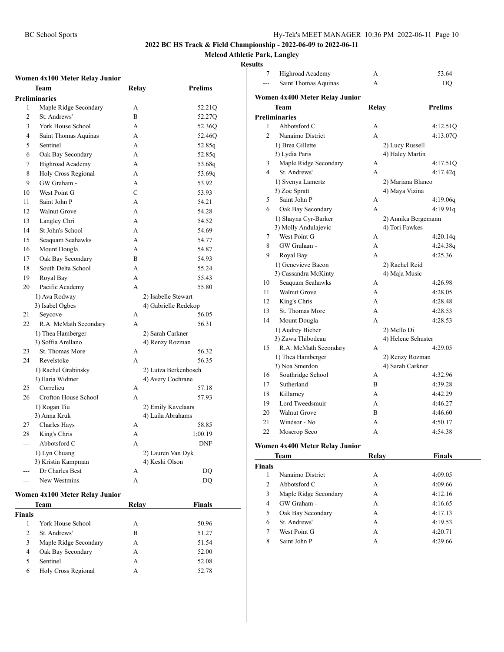#### **Mcleod Athletic Park, Langley**

#### **Results**

| Team                           | Relay         | <b>Prelims</b>       |
|--------------------------------|---------------|----------------------|
| <b>Preliminaries</b>           |               |                      |
| Maple Ridge Secondary<br>1     | A             | 52.21Q               |
| $\overline{2}$<br>St. Andrews' | B             | 52.27Q               |
| 3<br>York House School         | A             | 52.36Q               |
| 4<br>Saint Thomas Aquinas      | A             | 52.46Q               |
| 5<br>Sentinel                  | А             | 52.85q               |
| 6<br>Oak Bay Secondary         | A             | 52.85q               |
| 7<br>Highroad Academy          | A             | 53.68q               |
| Holy Cross Regional<br>8       | A             | 53.69g               |
| GW Graham -<br>9               | A             | 53.92                |
| West Point G<br>10             | $\mathcal{C}$ | 53.93                |
| Saint John P<br>11             | A             | 54.21                |
| <b>Walnut Grove</b><br>12      | $\mathbf{A}$  | 54.28                |
| 13<br>Langley Chri             | A             | 54.52                |
| St John's School<br>14         | A             | 54.69                |
| Seaquam Seahawks<br>15         | A             | 54.77                |
| Mount Dougla<br>16             | A             | 54.87                |
| Oak Bay Secondary<br>17        | B             | 54.93                |
| South Delta School<br>18       | A             | 55.24                |
| 19<br>Royal Bay                | A             | 55.43                |
| Pacific Academy<br>20          | A             | 55.80                |
| 1) Ava Rodway                  |               | 2) Isabelle Stewart  |
| 3) Isabel Ogbes                |               | 4) Gabrielle Redekop |
| 21<br>Seycove                  | А             | 56.05                |
| 22<br>R.A. McMath Secondary    | A             | 56.31                |
| 1) Thea Hamberger              |               | 2) Sarah Carkner     |
| 3) Soffia Arellano             |               | 4) Renzy Rozman      |
| St. Thomas More<br>23          | A             | 56.32                |
| 24<br>Revelstoke               | A             | 56.35                |
| 1) Rachel Grabinsky            |               | 2) Lutza Berkenbosch |
| 3) Ilaria Widmer               |               | 4) Avery Cochrane    |
| 25<br>Correlieu                | А             | 57.18                |
| 26<br>Crofton House School     | A             | 57.93                |
| 1) Rogan Tiu                   |               | 2) Emily Kavelaars   |
| 3) Anna Kruk                   |               | 4) Laila Abrahams    |
| Charles Hays<br>27             | A             | 58.85                |
| King's Chris<br>28             | A             | 1:00.19              |
| Abbotsford C<br>---            | A             | <b>DNF</b>           |
| 1) Lyn Chuang                  |               | 2) Lauren Van Dyk    |
| 3) Kristin Kampman             |               | 4) Keshi Olson       |
| Dr Charles Best                | А             | DQ                   |
| New Westmins<br>---            | А             | DQ                   |

|               | Team                  | Relay | <b>Finals</b> |  |
|---------------|-----------------------|-------|---------------|--|
| Finals        |                       |       |               |  |
|               | York House School     | А     | 50.96         |  |
| $\mathcal{L}$ | St. Andrews'          | В     | 51.27         |  |
| 3             | Maple Ridge Secondary | А     | 51.54         |  |
| 4             | Oak Bay Secondary     | А     | 52.00         |  |
| 5             | Sentinel              | А     | 52.08         |  |
| 6             | Holy Cross Regional   | А     | 52.78         |  |
|               |                       |       |               |  |

| 7                       | Highroad Academy               | А              | 53.64               |
|-------------------------|--------------------------------|----------------|---------------------|
|                         | Saint Thomas Aquinas           | $\overline{A}$ | DQ                  |
|                         | Women 4x400 Meter Relay Junior |                |                     |
|                         | Team                           | Relay          | <b>Prelims</b>      |
|                         | <b>Preliminaries</b>           |                |                     |
| 1                       | Abbotsford C                   | A              | 4:12.51Q            |
| $\overline{c}$          | Nanaimo District               | A              | 4:13.07Q            |
|                         | 1) Brea Gillette               |                | 2) Lucy Russell     |
|                         | 3) Lydia Paris                 |                | 4) Haley Martin     |
| 3                       | Maple Ridge Secondary          | А              | 4:17.51Q            |
| $\overline{\mathbf{4}}$ | St. Andrews'                   | A              | 4:17.42q            |
|                         | 1) Svenya Lamertz              |                | 2) Mariana Blanco   |
|                         | 3) Zoe Spratt                  |                | 4) Maya Vizina      |
| 5                       | Saint John P                   | А              | 4:19.06q            |
| 6                       | Oak Bay Secondary              | A              | 4:19.91q            |
|                         | 1) Shayna Cyr-Barker           |                | 2) Annika Bergemann |
|                         | 3) Molly Andulajevic           |                | 4) Tori Fawkes      |
| 7                       | West Point G                   | A              | 4:20.14q            |
| 8                       | GW Graham -                    | A              | 4:24.38q            |
| 9                       | Royal Bay                      | A              | 4:25.36             |
|                         | 1) Genevieve Bacon             |                | 2) Rachel Reid      |
|                         | 3) Cassandra McKinty           |                | 4) Maja Music       |
| 10                      | Seaquam Seahawks               | A              | 4:26.98             |
| 11                      | <b>Walnut Grove</b>            | A              | 4:28.05             |
| 12                      | King's Chris                   | A              | 4:28.48             |
| 13                      | St. Thomas More                | А              | 4:28.53             |
| 14                      | Mount Dougla                   | A              | 4:28.53             |
|                         | 1) Audrey Bieber               | 2) Mello Di    |                     |
|                         | 3) Zawa Thibodeau              |                | 4) Helene Schuster  |
| 15                      | R.A. McMath Secondary          | A              | 4:29.05             |
|                         | 1) Thea Hamberger              |                | 2) Renzy Rozman     |
|                         | 3) Noa Smerdon                 |                | 4) Sarah Carkner    |
| 16                      | Southridge School              | A              | 4:32.96             |
| 17                      | Sutherland                     | B              | 4:39.28             |
| 18                      | Killarney                      | A              | 4:42.29             |
| 19                      | Lord Tweedsmuir                | А              | 4:46.27             |
| 20                      | <b>Walnut Grove</b>            | $\overline{B}$ | 4:46.60             |
| 21                      | Windsor - No                   | А              | 4:50.17             |
| 22                      | Moscrop Seco                   | A              | 4:54.38             |
|                         | Women 1x400 Meter Delay Innier |                |                     |

#### **Women 4x400 Meter Relay Junior**

| Team           |                       | Relav | <b>Finals</b> |
|----------------|-----------------------|-------|---------------|
| <b>Finals</b>  |                       |       |               |
|                | Nanaimo District      | А     | 4:09.05       |
| 2              | Abbotsford C          | А     | 4:09.66       |
| 3              | Maple Ridge Secondary | А     | 4:12.16       |
| $\overline{4}$ | GW Graham -           | А     | 4:16.65       |
| 5              | Oak Bay Secondary     | А     | 4:17.13       |
| 6              | St. Andrews'          | А     | 4:19.53       |
| 7              | West Point G          | А     | 4:20.71       |
| 8              | Saint John P          | A     | 4:29.66       |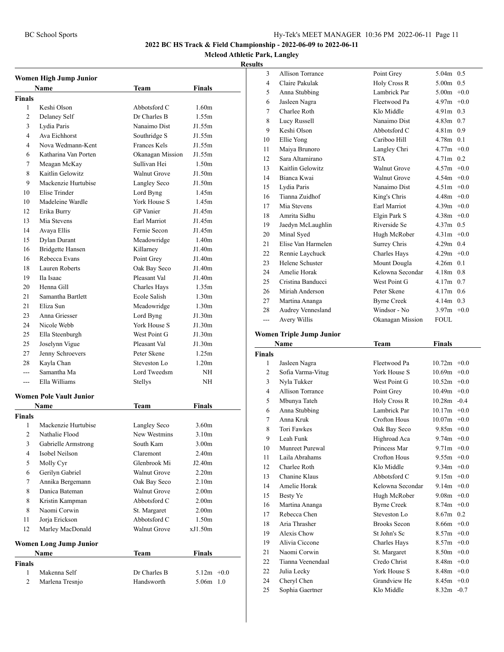#### **Mcleod Athletic Park, Langley**

#### **Results**

|                | Women High Jump Junior         |                     |                   |     |
|----------------|--------------------------------|---------------------|-------------------|-----|
|                | <b>Name</b>                    | Team                | Finals            |     |
| Finals         |                                |                     |                   |     |
| 1              | Keshi Olson                    | Abbotsford C        | 1.60 <sub>m</sub> |     |
| $\overline{c}$ | Delaney Self                   | Dr Charles B        | 1.55m             |     |
| 3              | Lydia Paris                    | Nanaimo Dist        | J1.55m            |     |
| 4              | Ava Eichhorst                  | Southridge S        | J1.55m            |     |
| 4              | Nova Wedmann-Kent              | Frances Kels        | J1.55m            |     |
| 6              | Katharina Van Porten           | Okanagan Mission    | J1.55m            |     |
| 7              | Meagan McKay                   | Sullivan Hei        | 1.50 <sub>m</sub> |     |
| 8              | Kaitlin Gelowitz               | <b>Walnut Grove</b> | J1.50m            |     |
| 9              | Mackenzie Hurtubise            | Langley Seco        | J1.50m            |     |
| 10             | Elise Trinder                  | Lord Byng           | 1.45m             |     |
| 10             | Madeleine Wardle               | York House S        | 1.45m             |     |
| 12             | Erika Burry                    | <b>GP</b> Vanier    | J1.45m            |     |
| 13             | Mia Stevens                    | Earl Marriot        | J1.45m            |     |
| 14             | Avaya Ellis                    | Fernie Secon        | J1.45m            |     |
| 15             | Dylan Durant                   | Meadowridge         | 1.40 <sub>m</sub> |     |
| 16             | <b>Bridgette Hansen</b>        | Killarney           | J1.40m            |     |
| 16             | Rebecca Evans                  | Point Grey          | J1.40m            |     |
| 18             | Lauren Roberts                 | Oak Bay Seco        | J1.40m            |     |
| 19             | Ila Isaac                      | Pleasant Val        | J1.40m            |     |
| 20             | Henna Gill                     | Charles Hays        | 1.35m             |     |
| 21             | Samantha Bartlett              | Ecole Salish        | 1.30 <sub>m</sub> |     |
| 21             | Eliza Sun                      | Meadowridge         | 1.30 <sub>m</sub> |     |
| 23             | Anna Griesser                  | Lord Byng           | J1.30m            |     |
| 24             | Nicole Webb                    | York House S        | J1.30m            |     |
| 25             | Ella Steenburgh                | West Point G        | J1.30m            |     |
| 25             | Joselynn Vigue                 | Pleasant Val        | J1.30m            |     |
| 27             | Jenny Schroevers               | Peter Skene         | 1.25m             |     |
| 28             | Kayla Chan                     | Steveston Lo        | 1.20 <sub>m</sub> |     |
| $- - -$        | Samantha Ma                    | Lord Tweedsm        | NH                |     |
| $- - -$        | Ella Williams                  | Stellys             | NΗ                |     |
|                |                                |                     |                   |     |
|                | <b>Women Pole Vault Junior</b> |                     |                   |     |
|                | Name                           | Team                | Finals            |     |
| Finals         |                                |                     |                   |     |
| 1              | Mackenzie Hurtubise            | Langley Seco        | 3.60 <sub>m</sub> |     |
| $\overline{c}$ | Nathalie Flood                 | New Westmins        | 3.10m             |     |
| 3              | Gabrielle Armstrong            | South Kam           | 3.00 <sub>m</sub> |     |
| 4              | Isobel Neilson                 | Claremont           | 2.40 <sub>m</sub> |     |
| 5              | Molly Cyr                      | Glenbrook Mi        | J2.40m            |     |
| 6              | Gerilyn Gabriel                | <b>Walnut Grove</b> | 2.20 <sub>m</sub> |     |
| 7              | Annika Bergemann               | Oak Bay Seco        | 2.10 <sub>m</sub> |     |
| 8              | Danica Bateman                 | <b>Walnut Grove</b> | 2.00 <sub>m</sub> |     |
| 8              | Kristin Kampman                | Abbotsford C        | 2.00 <sub>m</sub> |     |
| 8              | Naomi Corwin                   | St. Margaret        | 2.00 <sub>m</sub> |     |
| 11             | Jorja Erickson                 | Abbotsford C        | 1.50 <sub>m</sub> |     |
| 12             | Marley MacDonald               | Walnut Grove        | xJ1.50m           |     |
|                | <b>Women Long Jump Junior</b>  |                     |                   |     |
|                | Name                           | <b>Team</b>         | Finals            |     |
| <b>Finals</b>  |                                |                     |                   |     |
| $\mathbf{1}$   | Makenna Self                   | Dr Charles B        | $5.12m +0.0$      |     |
| 2              | Marlena Tresnjo                | Handsworth          | 5.06m             | 1.0 |

| s              |                    |                     |               |
|----------------|--------------------|---------------------|---------------|
| 3              | Allison Torrance   | Point Grey          | $5.04m$ 0.5   |
| $\overline{4}$ | Claire Pakulak     | Holy Cross R        | $5.00m$ 0.5   |
| 5              | Anna Stubbing      | Lambrick Par        | $5.00m + 0.0$ |
| 6              | Jasleen Nagra      | Fleetwood Pa        | $4.97m +0.0$  |
| 7              | Charlee Roth       | Klo Middle          | $4.91m$ 0.3   |
| 8              | Lucy Russell       | Nanaimo Dist        | $4.83m$ 0.7   |
| 9              | Keshi Olson        | Abbotsford C        | $4.81m$ 0.9   |
| 10             | Ellie Yong         | Cariboo Hill        | $4.78m$ 0.1   |
| 11             | Maiya Brunoro      | Langley Chri        | $4.77m + 0.0$ |
| 12             | Sara Altamirano    | <b>STA</b>          | $4.71m$ 0.2   |
| 13             | Kaitlin Gelowitz   | <b>Walnut Grove</b> | $4.57m + 0.0$ |
| 14             | Bianca Kwai        | Walnut Grove        | $4.54m +0.0$  |
| 15             | Lydia Paris        | Nanaimo Dist        | $4.51m +0.0$  |
| 16             | Tianna Zuidhof     | King's Chris        | $4.48m +0.0$  |
| 17             | Mia Stevens        | Earl Marriot        | $4.39m +0.0$  |
| 18             | Amrita Sidhu       | Elgin Park S        | $4.38m +0.0$  |
| 19             | Jaedyn McLaughlin  | Riverside Se        | $4.37m$ 0.5   |
| 20             | Minal Syed         | Hugh McRober        | $4.31m +0.0$  |
| 21             | Elise Van Harmelen | Surrey Chris        | $4.29m$ 0.4   |
| 22             | Rennie Laychuck    | Charles Hays        | $4.29m +0.0$  |
| 23             | Helene Schuster    | Mount Dougla        | $4.26m$ 0.1   |
| 24             | Amelie Horak       | Kelowna Secondar    | $4.18m$ 0.8   |
| 25             | Cristina Banducci  | West Point G        | $4.17m$ 0.7   |
| 26             | Miriah Anderson    | Peter Skene         | $4.17m$ 0.6   |
| 27             | Martina Ananga     | <b>Byrne Creek</b>  | $4.14m$ 0.3   |
| 28             | Audrey Vennesland  | Windsor - No        | $3.97m +0.0$  |
| ---            | Avery Willis       | Okanagan Mission    | <b>FOUL</b>   |
|                |                    |                     |               |

# **Women Triple Jump Junior**

|               | Name              | Team                | <b>Finals</b>  |
|---------------|-------------------|---------------------|----------------|
| <b>Finals</b> |                   |                     |                |
| 1             | Jasleen Nagra     | Fleetwood Pa        | $10.72m + 0.0$ |
| 2             | Sofia Varma-Vitug | York House S        | $10.69m + 0.0$ |
| 3             | Nyla Tukker       | West Point G        | $10.52m + 0.0$ |
| 4             | Allison Torrance  | Point Grey          | $10.49m + 0.0$ |
| 5             | Mbunya Tateh      | Holy Cross R        | $10.28m - 0.4$ |
| 6             | Anna Stubbing     | Lambrick Par        | $10.17m + 0.0$ |
| 7             | Anna Kruk         | Crofton Hous        | $10.07m + 0.0$ |
| 8             | Tori Fawkes       | Oak Bay Seco        | $9.85m + 0.0$  |
| 9             | Leah Funk         | Highroad Aca        | $9.74m + 0.0$  |
| 10            | Munreet Purewal   | Princess Mar        | $9.71m + 0.0$  |
| 11            | Laila Abrahams    | <b>Crofton Hous</b> | $9.55m + 0.0$  |
| 12            | Charlee Roth      | Klo Middle          | $9.34m + 0.0$  |
| 13            | Chanine Klaus     | Abbotsford C        | $9.15m + 0.0$  |
| 14            | Amelie Horak      | Kelowna Secondar    | $9.14m + 0.0$  |
| 15            | Besty Ye          | Hugh McRober        | $9.08m + 0.0$  |
| 16            | Martina Ananga    | <b>Byrne Creek</b>  | $8.74m + 0.0$  |
| 17            | Rebecca Chen      | Steveston Lo        | $8.67m$ 0.2    |
| 18            | Aria Thrasher     | <b>Brooks Secon</b> | $8.66m + 0.0$  |
| 19            | Alexis Chow       | St John's Sc        | $8.57m + 0.0$  |
| 19            | Alivia Ciccone    | Charles Hays        | $8.57m + 0.0$  |
| 21            | Naomi Corwin      | St. Margaret        | $8.50m +0.0$   |
| 22            | Tianna Veenendaal | Credo Christ        | $8.48m + 0.0$  |
| 22            | Julia Lecky       | <b>York House S</b> | $8.48m + 0.0$  |
| 24            | Cheryl Chen       | Grandview He        | $8.45m + 0.0$  |
| 25            | Sophia Gaertner   | Klo Middle          | $8.32m - 0.7$  |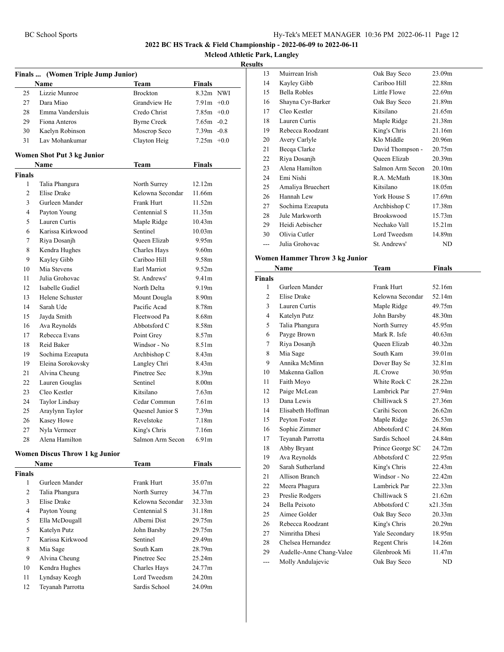**Mcleod Athletic Park, Langley**

#### **Results**

l,

|                | Finals  (Women Triple Jump Junior)    |                     |                    |  |
|----------------|---------------------------------------|---------------------|--------------------|--|
|                | Name                                  | Team                | Finals             |  |
| 25             | Lizzie Munroe                         | <b>Brockton</b>     | 8.32m NWI          |  |
| 27             | Dara Miao                             | Grandview He        | $7.91m +0.0$       |  |
| 28             | Emma Vandersluis                      | Credo Christ        | $7.85m +0.0$       |  |
| 29             | Fiona Anteros                         | <b>Byrne Creek</b>  | $7.65m - 0.2$      |  |
| 30             | Kaelyn Robinson                       | Moscrop Seco        | $7.39m - 0.8$      |  |
| 31             | Lav Mohankumar                        | Clayton Heig        | $7.25m + 0.0$      |  |
|                | Women Shot Put 3 kg Junior            |                     |                    |  |
|                | <b>Name</b>                           | Team                | Finals             |  |
| <b>Finals</b>  |                                       |                     |                    |  |
| 1              | Talia Phangura                        | North Surrey        | 12.12m             |  |
| $\overline{2}$ | <b>Elise Drake</b>                    | Kelowna Secondar    | 11.66m             |  |
| 3              | Gurleen Mander                        | Frank Hurt          | 11.52m             |  |
| 4              | Payton Young                          | Centennial S        | 11.35m             |  |
| 5              | Lauren Curtis                         | Maple Ridge         | 10.43m             |  |
| 6              | Karissa Kirkwood                      | Sentinel            | 10.03 <sub>m</sub> |  |
| 7              | Riya Dosanjh                          | <b>Oueen Elizab</b> | 9.95m              |  |
| 8              | Kendra Hughes                         | Charles Hays        | 9.60 <sub>m</sub>  |  |
| 9              | Kayley Gibb                           | Cariboo Hill        | 9.58m              |  |
| 10             | Mia Stevens                           | Earl Marriot        | 9.52m              |  |
| 11             | Julia Grohovac                        | St. Andrews'        | 9.41 <sub>m</sub>  |  |
| 12             | Isabelle Gudiel                       | North Delta         | 9.19m              |  |
| 13             | Helene Schuster                       | Mount Dougla        | 8.90m              |  |
| 14             | Sarah Ude                             | Pacific Acad        | 8.78m              |  |
| 15             | Jayda Smith                           | Fleetwood Pa        | 8.68m              |  |
| 16             | Ava Reynolds                          | Abbotsford C        | 8.58m              |  |
| 17             | Rebecca Evans                         | Point Grey          | 8.57m              |  |
| 18             | Reid Baker                            | Windsor - No        | 8.51 <sub>m</sub>  |  |
| 19             | Sochima Ezeaputa                      | Archbishop C        | 8.43m              |  |
| 19             | Eleina Sorokovsky                     | Langley Chri        | 8.43m              |  |
| 21             | Alvina Cheung                         | Pinetree Sec        | 8.39m              |  |
| 22             | Lauren Gouglas                        | Sentinel            | 8.00 <sub>m</sub>  |  |
| 23             | Cleo Kestler                          | Kitsilano           | 7.63 <sub>m</sub>  |  |
| 24             | <b>Taylor Lindsay</b>                 | Cedar Commun        | 7.61 <sub>m</sub>  |  |
| 25             | Araylynn Taylor                       | Ouesnel Junior S    | 7.39 <sub>m</sub>  |  |
| 26             | Kasey Howe                            | Revelstoke          | 7.18m              |  |
| 27             | Nyla Vermeer                          | King's Chris        | 7.16m              |  |
| 28             | Alena Hamilton                        | Salmon Arm Secon    | 6.91 <sub>m</sub>  |  |
|                | <b>Women Discus Throw 1 kg Junior</b> |                     |                    |  |
|                | Name                                  | Team                | Finals             |  |
| Finals         |                                       |                     |                    |  |

| `inals |                  |                  |        |
|--------|------------------|------------------|--------|
| 1      | Gurleen Mander   | Frank Hurt       | 35.07m |
| 2      | Talia Phangura   | North Surrey     | 34.77m |
| 3      | Elise Drake      | Kelowna Secondar | 32.33m |
| 4      | Payton Young     | Centennial S     | 31.18m |
| 5      | Ella McDougall   | Alberni Dist     | 29.75m |
| 5      | Katelyn Putz     | John Barsby      | 29.75m |
| 7      | Karissa Kirkwood | Sentinel         | 29.49m |
| 8      | Mia Sage         | South Kam        | 28.79m |
| 9      | Alvina Cheung    | Pinetree Sec     | 25.24m |
| 10     | Kendra Hughes    | Charles Hays     | 24.77m |
| 11     | Lyndsay Keogh    | Lord Tweedsm     | 24.20m |
| 12     | Teyanah Parrotta | Sardis School    | 24.09m |

| $\cdot$ |                     |                   |                    |
|---------|---------------------|-------------------|--------------------|
| 13      | Muirrean Irish      | Oak Bay Seco      | 23.09m             |
| 14      | Kayley Gibb         | Cariboo Hill      | 22.88m             |
| 15      | <b>Bella Robles</b> | Little Flowe      | 22.69m             |
| 16      | Shayna Cyr-Barker   | Oak Bay Seco      | 21.89m             |
| 17      | Cleo Kestler        | Kitsilano         | 21.65m             |
| 18      | Lauren Curtis       | Maple Ridge       | 21.38m             |
| 19      | Rebecca Roodzant    | King's Chris      | 21.16m             |
| 20      | Avery Carlyle       | Klo Middle        | 20.96m             |
| 21      | Becqa Clarke        | David Thompson -  | 20.75m             |
| 22      | Riya Dosanjh        | Queen Elizab      | 20.39 <sub>m</sub> |
| 23      | Alena Hamilton      | Salmon Arm Secon  | 20.10m             |
| 24      | Emi Nishi           | R.A. McMath       | 18.30m             |
| 25      | Amaliya Bruechert   | Kitsilano         | 18.05m             |
| 26      | Hannah Lew          | York House S      | 17.69m             |
| 27      | Sochima Ezeaputa    | Archbishop C      | 17.38m             |
| 28      | Jule Markworth      | <b>Brookswood</b> | 15.73m             |
| 29      | Heidi Aebischer     | Nechako Vall      | 15.21m             |
| 30      | Olivia Cutler       | Lord Tweedsm      | 14.89m             |
|         | Julia Grohovac      | St. Andrews'      | ND                 |

#### **Women Hammer Throw 3 kg Junior**

|                | Name                     | <b>Team</b>         | <b>Finals</b>      |  |
|----------------|--------------------------|---------------------|--------------------|--|
| Finals         |                          |                     |                    |  |
| 1              | Gurleen Mander           | Frank Hurt          | 52.16m             |  |
| $\overline{c}$ | <b>Elise Drake</b>       | Kelowna Secondar    | 52.14m             |  |
| 3              | Lauren Curtis            | Maple Ridge         | 49.75m             |  |
| $\overline{4}$ | Katelyn Putz             | John Barsby         | 48.30m             |  |
| 5              | Talia Phangura           | North Surrey        | 45.95m             |  |
| 6              | Payge Brown              | Mark R. Isfe        | 40.63m             |  |
| 7              | Riya Dosanjh             | <b>Oueen Elizab</b> | 40.32m             |  |
| 8              | Mia Sage                 | South Kam           | 39.01m             |  |
| 9              | Annika McMinn            | Dover Bay Se        | 32.81m             |  |
| 10             | Makenna Gallon           | <b>II</b> . Crowe   | 30.95m             |  |
| 11             | Faith Moyo               | White Rock C        | 28.22m             |  |
| 12             | Paige McLean             | Lambrick Par        | 27.94m             |  |
| 13             | Dana Lewis               | Chilliwack S        | 27.36m             |  |
| 14             | Elisabeth Hoffman        | Carihi Secon        | 26.62m             |  |
| 15             | Peyton Foster            | Maple Ridge         | 26.53m             |  |
| 16             | Sophie Zimmer            | Abbotsford C        | 24.86m             |  |
| 17             | Teyanah Parrotta         | Sardis School       | 24.84m             |  |
| 18             | Abby Bryant              | Prince George SC    | 24.72m             |  |
| 19             | Ava Reynolds             | Abbotsford C        | 22.95m             |  |
| 20             | Sarah Sutherland         | King's Chris        | 22.43m             |  |
| 21             | Allison Branch           | Windsor - No        | 22.42m             |  |
| 22             | Meera Phagura            | Lambrick Par        | 22.33m             |  |
| 23             | Preslie Rodgers          | Chilliwack S        | 21.62m             |  |
| 24             | Bella Peixoto            | Abbotsford C        | x21.35m            |  |
| 25             | Aimee Golder             | Oak Bay Seco        | 20.33 <sub>m</sub> |  |
| 26             | Rebecca Roodzant         | King's Chris        | 20.29m             |  |
| 27             | Nimritha Dhesi           | Yale Secondary      | 18.95m             |  |
| 28             | Chelsea Hernandez        | Regent Chris        | 14.26m             |  |
| 29             | Audelle-Anne Chang-Valee | Glenbrook Mi        | 11.47m             |  |
| $\overline{a}$ | Molly Andulajevic        | Oak Bay Seco        | ND                 |  |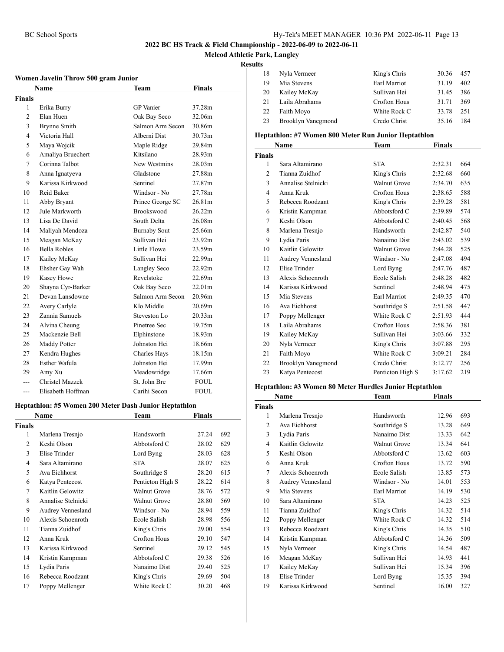**Mcleod Athletic Park, Langley**

#### **Results**

| Women Javelin Throw 500 gram Junior |                     |                     |                    |  |
|-------------------------------------|---------------------|---------------------|--------------------|--|
|                                     | <b>Name</b>         | <b>Team</b>         | Finals             |  |
| Finals                              |                     |                     |                    |  |
| 1                                   | Erika Burry         | <b>GP</b> Vanier    | 37.28m             |  |
| $\overline{c}$                      | Elan Huen           | Oak Bay Seco        | 32.06m             |  |
| 3                                   | Brynne Smith        | Salmon Arm Secon    | 30.86m             |  |
| 4                                   | Victoria Hall       | Alberni Dist        | 30.73m             |  |
| 5                                   | Maya Wojcik         | Maple Ridge         | 29.84m             |  |
| 6                                   | Amaliya Bruechert   | Kitsilano           | 28.93m             |  |
| 7                                   | Corinna Talbot      | New Westmins        | 28.03m             |  |
| 8                                   | Anna Ignatyeva      | Gladstone           | 27.88m             |  |
| 9                                   | Karissa Kirkwood    | Sentinel            | 27.87m             |  |
| 10                                  | Reid Baker          | Windsor - No        | 27.78m             |  |
| 11                                  | Abby Bryant         | Prince George SC    | 26.81m             |  |
| 12                                  | Jule Markworth      | <b>Brookswood</b>   | 26.22m             |  |
| 13                                  | Lisa De David       | South Delta         | 26.08m             |  |
| 14                                  | Maliyah Mendoza     | <b>Burnaby Sout</b> | 25.66m             |  |
| 15                                  | Meagan McKay        | Sullivan Hei        | 23.92m             |  |
| 16                                  | <b>Bella Robles</b> | Little Flowe        | 23.59m             |  |
| 17                                  | Kailey McKay        | Sullivan Hei        | 22.99m             |  |
| 18                                  | Ehsher Gay Wah      | Langley Seco        | 22.92m             |  |
| 19                                  | Kasey Howe          | Revelstoke          | 22.69m             |  |
| 20                                  | Shayna Cyr-Barker   | Oak Bay Seco        | 22.01m             |  |
| 21                                  | Devan Lansdowne     | Salmon Arm Secon    | 20.96m             |  |
| 22                                  | Avery Carlyle       | Klo Middle          | 20.69m             |  |
| 23                                  | Zannia Samuels      | Steveston Lo        | 20.33m             |  |
| 24                                  | Alvina Cheung       | Pinetree Sec        | 19.75m             |  |
| 25                                  | Mackenzie Bell      | Elphinstone         | 18.93 <sub>m</sub> |  |
| 26                                  | Maddy Potter        | Johnston Hei        | 18.66m             |  |
| 27                                  | Kendra Hughes       | Charles Hays        | 18.15m             |  |
| 28                                  | Esther Wafula       | Johnston Hei        | 17.99m             |  |
| 29                                  | Amy Xu              | Meadowridge         | 17.66m             |  |
| ---                                 | Christel Mazzek     | St. John Bre        | <b>FOUL</b>        |  |
| ---                                 | Elisabeth Hoffman   | Carihi Secon        | <b>FOUL</b>        |  |

#### **Heptathlon: #5 Women 200 Meter Dash Junior Heptathlon**

| Name          |                    | <b>Team</b>      | Finals |     |
|---------------|--------------------|------------------|--------|-----|
| <b>Finals</b> |                    |                  |        |     |
| 1             | Marlena Tresnjo    | Handsworth       | 27.24  | 692 |
| 2             | Keshi Olson        | Abbotsford C     | 28.02  | 629 |
| 3             | Elise Trinder      | Lord Byng        | 28.03  | 628 |
| 4             | Sara Altamirano    | <b>STA</b>       | 28.07  | 625 |
| 5             | Ava Eichhorst      | Southridge S     | 28.20  | 615 |
| 6             | Katya Pentecost    | Penticton High S | 28.22  | 614 |
| 7             | Kaitlin Gelowitz   | Walnut Grove     | 28.76  | 572 |
| 8             | Annalise Stelnicki | Walnut Grove     | 28.80  | 569 |
| 9             | Audrey Vennesland  | Windsor - No     | 28.94  | 559 |
| 10            | Alexis Schoenroth  | Ecole Salish     | 28.98  | 556 |
| 11            | Tianna Zuidhof     | King's Chris     | 29.00  | 554 |
| 12            | Anna Kruk          | Crofton Hous     | 29.10  | 547 |
| 13            | Karissa Kirkwood   | Sentinel         | 29.12  | 545 |
| 14            | Kristin Kampman    | Abbotsford C     | 29.38  | 526 |
| 15            | Lydia Paris        | Nanaimo Dist     | 29.40  | 525 |
| 16            | Rebecca Roodzant   | King's Chris     | 29.69  | 504 |
| 17            | Poppy Mellenger    | White Rock C     | 30.20  | 468 |

| 18 | Nyla Vermeer       | King's Chris | 30.36 | 457 |  |
|----|--------------------|--------------|-------|-----|--|
| 19 | Mia Stevens        | Earl Marriot | 31.19 | 402 |  |
| 20 | Kailey McKay       | Sullivan Hei | 31.45 | 386 |  |
| 21 | Laila Abrahams     | Crofton Hous | 31.71 | 369 |  |
| 22 | Faith Moyo         | White Rock C | 33.78 | 251 |  |
| 23 | Brooklyn Vanegmond | Credo Christ | 35.16 | 184 |  |
|    |                    |              |       |     |  |

#### **Heptathlon: #7 Women 800 Meter Run Junior Heptathlon**

|                | Name               | Team                | Finals  |     |
|----------------|--------------------|---------------------|---------|-----|
| <b>Finals</b>  |                    |                     |         |     |
| 1              | Sara Altamirano    | <b>STA</b>          | 2:32.31 | 664 |
| $\overline{2}$ | Tianna Zuidhof     | King's Chris        | 2:32.68 | 660 |
| 3              | Annalise Stelnicki | <b>Walnut Grove</b> | 2:34.70 | 635 |
| 4              | Anna Kruk          | Crofton Hous        | 2:38.65 | 588 |
| 5              | Rebecca Roodzant   | King's Chris        | 2:39.28 | 581 |
| 6              | Kristin Kampman    | Abbotsford C        | 2:39.89 | 574 |
| 7              | Keshi Olson        | Abbotsford C        | 2:40.45 | 568 |
| 8              | Marlena Tresnjo    | Handsworth          | 2:42.87 | 540 |
| 9              | Lydia Paris        | Nanaimo Dist        | 2:43.02 | 539 |
| 10             | Kaitlin Gelowitz   | <b>Walnut Grove</b> | 2:44.28 | 525 |
| 11             | Audrey Vennesland  | Windsor - No        | 2:47.08 | 494 |
| 12             | Elise Trinder      | Lord Byng           | 2:47.76 | 487 |
| 13             | Alexis Schoenroth  | Ecole Salish        | 2:48.28 | 482 |
| 14             | Karissa Kirkwood   | Sentinel            | 2:48.94 | 475 |
| 15             | Mia Stevens        | Earl Marriot        | 2:49.35 | 470 |
| 16             | Ava Eichhorst      | Southridge S        | 2:51.58 | 447 |
| 17             | Poppy Mellenger    | White Rock C        | 2:51.93 | 444 |
| 18             | Laila Abrahams     | Crofton Hous        | 2:58.36 | 381 |
| 19             | Kailey McKay       | Sullivan Hei        | 3:03.66 | 332 |
| 20             | Nyla Vermeer       | King's Chris        | 3:07.88 | 295 |
| 21             | Faith Moyo         | White Rock C        | 3:09.21 | 284 |
| 22             | Brooklyn Vanegmond | Credo Christ        | 3:12.77 | 256 |
| 23             | Katya Pentecost    | Penticton High S    | 3:17.62 | 219 |

#### **Heptathlon: #3 Women 80 Meter Hurdles Junior Heptathlon**

|                | Name              | Team                | <b>Finals</b> |     |
|----------------|-------------------|---------------------|---------------|-----|
| <b>Finals</b>  |                   |                     |               |     |
| 1              | Marlena Tresnjo   | Handsworth          | 12.96         | 693 |
| $\overline{c}$ | Ava Eichhorst     | Southridge S        | 13.28         | 649 |
| 3              | Lydia Paris       | Nanaimo Dist        | 13.33         | 642 |
| 4              | Kaitlin Gelowitz  | <b>Walnut Grove</b> | 13.34         | 641 |
| 5              | Keshi Olson       | Abbotsford C        | 13.62         | 603 |
| 6              | Anna Kruk         | Crofton Hous        | 13.72         | 590 |
| 7              | Alexis Schoenroth | Ecole Salish        | 13.85         | 573 |
| 8              | Audrey Vennesland | Windsor - No        | 14.01         | 553 |
| 9              | Mia Stevens       | Earl Marriot        | 14.19         | 530 |
| 10             | Sara Altamirano   | <b>STA</b>          | 14.23         | 525 |
| 11             | Tianna Zuidhof    | King's Chris        | 14.32         | 514 |
| 12             | Poppy Mellenger   | White Rock C        | 14.32         | 514 |
| 13             | Rebecca Roodzant  | King's Chris        | 14.35         | 510 |
| 14             | Kristin Kampman   | Abbotsford C        | 14.36         | 509 |
| 15             | Nyla Vermeer      | King's Chris        | 14.54         | 487 |
| 16             | Meagan McKay      | Sullivan Hei        | 14.93         | 441 |
| 17             | Kailey McKay      | Sullivan Hei        | 15.34         | 396 |
| 18             | Elise Trinder     | Lord Byng           | 15.35         | 394 |
| 19             | Karissa Kirkwood  | Sentinel            | 16.00         | 327 |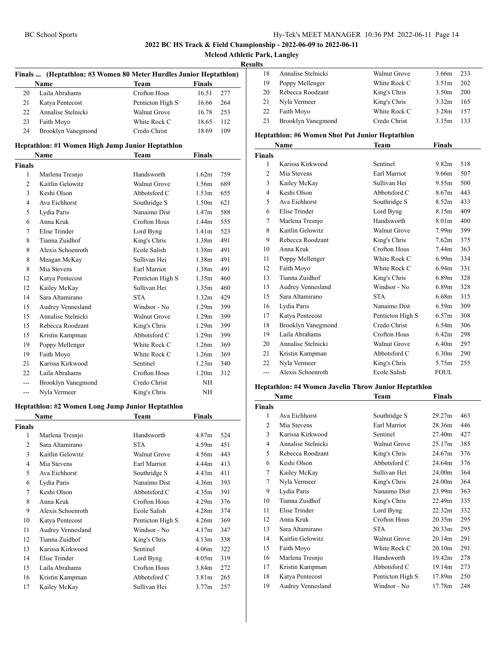**Mcleod Athletic Park, Langley**

#### **Results**

|                          | <b>Name</b>                                      | <b>Team</b>         | Finals            |     |
|--------------------------|--------------------------------------------------|---------------------|-------------------|-----|
| 20                       | Laila Abrahams                                   | <b>Crofton Hous</b> | 16.51             | 277 |
| 21                       | Katya Pentecost                                  | Penticton High S    | 16.66             | 264 |
| 22                       | Annalise Stelnicki                               | Walnut Grove        | 16.78             | 253 |
| 23                       | Faith Moyo                                       | White Rock C        | 18.65             | 112 |
| 24                       | Brooklyn Vanegmond                               | Credo Christ        | 18.69             | 109 |
|                          | Heptathlon: #1 Women High Jump Junior Heptathlon |                     |                   |     |
|                          | Name                                             | Team                | <b>Finals</b>     |     |
| <b>Finals</b>            |                                                  |                     |                   |     |
| 1                        | Marlena Tresnjo                                  | Handsworth          | 1.62m             | 759 |
| $\overline{c}$           | Kaitlin Gelowitz                                 | <b>Walnut Grove</b> | 1.56m             | 689 |
| 3                        | Keshi Olson                                      | Abbotsford C        | 1.53 <sub>m</sub> | 655 |
| $\overline{4}$           | Ava Eichhorst                                    | Southridge S        | 1.50 <sub>m</sub> | 621 |
| 5                        | Lydia Paris                                      | Nanaimo Dist        | 1.47 <sub>m</sub> | 588 |
| 6                        | Anna Kruk                                        | <b>Crofton Hous</b> | 1.44m             | 555 |
| 7                        | Elise Trinder                                    | Lord Byng           | 1.41m             | 523 |
| 8                        | Tianna Zuidhof                                   | King's Chris        | 1.38 <sub>m</sub> | 491 |
| 8                        | Alexis Schoenroth                                | Ecole Salish        | 1.38 <sub>m</sub> | 491 |
| 8                        | Meagan McKay                                     | Sullivan Hei        | 1.38 <sub>m</sub> | 491 |
| 8                        | Mia Stevens                                      | Earl Marriot        | 1.38 <sub>m</sub> | 491 |
| 12                       | Katya Pentecost                                  | Penticton High S    | 1.35m             | 460 |
| 12                       | Kailey McKay                                     | Sullivan Hei        | 1.35m             | 460 |
| 14                       | Sara Altamirano                                  | <b>STA</b>          | 1.32 <sub>m</sub> | 429 |
| 15                       | Audrey Vennesland                                | Windsor - No        | 1.29m             | 399 |
| 15                       | Annalise Stelnicki                               | <b>Walnut Grove</b> | 1.29m             | 399 |
| 15                       | Rebecca Roodzant                                 | King's Chris        | 1.29m             | 399 |
| 15                       | Kristin Kampman                                  | Abbotsford C        | 1.29m             | 399 |
| 19                       | Poppy Mellenger                                  | White Rock C        | 1.26m             | 369 |
| 19                       | Faith Moyo                                       | White Rock C        | 1.26m             | 369 |
| 21                       | Karissa Kirkwood                                 | Sentinel            | 1.23m             | 340 |
| 22                       | Laila Abrahams                                   | Crofton Hous        | 1.20 <sub>m</sub> | 312 |
| $\overline{a}$           | Brooklyn Vanegmond                               | Credo Christ        | NΗ                |     |
| $--$                     | Nyla Vermeer                                     | King's Chris        | NΗ                |     |
|                          |                                                  |                     |                   |     |
|                          | Heptathlon: #2 Women Long Jump Junior Heptathlon |                     |                   |     |
|                          | Name                                             | Team                | <b>Finals</b>     |     |
| <b>Finals</b>            |                                                  |                     |                   |     |
| 1                        | Marlena Tresnjo                                  | Handsworth          | 4.87m             | 524 |
| 2                        | Sara Altamirano                                  | <b>STA</b>          | 4.59m             | 451 |
| 3                        | Kaitlin Gelowitz                                 | Walnut Grove        | 4.56m             | 443 |
| $\overline{\mathcal{L}}$ | Mia Stevens                                      | Earl Marriot        | 4.44m             | 413 |
| 5                        | Ava Eichhorst                                    | Southridge S        | 4.43m             | 411 |
| 6                        | Lydia Paris                                      | Nanaimo Dist        | 4.36m             | 393 |
| 7                        | Keshi Olson                                      | Abbotsford C        | 4.35m             | 391 |
| 8                        | Anna Kruk                                        | <b>Crofton Hous</b> | 4.29m             | 376 |
| 9                        | Alexis Schoenroth                                | Ecole Salish        | 4.28m             | 374 |
| 10                       | Katya Pentecost                                  | Penticton High S    | 4.26m             | 369 |
| 11                       | Audrey Vennesland                                | Windsor - No        | 4.17m             | 347 |
| 12                       | Tianna Zuidhof                                   | King's Chris        | 4.13m             | 338 |
| 13                       | Karissa Kirkwood                                 | Sentinel            | 4.06m             | 322 |
| 14                       | Elise Trinder                                    | Lord Byng           | 4.05m             | 319 |
| 15                       | Laila Abrahams                                   | Crofton Hous        | 3.84m             | 272 |
| 16                       | Kristin Kampman                                  | Abbotsford C        | 3.81 <sub>m</sub> | 265 |
|                          | Kailey McKay                                     | Sullivan Hei        | 3.77 <sub>m</sub> | 257 |

| Annalise Stelnicki | <b>Walnut Grove</b> | 3.66m             | 233 |
|--------------------|---------------------|-------------------|-----|
| Poppy Mellenger    | White Rock C        | 3.51 <sub>m</sub> | 202 |
| Rebecca Roodzant   | King's Chris        | 3.50 <sub>m</sub> | 200 |
| Nyla Vermeer       | King's Chris        | 3.32m             | 165 |
| Faith Moyo         | White Rock C        | 3.28 <sub>m</sub> | 157 |
| Brooklyn Vanegmond | Credo Christ        | 3.15m             | 133 |
|                    |                     |                   |     |

#### **Heptathlon: #6 Women Shot Put Junior Heptathlon**

|                | Name               | Team                | <b>Finals</b>     |     |
|----------------|--------------------|---------------------|-------------------|-----|
| <b>Finals</b>  |                    |                     |                   |     |
| 1              | Karissa Kirkwood   | Sentinel            | 9.82 <sub>m</sub> | 518 |
| $\overline{c}$ | Mia Stevens        | Earl Marriot        | 9.66m             | 507 |
| 3              | Kailey McKay       | Sullivan Hei        | 9.55m             | 500 |
| $\overline{4}$ | Keshi Olson        | Abbotsford C        | 8.67m             | 443 |
| 5              | Ava Eichhorst      | Southridge S        | 8.52m             | 433 |
| 6              | Elise Trinder      | Lord Byng           | 8.15m             | 409 |
| 7              | Marlena Tresnjo    | Handsworth          | 8.01m             | 400 |
| 8              | Kaitlin Gelowitz   | <b>Walnut Grove</b> | 7.99 <sub>m</sub> | 399 |
| 9              | Rebecca Roodzant   | King's Chris        | 7.62m             | 375 |
| 10             | Anna Kruk          | Crofton Hous        | 7.44m             | 363 |
| 11             | Poppy Mellenger    | White Rock C        | 6.99 <sub>m</sub> | 334 |
| 12             | Faith Moyo         | White Rock C        | 6.94 <sub>m</sub> | 331 |
| 13             | Tianna Zuidhof     | King's Chris        | 6.89 <sub>m</sub> | 328 |
| 13             | Audrey Vennesland  | Windsor - No        | 6.89 <sub>m</sub> | 328 |
| 15             | Sara Altamirano    | <b>STA</b>          | 6.68m             | 315 |
| 16             | Lydia Paris        | Nanaimo Dist        | 6.59m             | 309 |
| 17             | Katya Pentecost    | Penticton High S    | 6.57m             | 308 |
| 18             | Brooklyn Vanegmond | Credo Christ        | 6.54m             | 306 |
| 19             | Laila Abrahams     | <b>Crofton Hous</b> | 6.42m             | 298 |
| 20             | Annalise Stelnicki | <b>Walnut Grove</b> | 6.40 <sub>m</sub> | 297 |
| 21             | Kristin Kampman    | Abbotsford C        | 6.30 <sub>m</sub> | 290 |
| 22             | Nyla Vermeer       | King's Chris        | 5.75m             | 255 |
| ---            | Alexis Schoenroth  | Ecole Salish        | <b>FOUL</b>       |     |

#### **Heptathlon: #4 Women Javelin Throw Junior Heptathlon**

|                | Name               | Team                | Finals             |     |
|----------------|--------------------|---------------------|--------------------|-----|
| <b>Finals</b>  |                    |                     |                    |     |
| 1              | Ava Eichhorst      | Southridge S        | 29.27m             | 463 |
| $\overline{c}$ | Mia Stevens        | Earl Marriot        | 28.36m             | 446 |
| 3              | Karissa Kirkwood   | Sentinel            | 27.40m             | 427 |
| 4              | Annalise Stelnicki | <b>Walnut Grove</b> | 25.17m             | 385 |
| 5              | Rebecca Roodzant   | King's Chris        | 24.67m             | 376 |
| 6              | Keshi Olson        | Abbotsford C        | 24.64m             | 376 |
| 7              | Kailey McKay       | Sullivan Hei        | 24.00m             | 364 |
| 7              | Nyla Vermeer       | King's Chris        | 24.00m             | 364 |
| 9              | Lydia Paris        | Nanaimo Dist        | 23.99m             | 363 |
| 10             | Tianna Zuidhof     | King's Chris        | 22.49m             | 335 |
| 11             | Elise Trinder      | Lord Byng           | 22.32m             | 332 |
| 12             | Anna Kruk          | <b>Crofton Hous</b> | 20.35m             | 295 |
| 13             | Sara Altamirano    | <b>STA</b>          | 20.33 <sub>m</sub> | 295 |
| 14             | Kaitlin Gelowitz   | <b>Walnut Grove</b> | 20.14m             | 291 |
| 15             | Faith Moyo         | White Rock C        | 20.10 <sub>m</sub> | 291 |
| 16             | Marlena Tresnjo    | Handsworth          | 19.42m             | 278 |
| 17             | Kristin Kampman    | Abbotsford C        | 19.14m             | 273 |
| 18             | Katya Pentecost    | Penticton High S    | 17.89m             | 250 |
| 19             | Audrey Vennesland  | Windsor - No        | 17.78m             | 248 |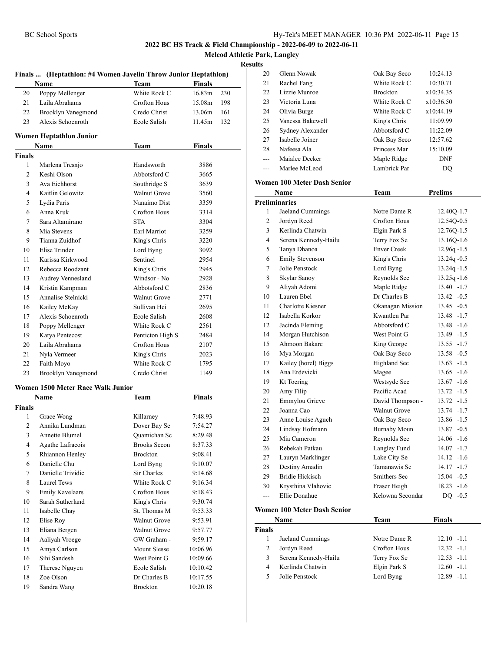**Mcleod Athletic Park, Langley**

#### **Results**

|                | Finals  (Heptathlon: #4 Women Javelin Throw Junior Heptathlon) |                     |               |     |
|----------------|----------------------------------------------------------------|---------------------|---------------|-----|
|                | Name                                                           | <b>Team</b>         | Finals        |     |
| 20             | Poppy Mellenger                                                | White Rock C        | 16.83m        | 230 |
| 21             | Laila Abrahams                                                 | Crofton Hous        | 15.08m        | 198 |
| 22             | <b>Brooklyn Vanegmond</b>                                      | Credo Christ        | 13.06m        | 161 |
| 23             | Alexis Schoenroth                                              | Ecole Salish        | 11.45m        | 132 |
|                | Women Heptathlon Junior                                        |                     |               |     |
|                | Name                                                           | Team                | <b>Finals</b> |     |
| <b>Finals</b>  |                                                                |                     |               |     |
| 1              | Marlena Tresnjo                                                | Handsworth          | 3886          |     |
| $\overline{c}$ | Keshi Olson                                                    | Abbotsford C        | 3665          |     |
| 3              | Ava Eichhorst                                                  | Southridge S        | 3639          |     |
| 4              | Kaitlin Gelowitz                                               | <b>Walnut Grove</b> | 3560          |     |
| 5              | Lydia Paris                                                    | Nanaimo Dist        | 3359          |     |
| 6              | Anna Kruk                                                      | <b>Crofton Hous</b> | 3314          |     |
| 7              | Sara Altamirano                                                | <b>STA</b>          | 3304          |     |
| 8              | Mia Stevens                                                    | Earl Marriot        | 3259          |     |
| 9              | Tianna Zuidhof                                                 | King's Chris        | 3220          |     |
| 10             | Elise Trinder                                                  | Lord Byng           | 3092          |     |
| 11             | Karissa Kirkwood                                               | Sentinel            | 2954          |     |
| 12             | Rebecca Roodzant                                               | King's Chris        | 2945          |     |
| 13             | Audrey Vennesland                                              | Windsor - No        | 2928          |     |
| 14             | Kristin Kampman                                                | Abbotsford C        | 2836          |     |
| 15             | Annalise Stelnicki                                             | <b>Walnut Grove</b> | 2771          |     |
| 16             | Kailey McKay                                                   | Sullivan Hei        | 2695          |     |
| 17             | Alexis Schoenroth                                              | Ecole Salish        | 2608          |     |
| 18             | Poppy Mellenger                                                | White Rock C        | 2561          |     |
| 19             | Katya Pentecost                                                | Penticton High S    | 2484          |     |
| 20             | Laila Abrahams                                                 | Crofton Hous        | 2107          |     |
| 21             | Nyla Vermeer                                                   | King's Chris        | 2023          |     |
| 22             | Faith Moyo                                                     | White Rock C        | 1795          |     |
| 23             | Brooklyn Vanegmond                                             | Credo Christ        | 1149          |     |
|                | Women 1500 Meter Race Walk Junior                              |                     |               |     |
|                | Name                                                           | Team                | Finals        |     |
| <b>Finals</b>  |                                                                |                     |               |     |
| 1              | Grace Wong                                                     | Killarney           | 7:48.93       |     |
| 2              | Annika Lundman                                                 | Dover Bay Se        | 7:54.27       |     |
| 3              | Annette Blumel                                                 | Quamichan Sc        | 8:29.48       |     |
| 4              | Agathe Lafracois                                               | <b>Brooks Secon</b> | 8:37.33       |     |
| 5              | Rhiannon Henley                                                | <b>Brockton</b>     | 9:08.41       |     |
| 6              | Danielle Chu                                                   | Lord Byng           | 9:10.07       |     |
| 7              | Danielle Trividic                                              | Sir Charles         | 9:14.68       |     |
| 8              | <b>Laurel Tews</b>                                             | White Rock C        | 9:16.34       |     |
| 9              | <b>Emily Kavelaars</b>                                         | Crofton Hous        | 9:18.43       |     |
| 10             | Sarah Sutherland                                               | King's Chris        | 9:30.74       |     |
| 11             | Isabelle Chay                                                  | St. Thomas M        | 9:53.33       |     |
| 12             | Elise Roy                                                      | Walnut Grove        | 9:53.91       |     |
| 13             | Eliana Bergen                                                  | Walnut Grove        | 9:57.77       |     |
| 14             | Aaliyah Vroege                                                 | GW Graham -         |               |     |
|                |                                                                |                     | 9:59.17       |     |
| 15             | Amya Carlson                                                   | Mount Slesse        | 10:06.96      |     |
| 16             | Sihi Sandesh                                                   | West Point G        | 10:09.66      |     |
| 17             | Therese Nguyen                                                 | Ecole Salish        | 10:10.42      |     |
| 18             | Zoe Olson                                                      | Dr Charles B        | 10:17.55      |     |
| 19             | Sandra Wang                                                    | Brockton            | 10:20.18      |     |

| مد      |                  |                 |            |  |
|---------|------------------|-----------------|------------|--|
| 20      | Glenn Nowak      | Oak Bay Seco    | 10:24.13   |  |
| 21      | Rachel Fang      | White Rock C    | 10:30.71   |  |
| 22      | Lizzie Munroe    | <b>Brockton</b> | x10:34.35  |  |
| 23      | Victoria Luna    | White Rock C    | x10:36.50  |  |
| 24      | Olivia Burge     | White Rock C    | x10:44.19  |  |
| 25      | Vanessa Bakewell | King's Chris    | 11:09.99   |  |
| 26      | Sydney Alexander | Abbotsford C    | 11:22.09   |  |
| 27      | Isabelle Joiner  | Oak Bay Seco    | 12:57.62   |  |
| 28      | Nafeesa Ala      | Princess Mar    | 15:10.09   |  |
| ---     | Maialee Decker   | Maple Ridge     | <b>DNF</b> |  |
| $- - -$ | Marlee McLeod    | Lambrick Par    | DO         |  |
|         |                  |                 |            |  |

#### **Women 100 Meter Dash Senior**

|                | Name                   | Team                | <b>Prelims</b>  |
|----------------|------------------------|---------------------|-----------------|
|                | <b>Preliminaries</b>   |                     |                 |
| 1              | Jaeland Cummings       | Notre Dame R        | 12.40Q-1.7      |
| 2              | Jordyn Reed            | <b>Crofton Hous</b> | 12.54Q-0.5      |
| 3              | Kerlinda Chatwin       | Elgin Park S        | 12.760-1.5      |
| $\overline{4}$ | Serena Kennedy-Hailu   | Terry Fox Se        | 13.16Q-1.6      |
| 5              | Tanya Dhanoa           | <b>Enver Creek</b>  | $12.96q - 1.5$  |
| 6              | <b>Emily Stevenson</b> | King's Chris        | 13.24q -0.5     |
| 7              | Jolie Penstock         | Lord Byng           | $13.24q - 1.5$  |
| 8              | Skylar Sanoy           | Reynolds Sec        | $13.25q - 1.6$  |
| 9              | Aliyah Adomi           | Maple Ridge         | $13.40 -1.7$    |
| 10             | Lauren Ebel            | Dr Charles B        | $13.42 - 0.5$   |
| 11             | Charlotte Kiesner      | Okanagan Mission    | $13.45 - 0.5$   |
| 12             | Isabella Korkor        | Kwantlen Par        | $13.48 - 1.7$   |
| 12             | Jacinda Fleming        | Abbotsford C        | $13.48 - 1.6$   |
| 14             | Morgan Hutchison       | West Point G        | $13.49 - 1.5$   |
| 15             | Ahmoon Bakare          | King George         | $13.55 - 1.7$   |
| 16             | Mya Morgan             | Oak Bay Seco        | $13.58 - 0.5$   |
| 17             | Kailey (horel) Biggs   | Highland Sec        | $13.63 - 1.5$   |
| 18             | Ana Erdevicki          | Magee               | $13.65 - 1.6$   |
| 19             | Kt Toering             | Westsyde Sec        | $13.67 - 1.6$   |
| 20             | Amy Filip              | Pacific Acad        | $13.72 - 1.5$   |
| 21             | Emmylou Grieve         | David Thompson -    | $13.72 - 1.5$   |
| 22             | Joanna Cao             | <b>Walnut Grove</b> | $13.74 - 1.7$   |
| 23             | Anne Louise Aguch      | Oak Bay Seco        | 13.86 -1.5      |
| 24             | Lindsay Hofmann        | <b>Burnaby Moun</b> | $13.87 - 0.5$   |
| 25             | Mia Cameron            | Reynolds Sec        | $14.06 - 1.6$   |
| 26             | Rebekah Patkau         | Langley Fund        | $14.07 - 1.7$   |
| 27             | Lauryn Marklinger      | Lake City Se        | $14.12 - 1.6$   |
| 28             | Destiny Amadin         | Tamanawis Se        | $14.17 - 1.7$   |
| 29             | <b>Bridie Hickisch</b> | Smithers Sec        | $15.04 - 0.5$   |
| 30             | Krysthina Vlahovic     | Fraser Heigh        | $-1.6$<br>18.23 |
| ---            | Ellie Donahue          | Kelowna Secondar    | DQ $-0.5$       |

#### **Women 100 Meter Dash Senior**

|               | Name                 | Team         | <b>Finals</b> |
|---------------|----------------------|--------------|---------------|
| <b>Finals</b> |                      |              |               |
|               | Jaeland Cummings     | Notre Dame R | $12.10 - 1.1$ |
| 2             | Jordyn Reed          | Crofton Hous | $12.32 - 1.1$ |
| 3             | Serena Kennedy-Hailu | Terry Fox Se | $12.53 - 1.1$ |
| 4             | Kerlinda Chatwin     | Elgin Park S | $12.60 - 1.1$ |
| 5             | Jolie Penstock       | Lord Byng    | $12.89 - 1.1$ |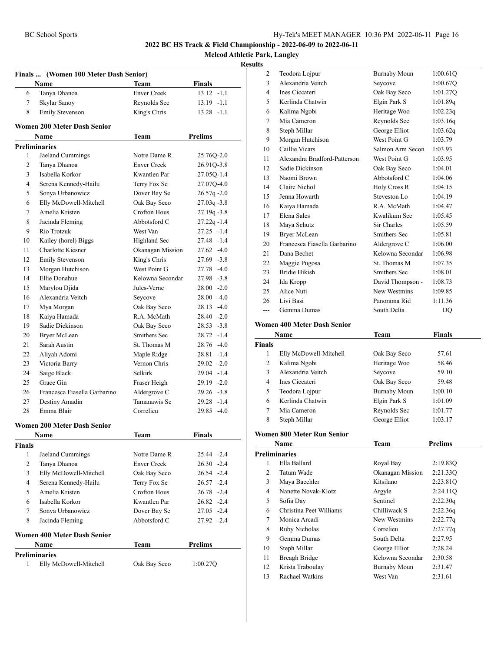**Mcleod Athletic Park, Langley**

|                | Finals  (Women 100 Meter Dash Senior)      |                    |                |
|----------------|--------------------------------------------|--------------------|----------------|
|                | Name                                       | Team               | Finals         |
| 6              | Tanya Dhanoa                               | <b>Enver Creek</b> | $13.12 -1.1$   |
| 7              | Skylar Sanoy                               | Reynolds Sec       | $13.19 - 1.1$  |
| 8              | <b>Emily Stevenson</b>                     | King's Chris       | $13.28 - 1.1$  |
|                | <b>Women 200 Meter Dash Senior</b>         |                    |                |
|                | Name                                       | Team               | <b>Prelims</b> |
|                | <b>Preliminaries</b>                       |                    |                |
| 1              | Jaeland Cummings                           | Notre Dame R       | 25.76Q-2.0     |
| 2              | Tanya Dhanoa                               | <b>Enver Creek</b> | 26.91Q-3.8     |
| 3              | Isabella Korkor                            | Kwantlen Par       | 27.05Q-1.4     |
| 4              | Serena Kennedy-Hailu                       | Terry Fox Se       | 27.07Q-4.0     |
| 5              | Sonya Urbanowicz                           | Dover Bay Se       | $26.57q -2.0$  |
| 6              | Elly McDowell-Mitchell                     | Oak Bay Seco       | $27.03q - 3.8$ |
| 7              | Amelia Kristen                             | Crofton Hous       | $27.19q - 3.8$ |
| 8              | Jacinda Fleming                            | Abbotsford C       | $27.22q - 1.4$ |
| 9              | Rio Trotzuk                                | West Van           | $27.25 -1.4$   |
| 10             | Kailey (horel) Biggs                       | Highland Sec       | 27.48 -1.4     |
| 11             | <b>Charlotte Kiesner</b>                   | Okanagan Mission   | $27.62 - 4.0$  |
| 12             | <b>Emily Stevenson</b>                     | King's Chris       | $27.69 - 3.8$  |
| 13             | Morgan Hutchison                           | West Point G       | 27.78 -4.0     |
| 14             | Ellie Donahue                              | Kelowna Secondar   | 27.98 -3.8     |
| 15             | Marylou Djida                              | Jules-Verne        | $28.00 -2.0$   |
| 16             | Alexandria Veitch                          | Seycove            | $28.00 - 4.0$  |
| 17             | Mya Morgan                                 | Oak Bay Seco       | $28.13 - 4.0$  |
| 18             | Kaiya Hamada                               | R.A. McMath        | $28.40 -2.0$   |
| 19             | Sadie Dickinson                            | Oak Bay Seco       | $28.53 - 3.8$  |
| 20             | Bryer McLean                               | Smithers Sec       | 28.72 -1.4     |
| 21             | Sarah Austin                               | St. Thomas M       | $28.76 - 4.0$  |
| 22             | Aliyah Adomi                               | Maple Ridge        | 28.81 -1.4     |
| 23             | Victoria Barry                             | Vernon Chris       | $29.02 -2.0$   |
| 24             | Saige Black                                | Selkirk            | 29.04 -1.4     |
| 25             | Grace Gin                                  | Fraser Heigh       | $29.19 - 2.0$  |
| 26             | Francesca Fiasella Garbarino               | Aldergrove C       | $29.26 - 3.8$  |
| 27             | Destiny Amadin                             | Tamanawis Se       | $29.28 - 1.4$  |
| 28             | Emma Blair                                 | Correlieu          | 29.85 -4.0     |
|                |                                            |                    |                |
|                | <b>Women 200 Meter Dash Senior</b><br>Name | Team               | <b>Finals</b>  |
| <b>Finals</b>  |                                            |                    |                |
| 1              | Jaeland Cummings                           | Notre Dame R       | 25.44 - 2.4    |
| 2              | Tanya Dhanoa                               | <b>Enver Creek</b> | $26.30 -2.4$   |
| 3              | Elly McDowell-Mitchell                     | Oak Bay Seco       | 26.54 -2.4     |
| $\overline{4}$ | Serena Kennedy-Hailu                       | Terry Fox Se       | $26.57 -2.4$   |
| 5              | Amelia Kristen                             | Crofton Hous       | $26.78 - 2.4$  |
| 6              | Isabella Korkor                            | Kwantlen Par       | $26.82 -2.4$   |
| 7              | Sonya Urbanowicz                           | Dover Bay Se       | $27.05 -2.4$   |
| 8              | Jacinda Fleming                            | Abbotsford C       | 27.92 -2.4     |
|                | <b>Women 400 Meter Dash Senior</b>         |                    |                |
|                | <b>Name</b>                                | Team               | <b>Prelims</b> |
|                | <b>Preliminaries</b>                       |                    |                |
| 1              | Elly McDowell-Mitchell                     | Oak Bay Seco       | 1:00.27Q       |

| ults                 |                                    |                                     |                    |
|----------------------|------------------------------------|-------------------------------------|--------------------|
| 2                    | Teodora Lojpur                     | <b>Burnaby Moun</b>                 | 1:00.61Q           |
| 3                    | Alexandria Veitch                  | Seycove                             | 1:00.67Q           |
| 4                    | Ines Ciccateri                     | Oak Bay Seco                        | 1:01.27Q           |
| 5                    | Kerlinda Chatwin                   | Elgin Park S                        | 1:01.89q           |
| 6                    | Kalima Ngobi                       | Heritage Woo                        | 1:02.23q           |
| 7                    | Mia Cameron                        | Reynolds Sec                        | 1:03.16q           |
| 8                    | Steph Millar                       | George Elliot                       | 1:03.62q           |
| 9                    | Morgan Hutchison                   | West Point G                        | 1:03.79            |
| 10                   | Caillie Vicars                     | Salmon Arm Secon                    | 1:03.93            |
| 11                   | Alexandra Bradford-Patterson       | West Point G                        | 1:03.95            |
| 12                   | Sadie Dickinson                    | Oak Bay Seco                        | 1:04.01            |
| 13                   | Naomi Brown                        | Abbotsford C                        | 1:04.06            |
| 14                   | Claire Nichol                      | Holy Cross R                        | 1:04.15            |
| 15                   | Jenna Howarth                      | Steveston Lo                        | 1:04.19            |
| 16                   | Kaiya Hamada                       | R.A. McMath                         | 1:04.47            |
| 17                   | Elena Sales                        | Kwalikum Sec                        | 1:05.45            |
| 18                   | Maya Schutz                        | Sir Charles                         | 1:05.59            |
| 19                   | <b>Bryer McLean</b>                | Smithers Sec                        | 1:05.81            |
| 20                   | Francesca Fiasella Garbarino       | Aldergrove C                        | 1:06.00            |
| 21                   | Dana Bechet                        | Kelowna Secondar                    | 1:06.98            |
| 22                   | Maggie Pugosa                      | St. Thomas M                        | 1:07.35            |
| 23                   | <b>Bridie Hikish</b>               | Smithers Sec                        | 1:08.01            |
| 24                   | Ida Kropp                          | David Thompson -                    | 1:08.73            |
| 25                   | Alice Nuti                         | New Westmins                        | 1:09.85            |
| 26                   | Livi Basi                          | Panorama Rid                        | 1:11.36            |
| ---                  | Gemma Dumas                        | South Delta                         | DQ                 |
|                      | <b>Women 400 Meter Dash Senior</b> |                                     |                    |
|                      |                                    |                                     |                    |
|                      | Name                               | Team                                | Finals             |
| Finals<br>1          |                                    |                                     | 57.61              |
| 2                    | Elly McDowell-Mitchell             | Oak Bay Seco<br>Heritage Woo        | 58.46              |
|                      | Kalima Ngobi<br>Alexandria Veitch  |                                     |                    |
| 3<br>4               | Ines Ciccateri                     | Seycove                             | 59.10              |
|                      |                                    | Oak Bay Seco                        | 59.48              |
| 5<br>6               | Teodora Lojpur<br>Kerlinda Chatwin | <b>Burnaby Moun</b><br>Elgin Park S | 1:00.10            |
| 7                    | Mia Cameron                        | Reynolds Sec                        | 1:01.09<br>1:01.77 |
| 8                    |                                    | George Elliot                       |                    |
|                      | Steph Millar                       |                                     | 1:03.17            |
|                      | <b>Women 800 Meter Run Senior</b>  |                                     |                    |
|                      | Name                               | <b>Team</b>                         | <b>Prelims</b>     |
| <b>Preliminaries</b> |                                    |                                     |                    |
| 1                    | Ella Ballard                       | Royal Bay                           | 2:19.83Q           |
| 2                    | Tatum Wade                         | Okanagan Mission                    | 2:21.33Q           |
| 3                    | Maya Baechler                      | Kitsilano                           | 2:23.81Q           |
| 4                    | Nanette Novak-Klotz                | Argyle                              | 2:24.11Q           |
| 5                    | Sofia Day                          | Sentinel                            | 2:22.30q           |
| 6                    | Christina Peet Williams            | Chilliwack S                        | 2:22.36q           |

| enminaries              |                     |          |
|-------------------------|---------------------|----------|
| Ella Ballard            | Royal Bay           | 2:19.83Q |
| Tatum Wade              | Okanagan Mission    | 2:21.33O |
| Maya Baechler           | Kitsilano           | 2:23.81Q |
| Nanette Novak-Klotz     | Argyle              | 2:24.11Q |
| Sofia Day               | Sentinel            | 2:22.30q |
| Christina Peet Williams | Chilliwack S        | 2:22.36q |
| Monica Arcadi           | New Westmins        | 2:22.77q |
| Ruby Nicholas           | Correlieu           | 2:27.77q |
| Gemma Dumas             | South Delta         | 2:27.95  |
| Steph Millar            | George Elliot       | 2:28.24  |
| Breagh Bridge           | Kelowna Secondar    | 2:30.58  |
| Krista Traboulay        | <b>Burnaby Moun</b> | 2:31.47  |
| Rachael Watkins         | West Van            | 2:31.61  |
|                         |                     |          |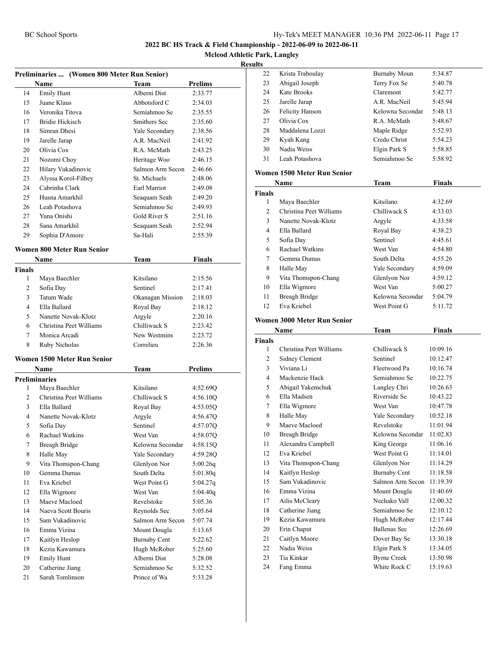**Mcleod Athletic Park, Langley**

#### **Results**

| Preliminaries  (Women 800 Meter Run Senior) |                                    |                     |                |
|---------------------------------------------|------------------------------------|---------------------|----------------|
|                                             | Name                               | Team                | <b>Prelims</b> |
| 14                                          | <b>Emily Hunt</b>                  | Alberni Dist        | 2:33.77        |
| 15                                          | Juane Klaus                        | Abbotsford C        | 2:34.03        |
| 16                                          | Veronika Titova                    | Semiahmoo Se        | 2:35.55        |
| 17                                          | <b>Bridie Hickisch</b>             | Smithers Sec        | 2:35.60        |
| 18                                          | Simran Dhesi                       | Yale Secondary      | 2:38.56        |
| 19                                          | Jarelle Jarap                      | A.R. MacNeil        | 2:41.92        |
| 20                                          | Olivia Cox                         | R.A. McMath         | 2:43.25        |
| 21                                          | Nozomi Choy                        | Heritage Woo        | 2:46.15        |
| 22                                          | Hilary Vukadinovic                 | Salmon Arm Secon    | 2:46.66        |
| 23                                          | Alyssa Korol-Filbey                | St. Michaels        | 2:48.06        |
| 24                                          | Cabrinha Clark                     | Earl Marriot        | 2:49.08        |
| 25                                          | Husna Amarkhil                     | Seaquam Seah        | 2:49.20        |
| 26                                          | Leah Potashova                     | Semiahmoo Se        | 2:49.93        |
| 27                                          | Yuna Onishi                        | Gold River S        | 2:51.16        |
| 28                                          | Sana Amarkhil                      | Seaquam Seah        | 2:52.94        |
| 29                                          | Sophia D'Amore                     | Sa-Hali             | 2:55.39        |
|                                             |                                    |                     |                |
|                                             | Women 800 Meter Run Senior         |                     |                |
|                                             | Name                               | Team                | Finals         |
| <b>Finals</b>                               |                                    |                     |                |
| 1                                           | Maya Baechler                      | Kitsilano           | 2:15.56        |
| 2                                           | Sofia Day                          | Sentinel            | 2:17.41        |
| 3                                           | <b>Tatum Wade</b>                  | Okanagan Mission    | 2:18.03        |
| $\overline{4}$                              | Ella Ballard                       | Royal Bay           | 2:18.12        |
| 5                                           | Nanette Novak-Klotz                | Argyle              | 2:20.16        |
| 6                                           | Christina Peet Williams            | Chilliwack S        | 2:23.42        |
| 7                                           | Monica Arcadi                      | New Westmins        | 2:23.72        |
| 8                                           | Ruby Nicholas                      | Correlieu           | 2:26.36        |
|                                             | <b>Women 1500 Meter Run Senior</b> |                     |                |
|                                             | <b>Name</b>                        | <b>Team</b>         | Prelims        |
|                                             | Preliminaries                      |                     |                |
| 1                                           | Maya Baechler                      | Kitsilano           | 4:52.69Q       |
| 2                                           | Christina Peet Williams            | Chilliwack S        | 4:56.10Q       |
| 3                                           | Ella Ballard                       | Royal Bay           | 4:53.05Q       |
| 4                                           | Nanette Novak-Klotz                | Argyle              | 4:56.47Q       |
| 5                                           | Sofia Day                          | Sentinel            | 4:57.07Q       |
| 6                                           | Rachael Watkins                    | West Van            | 4:58.07O       |
| 7                                           | <b>Breagh Bridge</b>               | Kelowna Secondar    | 4:58.15Q       |
| 8                                           | Halle May                          | Yale Secondary      | 4:59.28Q       |
| 9                                           | Vita Thomspon-Chang                | Glenlyon Nor        | 5:00.26q       |
| 10                                          | Gemma Dumas                        | South Delta         | 5:01.80q       |
| 11                                          | Eva Kriebel                        | West Point G        | 5:04.27q       |
| 12                                          | Ella Wigmore                       | West Van            | 5:04.40q       |
| 13                                          | Maeve Macloed                      | Revelstoke          | 5:05.36        |
| 14                                          | Naeva Scott Bouris                 | Reynolds Sec        | 5:05.64        |
| 15                                          | Sam Vukadinovic                    | Salmon Arm Secon    | 5:07.74        |
| 16                                          | Emma Vizina                        | Mount Dougla        | 5:13.65        |
| 17                                          | Kaitlyn Heslop                     | <b>Burnaby Cent</b> | 5:22.62        |
| 18                                          | Kezia Kawamura                     | Hugh McRober        | 5:25.60        |
| 19                                          | <b>Emily Hunt</b>                  | Alberni Dist        | 5:28.08        |
| 20                                          | Catherine Jiang                    | Semiahmoo Se        | 5:32.52        |
| 21                                          | Sarah Tomlinson                    | Prince of Wa        | 5:33.28        |
|                                             |                                    |                     |                |

| 22 | Krista Traboulay       | <b>Burnaby Moun</b> | 5:34.87 |
|----|------------------------|---------------------|---------|
| 23 | Abigail Joseph         | Terry Fox Se        | 5:40.78 |
| 24 | Kate Brooks            | Claremont           | 5:42.77 |
| 25 | Jarelle Jarap          | A.R. MacNeil        | 5:45.94 |
| 26 | <b>Felicity Hanson</b> | Kelowna Secondar    | 5:48.13 |
| 27 | Olivia Cox             | R.A. McMath         | 5:48.67 |
| 28 | Maddalena Lozzi        | Maple Ridge         | 5:52.93 |
| 29 | Kyah Kang              | Credo Christ        | 5:54.23 |
| 30 | Nadia Weiss            | Elgin Park S        | 5:58.85 |
| 31 | Leah Potashova         | Semiahmoo Se        | 5:58.92 |
|    |                        |                     |         |

#### **Women 1500 Meter Run Senior**

| Name          |                         | Team             | <b>Finals</b> |  |
|---------------|-------------------------|------------------|---------------|--|
| <b>Finals</b> |                         |                  |               |  |
| 1             | Maya Baechler           | Kitsilano        | 4:32.69       |  |
| 2             | Christina Peet Williams | Chilliwack S     | 4:33.03       |  |
| 3             | Nanette Novak-Klotz     | Argyle           | 4:33.58       |  |
| 4             | Ella Ballard            | Royal Bay        | 4:38.23       |  |
| 5             | Sofia Day               | Sentinel         | 4:45.61       |  |
| 6             | Rachael Watkins         | West Van         | 4:54.80       |  |
| 7             | Gemma Dumas             | South Delta      | 4:55.26       |  |
| 8             | Halle May               | Yale Secondary   | 4:59.09       |  |
| 9             | Vita Thomspon-Chang     | Glenlyon Nor     | 4:59.12       |  |
| 10            | Ella Wigmore            | West Van         | 5:00.27       |  |
| 11            | <b>Breagh Bridge</b>    | Kelowna Secondar | 5:04.79       |  |
| 12            | Eva Kriebel             | West Point G     | 5:11.72       |  |

#### **Women 3000 Meter Run Senior**

| Name           |                         | Team                | <b>Finals</b> |
|----------------|-------------------------|---------------------|---------------|
| <b>Finals</b>  |                         |                     |               |
| 1              | Christina Peet Williams | Chilliwack S        | 10:09.16      |
| $\overline{c}$ | Sidney Clement          | Sentinel            | 10:12.47      |
| 3              | Viviana Li              | Fleetwood Pa        | 10:16.74      |
| 4              | Mackenzie Hack          | Semiahmoo Se        | 10:22.75      |
| 5              | Abigail Yakemchuk       | Langley Chri        | 10:26.63      |
| 6              | Ella Madsen             | Riverside Se        | 10:43.22      |
| 7              | Ella Wigmore            | West Van            | 10:47.78      |
| 8              | Halle May               | Yale Secondary      | 10:52.18      |
| 9              | Maeve Macloed           | Revelstoke          | 11:01.94      |
| 10             | Breagh Bridge           | Kelowna Secondar    | 11:02.83      |
| 11             | Alexandra Campbell      | King George         | 11:06.16      |
| 12             | Eva Kriebel             | West Point G        | 11:14.01      |
| 13             | Vita Thomspon-Chang     | Glenlyon Nor        | 11:14.29      |
| 14             | Kaitlyn Heslop          | <b>Burnaby Cent</b> | 11:18.58      |
| 15             | Sam Vukadinovic         | Salmon Arm Secon    | 11:19.39      |
| 16             | Emma Vizina             | Mount Dougla        | 11:40.69      |
| 17             | Ailis McCleary          | Nechako Vall        | 12:00.32      |
| 18             | Catherine Jiang         | Semiahmoo Se        | 12:10.12      |
| 19             | Kezia Kawamura          | Hugh McRober        | 12:17.44      |
| 20             | Erin Chaput             | <b>Ballenas Sec</b> | 12:26.69      |
| 21             | Caitlyn Moore           | Dover Bay Se        | 13:30.18      |
| 22             | Nadia Weiss             | Elgin Park S        | 13:34.05      |
| 23             | Tia Kinkar              | <b>Byrne Creek</b>  | 13:50.98      |
| 24             | Fang Emma               | White Rock C        | 15:19.63      |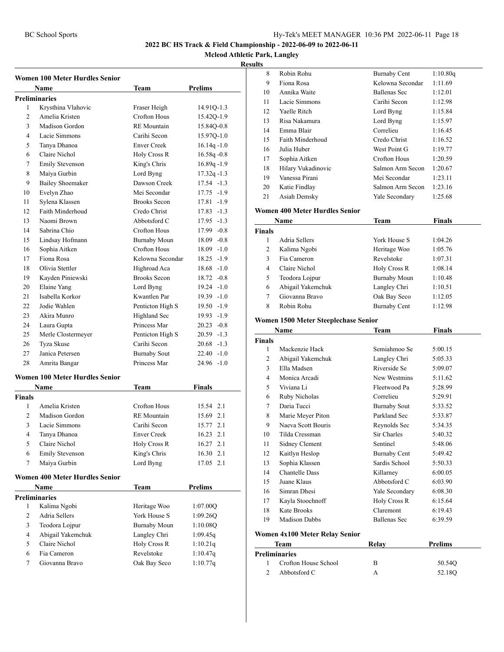**Mcleod Athletic Park, Langley**

#### **Result**

|                | Women 100 Meter Hurdles Senior        |                     |                |
|----------------|---------------------------------------|---------------------|----------------|
|                | <b>Name</b>                           | Team                | <b>Prelims</b> |
|                | <b>Preliminaries</b>                  |                     |                |
| 1              | Krysthina Vlahovic                    | Fraser Heigh        | 14.91Q-1.3     |
| 2              | Amelia Kristen                        | <b>Crofton Hous</b> | 15.42Q-1.9     |
| 3              | Madison Gordon                        | <b>RE</b> Mountain  | 15.84Q-0.8     |
| 4              | Lacie Simmons                         | Carihi Secon        | 15.97Q-1.0     |
| 5              | Tanya Dhanoa                          | <b>Enver Creek</b>  | $16.14q - 1.0$ |
| 6              | Claire Nichol                         | <b>Holy Cross R</b> | $16.58q - 0.8$ |
| 7              | <b>Emily Stevenson</b>                | King's Chris        | $16.89q - 1.9$ |
| 8              | Maiya Gurbin                          | Lord Byng           | $17.32q - 1.3$ |
| 9              | <b>Bailey Shoemaker</b>               | Dawson Creek        | $17.54 - 1.3$  |
| 10             | Evelyn Zhao                           | Mei Secondar        | $17.75 - 1.9$  |
| 11             | Sylena Klassen                        | <b>Brooks Secon</b> | 17.81 -1.9     |
| 12             | Faith Minderhoud                      | Credo Christ        | 17.83 -1.3     |
| 13             | Naomi Brown                           | Abbotsford C        | $17.95 - 1.3$  |
| 14             | Sabrina Chio                          | Crofton Hous        | 17.99 -0.8     |
| 15             | Lindsay Hofmann                       | Burnaby Moun        | $18.09 - 0.8$  |
| 16             | Sophia Aitken                         | <b>Crofton Hous</b> | $18.09 - 1.0$  |
| 17             | Fiona Rosa                            | Kelowna Secondar    | 18.25 -1.9     |
| 18             | Olivia Stettler                       | Highroad Aca        | $18.68 - 1.0$  |
| 19             | Kayden Piniewski                      | <b>Brooks Secon</b> | $18.72 - 0.8$  |
| 20             | Elaine Yang                           | Lord Byng           | $19.24 - 1.0$  |
| 21             | Isabella Korkor                       | Kwantlen Par        | $19.39 - 1.0$  |
| 22             | Jodie Wahlen                          |                     | $19.50 - 1.9$  |
|                |                                       | Penticton High S    |                |
| 23             | Akira Munro                           | Highland Sec        | 19.93 -1.9     |
| 24             | Laura Gupta                           | Princess Mar        | $20.23 -0.8$   |
| 25             | Merle Clostermeyer                    | Penticton High S    | $20.59 -1.3$   |
| 26             | Tyza Skuse                            | Carihi Secon        | $20.68 - 1.3$  |
| 27             | Janica Petersen                       | <b>Burnaby Sout</b> | $22.40 -1.0$   |
| 28             | Amrita Bangar                         | Princess Mar        | $24.96 -1.0$   |
|                | <b>Women 100 Meter Hurdles Senior</b> |                     |                |
|                | Name                                  | Team                | <b>Finals</b>  |
| <b>Finals</b>  |                                       |                     |                |
| 1              | Amelia Kristen                        | <b>Crofton Hous</b> | 15.54 2.1      |
| $\overline{2}$ | Madison Gordon                        | <b>RE</b> Mountain  | 15.69 2.1      |
| 3              | Lacie Simmons                         | Carihi Secon        | 15.77 2.1      |
| $\overline{4}$ | Tanya Dhanoa                          | <b>Enver Creek</b>  | 16.23<br>2.1   |
| 5              | Claire Nichol                         | Holy Cross R        | 16.27<br>2.1   |
| 6              | <b>Emily Stevenson</b>                | King's Chris        | 16.30<br>2.1   |
| 7              | Maiya Gurbin                          | Lord Byng           | 2.1<br>17.05   |
|                | <b>Women 400 Meter Hurdles Senior</b> |                     |                |
|                | Name                                  | Team                | Prelims        |
|                | <b>Preliminaries</b>                  |                     |                |
| 1              | Kalima Ngobi                          | Heritage Woo        | 1:07.00Q       |
| $\mathbf{2}$   | Adria Sellers                         | York House S        | 1:09.26Q       |
| 3              | Teodora Lojpur                        | <b>Burnaby Moun</b> | 1:10.08Q       |
| 4              | Abigail Yakemchuk                     | Langley Chri        | 1:09.45q       |
| 5              | Claire Nichol                         | Holy Cross R        | 1:10.21q       |
| 6              | Fia Cameron                           | Revelstoke          | 1:10.47q       |
| 7              | Giovanna Bravo                        | Oak Bay Seco        | 1:10.77q       |
|                |                                       |                     |                |

| S  |                    |                     |          |
|----|--------------------|---------------------|----------|
| 8  | Robin Rohu         | <b>Burnaby Cent</b> | 1:10.80q |
| 9  | Fiona Rosa         | Kelowna Secondar    | 1:11.69  |
| 10 | Annika Waite       | Ballenas Sec        | 1:12.01  |
| 11 | Lacie Simmons      | Carihi Secon        | 1:12.98  |
| 12 | Yaelle Ritch       | Lord Byng           | 1:15.84  |
| 13 | Risa Nakamura      | Lord Byng           | 1:15.97  |
| 14 | Emma Blair         | Correlieu           | 1:16.45  |
| 15 | Faith Minderhoud   | Credo Christ        | 1:16.52  |
| 16 | Julia Huber        | West Point G        | 1:19.77  |
| 17 | Sophia Aitken      | Crofton Hous        | 1:20.59  |
| 18 | Hilary Vukadinovic | Salmon Arm Secon    | 1:20.67  |
| 19 | Vanessa Pirani     | Mei Secondar        | 1:23.11  |
| 20 | Katie Findlay      | Salmon Arm Secon    | 1:23.16  |
| 21 | Asiah Demsky       | Yale Secondary      | 1:25.68  |
|    |                    |                     |          |

#### **Women 400 Meter Hurdles Senior**

| Name          |                   | Team                | <b>Finals</b> |
|---------------|-------------------|---------------------|---------------|
| <b>Finals</b> |                   |                     |               |
|               | Adria Sellers     | York House S        | 1:04.26       |
| 2             | Kalima Ngobi      | Heritage Woo        | 1:05.76       |
| 3             | Fia Cameron       | Revelstoke          | 1:07.31       |
| 4             | Claire Nichol     | Holy Cross R        | 1:08.14       |
| 5             | Teodora Lojpur    | <b>Burnaby Moun</b> | 1:10.48       |
| 6             | Abigail Yakemchuk | Langley Chri        | 1:10.51       |
|               | Giovanna Bravo    | Oak Bay Seco        | 1:12.05       |
| 8             | Robin Rohu        | <b>Burnaby Cent</b> | 1:12.98       |

#### **Women 1500 Meter Steeplechase Senior**

|               | Name                           | Team                | Finals  |
|---------------|--------------------------------|---------------------|---------|
| <b>Finals</b> |                                |                     |         |
| 1             | Mackenzie Hack                 | Semiahmoo Se        | 5:00.15 |
| 2             | Abigail Yakemchuk              | Langley Chri        | 5:05.33 |
| 3             | Ella Madsen                    | Riverside Se        | 5:09.07 |
| 4             | Monica Arcadi                  | New Westmins        | 5:11.62 |
| 5             | Viviana Li                     | Fleetwood Pa        | 5:28.99 |
| 6             | Ruby Nicholas                  | Correlieu           | 5:29.91 |
| 7             | Daria Tucci                    | <b>Burnaby Sout</b> | 5:33.52 |
| 8             | Marie Meyer Piton              | Parkland Sec        | 5:33.87 |
| 9             | Naeva Scott Bouris             | Reynolds Sec        | 5:34.35 |
| 10            | Tilda Cressman                 | Sir Charles         | 5:40.32 |
| 11            | Sidney Clement                 | Sentinel            | 5:48.06 |
| 12            | Kaitlyn Heslop                 | <b>Burnaby Cent</b> | 5:49.42 |
| 13            | Sophia Klassen                 | Sardis School       | 5:50.33 |
| 14            | <b>Chantelle Dass</b>          | Killarney           | 6:00.05 |
| 15            | Juane Klaus                    | Abbotsford C        | 6:03.90 |
| 16            | Simran Dhesi                   | Yale Secondary      | 6:08.30 |
| 17            | Kayla Stoochnoff               | Holy Cross R        | 6:15.64 |
| 18            | Kate Brooks                    | Claremont           | 6:19.43 |
| 19            | <b>Madison Dabbs</b>           | <b>Ballenas Sec</b> | 6:39.59 |
|               | Women 4x100 Meter Relay Senior |                     |         |

|               | Team                 | Relav | <b>Prelims</b> |  |  |  |
|---------------|----------------------|-------|----------------|--|--|--|
| Preliminaries |                      |       |                |  |  |  |
|               | Crofton House School | В     | 50.540         |  |  |  |
|               | Abbotsford C         |       | 52.18O         |  |  |  |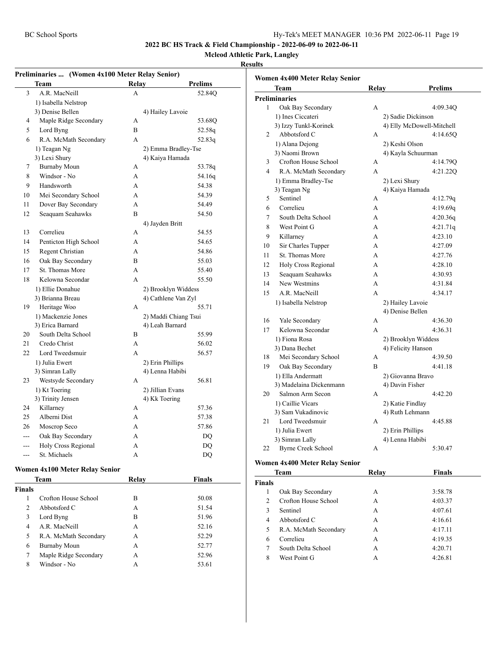**Mcleod Athletic Park, Langley**

#### **Results**

J.

| Preliminaries  (Women 4x100 Meter Relay Senior) |                                 |                  |                      |  |  |
|-------------------------------------------------|---------------------------------|------------------|----------------------|--|--|
|                                                 | Prelims<br>Team<br><b>Relay</b> |                  |                      |  |  |
| 3                                               | A.R. MacNeill                   | A                | 52.84Q               |  |  |
|                                                 | 1) Isabella Nelstrop            |                  |                      |  |  |
|                                                 | 3) Denise Bellen                |                  | 4) Hailey Lavoie     |  |  |
| 4                                               | Maple Ridge Secondary           | A                | 53.68Q               |  |  |
| 5                                               | Lord Byng                       | R                | 52.58q               |  |  |
| 6                                               | R.A. McMath Secondary           | A                | 52.83q               |  |  |
|                                                 | 1) Teagan Ng                    |                  | 2) Emma Bradley-Tse  |  |  |
|                                                 | 3) Lexi Shury                   |                  | 4) Kaiya Hamada      |  |  |
| 7                                               | <b>Burnaby Moun</b>             | А                | 53.78q               |  |  |
| 8                                               | Windsor - No                    | A                | 54.16q               |  |  |
| 9                                               | Handsworth                      | A                | 54.38                |  |  |
| 10                                              | Mei Secondary School            | A                | 54.39                |  |  |
| 11                                              | Dover Bay Secondary             | A                | 54.49                |  |  |
| 12                                              | Seaquam Seahawks                | B                | 54.50                |  |  |
|                                                 |                                 | 4) Jayden Britt  |                      |  |  |
| 13                                              | Correlieu                       | А                | 54.55                |  |  |
| 14                                              | Penticton High School           | A                | 54.65                |  |  |
| 15                                              | Regent Christian                | A                | 54.86                |  |  |
| 16                                              | Oak Bay Secondary               | B                | 55.03                |  |  |
| 17                                              | St. Thomas More                 | A                | 55.40                |  |  |
| 18                                              | Kelowna Secondar                | A                | 55.50                |  |  |
|                                                 | 1) Ellie Donahue                |                  | 2) Brooklyn Widdess  |  |  |
|                                                 | 3) Brianna Breau                |                  | 4) Cathlene Van Zyl  |  |  |
| 19                                              | Heritage Woo                    | A                | 55.71                |  |  |
|                                                 | 1) Mackenzie Jones              |                  | 2) Maddi Chiang Tsui |  |  |
|                                                 | 3) Erica Barnard                |                  | 4) Leah Barnard      |  |  |
| 20                                              | South Delta School              | B                | 55.99                |  |  |
| 21                                              | Credo Christ                    | A                | 56.02                |  |  |
| 22                                              | Lord Tweedsmuir                 | A                | 56.57                |  |  |
|                                                 | 1) Julia Ewert                  | 2) Erin Phillips |                      |  |  |
|                                                 | 3) Simran Lally                 |                  | 4) Lenna Habibi      |  |  |
| 23                                              | Westsyde Secondary              | A                | 56.81                |  |  |
|                                                 | 1) Kt Toering                   |                  | 2) Jillian Evans     |  |  |
|                                                 | 3) Trinity Jensen               | 4) Kk Toering    |                      |  |  |
| 24                                              | Killarney                       | A                | 57.36                |  |  |
| 25                                              | Alberni Dist                    | A                | 57.38                |  |  |
| 26                                              | Moscrop Seco                    | A                | 57.86                |  |  |
| ---                                             | Oak Bay Secondary               | A                | DQ                   |  |  |
|                                                 | Holy Cross Regional             | A                | DO                   |  |  |
| ---                                             | St. Michaels                    | A                | DQ                   |  |  |

#### **Women 4x100 Meter Relay Senior**

| Team          |                       | Relav | <b>Finals</b> |
|---------------|-----------------------|-------|---------------|
| <b>Finals</b> |                       |       |               |
|               | Crofton House School  | В     | 50.08         |
| 2             | Abbotsford C          | А     | 51.54         |
| 3             | Lord Byng             | В     | 51.96         |
| 4             | A.R. MacNeill         | А     | 52.16         |
| 5             | R.A. McMath Secondary | А     | 52.29         |
| 6             | <b>Burnaby Moun</b>   | А     | 52.77         |
| 7             | Maple Ridge Secondary | А     | 52.96         |
| 8             | Windsor - No          | А     | 53.61         |

|    | Women 4x400 Meter Relay Senior |                    |                           |
|----|--------------------------------|--------------------|---------------------------|
|    | Team                           | Relay              | <b>Prelims</b>            |
|    | Preliminaries                  |                    |                           |
| 1  | Oak Bay Secondary              | A                  | 4:09.34Q                  |
|    | 1) Ines Ciccateri              |                    | 2) Sadie Dickinson        |
|    | 3) Izzy Tunkl-Korinek          |                    | 4) Elly McDowell-Mitchell |
| 2  | Abbotsford C                   | A                  | 4:14.65Q                  |
|    | 1) Alana Dejong                | 2) Keshi Olson     |                           |
|    | 3) Naomi Brown                 |                    | 4) Kayla Schuurman        |
| 3  | Crofton House School           | А                  | 4:14.79Q                  |
| 4  | R.A. McMath Secondary          | A                  | 4:21.22Q                  |
|    | 1) Emma Bradley-Tse            | 2) Lexi Shury      |                           |
|    | 3) Teagan Ng                   | 4) Kaiya Hamada    |                           |
| 5  | Sentinel                       | А                  | 4:12.79q                  |
| 6  | Correlieu                      | A                  | 4:19.69q                  |
| 7  | South Delta School             | A                  | 4:20.36q                  |
| 8  | West Point G                   | A                  | 4:21.71q                  |
| 9  | Killarney                      | A                  | 4:23.10                   |
| 10 | Sir Charles Tupper             | A                  | 4:27.09                   |
| 11 | St. Thomas More                | A                  | 4:27.76                   |
| 12 | Holy Cross Regional            | А                  | 4:28.10                   |
| 13 | Seaquam Seahawks               | A                  | 4:30.93                   |
| 14 | New Westmins                   | A                  | 4:31.84                   |
| 15 | A.R. MacNeill                  | A                  | 4:34.17                   |
|    | 1) Isabella Nelstrop           | 2) Hailey Lavoie   |                           |
|    |                                | 4) Denise Bellen   |                           |
| 16 | Yale Secondary                 | А                  | 4:36.30                   |
| 17 | Kelowna Secondar               | A                  | 4:36.31                   |
|    | 1) Fiona Rosa                  |                    | 2) Brooklyn Widdess       |
|    | 3) Dana Bechet                 | 4) Felicity Hanson |                           |
| 18 | Mei Secondary School           | А                  | 4:39.50                   |
| 19 | Oak Bay Secondary              | B                  | 4:41.18                   |
|    | 1) Ella Andermatt              |                    | 2) Giovanna Bravo         |
|    | 3) Madelaina Dickenmann        | 4) Davin Fisher    |                           |
| 20 | Salmon Arm Secon               | A                  | 4:42.20                   |
|    | 1) Caillie Vicars              | 2) Katie Findlay   |                           |
|    | 3) Sam Vukadinovic             | 4) Ruth Lehmann    |                           |
| 21 | Lord Tweedsmuir                | A                  | 4:45.88                   |
|    | 1) Julia Ewert                 | 2) Erin Phillips   |                           |
|    | 3) Simran Lally                | 4) Lenna Habibi    |                           |
| 22 | <b>Byrne Creek School</b>      | А                  | 5:30.47                   |

#### **Women 4x400 Meter Relay Senior**

| Team           |                       | Relav | <b>Finals</b> |  |
|----------------|-----------------------|-------|---------------|--|
| <b>Finals</b>  |                       |       |               |  |
|                | Oak Bay Secondary     | А     | 3:58.78       |  |
| $\mathfrak{D}$ | Crofton House School  | А     | 4:03.37       |  |
| 3              | Sentinel              | А     | 4:07.61       |  |
| 4              | Abbotsford C          | А     | 4:16.61       |  |
| 5              | R.A. McMath Secondary | А     | 4:17.11       |  |
| 6              | Correlieu             | A     | 4:19.35       |  |
| 7              | South Delta School    | A     | 4:20.71       |  |
| 8              | West Point G          | А     | 4:26.81       |  |
|                |                       |       |               |  |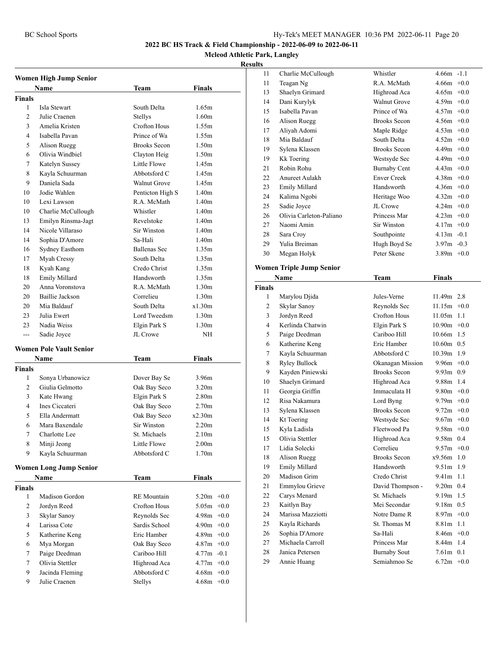#### **Mcleod Athletic Park, Langley**

|                | <b>Women High Jump Senior</b>  |                     |                   |  |  |
|----------------|--------------------------------|---------------------|-------------------|--|--|
|                | Name                           | Team                | Finals            |  |  |
| <b>Finals</b>  |                                |                     |                   |  |  |
| 1              | Isla Stewart                   | South Delta         | 1.65m             |  |  |
| $\overline{c}$ | Julie Craenen                  | Stellys             | 1.60 <sub>m</sub> |  |  |
| 3              | Amelia Kristen                 | Crofton Hous        | 1.55m             |  |  |
| 4              | Isabella Pavan                 | Prince of Wa        | 1.55m             |  |  |
| 5              | Alison Ruegg                   | <b>Brooks Secon</b> | 1.50 <sub>m</sub> |  |  |
| 6              | Olivia Windbiel                | Clayton Heig        | 1.50 <sub>m</sub> |  |  |
| 7              | Katelyn Sussey                 | Little Flowe        | 1.45m             |  |  |
| 8              | Kayla Schuurman                | Abbotsford C        | 1.45m             |  |  |
| 9              | Daniela Sada                   | <b>Walnut Grove</b> | 1.45m             |  |  |
| 10             | Jodie Wahlen                   | Penticton High S    | 1.40 <sub>m</sub> |  |  |
| 10             | Lexi Lawson                    | R.A. McMath         | 1.40 <sub>m</sub> |  |  |
| 10             | Charlie McCullough             | Whistler            | 1.40 <sub>m</sub> |  |  |
| 13             | Emilyn Rinsma-Jagt             | Revelstoke          | 1.40 <sub>m</sub> |  |  |
| 14             | Nicole Villaraso               | Sir Winston         | 1.40 <sub>m</sub> |  |  |
| 14             | Sophia D'Amore                 | Sa-Hali             | 1.40 <sub>m</sub> |  |  |
| 16             | <b>Sydney Easthom</b>          | <b>Ballenas Sec</b> | 1.35m             |  |  |
| 17             | Myah Cressy                    | South Delta         | 1.35m             |  |  |
| 18             | Kyah Kang                      | Credo Christ        | 1.35m             |  |  |
| 18             | Emily Millard                  | Handsworth          | 1.35m             |  |  |
| 20             | Anna Voronstova                | R.A. McMath         | 1.30 <sub>m</sub> |  |  |
| 20             | Baillie Jackson                | Correlieu           | 1.30 <sub>m</sub> |  |  |
| 20             | Mia Baldauf                    | South Delta         | x1.30m            |  |  |
| 23             | Julia Ewert                    | Lord Tweedsm        | 1.30 <sub>m</sub> |  |  |
| 23             | Nadia Weiss                    | Elgin Park S        | 1.30 <sub>m</sub> |  |  |
| ---            | Sadie Joyce                    | JL Crowe            | NH                |  |  |
|                |                                |                     |                   |  |  |
|                | <b>Women Pole Vault Senior</b> |                     |                   |  |  |
|                | <b>Name</b>                    | Team                | <b>Finals</b>     |  |  |
| <b>Finals</b>  |                                |                     |                   |  |  |
| 1              | Sonya Urbanowicz               | Dover Bay Se        | 3.96m             |  |  |
| 2              | Giulia Gelmotto                | Oak Bay Seco        | 3.20 <sub>m</sub> |  |  |
| 3              | Kate Hwang                     | Elgin Park S        | 2.80 <sub>m</sub> |  |  |
| 4              | Ines Ciccateri                 | Oak Bay Seco        | 2.70 <sub>m</sub> |  |  |
| 5              | Ella Andermatt                 | Oak Bay Seco        | x2.30m            |  |  |
| 6              | Mara Baxendale                 | <b>Sir Winston</b>  | 2.20 <sub>m</sub> |  |  |
| 7              | Charlotte Lee                  | St. Michaels        | 2.10 <sub>m</sub> |  |  |
| 8              | Minji Jeong                    | Little Flowe        | 2.00 <sub>m</sub> |  |  |
| 9              | Kayla Schuurman                | Abbotsford C        | 1.70 <sub>m</sub> |  |  |
|                | <b>Women Long Jump Senior</b>  |                     |                   |  |  |
|                | Name                           | Team                | Finals            |  |  |
| <b>Finals</b>  |                                |                     |                   |  |  |
| $\mathbf{1}$   | Madison Gordon                 | <b>RE</b> Mountain  | $5.20m + 0.0$     |  |  |
| 2              | Jordyn Reed                    | <b>Crofton Hous</b> | 5.05m<br>$+0.0$   |  |  |
| 3              | Skylar Sanoy                   | Reynolds Sec        | 4.98m<br>$+0.0$   |  |  |
| 4              | Larissa Cote                   | Sardis School       | 4.90m<br>$+0.0$   |  |  |
| 5              | Katherine Keng                 | Eric Hamber         | 4.89m<br>$+0.0$   |  |  |
| 6              | Mya Morgan                     | Oak Bay Seco        | 4.87m<br>$+0.0$   |  |  |
| 7              | Paige Deedman                  | Cariboo Hill        | 4.77m<br>$-0.1$   |  |  |
| 7              | Olivia Stettler                | Highroad Aca        | 4.77m<br>$+0.0$   |  |  |
| 9              | Jacinda Fleming                | Abbotsford C        | 4.68m<br>$+0.0$   |  |  |
| 9              | Julie Craenen                  | Stellys             | 4.68m<br>$+0.0$   |  |  |

| 11             | Charlie McCullough                  | Whistler                            | $4.66m - 1.1$              |     |
|----------------|-------------------------------------|-------------------------------------|----------------------------|-----|
| 11             | Teagan Ng                           | R.A. McMath                         | $4.66m + 0.0$              |     |
| 13             | Shaelyn Grimard                     | Highroad Aca                        | $4.65m + 0.0$              |     |
| 14             | Dani Kurylyk                        | <b>Walnut Grove</b>                 | $4.59m +0.0$               |     |
| 15             | Isabella Pavan                      | Prince of Wa                        | $4.57m +0.0$               |     |
| 16             | Alison Ruegg                        | <b>Brooks Secon</b>                 | $4.56m + 0.0$              |     |
| 17             | Aliyah Adomi                        | Maple Ridge                         | $4.53m +0.0$               |     |
| 18             | Mia Baldauf                         | South Delta                         | $4.52m +0.0$               |     |
| 19             | Sylena Klassen                      | <b>Brooks Secon</b>                 | $4.49m +0.0$               |     |
| 19             | <b>Kk</b> Toering                   | Westsyde Sec                        | $4.49m +0.0$               |     |
| 21             | Robin Rohu                          | <b>Burnaby Cent</b>                 | $4.43m +0.0$               |     |
| 22             | Anureet Aulakh                      | <b>Enver Creek</b>                  | $4.38m +0.0$               |     |
| 23             | Emily Millard                       | Handsworth                          | $4.36m +0.0$               |     |
| 24             | Kalima Ngobi                        | Heritage Woo                        | $4.32m +0.0$               |     |
| 25             | Sadie Joyce                         | JL Crowe                            | $4.24m +0.0$               |     |
| 26             | Olivia Carleton-Paliano             | Princess Mar                        | $4.23m +0.0$               |     |
| 27             | Naomi Amin                          | Sir Winston                         | $4.17m +0.0$               |     |
| 28             | Sara Croy                           | Southpointe                         | $4.13m - 0.1$              |     |
| 29             | Yulia Breiman                       | Hugh Boyd Se                        | $3.97m - 0.3$              |     |
| 30             | Megan Holyk                         | Peter Skene                         | 3.89 $m +0.0$              |     |
|                | <b>Women Triple Jump Senior</b>     |                                     |                            |     |
|                | Name                                | Team                                | <b>Finals</b>              |     |
| <b>Finals</b>  |                                     |                                     |                            |     |
| 1              | Marylou Djida                       | Jules-Verne                         | 11.49m 2.8                 |     |
| $\overline{c}$ | Skylar Sanoy                        | Reynolds Sec                        | $11.15m +0.0$              |     |
| 3              | Jordyn Reed                         | Crofton Hous                        | 11.05m 1.1                 |     |
| 4              | Kerlinda Chatwin                    | Elgin Park S                        | $10.90m$ +0.0              |     |
| 5              | Paige Deedman                       | Cariboo Hill                        | 10.66m 1.5                 |     |
| 6              | Katherine Keng                      | Eric Hamber                         | $10.60m$ 0.5               |     |
| 7              | Kayla Schuurman                     | Abbotsford C                        | 10.39m 1.9                 |     |
| 8              | <b>Ryley Bullock</b>                | Okanagan Mission                    | $9.96m +0.0$               |     |
| 9              | Kayden Piniewski                    | <b>Brooks Secon</b>                 | $9.93m$ 0.9                |     |
| 10             | Shaelyn Grimard                     | Highroad Aca                        | 9.88m 1.4                  |     |
| 11             | Georgia Griffin                     | Immaculata H                        | $9.80m +0.0$               |     |
| 12             | Risa Nakamura                       | Lord Byng                           | 9.79 $m +0.0$              |     |
| 13             | Sylena Klassen                      | <b>Brooks Secon</b>                 | $9.72m +0.0$               |     |
| 14             | Kt Toering                          | Westsyde Sec                        | $9.67m + 0.0$              |     |
| 15             | Kyla Ladisla                        | Fleetwood Pa                        | $9.58m +0.0$               |     |
| 15             | Olivia Stettler                     | Highroad Aca                        | 9.58m 0.4                  |     |
| 17             | Lidia Solecki                       | Correlieu                           | $9.57m +0.0$               |     |
| 18             | <b>Alison Ruegg</b>                 | <b>Brooks Secon</b>                 | x9.56m                     | 1.0 |
| 19             | Emily Millard                       | Handsworth                          | 9.51m                      | 1.9 |
| 20             | Madison Grim                        | Credo Christ                        | 9.41m                      | 1.1 |
| 21             | Emmylou Grieve                      | David Thompson -                    | 9.20m 0.4                  |     |
| 22             |                                     | St. Michaels                        | 9.19m 1.5                  |     |
| 23             | Carys Menard                        |                                     |                            |     |
|                |                                     | Mei Secondar                        | 9.18m 0.5                  |     |
|                | Kaitlyn Bay                         | Notre Dame R                        |                            |     |
| 24<br>25       | Marissa Mazziotti<br>Kayla Richards | St. Thomas M                        | $8.97m + 0.0$<br>8.81m 1.1 |     |
|                |                                     | Sa-Hali                             | $8.46m + 0.0$              |     |
| 26<br>27       | Sophia D'Amore<br>Michaela Carroll  | Princess Mar                        | 8.44m 1.4                  |     |
| 28             | Janica Petersen                     |                                     | $7.61m$ 0.1                |     |
| 29             | Annie Huang                         | <b>Burnaby Sout</b><br>Semiahmoo Se | $6.72m + 0.0$              |     |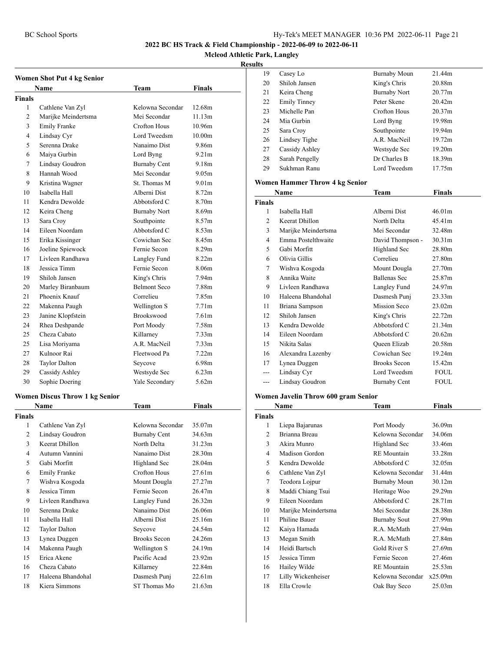**Mcleod Athletic Park, Langley**

#### **Results**

|                | Women Shot Put 4 kg Senior            |                                |                    |
|----------------|---------------------------------------|--------------------------------|--------------------|
|                | Name                                  | Team                           | <b>Finals</b>      |
| <b>Finals</b>  |                                       |                                |                    |
| 1              | Cathlene Van Zyl                      | Kelowna Secondar               | 12.68m             |
| 2              | Marijke Meindertsma                   | Mei Secondar                   | 11.13m             |
| 3              | <b>Emily Franke</b>                   | Crofton Hous                   | 10.96m             |
| 4              | Lindsay Cyr                           | Lord Tweedsm                   | 10.00 <sub>m</sub> |
| 5              | Serenna Drake                         | Nanaimo Dist                   | 9.86m              |
| 6              | Maiya Gurbin                          | Lord Byng                      | 9.21 <sub>m</sub>  |
| 7              | Lindsay Goudron                       | <b>Burnaby Cent</b>            | 9.18m              |
| 8              | Hannah Wood                           | Mei Secondar                   | 9.05m              |
| 9              | Kristina Wagner                       | St. Thomas M                   | 9.01 <sub>m</sub>  |
| 10             | Isabella Hall                         | Alberni Dist                   | 8.72m              |
| 11             | Kendra Dewolde                        | Abbotsford C                   | 8.70m              |
| 12             | Keira Cheng                           | <b>Burnaby Nort</b>            | 8.69m              |
| 13             | Sara Croy                             | Southpointe                    | 8.57m              |
| 14             | Eileen Noordam                        | Abbotsford C                   | 8.53m              |
| 15             | Erika Kissinger                       | Cowichan Sec                   | 8.45m              |
| 16             | Joeline Spiewock                      | Fernie Secon                   | 8.29 <sub>m</sub>  |
| 17             | Livleen Randhawa                      | Langley Fund                   | 8.22m              |
| 18             | Jessica Timm                          | Fernie Secon                   | 8.06m              |
| 19             | Shiloh Jansen                         | King's Chris                   | 7.94m              |
| 20             | Marley Biranbaum                      | <b>Belmont Seco</b>            | 7.88m              |
| 21             | Phoenix Knauf                         | Correlieu                      | 7.85m              |
| 22             | Makenna Paugh                         | Wellington S                   | 7.71 <sub>m</sub>  |
| 23             | Janine Klopfstein                     | Brookswood                     | 7.61 <sub>m</sub>  |
| 24             | Rhea Deshpande                        | Port Moody                     | 7.58m              |
| 25             | Cheza Cabato                          | Killarney                      | 7.33 <sub>m</sub>  |
| 25             | Lisa Moriyama                         | A.R. MacNeil                   | 7.33 <sub>m</sub>  |
| 27             | Kulnoor Rai                           | Fleetwood Pa                   | 7.22m              |
| 28             | Taylor Dalton                         | Seycove                        | 6.98m              |
| 29             | Cassidy Ashley                        | Westsyde Sec                   | 6.23m              |
| 30             | Sophie Doering                        | Yale Secondary                 | 5.62m              |
|                |                                       |                                |                    |
|                | <b>Women Discus Throw 1 kg Senior</b> |                                |                    |
|                | <b>Name</b>                           | Team                           | <b>Finals</b>      |
| Finals<br>1    |                                       | Kelowna Secondar               | 35.07m             |
| $\overline{c}$ | Cathlene Van Zyl<br>Lindsay Goudron   |                                | 34.63m             |
| 3              | Keerat Dhillon                        | Burnaby Cent<br>North Delta    | 31.23m             |
| 4              | Autumn Vannini                        | Nanaimo Dist                   | 28.30m             |
| 5              | Gabi Morfitt                          |                                | 28.04m             |
|                |                                       | Highland Sec<br>Crofton Hous   |                    |
| 6<br>7         | <b>Emily Franke</b>                   |                                | 27.61m<br>27.27m   |
| 8              | Wishva Kosgoda<br>Jessica Timm        | Mount Dougla<br>Fernie Secon   | 26.47m             |
|                |                                       |                                |                    |
| 9              | Livleen Randhawa<br>Serenna Drake     | Langley Fund<br>Nanaimo Dist   | 26.32m             |
| 10             |                                       | Alberni Dist                   | 26.06m             |
| 11             | Isabella Hall                         |                                | 25.16m             |
| 12             | <b>Taylor Dalton</b><br>Lynea Duggen  | Seycove<br><b>Brooks</b> Secon | 24.54m<br>24.26m   |
| 13<br>14       |                                       |                                | 24.19m             |
| 15             | Makenna Paugh<br>Erica Akene          | Wellington S<br>Pacific Acad   | 23.92m             |
| 16             | Cheza Cabato                          | Killarney                      | 22.84m             |
| 17             | Haleena Bhandohal                     | Dasmesh Punj                   | 22.61m             |

18 Kiera Simmons ST Thomas Mo 21.63m

| .  |                     |                     |                    |
|----|---------------------|---------------------|--------------------|
| 19 | Casey Lo            | <b>Burnaby Moun</b> | 21.44m             |
| 20 | Shiloh Jansen       | King's Chris        | 20.88m             |
| 21 | Keira Cheng         | <b>Burnaby Nort</b> | 20.77m             |
| 22 | <b>Emily Tinney</b> | Peter Skene         | 20.42 <sub>m</sub> |
| 23 | Michelle Pan        | Crofton Hous        | 20.37 <sub>m</sub> |
| 24 | Mia Gurbin          | Lord Byng           | 19.98m             |
| 25 | Sara Croy           | Southpointe         | 19.94m             |
| 26 | Lindsey Tighe       | A.R. MacNeil        | 19.72m             |
| 27 | Cassidy Ashley      | Westsyde Sec        | 19.20m             |
| 28 | Sarah Pengelly      | Dr Charles B        | 18.39m             |
| 29 | Sukhman Ranu        | Lord Tweedsm        | 17.75m             |
|    |                     |                     |                    |

#### **Women Hammer Throw 4 kg Senior**

|         | Name                | Team                | <b>Finals</b>      |
|---------|---------------------|---------------------|--------------------|
| Finals  |                     |                     |                    |
| 1       | Isabella Hall       | Alberni Dist        | 46.01m             |
| 2       | Keerat Dhillon      | North Delta         | 45.41m             |
| 3       | Marijke Meindertsma | Mei Secondar        | 32.48m             |
| 4       | Emma Postelthwaite  | David Thompson -    | 30.31 <sub>m</sub> |
| 5       | Gabi Morfitt        | Highland Sec        | 28.80m             |
| 6       | Olivia Gillis       | Correlieu           | 27.80m             |
| 7       | Wishva Kosgoda      | Mount Dougla        | 27.70m             |
| 8       | Annika Waite        | <b>Ballenas Sec</b> | 25.87m             |
| 9       | Livleen Randhawa    | Langley Fund        | 24.97m             |
| 10      | Haleena Bhandohal   | Dasmesh Punj        | 23.33m             |
| 11      | Briana Sampson      | Mission Seco        | 23.02m             |
| 12      | Shiloh Jansen       | King's Chris        | 22.72m             |
| 13      | Kendra Dewolde      | Abbotsford C        | 21.34m             |
| 14      | Eileen Noordam      | Abbotsford C        | 20.62m             |
| 15      | Nikita Salas        | <b>Oueen Elizab</b> | 20.58m             |
| 16      | Alexandra Lazenby   | Cowichan Sec        | 19.24m             |
| 17      | Lynea Duggen        | <b>Brooks Secon</b> | 15.42m             |
| ---     | Lindsay Cyr         | Lord Tweedsm        | <b>FOUL</b>        |
| $- - -$ | Lindsay Goudron     | <b>Burnaby Cent</b> | FOUL               |

#### **Women Javelin Throw 600 gram Senior**

|        | Name                 | Team                | Finals             |  |
|--------|----------------------|---------------------|--------------------|--|
| Finals |                      |                     |                    |  |
| 1      | Liepa Bajarunas      | Port Moody          | 36.09m             |  |
| 2      | Brianna Breau        | Kelowna Secondar    | 34.06m             |  |
| 3      | Akira Munro          | Highland Sec        | 33.46m             |  |
| 4      | Madison Gordon       | <b>RE</b> Mountain  | 33.28m             |  |
| 5      | Kendra Dewolde       | Abbotsford C        | 32.05m             |  |
| 6      | Cathlene Van Zyl     | Kelowna Secondar    | 31.44m             |  |
| 7      | Teodora Lojpur       | <b>Burnaby Moun</b> | 30.12m             |  |
| 8      | Maddi Chiang Tsui    | Heritage Woo        | 29.29m             |  |
| 9      | Eileen Noordam       | Abbotsford C        | 28.71 <sub>m</sub> |  |
| 10     | Marijke Meindertsma  | Mei Secondar        | 28.38m             |  |
| 11     | <b>Philine Bauer</b> | Burnaby Sout        | 27.99m             |  |
| 12     | Kaiya Hamada         | R.A. McMath         | 27.94m             |  |
| 13     | Megan Smith          | R.A. McMath         | 27.84m             |  |
| 14     | Heidi Bartsch        | Gold River S        | 27.69m             |  |
| 15     | Jessica Timm         | Fernie Secon        | 27.46m             |  |
| 16     | Hailey Wilde         | <b>RE</b> Mountain  | 25.53m             |  |
| 17     | Lilly Wickenheiser   | Kelowna Secondar    | x25.09m            |  |
| 18     | Ella Crowle          | Oak Bay Seco        | 25.03m             |  |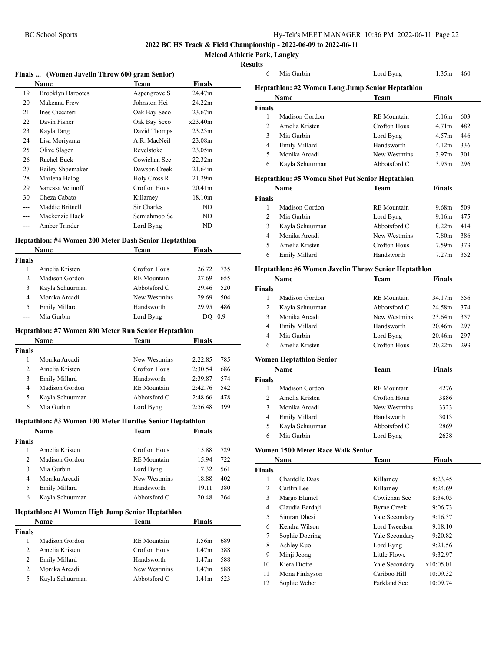**Mcleod Athletic Park, Langley**

#### **Results**

|     | Finals  (Women Javelin Throw 600 gram Senior) |              |                    |  |
|-----|-----------------------------------------------|--------------|--------------------|--|
|     | Name                                          | Team         | <b>Finals</b>      |  |
| 19  | <b>Brooklyn Barootes</b>                      | Aspengrove S | 24.47m             |  |
| 20  | Makenna Frew                                  | Johnston Hei | 24.22m             |  |
| 21  | Ines Ciccateri                                | Oak Bay Seco | 23.67m             |  |
| 22  | Davin Fisher                                  | Oak Bay Seco | x23.40m            |  |
| 23  | Kayla Tang                                    | David Thomps | 23.23m             |  |
| 24  | Lisa Moriyama                                 | A.R. MacNeil | 23.08m             |  |
| 25  | Olive Slager                                  | Revelstoke   | 23.05m             |  |
| 26  | Rachel Buck                                   | Cowichan Sec | 22.32m             |  |
| 27  | Bailey Shoemaker                              | Dawson Creek | 21.64m             |  |
| 28  | Marlena Halog                                 | Holy Cross R | 21.29m             |  |
| 29  | Vanessa Velinoff                              | Crofton Hous | 20.41 <sub>m</sub> |  |
| 30  | Cheza Cabato                                  | Killarney    | 18.10m             |  |
|     | Maddie Britnell                               | Sir Charles  | ND                 |  |
|     | Mackenzie Hack                                | Semiahmoo Se | ND                 |  |
| --- | Amber Trinder                                 | Lord Byng    | ND                 |  |

#### **Heptathlon: #4 Women 200 Meter Dash Senior Heptathlon**

|        | Name            | Team               | <b>Finals</b> |  |
|--------|-----------------|--------------------|---------------|--|
| Finals |                 |                    |               |  |
|        | Amelia Kristen  | Crofton Hous       | 26.72<br>735  |  |
|        | Madison Gordon  | <b>RE</b> Mountain | 655<br>27.69  |  |
|        | Kayla Schuurman | Abbotsford C       | 29.46<br>520  |  |
| 4      | Monika Arcadi   | New Westmins       | 29.69<br>504  |  |
| 5      | Emily Millard   | Handsworth         | 486<br>29.95  |  |
|        | Mia Gurbin      | Lord Byng          | 0.9           |  |

#### **Heptathlon: #7 Women 800 Meter Run Senior Heptathlon**

|               | <b>Name</b>     | Team               | <b>Finals</b> |     |
|---------------|-----------------|--------------------|---------------|-----|
| Finals        |                 |                    |               |     |
|               | Monika Arcadi   | New Westmins       | 2:22.85       | 785 |
| $\mathcal{P}$ | Amelia Kristen  | Crofton Hous       | 2:30.54       | 686 |
| 3             | Emily Millard   | Handsworth         | 2:39.87       | 574 |
| 4             | Madison Gordon  | <b>RE</b> Mountain | 2:42.76       | 542 |
|               | Kayla Schuurman | Abbotsford C       | 2:48.66       | 478 |
| 6             | Mia Gurbin      | Lord Byng          | 2:56.48       | 399 |
|               |                 |                    |               |     |

#### **Heptathlon: #3 Women 100 Meter Hurdles Senior Heptathlon**

|        | <b>Name</b>     | Team               | <b>Finals</b> |     |
|--------|-----------------|--------------------|---------------|-----|
| Finals |                 |                    |               |     |
|        | Amelia Kristen  | Crofton Hous       | 15.88         | 729 |
|        | Madison Gordon  | <b>RE</b> Mountain | 15.94         | 722 |
| 3      | Mia Gurbin      | Lord Byng          | 17.32         | 561 |
| 4      | Monika Arcadi   | New Westmins       | 18.88         | 402 |
|        | Emily Millard   | Handsworth         | 19.11         | 380 |
| 6      | Kayla Schuurman | Abbotsford C       | 20.48         | 264 |
|        |                 |                    |               |     |

#### **Heptathlon: #1 Women High Jump Senior Heptathlon**

|               | Name            | Team               | <b>Finals</b>     |     |
|---------------|-----------------|--------------------|-------------------|-----|
| <b>Finals</b> |                 |                    |                   |     |
|               | Madison Gordon  | <b>RE</b> Mountain | 1.56m             | 689 |
|               | Amelia Kristen  | Crofton Hous       | 1.47 <sub>m</sub> | 588 |
| 2             | Emily Millard   | Handsworth         | 1.47 <sub>m</sub> | 588 |
|               | Monika Arcadi   | New Westmins       | 1.47 <sub>m</sub> | 588 |
| 5             | Kayla Schuurman | Abbotsford C       | 1.41m             | 523 |

| แเร            |                 |                                                  |                   |     |
|----------------|-----------------|--------------------------------------------------|-------------------|-----|
| 6              | Mia Gurbin      | Lord Byng                                        | 1.35m             | 460 |
|                |                 | Heptathlon: #2 Women Long Jump Senior Heptathlon |                   |     |
|                | Name            | <b>Team</b>                                      | <b>Finals</b>     |     |
| <b>Finals</b>  |                 |                                                  |                   |     |
| 1              | Madison Gordon  | <b>RE</b> Mountain                               | 5.16m             | 603 |
| $\overline{c}$ | Amelia Kristen  | Crofton Hous                                     | 4.71 <sub>m</sub> | 482 |
| 3              | Mia Gurbin      | Lord Byng                                        | 4.57m             | 446 |
| 4              | Emily Millard   | Handsworth                                       | 4.12m             | 336 |
| 5              | Monika Arcadi   | New Westmins                                     | 3.97m             | 301 |
| 6              | Kayla Schuurman | Abbotsford C                                     | 3.95m             | 296 |
|                |                 |                                                  |                   |     |

#### **Heptathlon: #5 Women Shot Put Senior Heptathlon**

| Name           |                 | Team               | <b>Finals</b> |     |
|----------------|-----------------|--------------------|---------------|-----|
| <b>Finals</b>  |                 |                    |               |     |
|                | Madison Gordon  | <b>RE</b> Mountain | 9.68m         | 509 |
| $\mathcal{L}$  | Mia Gurbin      | Lord Byng          | 9.16m         | 475 |
| 3              | Kayla Schuurman | Abbotsford C       | 8.22m         | 414 |
| $\overline{4}$ | Monika Arcadi   | New Westmins       | 7.80m         | 386 |
| 5              | Amelia Kristen  | Crofton Hous       | 7.59m         | 373 |
| 6              | Emily Millard   | Handsworth         | 7.27m         | 352 |

#### **Heptathlon: #6 Women Javelin Throw Senior Heptathlon**

| Name          |                         | Team               | Finals |     |
|---------------|-------------------------|--------------------|--------|-----|
| <b>Finals</b> |                         |                    |        |     |
| 1             | Madison Gordon          | <b>RE</b> Mountain | 34.17m | 556 |
| 2             | Kayla Schuurman         | Abbotsford C       | 24.58m | 374 |
| 3             | Monika Arcadi           | New Westmins       | 23.64m | 357 |
| 4             | Emily Millard           | Handsworth         | 20.46m | 297 |
| 4             | Mia Gurbin              | Lord Byng          | 20.46m | 297 |
| 6             | Amelia Kristen          | Crofton Hous       | 20.22m | 293 |
|               | Women Heptathlon Senior |                    |        |     |
|               | Name                    | Team               | Finals |     |
| <b>Finals</b> |                         |                    |        |     |
| 1             | Madison Gordon          | <b>RE</b> Mountain | 4276   |     |
| 2             | Amelia Kristen          | Crofton Hous       | 3886   |     |
| 3             | Monika Arcadi           | New Westmins       | 3323   |     |
| 4             | Emily Millard           | Handsworth         | 3013   |     |
| 5             | Kayla Schuurman         | Abbotsford C       | 2869   |     |
| 6             | Mia Gurbin              | Lord Byng          | 2638   |     |

#### **Women 1500 Meter Race Walk Senior**

| Name          |                       | Team               | <b>Finals</b> |  |
|---------------|-----------------------|--------------------|---------------|--|
| <b>Finals</b> |                       |                    |               |  |
| 1             | <b>Chantelle Dass</b> | Killarney          | 8:23.45       |  |
| 2             | Caitlin Lee           | Killarney          | 8:24.69       |  |
| 3             | Margo Blumel          | Cowichan Sec       | 8:34.05       |  |
| 4             | Claudia Bardaji       | <b>Byrne Creek</b> | 9:06.73       |  |
| 5             | Simran Dhesi          | Yale Secondary     | 9:16.37       |  |
| 6             | Kendra Wilson         | Lord Tweedsm       | 9:18.10       |  |
| 7             | Sophie Doering        | Yale Secondary     | 9:20.82       |  |
| 8             | Ashley Kuo            | Lord Byng          | 9:21.56       |  |
| 9             | Minji Jeong           | Little Flowe       | 9:32.97       |  |
| 10            | Kiera Diotte          | Yale Secondary     | x10:05.01     |  |
| 11            | Mona Finlayson        | Cariboo Hill       | 10:09.32      |  |
| 12            | Sophie Weber          | Parkland Sec       | 10:09.74      |  |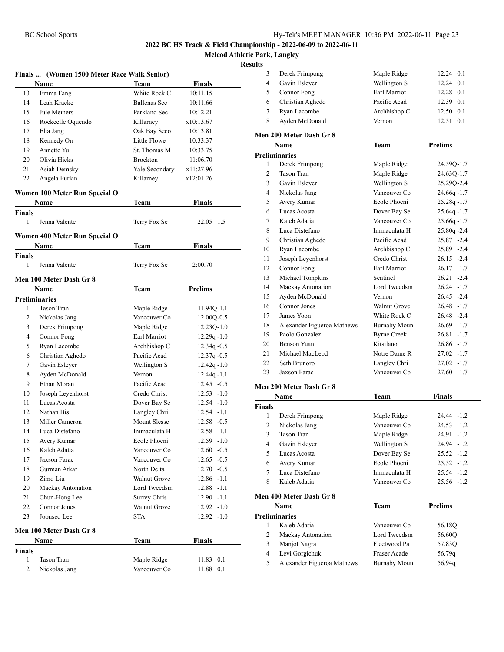**Mcleod Athletic Park, Langley**

#### **Resul**

| Finals  (Women 1500 Meter Race Walk Senior) |                                        |                     |                |  |
|---------------------------------------------|----------------------------------------|---------------------|----------------|--|
|                                             | <b>Name</b>                            | Team                | <b>Finals</b>  |  |
| 13                                          | Emma Fang                              | White Rock C        | 10:11.15       |  |
| 14                                          | Leah Kracke                            | <b>Ballenas Sec</b> | 10:11.66       |  |
| 15                                          | Jule Meiners                           | Parkland Sec        | 10:12.21       |  |
| 16                                          | Rockcelle Oquendo                      | Killarney           | x10:13.67      |  |
| 17                                          | Elia Jang                              | Oak Bay Seco        | 10:13.81       |  |
| 18                                          | Kennedy Orr                            | Little Flowe        | 10:33.37       |  |
| 19                                          | Annette Yu                             | St. Thomas M        | 10:33.75       |  |
| 20                                          | Olivia Hicks                           | <b>Brockton</b>     | 11:06.70       |  |
| 21                                          | Asiah Demsky                           | Yale Secondary      | x11:27.96      |  |
| 22                                          | Angela Furlan                          | Killarney           | x12:01.26      |  |
|                                             | Women 100 Meter Run Special O          |                     |                |  |
|                                             | Name                                   | Team                | Finals         |  |
| <b>Finals</b>                               |                                        |                     |                |  |
| 1                                           | Jenna Valente                          | Terry Fox Se        | 22.05 1.5      |  |
|                                             |                                        |                     |                |  |
|                                             | Women 400 Meter Run Special O<br>Name  | Team                | Finals         |  |
| <b>Finals</b>                               |                                        |                     |                |  |
| 1                                           | Jenna Valente                          | Terry Fox Se        | 2:00.70        |  |
|                                             |                                        |                     |                |  |
|                                             | Men 100 Meter Dash Gr 8<br>Name        | Team                | Prelims        |  |
|                                             | <b>Preliminaries</b>                   |                     |                |  |
| 1                                           | <b>Tason Tran</b>                      | Maple Ridge         | 11.94Q-1.1     |  |
| 2                                           | Nickolas Jang                          | Vancouver Co        | $12.00Q - 0.5$ |  |
| 3                                           | Derek Frimpong                         | Maple Ridge         | 12.23Q-1.0     |  |
| 4                                           | Connor Fong                            | Earl Marriot        | $12.29q - 1.0$ |  |
| 5                                           | Ryan Lacombe                           | Archbishop C        | $12.34q - 0.5$ |  |
| 6                                           | Christian Aghedo                       | Pacific Acad        | 12.37q-0.5     |  |
| 7                                           | Gavin Esleyer                          | Wellington S        | $12.42q - 1.0$ |  |
| 8                                           | Ayden McDonald                         | Vernon              | $12.44q - 1.1$ |  |
| 9                                           | Ethan Moran                            | Pacific Acad        | $12.45 - 0.5$  |  |
| 10                                          | Joseph Leyenhorst                      | Credo Christ        | $12.53 - 1.0$  |  |
| 11                                          | Lucas Acosta                           | Dover Bay Se        | $12.54 - 1.0$  |  |
| 12                                          | Nathan Bis                             | Langley Chri        | $12.54 - 1.1$  |  |
| 13                                          | Miller Cameron                         | Mount Slesse        | $12.58 - 0.5$  |  |
| 14                                          | Luca Distefano                         | Immaculata H        | $12.58 - 1.1$  |  |
| 15                                          | Avery Kumar                            | Ecole Phoeni        | $12.59 - 1.0$  |  |
| 16                                          | Kaleb Adatia                           | Vancouver Co        | $12.60 - 0.5$  |  |
| 17                                          | Jaxson Farac                           | Vancouver Co        | $12.65 - 0.5$  |  |
| 18                                          | Gurman Atkar                           | North Delta         | $12.70 - 0.5$  |  |
| 19                                          | Zimo Liu                               | <b>Walnut Grove</b> | $12.86 - 1.1$  |  |
| 20                                          | Mackay Antonation                      | Lord Tweedsm        | $12.88 - 1.1$  |  |
| 21                                          | Chun-Hong Lee                          | Surrey Chris        | $12.90 -1.1$   |  |
| 22                                          | Connor Jones                           | Walnut Grove        | $12.92 - 1.0$  |  |
| 23                                          | Joonseo Lee                            | <b>STA</b>          | $12.92 - 1.0$  |  |
|                                             |                                        |                     |                |  |
|                                             | Men 100 Meter Dash Gr 8<br><b>Name</b> | <b>Team</b>         | Finals         |  |
| <b>Finals</b>                               |                                        |                     |                |  |
| 1                                           | Tason Tran                             | Maple Ridge         | 11.83 0.1      |  |
| 2                                           | Nickolas Jang                          | Vancouver Co        | 0.1<br>11.88   |  |
|                                             |                                        |                     |                |  |

| ults           |                            |                     |                |
|----------------|----------------------------|---------------------|----------------|
| 3              | Derek Frimpong             | Maple Ridge         | 0.1<br>12.24   |
| 4              | Gavin Esleyer              | Wellington S        | 0.1<br>12.24   |
| 5              | Connor Fong                | Earl Marriot        | 12.28<br>0.1   |
| 6              | Christian Aghedo           | Pacific Acad        | 12.39 0.1      |
| 7              | Ryan Lacombe               | Archbishop C        | 12.50 0.1      |
| 8              | Ayden McDonald             | Vernon              | 12.51<br>0.1   |
|                | Men 200 Meter Dash Gr 8    |                     |                |
|                | <b>Name</b>                | Team                | <b>Prelims</b> |
|                | <b>Preliminaries</b>       |                     |                |
| 1              | Derek Frimpong             | Maple Ridge         | 24.59Q-1.7     |
| $\overline{c}$ | <b>Tason Tran</b>          | Maple Ridge         | 24.63Q-1.7     |
| 3              | Gavin Esleyer              | Wellington S        | 25.29Q-2.4     |
| $\overline{4}$ | Nickolas Jang              | Vancouver Co        | 24.66q-1.7     |
| 5              | Avery Kumar                | Ecole Phoeni        | $25.28q - 1.7$ |
| 6              | Lucas Acosta               | Dover Bay Se        | $25.64q - 1.7$ |
| 7              | Kaleb Adatia               | Vancouver Co        | $25.66q - 1.7$ |
| 8              | Luca Distefano             | Immaculata H        | $25.80q - 2.4$ |
| 9              | Christian Aghedo           | Pacific Acad        | $25.87 -2.4$   |
| 10             | Ryan Lacombe               | Archbishop C        | 25.89 -2.4     |
| 11             | Joseph Leyenhorst          | Credo Christ        | $26.15 -2.4$   |
| 12             | Connor Fong                | Earl Marriot        | $26.17 - 1.7$  |
| 13             | Michael Tompkins           | Sentinel            | $26.21 -2.4$   |
| 14             | Mackay Antonation          | Lord Tweedsm        | $26.24 -1.7$   |
| 15             | Ayden McDonald             | Vernon              | $26.45 -2.4$   |
| 16             | Connor Jones               | <b>Walnut Grove</b> | $26.48 - 1.7$  |
| 17             | James Yoon                 | White Rock C        | 26.48 -2.4     |
| 18             | Alexander Figueroa Mathews | <b>Burnaby Moun</b> | 26.69 -1.7     |
| 19             | Paolo Gonzalez             | <b>Byrne Creek</b>  | $26.81 - 1.7$  |
| 20             | <b>Benson Yuan</b>         | Kitsilano           | $26.86 - 1.7$  |
| 21             | Michael MacLeod            | Notre Dame R        | $27.02 -1.7$   |
| 22             | Seth Brunoro               | Langley Chri        | 27.02 -1.7     |
| 23             | Jaxson Farac               | Vancouver Co        | $27.60 -1.7$   |
|                | Men 200 Meter Dash Gr 8    |                     |                |
|                | Name                       | <b>Team</b>         | Finals         |
| <b>Finals</b>  |                            |                     |                |
| $\mathbf{1}$   | Derek Frimpong             | Maple Ridge         | 24.44 -1.2     |
| $\overline{c}$ | Nickolas Jang              | Vancouver Co        | $24.53 - 1.2$  |

|   | Nickolas Jang  | Vancouver Co | $24.53 - 1.2$ |
|---|----------------|--------------|---------------|
|   | Tason Tran     | Maple Ridge  | $24.91 - 1.2$ |
| 4 | Gavin Esleyer  | Wellington S | $24.94 - 1.2$ |
| 5 | Lucas Acosta   | Dover Bay Se | $25.52 -1.2$  |
| 6 | Avery Kumar    | Ecole Phoeni | $25.52 -1.2$  |
|   | Luca Distefano | Immaculata H | $25.54 - 1.2$ |
|   | Kaleb Adatia   | Vancouver Co | $25.56 -1.2$  |

#### **Men 400 Meter Dash Gr 8**

|   | Name                       | Team                | <b>Prelims</b> |
|---|----------------------------|---------------------|----------------|
|   | <b>Preliminaries</b>       |                     |                |
|   | Kaleb Adatia               | Vancouver Co        | 56.18Q         |
|   | Mackay Antonation          | Lord Tweedsm        | 56.60Q         |
| 3 | Manjot Nagra               | Fleetwood Pa        | 57.83Q         |
| 4 | Levi Gorgichuk             | Fraser Acade        | 56.79q         |
| 5 | Alexander Figueroa Mathews | <b>Burnaby Moun</b> | 56.94g         |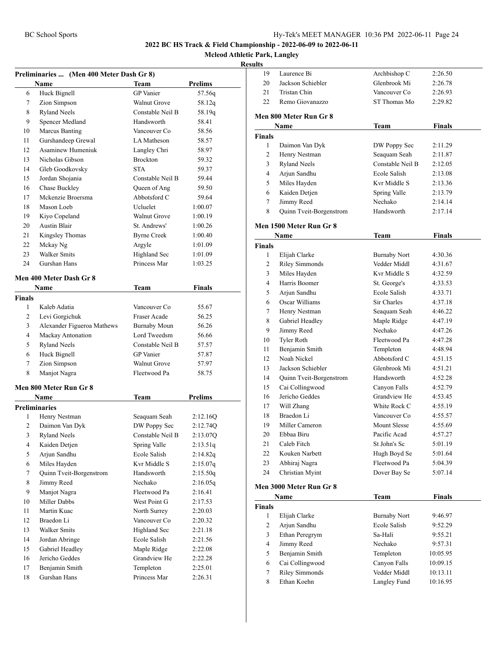### **Mcleod Athletic Park, Langley**

|                     | Preliminaries  (Men 400 Meter Dash Gr 8) |                              |                |
|---------------------|------------------------------------------|------------------------------|----------------|
|                     | Name                                     | Team                         | Prelims        |
| 6                   | Huck Bignell                             | <b>GP</b> Vanier             | 57.56q         |
| 7                   | Zion Simpson                             | <b>Walnut Grove</b>          | 58.12q         |
| 8                   | <b>Ryland Neels</b>                      | Constable Neil B             | 58.19q         |
| 9                   | Spencer Medland                          | Handsworth                   | 58.41          |
| 10                  | Marcus Banting                           | Vancouver Co                 | 58.56          |
| 11                  | Gurshandeep Grewal                       | LA Matheson                  | 58.57          |
| 12                  | <b>Asaminew Humeniuk</b>                 | Langley Chri                 | 58.97          |
| 13                  | Nicholas Gibson                          | <b>Brockton</b>              | 59.32          |
| 14                  | Gleb Goodkovsky                          | <b>STA</b>                   | 59.37          |
| 15                  | Jordan Shojania                          | Constable Neil B             | 59.44          |
| 16                  | Chase Buckley                            | Queen of Ang                 | 59.50          |
| 17                  | Mckenzie Broersma                        | Abbotsford C                 | 59.64          |
| 18                  | Mason Loeb                               | Ucluelet                     | 1:00.07        |
| 19                  | Kiyo Copeland                            | <b>Walnut Grove</b>          | 1:00.19        |
| 20                  | <b>Austin Blair</b>                      | St. Andrews'                 | 1:00.26        |
| 21                  | Kingsley Thomas                          | <b>Byrne Creek</b>           | 1:00.40        |
| 22                  | Mckay Ng                                 | Argyle                       | 1:01.09        |
| 23                  | <b>Walker Smits</b>                      | Highland Sec                 | 1:01.09        |
| 24                  | Gurshan Hans                             | Princess Mar                 | 1:03.25        |
|                     | Men 400 Meter Dash Gr 8                  |                              |                |
|                     |                                          |                              |                |
|                     | Name                                     | Team                         | Finals         |
| Finals              |                                          |                              |                |
| 1<br>$\overline{c}$ | Kaleb Adatia                             | Vancouver Co<br>Fraser Acade | 55.67          |
|                     | Levi Gorgichuk                           |                              | 56.25          |
| 3                   | Alexander Figueroa Mathews               | <b>Burnaby Moun</b>          | 56.26          |
| 4                   | Mackay Antonation                        | Lord Tweedsm                 | 56.66          |
| 5                   | <b>Ryland Neels</b>                      | Constable Neil B             | 57.57          |
| 6                   | Huck Bignell                             | <b>GP</b> Vanier             | 57.87          |
| 7                   | Zion Simpson                             | <b>Walnut Grove</b>          | 57.97          |
| 8                   | Manjot Nagra                             | Fleetwood Pa                 | 58.75          |
|                     | Men 800 Meter Run Gr 8                   |                              |                |
|                     | Name                                     | Team                         | <b>Prelims</b> |
|                     | <b>Preliminaries</b>                     |                              |                |
| 1                   | Henry Nestman                            | Seaquam Seah                 | 2:12.16Q       |
| 2                   | Daimon Van Dyk                           | DW Poppy Sec                 | 2:12.74Q       |
| 3                   | <b>Ryland Neels</b>                      | Constable Neil B             | 2:13.07Q       |
| 4                   | Kaiden Detjen                            | Spring Valle                 | 2:13.51q       |
| 5                   | Arjun Sandhu                             | Ecole Salish                 | 2:14.82q       |
| 6                   | Miles Hayden                             | Kvr Middle S                 | 2:15.07q       |
| $\tau$              | Quinn Tveit-Borgenstrom                  | Handsworth                   | 2:15.50q       |
| 8                   | Jimmy Reed                               | Nechako                      | 2:16.05q       |
| 9                   | Manjot Nagra                             | Fleetwood Pa                 | 2:16.41        |
| 10                  | Miller Dabbs                             | West Point G                 | 2:17.53        |
| 11                  | Martin Kuac                              | North Surrey                 | 2:20.03        |
| 12                  | Braedon Li                               | Vancouver Co                 | 2:20.32        |
| 13                  | Walker Smits                             | <b>Highland Sec</b>          | 2:21.18        |
| 14                  | Jordan Abringe                           | Ecole Salish                 | 2:21.56        |
| 15                  | Gabriel Headley                          | Maple Ridge                  | 2:22.08        |
| 16                  | Jericho Geddes                           | Grandview He                 | 2:22.28        |
| 17                  | Benjamin Smith                           | Templeton                    | 2:25.01        |
| 18                  | Gurshan Hans                             | Princess Mar                 | 2:26.31        |
|                     |                                          |                              |                |

| sults              |                                       |                              |               |
|--------------------|---------------------------------------|------------------------------|---------------|
| 19                 | Laurence Bi                           | Archbishop C                 | 2:26.50       |
| 20                 | Jackson Schiebler                     | Glenbrook Mi                 | 2:26.78       |
| 21                 | Tristan Chin                          | Vancouver Co                 | 2:26.93       |
| 22                 | Remo Giovanazzo                       | ST Thomas Mo                 | 2:29.82       |
|                    | Men 800 Meter Run Gr 8                |                              |               |
|                    | Name                                  | Team                         | Finals        |
| <b>Finals</b>      |                                       |                              |               |
| $\mathbf{1}$       | Daimon Van Dyk                        | DW Poppy Sec                 | 2:11.29       |
| 2                  | Henry Nestman                         | Seaquam Seah                 | 2:11.87       |
| 3                  | <b>Ryland Neels</b>                   | Constable Neil B             | 2:12.05       |
| 4                  | Arjun Sandhu                          | Ecole Salish                 | 2:13.08       |
| 5                  | Miles Hayden                          | Kvr Middle S                 | 2:13.36       |
| 6                  | Kaiden Detjen                         | Spring Valle                 | 2:13.79       |
| 7                  | Jimmy Reed                            | Nechako                      | 2:14.14       |
| 8                  | Quinn Tveit-Borgenstrom               | Handsworth                   | 2:17.14       |
|                    | Men 1500 Meter Run Gr 8               |                              |               |
|                    |                                       |                              |               |
|                    | Name                                  | Team                         | Finals        |
| <b>Finals</b><br>1 | Elijah Clarke                         | <b>Burnaby Nort</b>          | 4:30.36       |
| 2                  |                                       | Vedder Middl                 | 4:31.67       |
| 3                  | <b>Riley Simmonds</b><br>Miles Hayden | Kvr Middle S                 |               |
| 4                  | Harris Boomer                         |                              | 4:32.59       |
|                    |                                       | St. George's<br>Ecole Salish | 4:33.53       |
| 5<br>6             | Arjun Sandhu<br>Oscar Williams        | Sir Charles                  | 4:33.71       |
|                    |                                       |                              | 4:37.18       |
| 7                  | Henry Nestman                         | Seaquam Seah                 | 4:46.22       |
| 8                  | Gabriel Headley                       | Maple Ridge                  | 4:47.19       |
| 9                  | Jimmy Reed                            | Nechako                      | 4:47.26       |
| 10                 | Tyler Roth                            | Fleetwood Pa                 | 4:47.28       |
| 11                 | Benjamin Smith                        | Templeton                    | 4:48.94       |
| 12                 | Noah Nickel                           | Abbotsford C                 | 4:51.15       |
| 13                 | Jackson Schiebler                     | Glenbrook Mi                 | 4:51.21       |
| 14                 | Quinn Tveit-Borgenstrom               | Handsworth                   | 4:52.28       |
| 15                 | Cai Collingwood                       | Canyon Falls                 | 4:52.79       |
| 16                 | Jericho Geddes                        | Grandview He                 | 4:53.45       |
| 17                 | Will Zhang                            | White Rock C                 | 4:55.19       |
| 18                 | Braedon Li                            | Vancouver Co                 | 4:55.57       |
| 19                 | Miller Cameron                        | <b>Mount Slesse</b>          | 4:55.69       |
| 20                 | Ebbaa Biru                            | Pacific Acad                 | 4:57.27       |
| 21                 | Caleb Fitch                           | St John's Sc                 | 5:01.19       |
| 22                 | Kouken Narbett                        | Hugh Boyd Se                 | 5:01.64       |
| 23                 | Abhiraj Nagra                         | Fleetwood Pa                 | 5:04.39       |
| 24                 | Christian Myint                       | Dover Bay Se                 | 5:07.14       |
|                    | Men 3000 Meter Run Gr 8               |                              |               |
|                    | Name                                  | <b>Team</b>                  | <b>Finals</b> |
| <b>Finals</b>      |                                       |                              |               |
| $\mathbf{1}$       | Elijah Clarke                         | <b>Burnaby Nort</b>          | 9:46.97       |
| $\overline{c}$     | Arjun Sandhu                          | Ecole Salish                 | 9:52.29       |
| 3                  | Ethan Peregrym                        | Sa-Hali                      | 9:55.21       |
| $\overline{4}$     | Jimmy Reed                            | Nechako                      | 9:57.31       |
| 5                  | Benjamin Smith                        | Templeton                    | 10:05.95      |
| 6                  | Cai Collingwood                       | Canyon Falls                 | 10:09.15      |
| 7                  | <b>Riley Simmonds</b>                 | Vedder Middl                 | 10:13.11      |
| 8                  | Ethan Koehn                           | Langley Fund                 | 10:16.95      |
|                    |                                       |                              |               |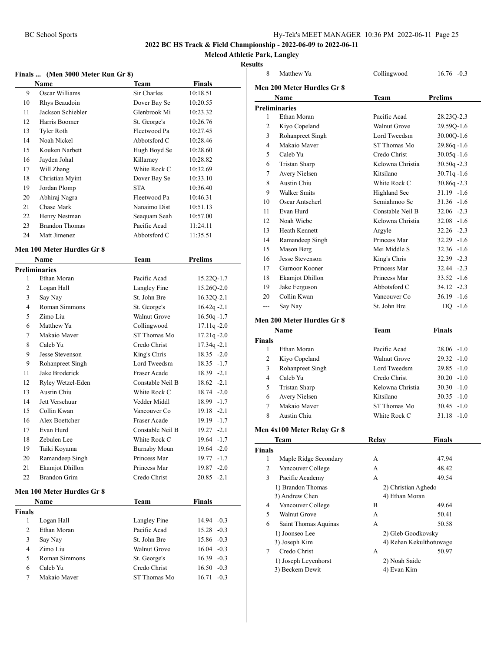#### **Mcleod Athletic Park, Langley**

|                    | Finals  (Men 3000 Meter Run Gr 8) |                              |                                |
|--------------------|-----------------------------------|------------------------------|--------------------------------|
|                    | Name                              | Team                         | <b>Finals</b>                  |
| 9                  | Oscar Williams                    | Sir Charles                  | 10:18.51                       |
| 10                 | Rhys Beaudoin                     | Dover Bay Se                 | 10:20.55                       |
| 11                 | Jackson Schiebler                 | Glenbrook Mi                 | 10:23.32                       |
| 12                 | Harris Boomer                     | St. George's                 | 10:26.76                       |
| 13                 | <b>Tyler Roth</b>                 | Fleetwood Pa                 | 10:27.45                       |
| 14                 | Noah Nickel                       | Abbotsford C                 | 10:28.46                       |
| 15                 | Kouken Narbett                    | Hugh Boyd Se                 | 10:28.60                       |
| 16                 | Jayden Johal                      | Killarney                    | 10:28.82                       |
| 17                 | Will Zhang                        | White Rock C                 | 10:32.69                       |
| 18                 | Christian Myint                   | Dover Bay Se                 | 10:33.10                       |
| 19                 | Jordan Plomp                      | <b>STA</b>                   | 10:36.40                       |
| 20                 | Abhiraj Nagra                     | Fleetwood Pa                 | 10:46.31                       |
| 21                 | Chase Mark                        | Nanaimo Dist                 | 10:51.13                       |
| 22                 | Henry Nestman                     | Seaquam Seah                 | 10:57.00                       |
| 23                 | <b>Brandon Thomas</b>             | Pacific Acad                 | 11:24.11                       |
| 24                 | Matt Jimenez                      | Abbotsford C                 | 11:35.51                       |
|                    |                                   |                              |                                |
|                    | Men 100 Meter Hurdles Gr 8        |                              |                                |
|                    | Name                              | <b>Team</b>                  | <b>Prelims</b>                 |
|                    | <b>Preliminaries</b>              |                              |                                |
| 1                  | Ethan Moran                       | Pacific Acad                 | 15.22Q-1.7                     |
| 2                  | Logan Hall                        | Langley Fine                 | 15.26Q-2.0                     |
| 3                  | Say Nay                           | St. John Bre                 | 16.32Q-2.1                     |
| 4                  | Roman Simmons                     | St. George's                 | $16.42q -2.1$                  |
| 5                  | Zimo Liu                          | Walnut Grove                 | $16.50q - 1.7$                 |
| 6                  | Matthew Yu                        | Collingwood                  | $17.11q - 2.0$                 |
| 7                  | Makaio Maver                      | ST Thomas Mo                 | $17.21q - 2.0$                 |
| 8                  | Caleb Yu                          | Credo Christ                 | $17.34q - 2.1$                 |
| 9                  | Jesse Stevenson                   | King's Chris                 | $18.35 - 2.0$                  |
| 9                  | Rohanpreet Singh                  | Lord Tweedsm                 | 18.35 -1.7                     |
| 11                 | Jake Broderick                    | Fraser Acade                 | $18.39 - 2.1$                  |
| 12                 | Ryley Wetzel-Eden                 | Constable Neil B             | $18.62 -2.1$                   |
| 13                 | Austin Chiu                       | White Rock C                 | $18.74 - 2.0$                  |
| 14                 | Jett Verschuur                    | Vedder Middl                 | 18.99 -1.7                     |
| 15                 | Collin Kwan                       | Vancouver Co                 | $19.18 - 2.1$                  |
| 16                 | Alex Boettcher                    | <b>Fraser Acade</b>          | 19.19 -1.7                     |
| 17                 | Evan Hurd                         | Constable Neil B             | $19.27 - 2.1$                  |
| 18                 | Zebulen Lee                       | White Rock C                 | 19.64 -1.7                     |
| 19                 | Taiki Koyama                      | <b>Burnaby Moun</b>          | 19.64 -2.0                     |
| 20                 | Ramandeep Singh                   | Princess Mar                 | 19.77 -1.7                     |
| 21                 | <b>Ekamjot Dhillon</b>            | Princess Mar                 | $19.87 - 2.0$                  |
| 22                 | <b>Brandon Grim</b>               | Credo Christ                 | $20.85 -2.1$                   |
|                    | Men 100 Meter Hurdles Gr 8        |                              |                                |
|                    | Name                              | <b>Team</b>                  | <b>Finals</b>                  |
|                    |                                   |                              |                                |
| <b>Finals</b><br>1 | Logan Hall                        | Langley Fine                 | 14.94 -0.3                     |
| 2                  | Ethan Moran                       | Pacific Acad                 | $15.28 - 0.3$                  |
| 3                  |                                   | St. John Bre                 |                                |
| 4                  | Say Nay<br>Zimo Liu               | Walnut Grove                 | 15.86 -0.3                     |
| 5                  | Roman Simmons                     |                              | $16.04 - 0.3$                  |
| 6                  | Caleb Yu                          | St. George's<br>Credo Christ | $16.39 - 0.3$<br>$16.50 - 0.3$ |
| 7                  | Makaio Maver                      | ST Thomas Mo                 | $16.71 - 0.3$                  |
|                    |                                   |                              |                                |

| 8                  |                                     |                                       |                |
|--------------------|-------------------------------------|---------------------------------------|----------------|
|                    | Matthew Yu                          | Collingwood                           | $16.76 - 0.3$  |
|                    | <b>Men 200 Meter Hurdles Gr 8</b>   |                                       |                |
|                    | Name                                | Team                                  | <b>Prelims</b> |
|                    | <b>Preliminaries</b>                |                                       |                |
| 1                  | Ethan Moran                         | Pacific Acad                          | 28.23Q-2.3     |
| 2                  | Kiyo Copeland                       | <b>Walnut Grove</b>                   | 29.59Q-1.6     |
| 3                  | Rohanpreet Singh                    | Lord Tweedsm                          | $30.00Q - 1.6$ |
| 4                  | Makaio Maver                        | ST Thomas Mo                          | $29.86q - 1.6$ |
| 5                  | Caleb Yu                            | Credo Christ                          | $30.05q - 1.6$ |
| 6                  | <b>Tristan Sharp</b>                | Kelowna Christia                      | $30.50q - 2.3$ |
| 7                  | Avery Nielsen                       | Kitsilano                             | $30.71q - 1.6$ |
| 8                  | Austin Chiu                         | White Rock C                          | $30.86q - 2.3$ |
| 9                  | <b>Walker Smits</b>                 | Highland Sec                          | $31.19 - 1.6$  |
| 10                 | Oscar Antscherl                     | Semiahmoo Se                          | $31.36 - 1.6$  |
| 11                 | Evan Hurd                           | Constable Neil B                      | $32.06 -2.3$   |
| 12                 | Noah Wiebe                          | Kelowna Christia                      | $32.08 - 1.6$  |
| 13                 | <b>Heath Kennett</b>                | Argyle                                | $32.26 - 2.3$  |
| 14                 | Ramandeep Singh                     | Princess Mar                          | $32.29 -1.6$   |
| 15                 | Mason Berg                          | Mei Middle S                          | $32.36 - 1.6$  |
| 16                 | Jesse Stevenson                     | King's Chris                          | $32.39 - 2.3$  |
| 17                 | Gurnoor Kooner                      | Princess Mar                          | 32.44 - 2.3    |
| 18                 | Ekamjot Dhillon                     | Princess Mar                          | $33.52 -1.6$   |
| 19                 | Jake Ferguson                       | Abbotsford C                          | $34.12 -2.3$   |
| 20                 | Collin Kwan                         | Vancouver Co                          | $36.19 - 1.6$  |
| ---                | Say Nay                             | St. John Bre                          | $DO -1.6$      |
|                    |                                     |                                       |                |
|                    | <b>Men 200 Meter Hurdles Gr 8</b>   |                                       |                |
|                    | Name                                | Team                                  | Finals         |
|                    |                                     |                                       |                |
| <b>Finals</b>      |                                     |                                       |                |
| 1                  | Ethan Moran                         | Pacific Acad                          | $28.06 -1.0$   |
| 2                  | Kiyo Copeland                       | <b>Walnut Grove</b>                   | $29.32 -1.0$   |
| 3                  | Rohanpreet Singh                    | Lord Tweedsm                          | 29.85 -1.0     |
| 4                  | Caleb Yu                            | Credo Christ                          | $30.20 -1.0$   |
| 5                  | <b>Tristan Sharp</b>                | Kelowna Christia                      | $30.30 - 1.0$  |
| 6                  | Avery Nielsen                       | Kitsilano                             | $30.35 - 1.0$  |
| 7                  | Makaio Maver                        | ST Thomas Mo                          | $30.45 - 1.0$  |
| 8                  | Austin Chiu                         | White Rock C                          | $31.18 - 1.0$  |
|                    |                                     |                                       |                |
|                    | Men 4x100 Meter Relay Gr 8          |                                       |                |
|                    | <b>Team</b>                         | <b>Relay</b>                          | <b>Finals</b>  |
| <b>Finals</b><br>1 | Maple Ridge Secondary               | А                                     | 47.94          |
| 2                  |                                     | А                                     | 48.42          |
| 3                  | Vancouver College                   | A                                     |                |
|                    | Pacific Academy                     |                                       | 49.54          |
|                    | 1) Brandon Thomas                   | 2) Christian Aghedo<br>4) Ethan Moran |                |
| 4                  | 3) Andrew Chen<br>Vancouver College | B                                     | 49.64          |
| 5                  | Walnut Grove                        | A                                     | 50.41          |
| 6                  | Saint Thomas Aquinas                | А                                     | 50.58          |
|                    | 1) Joonseo Lee                      |                                       |                |
|                    |                                     | 2) Gleb Goodkovsky                    |                |
| 7                  | 3) Joseph Kim<br>Credo Christ       | 4) Rehan Kekulthotuwage<br>А          | 50.97          |
|                    |                                     |                                       |                |
|                    | 1) Joseph Leyenhorst                | 2) Noah Saide                         |                |
|                    | 3) Beckem Dewit                     | 4) Evan Kim                           |                |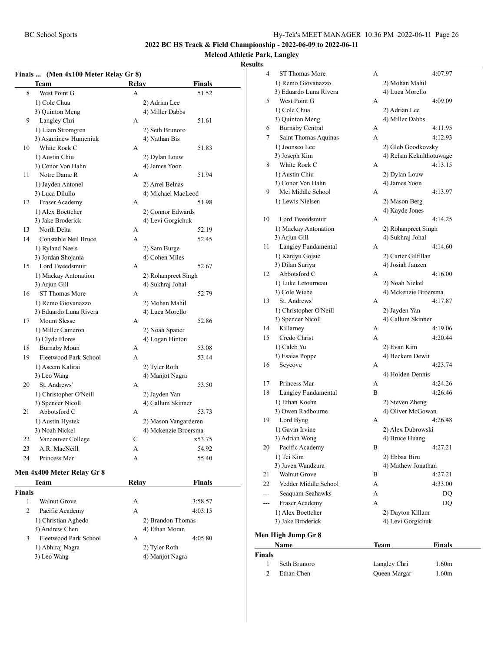# **Mcleod Athletic Park, Langley**

|  | Finals  (Men 4x100 Meter Relay Gr 8) |
|--|--------------------------------------|
|--|--------------------------------------|

|        | THEIR TATUU MEEL INMAY     | u v   |                      |
|--------|----------------------------|-------|----------------------|
|        | Team                       | Relay | <b>Finals</b>        |
| 8      | West Point G               | A     | 51.52                |
|        | 1) Cole Chua               |       | 2) Adrian Lee        |
|        | 3) Quinton Meng            |       | 4) Miller Dabbs      |
| 9      | Langley Chri               | А     | 51.61                |
|        | 1) Liam Stromgren          |       | 2) Seth Brunoro      |
|        | 3) Asaminew Humeniuk       |       | 4) Nathan Bis        |
| 10     | White Rock C               | А     | 51.83                |
|        | 1) Austin Chiu             |       | 2) Dylan Louw        |
|        | 3) Conor Von Hahn          |       | 4) James Yoon        |
| 11     | Notre Dame R               | А     | 51.94                |
|        | 1) Jayden Antonel          |       | 2) Arrel Belnas      |
|        | 3) Luca Dilullo            |       | 4) Michael MacLeod   |
| 12     | Fraser Academy             | А     | 51.98                |
|        | 1) Alex Boettcher          |       | 2) Connor Edwards    |
|        | 3) Jake Broderick          |       | 4) Levi Gorgichuk    |
| 13     | North Delta                | А     | 52.19                |
| 14     | Constable Neil Bruce       | A     | 52.45                |
|        | 1) Ryland Neels            |       | 2) Sam Burge         |
|        | 3) Jordan Shojania         |       | 4) Cohen Miles       |
| 15     | Lord Tweedsmuir            | А     | 52.67                |
|        | 1) Mackay Antonation       |       | 2) Rohanpreet Singh  |
|        | 3) Arjun Gill              |       | 4) Sukhraj Johal     |
| 16     | <b>ST Thomas More</b>      | А     | 52.79                |
|        | 1) Remo Giovanazzo         |       | 2) Mohan Mahil       |
|        | 3) Eduardo Luna Rivera     |       | 4) Luca Morello      |
| 17     | <b>Mount Slesse</b>        | А     | 52.86                |
|        | 1) Miller Cameron          |       | 2) Noah Spaner       |
|        | 3) Clyde Flores            |       | 4) Logan Hinton      |
| 18     | <b>Burnaby Moun</b>        | А     | 53.08                |
| 19     | Fleetwood Park School      | A     | 53.44                |
|        | 1) Aseem Kalirai           |       | 2) Tyler Roth        |
|        | 3) Leo Wang                |       | 4) Manjot Nagra      |
| 20     | St. Andrews'               | А     | 53.50                |
|        | 1) Christopher O'Neill     |       | 2) Jayden Yan        |
|        | 3) Spencer Nicoll          |       | 4) Callum Skinner    |
| 21     | Abbotsford C               | А     | 53.73                |
|        | 1) Austin Hystek           |       | 2) Mason Vangarderen |
|        | 3) Noah Nickel             |       | 4) Mckenzie Broersma |
| 22     | Vancouver College          | С     | x53.75               |
| 23     | A.R. MacNeill              | А     | 54.92                |
| 24     | Princess Mar               | А     | 55.40                |
|        |                            |       |                      |
|        | Men 4x400 Meter Relay Gr 8 |       |                      |
|        | Team                       | Relay | <b>Finals</b>        |
| Finals |                            |       |                      |
| 1      | <b>Walnut Grove</b>        | А     | 3:58.57              |
| 2      | Pacific Academy            | A     | 4:03.15              |
|        | 1) Christian Aghedo        |       | 2) Brandon Thomas    |
|        | 3) Andrew Chen             |       | 4) Ethan Moran       |
| 3      | Fleetwood Park School      | A     | 4:05.80              |
|        | 1) Abhiraj Nagra           |       | 2) Tyler Roth        |

| 17 Avilliaj Ivagia | $2)$ Tyler Rout |
|--------------------|-----------------|
| 3) Leo Wang        | 4) Manjot Nagra |

| ults  |                        |   |                         |
|-------|------------------------|---|-------------------------|
| 4     | ST Thomas More         | А | 4:07.97                 |
|       | 1) Remo Giovanazzo     |   | 2) Mohan Mahil          |
|       | 3) Eduardo Luna Rivera |   | 4) Luca Morello         |
| 5     | West Point G           | А | 4:09.09                 |
|       | 1) Cole Chua           |   | 2) Adrian Lee           |
|       | 3) Quinton Meng        |   | 4) Miller Dabbs         |
| 6     | <b>Burnaby Central</b> | А | 4:11.95                 |
| 7     | Saint Thomas Aquinas   | A | 4:12.93                 |
|       | 1) Joonseo Lee         |   | 2) Gleb Goodkovsky      |
|       | 3) Joseph Kim          |   | 4) Rehan Kekulthotuwage |
| 8     | White Rock C           | А | 4:13.15                 |
|       | 1) Austin Chiu         |   | 2) Dylan Louw           |
|       | 3) Conor Von Hahn      |   | 4) James Yoon           |
| 9     | Mei Middle School      | A | 4:13.97                 |
|       | 1) Lewis Nielsen       |   | 2) Mason Berg           |
|       |                        |   | 4) Kayde Jones          |
| 10    | Lord Tweedsmuir        | А | 4:14.25                 |
|       | 1) Mackay Antonation   |   | 2) Rohanpreet Singh     |
|       | 3) Arjun Gill          |   | 4) Sukhraj Johal        |
| 11    | Langley Fundamental    | А | 4:14.60                 |
|       | 1) Kanjyu Gojsic       |   | 2) Carter Gilfillan     |
|       | 3) Dilan Suriya        |   | 4) Josiah Janzen        |
| 12    | Abbotsford C           | А | 4:16.00                 |
|       | 1) Luke Letourneau     |   | 2) Noah Nickel          |
|       | 3) Cole Wiebe          |   | 4) Mckenzie Broersma    |
| 13    | St. Andrews'           | А | 4:17.87                 |
|       | 1) Christopher O'Neill |   | 2) Jayden Yan           |
|       | 3) Spencer Nicoll      |   | 4) Callum Skinner       |
| 14    | Killarney              | А | 4:19.06                 |
| 15    | Credo Christ           | A | 4:20.44                 |
|       | 1) Caleb Yu            |   | 2) Evan Kim             |
|       | 3) Esaias Poppe        |   | 4) Beckem Dewit         |
| 16    | Seycove                | А | 4:23.74                 |
|       |                        |   | 4) Holden Dennis        |
| 17    | Princess Mar           | А | 4:24.26                 |
| 18    | Langley Fundamental    | B | 4:26.46                 |
|       | 1) Ethan Koehn         |   | 2) Steven Zheng         |
|       | 3) Owen Radbourne      |   | 4) Oliver McGowan       |
| 19    | Lord Byng              | А | 4:26.48                 |
|       | 1) Gavin Irvine        |   | 2) Alex Dubrowski       |
|       | 3) Adrian Wong         |   | 4) Bruce Huang          |
| 20    | Pacific Academy        | B | 4:27.21                 |
|       | 1) Tei Kim             |   | 2) Ebbaa Biru           |
|       | 3) Javen Wandzura      |   | 4) Mathew Jonathan      |
| 21    | <b>Walnut Grove</b>    | В | 4:27.21                 |
| 22    | Vedder Middle School   | А | 4:33.00                 |
| $---$ | Seaquam Seahawks       | А | DQ                      |
| $---$ | Fraser Academy         | A | DQ                      |
|       | 1) Alex Boettcher      |   | 2) Dayton Killam        |
|       | 3) Jake Broderick      |   | 4) Levi Gorgichuk       |
|       | Men High Jump Gr 8     |   |                         |
|       | Name                   |   | Team<br>Finals          |

| <b>Name</b>   |              | Team         | Finals |  |
|---------------|--------------|--------------|--------|--|
| <b>Finals</b> |              |              |        |  |
|               | Seth Brunoro | Langley Chri | 1.60m  |  |
|               | Ethan Chen   | Queen Margar | 1.60m  |  |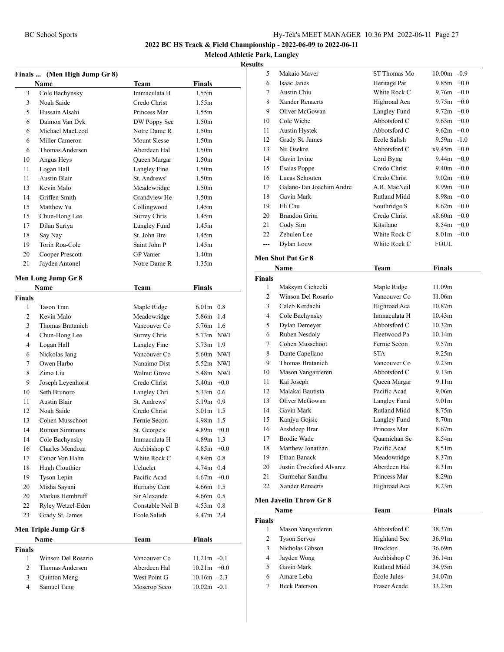**Mcleod Athletic Park, Langley**

|               | Finals  (Men High Jump Gr 8) |                     |                   |        |
|---------------|------------------------------|---------------------|-------------------|--------|
|               | <b>Name</b>                  | Team                | Finals            |        |
| 3             | Cole Bachynsky               | Immaculata H        | 1.55m             |        |
| 3             | Noah Saide                   | Credo Christ        | 1.55m             |        |
| 5             | Hussain Alsahi               | Princess Mar        | 1.55m             |        |
| 6             | Daimon Van Dyk               | DW Poppy Sec        | 1.50 <sub>m</sub> |        |
| 6             | Michael MacLeod              | Notre Dame R        | 1.50 <sub>m</sub> |        |
| 6             | Miller Cameron               | Mount Slesse        | 1.50 <sub>m</sub> |        |
| 6             | Thomas Andersen              | Aberdeen Hal        | 1.50 <sub>m</sub> |        |
| 10            | Angus Heys                   | Queen Margar        | 1.50 <sub>m</sub> |        |
| 11            | Logan Hall                   | Langley Fine        | 1.50 <sub>m</sub> |        |
| 11            | <b>Austin Blair</b>          | St. Andrews'        | 1.50 <sub>m</sub> |        |
| 13            | Kevin Malo                   | Meadowridge         | 1.50 <sub>m</sub> |        |
| 14            | Griffen Smith                | Grandview He        | 1.50m             |        |
| 15            | Matthew Yu                   | Collingwood         | 1.45m             |        |
| 15            | Chun-Hong Lee                | Surrey Chris        | 1.45m             |        |
| 17            | Dilan Suriya                 | Langley Fund        | 1.45m             |        |
| 18            | Say Nay                      | St. John Bre        | 1.45m             |        |
| 19            | Torin Roa-Cole               | Saint John P        | 1.45m             |        |
| 20            | Cooper Prescott              | <b>GP</b> Vanier    | 1.40 <sub>m</sub> |        |
| 21            | Jayden Antonel               | Notre Dame R        | 1.35m             |        |
|               | Men Long Jump Gr 8           |                     |                   |        |
|               | Name                         | Team                | Finals            |        |
| <b>Finals</b> |                              |                     |                   |        |
| 1             | <b>Tason Tran</b>            | Maple Ridge         | $6.01m$ 0.8       |        |
| 2             | Kevin Malo                   | Meadowridge         | 5.86m 1.4         |        |
| 3             | Thomas Bratanich             | Vancouver Co        | 5.76m 1.6         |        |
| 4             | Chun-Hong Lee                | Surrey Chris        | 5.73m NWI         |        |
| 4             | Logan Hall                   | Langley Fine        | $5.73m$ 1.9       |        |
| 6             | Nickolas Jang                | Vancouver Co        | 5.60m NWI         |        |
| 7             | Owen Harbo                   | Nanaimo Dist        | 5.52m NWI         |        |
| 8             | Zimo Liu                     | Walnut Grove        | 5.48m NWI         |        |
| 9             | Joseph Leyenhorst            | Credo Christ        | $5.40m +0.0$      |        |
| 10            | Seth Brunoro                 | Langley Chri        | $5.33m$ 0.6       |        |
| 11            | <b>Austin Blair</b>          | St. Andrews'        | $5.19m$ 0.9       |        |
| 12            | Noah Saide                   | Credo Christ        | $5.01m$ 1.5       |        |
| 13            | Cohen Musschoot              | Fernie Secon        | 4.98m 1.5         |        |
| 14            | Roman Simmons                | St. George's        | $4.89m +0.0$      |        |
| 14            | Cole Bachynsky               | Immaculata H        | 4.89m             | 1.3    |
| 16            | Charles Mendoza              | Archbishop C        | 4.85m             | $+0.0$ |
| 17            | Conor Von Hahn               | White Rock C        | 4.84m             | 0.8    |
| 18            | Hugh Clouthier               | Ucluelet            | 4.74m 0.4         |        |
| 19            | Tyson Lepin                  | Pacific Acad        | $4.67m +0.0$      |        |
| 20            | Misha Sayani                 | <b>Burnaby Cent</b> | 4.66m 1.5         |        |
| 20            | Markus Hembruff              | Sir Alexande        | $4.66m$ 0.5       |        |
| 22            | Ryley Wetzel-Eden            | Constable Neil B    | $4.53m$ 0.8       |        |
| 23            | Grady St. James              | Ecole Salish        | 4.47m 2.4         |        |
|               |                              |                     |                   |        |
|               | Men Triple Jump Gr 8         |                     |                   |        |
|               | Name                         | <b>Team</b>         | <b>Finals</b>     |        |
| Finals        |                              |                     |                   |        |
| 1             | Winson Del Rosario           | Vancouver Co        | $11.21m - 0.1$    |        |
| 2             | Thomas Andersen              | Aberdeen Hal        | $10.21m + 0.0$    |        |
| 3             | Quinton Meng                 | West Point G        | $10.16m - 2.3$    |        |
| 4             | Samuel Tang                  | Moscrop Seco        | $10.02m - 0.1$    |        |

| 5             | Makaio Maver                  | ST Thomas Mo              | 10.00m -0.9       |  |
|---------------|-------------------------------|---------------------------|-------------------|--|
| 6             | Isaac Janes                   | Heritage Par              | $9.85m +0.0$      |  |
| 7             | Austin Chiu                   | White Rock C              | $9.76m + 0.0$     |  |
| 8             | <b>Xander Renaerts</b>        | Highroad Aca              | $9.75m +0.0$      |  |
| 9             | Oliver McGowan                | Langley Fund              | $9.72m +0.0$      |  |
| 10            | Cole Wiebe                    | Abbotsford C              | $9.63m + 0.0$     |  |
| 11            | Austin Hystek                 | Abbotsford C              | $9.62m + 0.0$     |  |
| 12            | Grady St. James               | Ecole Salish              | $9.59m -1.0$      |  |
| 13            | Nii Osekre                    | Abbotsford C              | $x9.45m +0.0$     |  |
| 14            | Gavin Irvine                  | Lord Byng                 | $9.44m +0.0$      |  |
| 15            | Esaias Poppe                  | Credo Christ              | $9.40m +0.0$      |  |
| 16            | Lucas Schouten                | Credo Christ              | $9.02m + 0.0$     |  |
| 17            | Galano-Tan Joachim Andre      | A.R. MacNeil              | $8.99m +0.0$      |  |
| 18            | Gavin Mark                    | Rutland Midd              | $8.98m +0.0$      |  |
|               | Eli Chu                       | Southridge S              | $8.62m + 0.0$     |  |
| 19<br>20      | Brandon Grim                  | Credo Christ              | $x8.60m +0.0$     |  |
|               |                               |                           |                   |  |
| 21            | Cody Sim                      | Kitsilano<br>White Rock C | $8.54m +0.0$      |  |
| 22            | Zebulen Lee                   |                           | $8.01m + 0.0$     |  |
| ---           | Dylan Louw                    | White Rock C              | <b>FOUL</b>       |  |
|               | Men Shot Put Gr 8             |                           |                   |  |
|               | Name                          | Team                      | <b>Finals</b>     |  |
| <b>Finals</b> |                               |                           |                   |  |
| 1             | Maksym Cichecki               | Maple Ridge               | 11.09m            |  |
| 2             | Winson Del Rosario            | Vancouver Co              | 11.06m            |  |
| 3             | Caleb Kerdachi                | Highroad Aca              | 10.87m            |  |
| 4             | Cole Bachynsky                | Immaculata H              | 10.43m            |  |
| 5             | Dylan Demeyer                 | Abbotsford C              | 10.32m            |  |
| 6             | Ruben Nesdoly                 | Fleetwood Pa              | 10.14m            |  |
| 7             | Cohen Musschoot               | Fernie Secon              | 9.57m             |  |
| 8             | Dante Capellano               | <b>STA</b>                | 9.25m             |  |
| 9             | Thomas Bratanich              | Vancouver Co              | 9.23 <sub>m</sub> |  |
| 10            | Mason Vangarderen             | Abbotsford C              | 9.13 <sub>m</sub> |  |
| 11            | Kai Joseph                    | Queen Margar              | 9.11m             |  |
| 12            | Malakai Bautista              | Pacific Acad              | 9.06m             |  |
| 13            | Oliver McGowan                | Langley Fund              | 9.01 <sub>m</sub> |  |
| 14            | Gavin Mark                    | Rutland Midd              | 8.75m             |  |
| 15            | Kanjyu Gojsic                 | Langley Fund              | 8.70m             |  |
| 16            | Arshdeep Brar                 | Princess Mar              | 8.67m             |  |
| 17            | Brodie Wade                   | Quamichan Sc              | 8.54m             |  |
| 18            | Matthew Jonathan              | Pacific Acad              | 8.51m             |  |
| 19            | <b>Ethan Banack</b>           | Meadowridge               | 8.37m             |  |
| 20            | Justin Crockford Alvarez      | Aberdeen Hal              | 8.31m             |  |
| 21            | Gurmehar Sandhu               | Princess Mar              | 8.29m             |  |
| 22            | <b>Xander Renaerts</b>        | Highroad Aca              | 8.23m             |  |
|               | <b>Men Javelin Throw Gr 8</b> |                           |                   |  |
|               | Name                          | <b>Team</b>               | <b>Finals</b>     |  |
| <b>Finals</b> |                               |                           |                   |  |
| $\mathbf{1}$  | Mason Vangarderen             | Abbotsford C              | 38.37m            |  |
| 2             | <b>Tyson Servos</b>           | Highland Sec              | 36.91m            |  |
| 3             | Nicholas Gibson               | <b>Brockton</b>           | 36.69m            |  |
| 4             | Jayden Wong                   | Archbishop C              | 36.14m            |  |
| 5             | Gavin Mark                    | Rutland Midd              | 34.95m            |  |
| 6             | Amare Leba                    | École Jules-              | 34.07m            |  |
| 7             | <b>Beck Paterson</b>          | Fraser Acade              | 33.23m            |  |
|               |                               |                           |                   |  |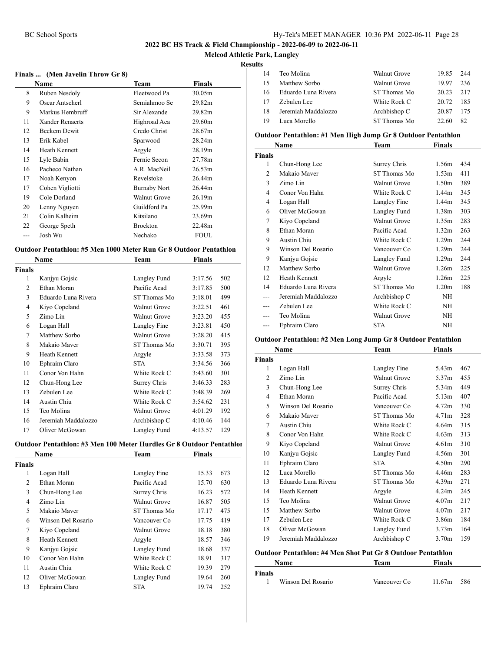#### **Mcleod Athletic Park, Langley**

#### **Results**

|    | Finals  (Men Javelin Throw Gr 8) |                     |        |  |
|----|----------------------------------|---------------------|--------|--|
|    | Name                             | Team                | Finals |  |
| 8  | Ruben Nesdoly                    | Fleetwood Pa        | 30.05m |  |
| 9  | Oscar Antscherl                  | Semiahmoo Se        | 29.82m |  |
| 9  | Markus Hembruff                  | Sir Alexande        | 29.82m |  |
| 11 | Xander Renaerts                  | Highroad Aca        | 29.60m |  |
| 12 | Beckem Dewit                     | Credo Christ        | 28.67m |  |
| 13 | Erik Kabel                       | Sparwood            | 28.24m |  |
| 14 | Heath Kennett                    | Argyle              | 28.19m |  |
| 15 | Lyle Babin                       | Fernie Secon        | 27.78m |  |
| 16 | Pacheco Nathan                   | A.R. MacNeil        | 26.53m |  |
| 17 | Noah Kenyon                      | Revelstoke          | 26.44m |  |
| 17 | Cohen Vigliotti                  | <b>Burnaby Nort</b> | 26.44m |  |
| 19 | Cole Dorland                     | Walnut Grove        | 26.19m |  |
| 20 | Lenny Nguyen                     | Guildford Pa        | 25.99m |  |
| 21 | Colin Kalheim                    | Kitsilano           | 23.69m |  |
| 22 | George Speth                     | <b>Brockton</b>     | 22.48m |  |
|    | Josh Wu                          | Nechako             | FOUL   |  |
|    |                                  |                     |        |  |

#### **Outdoor Pentathlon: #5 Men 1000 Meter Run Gr 8 Outdoor Pentathlon**

|               | Name                | Team                | Finals  |     |
|---------------|---------------------|---------------------|---------|-----|
| <b>Finals</b> |                     |                     |         |     |
| 1             | Kanjyu Gojsic       | Langley Fund        | 3:17.56 | 502 |
| 2             | Ethan Moran         | Pacific Acad        | 3:17.85 | 500 |
| 3             | Eduardo Luna Rivera | ST Thomas Mo        | 3:18.01 | 499 |
| 4             | Kiyo Copeland       | <b>Walnut Grove</b> | 3:22.51 | 461 |
| 5             | Zimo Lin            | <b>Walnut Grove</b> | 3:23.20 | 455 |
| 6             | Logan Hall          | Langley Fine        | 3:23.81 | 450 |
| 7             | Matthew Sorbo       | <b>Walnut Grove</b> | 3:28.20 | 415 |
| 8             | Makaio Maver        | ST Thomas Mo        | 3:30.71 | 395 |
| 9             | Heath Kennett       | Argyle              | 3:33.58 | 373 |
| 10            | Ephraim Claro       | <b>STA</b>          | 3:34.56 | 366 |
| 11            | Conor Von Hahn      | White Rock C        | 3:43.60 | 301 |
| 12            | Chun-Hong Lee       | Surrey Chris        | 3:46.33 | 283 |
| 13            | Zebulen Lee         | White Rock C        | 3:48.39 | 269 |
| 14            | Austin Chiu         | White Rock C        | 3:54.62 | 231 |
| 15            | Teo Molina          | <b>Walnut Grove</b> | 4:01.29 | 192 |
| 16            | Jeremiah Maddalozzo | Archbishop C        | 4:10.46 | 144 |
| 17            | Oliver McGowan      | Langley Fund        | 4:13.57 | 129 |

#### **Outdoor Pentathlon: #3 Men 100 Meter Hurdles Gr 8 Outdoor Pentathlon**

|                | <b>Name</b>        | Team         | Finals |     |
|----------------|--------------------|--------------|--------|-----|
| <b>Finals</b>  |                    |              |        |     |
| 1              | Logan Hall         | Langley Fine | 15.33  | 673 |
| 2              | Ethan Moran        | Pacific Acad | 15.70  | 630 |
| 3              | Chun-Hong Lee      | Surrey Chris | 16.23  | 572 |
| $\overline{4}$ | Zimo Lin           | Walnut Grove | 16.87  | 505 |
| 5              | Makaio Maver       | ST Thomas Mo | 17.17  | 475 |
| 6              | Winson Del Rosario | Vancouver Co | 17.75  | 419 |
| 7              | Kiyo Copeland      | Walnut Grove | 18.18  | 380 |
| 8              | Heath Kennett      | Argyle       | 18.57  | 346 |
| 9              | Kanjyu Gojsic      | Langley Fund | 18.68  | 337 |
| 10             | Conor Von Hahn     | White Rock C | 18.91  | 317 |
| 11             | Austin Chiu        | White Rock C | 19.39  | 279 |
| 12             | Oliver McGowan     | Langley Fund | 19.64  | 260 |
| 13             | Ephraim Claro      | <b>STA</b>   | 19.74  | 252 |
|                |                    |              |        |     |

| .  |                     |              |       |     |  |
|----|---------------------|--------------|-------|-----|--|
| 14 | Teo Molina          | Walnut Grove | 19.85 | 244 |  |
| 15 | Matthew Sorbo       | Walnut Grove | 19.97 | 236 |  |
| 16 | Eduardo Luna Rivera | ST Thomas Mo | 20.23 | 217 |  |
| 17 | Zebulen Lee         | White Rock C | 20.72 | 185 |  |
| 18 | Jeremiah Maddalozzo | Archbishop C | 20.87 | 175 |  |
| 19 | Luca Morello        | ST Thomas Mo | 22.60 | 82  |  |
|    |                     |              |       |     |  |

#### **Outdoor Pentathlon: #1 Men High Jump Gr 8 Outdoor Pentathlon**

|                | Name                 | Team                | Finals            |     |
|----------------|----------------------|---------------------|-------------------|-----|
| Finals         |                      |                     |                   |     |
| 1              | Chun-Hong Lee        | Surrey Chris        | 1.56m             | 434 |
| $\overline{c}$ | Makaio Maver         | ST Thomas Mo        | 1.53m             | 411 |
| 3              | Zimo Lin             | <b>Walnut Grove</b> | 1.50 <sub>m</sub> | 389 |
| 4              | Conor Von Hahn       | White Rock C        | 1.44 <sub>m</sub> | 345 |
| 4              | Logan Hall           | Langley Fine        | 1.44 <sub>m</sub> | 345 |
| 6              | Oliver McGowan       | Langley Fund        | 1.38m             | 303 |
| 7              | Kiyo Copeland        | <b>Walnut Grove</b> | 1.35m             | 283 |
| 8              | Ethan Moran          | Pacific Acad        | 1.32 <sub>m</sub> | 263 |
| 9              | Austin Chiu          | White Rock C        | 1.29m             | 244 |
| 9              | Winson Del Rosario   | Vancouver Co        | 1.29m             | 244 |
| 9              | Kanjyu Gojsic        | Langley Fund        | 1.29m             | 244 |
| 12             | Matthew Sorbo        | Walnut Grove        | 1.26m             | 225 |
| 12             | <b>Heath Kennett</b> | Argyle              | 1.26m             | 225 |
| 14             | Eduardo Luna Rivera  | ST Thomas Mo        | 1.20 <sub>m</sub> | 188 |
| ---            | Jeremiah Maddalozzo  | Archbishop C        | ΝH                |     |
| ---            | Zebulen Lee          | White Rock C        | ΝH                |     |
| ---            | Teo Molina           | Walnut Grove        | NH                |     |
| ---            | Ephraim Claro        | <b>STA</b>          | ΝH                |     |

#### **Outdoor Pentathlon: #2 Men Long Jump Gr 8 Outdoor Pentathlon**

|                | Name                 | Team                | Finals            |     |
|----------------|----------------------|---------------------|-------------------|-----|
| Finals         |                      |                     |                   |     |
| 1              | Logan Hall           | Langley Fine        | 5.43m             | 467 |
| 2              | Zimo Lin             | Walnut Grove        | 5.37m             | 455 |
| 3              | Chun-Hong Lee        | Surrey Chris        | 5.34m             | 449 |
| $\overline{4}$ | Ethan Moran          | Pacific Acad        | 5.13m             | 407 |
| 5              | Winson Del Rosario   | Vancouver Co        | 4.72m             | 330 |
| 6              | Makaio Maver         | ST Thomas Mo        | 4.71 <sub>m</sub> | 328 |
| 7              | Austin Chiu          | White Rock C        | 4.64m             | 315 |
| 8              | Conor Von Hahn       | White Rock C        | 4.63m             | 313 |
| 9              | Kiyo Copeland        | <b>Walnut Grove</b> | 4.61 <sub>m</sub> | 310 |
| 10             | Kanjyu Gojsic        | Langley Fund        | 4.56m             | 301 |
| 11             | Ephraim Claro        | <b>STA</b>          | 4.50 <sub>m</sub> | 290 |
| 12             | Luca Morello         | ST Thomas Mo        | 4.46m             | 283 |
| 13             | Eduardo Luna Rivera  | ST Thomas Mo        | 4.39m             | 271 |
| 14             | <b>Heath Kennett</b> | Argyle              | 4.24m             | 245 |
| 15             | Teo Molina           | Walnut Grove        | 4.07 <sub>m</sub> | 217 |
| 15             | Matthew Sorbo        | Walnut Grove        | 4.07m             | 217 |
| 17             | Zebulen Lee          | White Rock C        | 3.86m             | 184 |
| 18             | Oliver McGowan       | Langley Fund        | 3.73 <sub>m</sub> | 164 |
| 19             | Jeremiah Maddalozzo  | Archbishop C        | 3.70m             | 159 |
|                |                      |                     |                   |     |

#### **Outdoor Pentathlon: #4 Men Shot Put Gr 8 Outdoor Pentathlon**

| <b>Name</b> |                    | Team         | <b>Finals</b> |     |
|-------------|--------------------|--------------|---------------|-----|
| Finals      |                    |              |               |     |
|             | Winson Del Rosario | Vancouver Co | 11.67m        | 586 |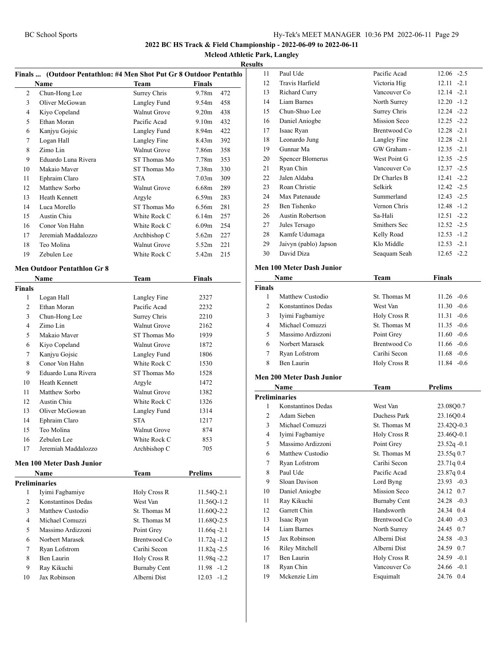**Mcleod Athletic Park, Langley**

#### **Results**

|                | Finals  (Outdoor Pentathlon: #4 Men Shot Put Gr 8 Outdoor Pentathlo |                     |                          |
|----------------|---------------------------------------------------------------------|---------------------|--------------------------|
|                | Name                                                                | <b>Team</b>         | Finals                   |
| 2              | Chun-Hong Lee                                                       | Surrey Chris        | 9.78 <sub>m</sub><br>472 |
| 3              | Oliver McGowan                                                      | Langley Fund        | 458<br>9.54m             |
| $\overline{4}$ | Kiyo Copeland                                                       | <b>Walnut Grove</b> | 9.20 <sub>m</sub><br>438 |
| 5              | Ethan Moran                                                         | Pacific Acad        | 9.10m<br>432             |
| 6              | Kanjyu Gojsic                                                       | Langley Fund        | 422<br>8.94m             |
| 7              | Logan Hall                                                          | Langley Fine        | 392<br>8.43m             |
| 8              | Zimo Lin                                                            | <b>Walnut Grove</b> | 358<br>7.86m             |
| 9              | Eduardo Luna Rivera                                                 | ST Thomas Mo        | 7.78m<br>353             |
| 10             | Makaio Maver                                                        | ST Thomas Mo        | 7.38 <sub>m</sub><br>330 |
| 11             | Ephraim Claro                                                       | <b>STA</b>          | 7.03m<br>309             |
| 12             | Matthew Sorbo                                                       | <b>Walnut Grove</b> | 6.68m<br>289             |
| 13             | <b>Heath Kennett</b>                                                | Argyle              | 6.59m<br>283             |
| 14             | Luca Morello                                                        | ST Thomas Mo        | 6.56m<br>281             |
| 15             | Austin Chiu                                                         | White Rock C        | 6.14m<br>257             |
| 16             | Conor Von Hahn                                                      | White Rock C        | 254<br>6.09m             |
| 17             | Jeremiah Maddalozzo                                                 | Archbishop C        | 5.62m<br>227             |
| 18             | Teo Molina                                                          | Walnut Grove        | 5.52m<br>221             |
| 19             | Zebulen Lee                                                         | White Rock C        | 5.42m<br>215             |
|                |                                                                     |                     |                          |
|                | <b>Men Outdoor Pentathlon Gr 8</b>                                  |                     |                          |
|                | Name                                                                | Team                | Finals                   |
| <b>Finals</b>  |                                                                     |                     |                          |
| 1              | Logan Hall                                                          | Langley Fine        | 2327                     |
| 2              | Ethan Moran                                                         | Pacific Acad        | 2232                     |
| 3              | Chun-Hong Lee                                                       | Surrey Chris        | 2210                     |
| 4              | Zimo Lin                                                            | <b>Walnut Grove</b> | 2162                     |
| 5              | Makaio Maver                                                        | ST Thomas Mo        | 1939                     |
| 6              | Kiyo Copeland                                                       | <b>Walnut Grove</b> | 1872                     |
| 7              | Kanjyu Gojsic                                                       | Langley Fund        | 1806                     |
| 8              | Conor Von Hahn                                                      | White Rock C        | 1530                     |
| 9              | Eduardo Luna Rivera                                                 | ST Thomas Mo        | 1528                     |
| 10             | Heath Kennett                                                       | Argyle              | 1472                     |
| 11             | Matthew Sorbo                                                       | <b>Walnut Grove</b> | 1382                     |
| 12             | Austin Chiu                                                         | White Rock C        | 1326                     |
| 13             | Oliver McGowan                                                      | Langley Fund        | 1314                     |
| 14             | Ephraim Claro                                                       | <b>STA</b>          | 1217                     |
| 15             | Teo Molina                                                          | Walnut Grove        | 874                      |
| 16             | Zebulen Lee                                                         | White Rock C        | 853                      |
| 17             | Jeremiah Maddalozzo                                                 | Archbishop C        | 705                      |
|                | <b>Men 100 Meter Dash Junior</b>                                    |                     |                          |
|                | Name                                                                | Team                | Prelims                  |
|                | <b>Preliminaries</b>                                                |                     |                          |
| 1              | Iyimi Fagbamiye                                                     | <b>Holy Cross R</b> | 11.54Q-2.1               |
| 2              | Konstantinos Dedas                                                  | West Van            | 11.56Q-1.2               |
| 3              | Matthew Custodio                                                    | St. Thomas M        | 11.60Q-2.2               |
| 4              | Michael Comuzzi                                                     | St. Thomas M        | 11.68Q-2.5               |
| 5              | Massimo Ardizzoni                                                   | Point Grey          | $11.66q -2.1$            |
| 6              | Norbert Marasek                                                     | Brentwood Co        | $11.72q - 1.2$           |
| 7              | Ryan Lofstrom                                                       | Carihi Secon        | $11.82q - 2.5$           |
| 8              | Ben Laurin                                                          | Holy Cross R        | 11.98q -2.2              |
| 9              | Ray Kikuchi                                                         | <b>Burnaby Cent</b> | 11.98 -1.2               |
| 10             | Jax Robinson                                                        | Alberni Dist        | $12.03 -1.2$             |
|                |                                                                     |                     |                          |

| э  |                           |              |               |
|----|---------------------------|--------------|---------------|
| 11 | Paul Ude                  | Pacific Acad | $12.06 -2.5$  |
| 12 | Travis Harfield           | Victoria Hig | $12.11 - 2.1$ |
| 13 | Richard Curry             | Vancouver Co | $12.14 -2.1$  |
| 14 | <b>Liam Barnes</b>        | North Surrey | $12.20 -1.2$  |
| 15 | Chun-Shuo Lee             | Surrey Chris | $12.24 -2.2$  |
| 16 | Daniel Aniogbe            | Mission Seco | $12.25 -2.2$  |
| 17 | Isaac Ryan                | Brentwood Co | $12.28 - 2.1$ |
| 18 | Leonardo Jung             | Langley Fine | $12.28 - 2.1$ |
| 19 | Gunnar Ma                 | GW Graham -  | $12.35 - 2.1$ |
| 20 | <b>Spencer Blomerus</b>   | West Point G | $12.35 - 2.5$ |
| 21 | Ryan Chin                 | Vancouver Co | $12.37 - 2.5$ |
| 22 | Jalen Aldaba              | Dr Charles B | $12.41 - 2.2$ |
| 23 | Roan Christie             | Selkirk      | $12.42 - 2.5$ |
| 24 | Max Patenaude             | Summerland   | $12.43 - 2.5$ |
| 25 | Ben Tishenko              | Vernon Chris | $12.48 - 1.2$ |
| 26 | <b>Austin Robertson</b>   | Sa-Hali      | $12.51 - 2.2$ |
| 27 | Jules Tersago             | Smithers Sec | $12.52 - 2.5$ |
| 28 | Kamfe Udumaga             | Kelly Road   | $12.53 - 1.2$ |
| 29 | Jaivyn (pablo) Japson     | Klo Middle   | $12.53 - 2.1$ |
| 30 | David Diza                | Seaquam Seah | $12.65 - 2.2$ |
|    | lan 100 Matan Dach Innian |              |               |

# **Men 100 Meter Dash Junior**

|               | Name               | Team         | <b>Finals</b> |
|---------------|--------------------|--------------|---------------|
| <b>Finals</b> |                    |              |               |
|               | Matthew Custodio   | St. Thomas M | $11.26 - 0.6$ |
| $\mathcal{L}$ | Konstantinos Dedas | West Van     | $11.30 - 0.6$ |
| 3             | Iyimi Fagbamiye    | Holy Cross R | $11.31 - 0.6$ |
| 4             | Michael Comuzzi    | St. Thomas M | $11.35 - 0.6$ |
| 5             | Massimo Ardizzoni  | Point Grey   | $11.60 - 0.6$ |
| 6             | Norbert Marasek    | Brentwood Co | $11.66 - 0.6$ |
| 7             | Ryan Lofstrom      | Carihi Secon | $11.68 - 0.6$ |
| 8             | Ben Laurin         | Holy Cross R | $11.84 - 0.6$ |
|               |                    |              |               |

#### **Men 200 Meter Dash Junior**

| Name               | Team                 | <b>Prelims</b>  |
|--------------------|----------------------|-----------------|
|                    |                      |                 |
| Konstantinos Dedas | West Van             | 23.08Q0.7       |
| Adam Sieben        | Duchess Park         | 23.16Q0.4       |
| Michael Comuzzi    | St. Thomas M         | 23.42Q-0.3      |
| Iyimi Fagbamiye    | Holy Cross R         | 23.46Q-0.1      |
| Massimo Ardizzoni  | Point Grey           | $23.52q - 0.1$  |
| Matthew Custodio   | St. Thomas M         | 23.55q 0.7      |
| Ryan Lofstrom      | Carihi Secon         | 23.71q 0.4      |
| Paul Ude           | Pacific Acad         | 23.87q 0.4      |
| Sloan Davison      | Lord Byng            | $23.93 - 0.3$   |
| Daniel Aniogbe     | <b>Mission Seco</b>  | 24.12 0.7       |
| Ray Kikuchi        | <b>Burnaby Cent</b>  | $24.28 - 0.3$   |
| Garrett Chin       | Handsworth           | 24.34 0.4       |
| Isaac Ryan         | Brentwood Co         | $24.40 - 0.3$   |
| <b>Liam Barnes</b> | North Surrey         | 0.7<br>24.45    |
| Jax Robinson       | Alberni Dist         | 24.58<br>$-0.3$ |
| Riley Mitchell     | Alberni Dist         | 0.7<br>24.59    |
| Ben Laurin         | Holy Cross R         | $24.59 - 0.1$   |
| Ryan Chin          | Vancouver Co         | $24.66 - 0.1$   |
| Mckenzie Lim       | Esquimalt            | 24.76 0.4       |
|                    | <b>Preliminaries</b> |                 |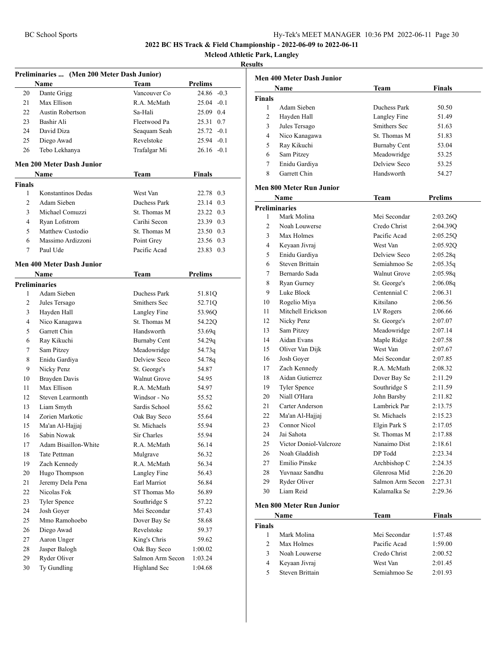**Mcleod Athletic Park, Langley**

| Preliminaries  (Men 200 Meter Dash Junior) |                                  |                     |                |
|--------------------------------------------|----------------------------------|---------------------|----------------|
|                                            | Name                             | Team                | <b>Prelims</b> |
| 20                                         | Dante Grigg                      | Vancouver Co        | $24.86 - 0.3$  |
| 21                                         | Max Ellison                      | R.A. McMath         | $25.04 -0.1$   |
| 22                                         | Austin Robertson                 | Sa-Hali             | 25.09 0.4      |
| 23                                         | Bashir Ali                       | Fleetwood Pa        | 25.31 0.7      |
| 24                                         | David Diza                       | Seaquam Seah        | $25.72 -0.1$   |
| 25                                         | Diego Awad                       | Revelstoke          | $25.94 -0.1$   |
| 26                                         | Tebo Lekhanya                    | Trafalgar Mi        | 26.16 -0.1     |
|                                            | <b>Men 200 Meter Dash Junior</b> |                     |                |
|                                            | Name                             | Team                | Finals         |
| <b>Finals</b>                              |                                  |                     |                |
| 1                                          | Konstantinos Dedas               | West Van            | 22.78 0.3      |
| $\overline{c}$                             | Adam Sieben                      | Duchess Park        | 23.14 0.3      |
| 3                                          | Michael Comuzzi                  | St. Thomas M        | 23.22 0.3      |
| 4                                          | Ryan Lofstrom                    | Carihi Secon        | 23.39 0.3      |
| 5                                          | Matthew Custodio                 | St. Thomas M        | 23.50 0.3      |
| 6                                          | Massimo Ardizzoni                | Point Grey          | 23.56 0.3      |
| 7                                          | Paul Ude                         | Pacific Acad        | 23.83 0.3      |
|                                            |                                  |                     |                |
|                                            | Men 400 Meter Dash Junior        |                     |                |
|                                            | Name                             | Team                | <b>Prelims</b> |
|                                            | <b>Preliminaries</b>             |                     |                |
| 1                                          | Adam Sieben                      | Duchess Park        | 51.81Q         |
| 2                                          | Jules Tersago                    | Smithers Sec        | 52.71Q         |
| 3                                          | Hayden Hall                      | Langley Fine        | 53.96Q         |
| 4                                          | Nico Kanagawa                    | St. Thomas M        | 54.22Q         |
| 5                                          | Garrett Chin                     | Handsworth          | 53.69q         |
| 6                                          | Ray Kikuchi                      | <b>Burnaby Cent</b> | 54.29q         |
| 7                                          | Sam Pitzey                       | Meadowridge         | 54.73q         |
| 8                                          | Enidu Gardiya                    | Delview Seco        | 54.78q         |
| 9                                          | Nicky Penz                       | St. George's        | 54.87          |
| 10                                         | <b>Brayden Davis</b>             | <b>Walnut Grove</b> | 54.95          |
| 11                                         | Max Ellison                      | R.A. McMath         | 54.97          |
| 12                                         | Steven Learmonth                 | Windsor - No        | 55.52          |
| 13                                         | Liam Smyth                       | Sardis School       | 55.62          |
| 14                                         | Zorien Markotic                  | Oak Bay Seco        | 55.64          |
| 15                                         | Ma'an Al-Hajjaj                  | St. Michaels        | 55.94          |
| 16                                         | Sabin Nowak                      | Sir Charles         | 55.94          |
| 17                                         | Adam Bisaillon-White             | R.A. McMath         | 56.14          |
| 18                                         | Tate Pettman                     | Mulgrave            | 56.32          |
| 19                                         | Zach Kennedy                     | R.A. McMath         | 56.34          |
| 20                                         | Hugo Thompson                    | Langley Fine        | 56.43          |
| 21                                         | Jeremy Dela Pena                 | Earl Marriot        | 56.84          |
| 22                                         | Nicolas Fok                      | ST Thomas Mo        | 56.89          |
| 23                                         | <b>Tyler Spence</b>              | Southridge S        | 57.22          |
| 24                                         | Josh Goyer                       | Mei Secondar        | 57.43          |
| 25                                         | Mmo Ramohoebo                    | Dover Bay Se        | 58.68          |
| 26                                         | Diego Awad                       | Revelstoke          | 59.37          |
| 27                                         | Aaron Unger                      | King's Chris        | 59.62          |
| 28                                         | Jasper Balogh                    | Oak Bay Seco        | 1:00.02        |
| 29                                         | Ryder Oliver                     | Salmon Arm Secon    | 1:03.24        |
| 30                                         | Ty Gundling                      | Highland Sec        | 1:04.68        |
|                                            |                                  |                     |                |

| <b>Men 400 Meter Dash Junior</b> |                                     |                     |                      |  |
|----------------------------------|-------------------------------------|---------------------|----------------------|--|
|                                  | <b>Name</b>                         | Team                | Finals               |  |
| <b>Finals</b>                    |                                     |                     |                      |  |
| 1                                | Adam Sieben                         | Duchess Park        | 50.50                |  |
| 2                                | Hayden Hall                         | Langley Fine        | 51.49                |  |
| 3                                | Jules Tersago                       | Smithers Sec        | 51.63                |  |
| 4                                | Nico Kanagawa                       | St. Thomas M        | 51.83                |  |
| 5                                | Ray Kikuchi                         | <b>Burnaby Cent</b> | 53.04                |  |
| 6                                | Sam Pitzey                          | Meadowridge         | 53.25                |  |
| 7                                | Enidu Gardiya                       | Delview Seco        | 53.25                |  |
| 8                                | Garrett Chin                        | Handsworth          | 54.27                |  |
|                                  | Men 800 Meter Run Junior            |                     |                      |  |
|                                  |                                     |                     |                      |  |
|                                  | Name                                | Team                | <b>Prelims</b>       |  |
| 1                                | <b>Preliminaries</b><br>Mark Molina | Mei Secondar        |                      |  |
| $\overline{c}$                   | Noah Louwerse                       | Credo Christ        | 2:03.26Q<br>2:04.39Q |  |
| 3                                | Max Holmes                          | Pacific Acad        |                      |  |
| 4                                |                                     | West Van            | 2:05.25Q<br>2:05.92Q |  |
| 5                                | Keyaan Jivraj<br>Enidu Gardiya      | Delview Seco        | 2:05.28q             |  |
| 6                                | <b>Steven Brittain</b>              | Semiahmoo Se        | 2:05.35q             |  |
| 7                                | Bernardo Sada                       | <b>Walnut Grove</b> | 2:05.98q             |  |
| 8                                | Ryan Gurney                         | St. George's        | 2:06.08q             |  |
| 9                                | Luke Block                          | Centennial C        | 2:06.31              |  |
| 10                               | Rogelio Miya                        | Kitsilano           | 2:06.56              |  |
| 11                               | Mitchell Erickson                   | LV Rogers           | 2:06.66              |  |
| 12                               | Nicky Penz                          | St. George's        | 2:07.07              |  |
| 13                               | Sam Pitzey                          | Meadowridge         | 2:07.14              |  |
| 14                               | <b>Aidan Evans</b>                  | Maple Ridge         | 2:07.58              |  |
| 15                               | Oliver Van Dijk                     | West Van            | 2:07.67              |  |
| 16                               | Josh Goyer                          | Mei Secondar        | 2:07.85              |  |
| 17                               | Zach Kennedy                        | R.A. McMath         | 2:08.32              |  |
| 18                               | Aidan Gutierrez                     | Dover Bay Se        | 2:11.29              |  |
| 19                               | <b>Tyler Spence</b>                 | Southridge S        | 2:11.59              |  |
| 20                               | Niall O'Hara                        | John Barsby         | 2:11.82              |  |
| 21                               | Carter Anderson                     | Lambrick Par        | 2:13.75              |  |
| 22                               | Ma'an Al-Hajjaj                     | St. Michaels        | 2:15.23              |  |
| 23                               | Connor Nicol                        | Elgin Park S        | 2:17.05              |  |
| 24                               | Jai Sahota                          | St. Thomas M        | 2:17.88              |  |
| 25                               | Victor Doniol-Valcroze              | Nanaimo Dist        | 2:18.61              |  |
| 26                               | Noah Gladdish                       | DP Todd             | 2:23.34              |  |
| 27                               | Emilio Pinske                       | Archbishop C        | 2:24.35              |  |
| 28                               | Yuvnaaz Sandhu                      | Glenrosa Mid        | 2:26.20              |  |
| 29                               | Ryder Oliver                        | Salmon Arm Secon    | 2:27.31              |  |
| 30                               | Liam Reid                           | Kalamalka Se        | 2:29.36              |  |
|                                  | Men 800 Meter Run Junior            |                     |                      |  |
|                                  |                                     |                     |                      |  |

| Name          |                 | Team         | <b>Finals</b> |  |
|---------------|-----------------|--------------|---------------|--|
| <b>Finals</b> |                 |              |               |  |
|               | Mark Molina     | Mei Secondar | 1:57.48       |  |
| 2             | Max Holmes      | Pacific Acad | 1:59.00       |  |
| 3             | Noah Louwerse   | Credo Christ | 2:00.52       |  |
| 4             | Keyaan Jivraj   | West Van     | 2:01.45       |  |
| 5             | Steven Brittain | Semiahmoo Se | 2:01.93       |  |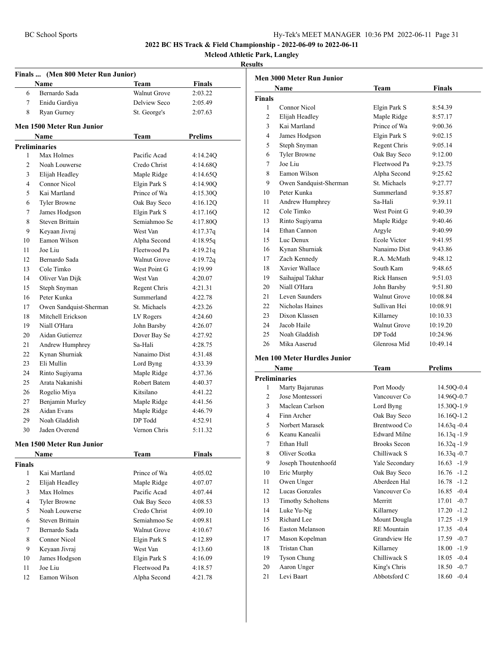# BC School Sports Hy-Tek's MEET MANAGER 10:36 PM 2022-06-11 Page 31

**2022 BC HS Track & Field Championship - 2022-06-09 to 2022-06-11**

**Mcleod Athletic Park, Langley**

#### **Results**

| Finals  (Men 800 Meter Run Junior) |                           |                     |               |  |
|------------------------------------|---------------------------|---------------------|---------------|--|
|                                    | Name                      | Team                | <b>Finals</b> |  |
| 6                                  | Bernardo Sada             | <b>Walnut Grove</b> | 2:03.22       |  |
| $\tau$                             | Enidu Gardiya             | Delview Seco        | 2:05.49       |  |
| 8                                  | Ryan Gurney               | St. George's        | 2:07.63       |  |
|                                    | Men 1500 Meter Run Junior |                     |               |  |
|                                    | Name                      | Team                | Prelims       |  |
|                                    | <b>Preliminaries</b>      |                     |               |  |
| 1                                  | Max Holmes                | Pacific Acad        | 4:14.24Q      |  |
| 2                                  | Noah Louwerse             | Credo Christ        | 4:14.68Q      |  |
| 3                                  | Elijah Headley            | Maple Ridge         | 4:14.65Q      |  |
| 4                                  | Connor Nicol              | Elgin Park S        | 4:14.90Q      |  |
| 5                                  | Kai Martland              | Prince of Wa        | 4:15.30Q      |  |
| 6                                  | <b>Tyler Browne</b>       | Oak Bay Seco        | 4:16.12Q      |  |
| 7                                  | James Hodgson             | Elgin Park S        | 4:17.16Q      |  |
| 8                                  | <b>Steven Brittain</b>    | Semiahmoo Se        | 4:17.80Q      |  |
| 9                                  | Keyaan Jivraj             | West Van            | 4:17.37q      |  |
| 10                                 | Eamon Wilson              | Alpha Second        | 4:18.95q      |  |
| 11                                 | Joe Liu                   | Fleetwood Pa        | 4:19.21q      |  |
| 12                                 | Bernardo Sada             | Walnut Grove        | 4:19.72q      |  |
| 13                                 | Cole Timko                | West Point G        | 4:19.99       |  |
| 14                                 | Oliver Van Dijk           | West Van            | 4:20.07       |  |
| 15                                 | Steph Snyman              | Regent Chris        | 4:21.31       |  |
| 16                                 | Peter Kunka               | Summerland          | 4:22.78       |  |
| 17                                 | Owen Sandquist-Sherman    | St. Michaels        | 4:23.26       |  |
| 18                                 | Mitchell Erickson         | LV Rogers           | 4:24.60       |  |
| 19                                 | Niall O'Hara              | John Barsby         | 4:26.07       |  |
| 20                                 | Aidan Gutierrez           | Dover Bay Se        | 4:27.92       |  |
| 21                                 | Andrew Humphrey           | Sa-Hali             | 4:28.75       |  |
| 22                                 | Kynan Shurniak            | Nanaimo Dist        | 4:31.48       |  |
| 23                                 | Eli Mullin                | Lord Byng           | 4:33.39       |  |
| 24                                 | Rinto Sugiyama            | Maple Ridge         | 4:37.36       |  |
| 25                                 | Arata Nakanishi           | Robert Batem        | 4:40.37       |  |
| 26                                 | Rogelio Miya              | Kitsilano           | 4:41.22       |  |
| 27                                 | Benjamin Murley           | Maple Ridge         | 4:41.56       |  |
| 28                                 | Aidan Evans               | Maple Ridge         | 4:46.79       |  |
| 29                                 | Noah Gladdish             | DP Todd             | 4:52.91       |  |
| 30                                 | Jaden Overend             | Vernon Chris        | 5:11.32       |  |
|                                    | Men 1500 Meter Run Junior |                     |               |  |
|                                    | Name                      | Team                | <b>Finals</b> |  |
| Finals                             |                           |                     |               |  |
| 1                                  | Kai Martland              | Prince of Wa        | 4:05.02       |  |
| 2                                  | Elijah Headley            | Maple Ridge         | 4:07.07       |  |
| 3                                  | Max Holmes                | Pacific Acad        | 4:07.44       |  |
| $\overline{4}$                     | <b>Tyler Browne</b>       | Oak Bay Seco        | 4:08.53       |  |
| 5                                  | Noah Louwerse             | Credo Christ        | 4:09.10       |  |
| 6                                  | Steven Brittain           | Semiahmoo Se        | 4:09.81       |  |
| 7                                  | Bernardo Sada             | Walnut Grove        | 4:10.67       |  |
| 8                                  | Connor Nicol              | Elgin Park S        | 4:12.89       |  |
| 9                                  | Keyaan Jivraj             | West Van            | 4:13.60       |  |
| 10                                 | James Hodgson             | Elgin Park S        | 4:16.09       |  |
| 11                                 | Joe Liu                   | Fleetwood Pa        | 4:18.57       |  |
| 12                                 | Eamon Wilson              | Alpha Second        | 4:21.78       |  |
|                                    |                           |                     |               |  |

| <b>Men 3000 Meter Run Junior</b> |                        |                     |               |  |
|----------------------------------|------------------------|---------------------|---------------|--|
|                                  | Name                   | Team                | <b>Finals</b> |  |
| <b>Finals</b>                    |                        |                     |               |  |
| 1                                | Connor Nicol           | Elgin Park S        | 8:54.39       |  |
| $\overline{c}$                   | Elijah Headley         | Maple Ridge         | 8:57.17       |  |
| 3                                | Kai Martland           | Prince of Wa        | 9:00.36       |  |
| 4                                | James Hodgson          | Elgin Park S        | 9:02.15       |  |
| 5                                | Steph Snyman           | Regent Chris        | 9:05.14       |  |
| 6                                | <b>Tyler Browne</b>    | Oak Bay Seco        | 9:12.00       |  |
| $\tau$                           | Joe Liu                | Fleetwood Pa        | 9:23.75       |  |
| 8                                | Eamon Wilson           | Alpha Second        | 9:25.62       |  |
| 9                                | Owen Sandquist-Sherman | St. Michaels        | 9:27.77       |  |
| 10                               | Peter Kunka            | Summerland          | 9:35.87       |  |
| 11                               | Andrew Humphrey        | Sa-Hali             | 9:39.11       |  |
| 12                               | Cole Timko             | West Point G        | 9:40.39       |  |
| 13                               | Rinto Sugiyama         | Maple Ridge         | 9:40.46       |  |
| 14                               | Ethan Cannon           | Argyle              | 9:40.99       |  |
| 15                               | Luc Denux              | <b>Ecole Victor</b> | 9:41.95       |  |
| 16                               | Kynan Shurniak         | Nanaimo Dist        | 9:43.86       |  |
| 17                               | Zach Kennedy           | R.A. McMath         | 9:48.12       |  |
| 18                               | Xavier Wallace         | South Kam           | 9:48.65       |  |
| 19                               | Saihajpal Takhar       | Rick Hansen         | 9:51.03       |  |
| 20                               | Niall O'Hara           | John Barsby         | 9:51.80       |  |
| 21                               | Leven Saunders         | <b>Walnut Grove</b> | 10:08.84      |  |
| 22                               | Nicholas Haines        | Sullivan Hei        | 10:08.91      |  |
| 23                               | Dixon Klassen          | Killarney           | 10:10.33      |  |
| 24                               | Jacob Haile            | <b>Walnut Grove</b> | 10:19.20      |  |
| 25                               | Noah Gladdish          | DP Todd             | 10:24.96      |  |
| 26                               | Mika Aaserud           | Glenrosa Mid        | 10:49.14      |  |

### **Men 100 Meter Hurdles Junior**

| Name           |                          | Team                | <b>Prelims</b>  |  |
|----------------|--------------------------|---------------------|-----------------|--|
|                | <b>Preliminaries</b>     |                     |                 |  |
| 1              | Marty Bajarunas          | Port Moody          | 14.50Q-0.4      |  |
| $\overline{c}$ | Jose Montessori          | Vancouver Co        | 14.96Q-0.7      |  |
| 3              | Maclean Carlson          | Lord Byng           | 15.30Q-1.9      |  |
| $\overline{4}$ | Finn Archer              | Oak Bay Seco        | 16.16Q-1.2      |  |
| 5              | Norbert Marasek          | Brentwood Co        | $14.63q - 0.4$  |  |
| 6              | Keanu Kanealii           | <b>Edward Milne</b> | $16.13q - 1.9$  |  |
| 7              | Ethan Hull               | Brooks Secon        | $16.32q - 1.9$  |  |
| 8              | Oliver Scotka            | Chilliwack S        | $16.33q - 0.7$  |  |
| 9              | Joseph Thoutenhoofd      | Yale Secondary      | $16.63 - 1.9$   |  |
| 10             | Eric Murphy              | Oak Bay Seco        | $16.76 - 1.2$   |  |
| 11             | Owen Unger               | Aberdeen Hal        | $16.78 - 1.2$   |  |
| 12             | Lucas Gonzales           | Vancouver Co        | $16.85 - 0.4$   |  |
| 13             | <b>Timothy Scholtens</b> | Merritt             | 17.01<br>$-0.7$ |  |
| 14             | Luke Yu-Ng               | Killarney           | $-1.2$<br>17.20 |  |
| 15             | Richard Lee              | Mount Dougla        | $17.25 - 1.9$   |  |
| 16             | Easton Melanson          | <b>RE</b> Mountain  | $17.35 - 0.4$   |  |
| 17             | Mason Kopelman           | Grandview He        | 17.59<br>$-0.7$ |  |
| 18             | Tristan Chan             | Killarney           | $-1.9$<br>18.00 |  |
| 19             | Tyson Chung              | Chilliwack S        | $18.05 - 0.4$   |  |
| 20             | Aaron Unger              | King's Chris        | $18.50 - 0.7$   |  |
| 21             | Levi Baart               | Abbotsford C        | 18.60<br>$-0.4$ |  |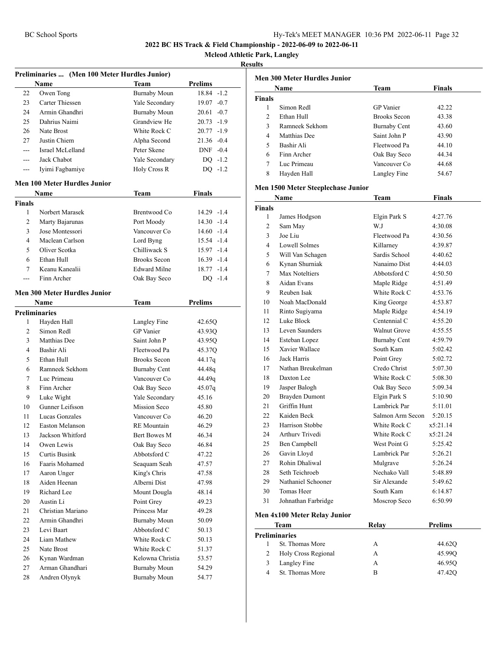**Mcleod Athletic Park, Langley**

#### **Results**

|                | Preliminaries  (Men 100 Meter Hurdles Junior) |                     |                |
|----------------|-----------------------------------------------|---------------------|----------------|
|                | Name                                          | Team                | <b>Prelims</b> |
| 22             | Owen Tong                                     | <b>Burnaby Moun</b> | 18.84 -1.2     |
| 23             | Carter Thiessen                               | Yale Secondary      | $19.07 - 0.7$  |
| 24             | Armin Ghandhri                                | <b>Burnaby Moun</b> | $20.61 - 0.7$  |
| 25             | Dahrius Naimi                                 | Grandview He        | 20.73 -1.9     |
| 26             | Nate Brost                                    | White Rock C        | $20.77 - 1.9$  |
| 27             | Justin Chiem                                  | Alpha Second        | 21.36 -0.4     |
| $---$          | Israel McLelland                              | Peter Skene         | $DNF -0.4$     |
| $---$          | Jack Chabot                                   | Yale Secondary      | $DQ -1.2$      |
| ---            | Iyimi Fagbamiye                               | Holy Cross R        | $DQ -1.2$      |
|                | <b>Men 100 Meter Hurdles Junior</b>           |                     |                |
|                | Name                                          | Team                | Finals         |
| <b>Finals</b>  |                                               |                     |                |
| 1              | Norbert Marasek                               | Brentwood Co        | 14.29 -1.4     |
| $\overline{2}$ | Marty Bajarunas                               | Port Moody          | $14.30 - 1.4$  |
| 3              | Jose Montessori                               | Vancouver Co        | $14.60 - 1.4$  |
| $\overline{4}$ | Maclean Carlson                               | Lord Byng           | 15.54 -1.4     |
| 5              | Oliver Scotka                                 | Chilliwack S        | 15.97 -1.4     |
| 6              | Ethan Hull                                    | <b>Brooks Secon</b> | $16.39 - 1.4$  |
| 7              | Keanu Kanealii                                | <b>Edward Milne</b> | 18.77 -1.4     |
| $---$          | Finn Archer                                   | Oak Bay Seco        | $DQ -1.4$      |
|                | <b>Men 300 Meter Hurdles Junior</b>           |                     |                |
|                |                                               |                     |                |
|                | <b>Name</b>                                   | Team                | <b>Prelims</b> |
|                | <b>Preliminaries</b>                          |                     |                |
| 1              | Hayden Hall                                   | Langley Fine        | 42.65Q         |
| 2              | Simon Redl                                    | <b>GP</b> Vanier    | 43.93Q         |
| 3              | Matthias Dee                                  | Saint John P        | 43.95Q         |
| 4              | Bashir Ali                                    | Fleetwood Pa        | 45.37Q         |
| 5              | Ethan Hull                                    | <b>Brooks Secon</b> | 44.17q         |
| 6              | Ramneek Sekhom                                | <b>Burnaby Cent</b> | 44.48q         |
| 7              | Luc Primeau                                   | Vancouver Co        | 44.49q         |
| 8              | Finn Archer                                   | Oak Bay Seco        | 45.07q         |
| 9              | Luke Wight                                    | Yale Secondary      | 45.16          |
| 10             | Gunner Leifsson                               | <b>Mission Seco</b> | 45.80          |
| 11             | Lucas Gonzales                                | Vancouver Co        | 46.20          |
| 12             | <b>Easton Melanson</b>                        | <b>RE</b> Mountain  | 46.29          |
| 13             | Jackson Whitford                              | Bert Bowes M        | 46.34          |
| 14             | Owen Lewis                                    | Oak Bay Seco        | 46.84          |
| 15             | Curtis Busink                                 | Abbotsford C        | 47.22          |
| 16             | Faaris Mohamed                                | Seaquam Seah        | 47.57          |
| 17             | Aaron Unger                                   | King's Chris        | 47.58          |
| 18             | Aiden Heenan                                  | Alberni Dist        | 47.98          |
| 19             | Richard Lee                                   | Mount Dougla        | 48.14          |
| 20             | Austin Li                                     | Point Grey          | 49.23          |
| 21             | Christian Mariano                             | Princess Mar        | 49.28          |
| 22             | Armin Ghandhri                                | <b>Burnaby Moun</b> | 50.09          |
| 23             | Levi Baart                                    | Abbotsford C        | 50.13          |
| 24             | Liam Mathew                                   | White Rock C        | 50.13          |
| 25             | Nate Brost                                    | White Rock C        | 51.37          |
| 26             | Kynan Wardman                                 | Kelowna Christia    | 53.57          |
| 27             | Arman Ghandhari                               | <b>Burnaby Moun</b> | 54.29          |
| 28             | Andren Olynyk                                 | <b>Burnaby Moun</b> | 54.77          |
|                |                                               |                     |                |

|                | <b>Name</b>    | Team                | <b>Finals</b> |
|----------------|----------------|---------------------|---------------|
| <b>Finals</b>  |                |                     |               |
| 1              | Simon Redl     | <b>GP</b> Vanier    | 42.22         |
| $\mathfrak{D}$ | Ethan Hull     | <b>Brooks Secon</b> | 43.38         |
| 3              | Ramneek Sekhom | <b>Burnaby Cent</b> | 43.60         |
| 4              | Matthias Dee   | Saint John P        | 43.90         |
| 5              | Bashir Ali     | Fleetwood Pa        | 44.10         |
| 6              | Finn Archer    | Oak Bay Seco        | 44.34         |
| 7              | Luc Primeau    | Vancouver Co        | 44.68         |
| 8              | Hayden Hall    | Langley Fine        | 54.67         |

#### **Men 1500 Meter Steeplechase Junior**

| Name           |                              | <b>Team</b>         | <b>Finals</b> |
|----------------|------------------------------|---------------------|---------------|
| <b>Finals</b>  |                              |                     |               |
| 1              | James Hodgson                | Elgin Park S        | 4:27.76       |
| $\overline{c}$ | Sam May                      | W.I                 | 4:30.08       |
| 3              | Joe Liu                      | Fleetwood Pa        | 4:30.56       |
| $\overline{4}$ | <b>Lowell Solmes</b>         | Killarney           | 4:39.87       |
| 5              | Will Van Schagen             | Sardis School       | 4:40.62       |
| 6              | Kynan Shurniak               | Nanaimo Dist        | 4:44.03       |
| 7              | Max Noteltiers               | Abbotsford C        | 4:50.50       |
| 8              | Aidan Evans                  | Maple Ridge         | 4:51.49       |
| 9              | Reuben Isak                  | White Rock C        | 4:53.76       |
| 10             | Noah MacDonald               | King George         | 4:53.87       |
| 11             | Rinto Sugiyama               | Maple Ridge         | 4:54.19       |
| 12             | Luke Block                   | Centennial C        | 4:55.20       |
| 13             | Leven Saunders               | <b>Walnut Grove</b> | 4:55.55       |
| 14             | Esteban Lopez                | <b>Burnaby Cent</b> | 4:59.79       |
| 15             | Xavier Wallace               | South Kam           | 5:02.42       |
| 16             | Jack Harris                  | Point Grey          | 5:02.72       |
| 17             | Nathan Breukelman            | Credo Christ        | 5:07.30       |
| 18             | Daxton Lee                   | White Rock C        | 5:08.30       |
| 19             | Jasper Balogh                | Oak Bay Seco        | 5:09.34       |
| 20             | <b>Brayden Dumont</b>        | Elgin Park S        | 5:10.90       |
| 21             | Griffin Hunt                 | Lambrick Par        | 5:11.01       |
| 22             | Kaiden Beck                  | Salmon Arm Secon    | 5:20.15       |
| 23             | Harrison Stobbe              | White Rock C        | x5:21.14      |
| 24             | Arthury Trivedi              | White Rock C        | x5:21.24      |
| 25             | Ben Campbell                 | West Point G        | 5:25.42       |
| 26             | Gavin Lloyd                  | Lambrick Par        | 5:26.21       |
| 27             | Rohin Dhaliwal               | Mulgrave            | 5:26.24       |
| 28             | Seth Teichroeb               | Nechako Vall        | 5:48.89       |
| 29             | Nathaniel Schooner           | Sir Alexande        | 5:49.62       |
| 30             | <b>Tomas Heer</b>            | South Kam           | 6:14.87       |
| 31             | Johnathan Farbridge          | Moscrop Seco        | 6:50.99       |
|                | Men 4x100 Meter Relay Junior |                     |               |
|                | <b>Team</b>                  | Relay               | Prelims       |
|                | <b>Preliminaries</b>         |                     |               |
| 1              | St. Thomas More              | A                   | 44.62Q        |
| 2              | Holy Cross Regional          | A                   | 45.99O        |
| 3              | Langley Fine                 | A                   | 46.950        |
| $\overline{4}$ | St. Thomas More              | B                   | 47.42Q        |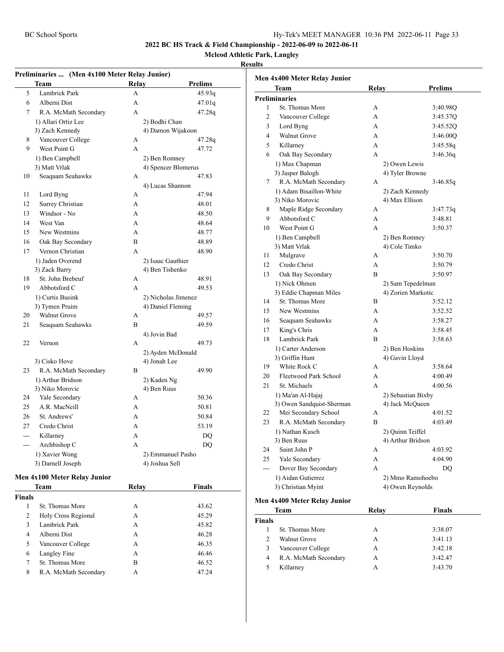**Mcleod Athletic Park, Langley**

#### **Results**

|     | Preliminaries  (Men 4x100 Meter Relay Junior) |              |                     |
|-----|-----------------------------------------------|--------------|---------------------|
|     | Team                                          | Relay        | <b>Prelims</b>      |
| 5   | Lambrick Park                                 | A            | 45.93q              |
| 6   | Alberni Dist                                  | A            | 47.01q              |
| 7   | R.A. McMath Secondary                         | A            | 47.28q              |
|     | 1) Allari Ortiz Lee                           |              | 2) Bodhi Chan       |
|     | 3) Zach Kennedy                               |              | 4) Damon Wijakoon   |
| 8   | Vancouver College                             | A            | 47.28q              |
| 9   | West Point G                                  | A            | 47.72               |
|     | 1) Ben Campbell                               |              | 2) Ben Romney       |
|     | 3) Matt Vrlak                                 |              | 4) Spencer Blomerus |
| 10  | Seaquam Seahawks                              | A            | 47.83               |
|     |                                               |              | 4) Lucas Shannon    |
| 11  | Lord Byng                                     | А            | 47.94               |
| 12  | Surrey Christian                              | A            | 48.01               |
| 13  | Windsor - No                                  | A            | 48.50               |
| 14  | West Van                                      | $\mathsf{A}$ | 48.64               |
| 15  | New Westmins                                  | A            | 48.77               |
| 16  | Oak Bay Secondary                             | B            | 48.89               |
| 17  | Vernon Christian                              | A            | 48.90               |
|     | 1) Jaden Overend                              |              | 2) Isaac Gauthier   |
|     | 3) Zack Barry                                 |              | 4) Ben Tishenko     |
| 18  | St. John Brebeuf                              | A            | 48.91               |
| 19  | Abbotsford C                                  | A            | 49.53               |
|     | 1) Curtis Busink                              |              | 2) Nicholas Jimenez |
|     | 3) Tymen Pruim                                |              | 4) Daniel Fleming   |
| 20  | <b>Walnut Grove</b>                           | A            | 49.57               |
| 21  | Seaquam Seahawks                              | B            | 49.59               |
|     |                                               |              | 4) Jovin Bad        |
| 22  | Vernon                                        | A            | 49.73               |
|     |                                               |              | 2) Ayden McDonald   |
|     | 3) Cisko Hove                                 |              | 4) Jonah Lee        |
| 23  | R.A. McMath Secondary                         | B            | 49.90               |
|     | 1) Arthur Bridson                             |              | 2) Kaden Ng         |
|     | 3) Niko Morovic                               |              | 4) Ben Ruus         |
| 24  | Yale Secondary                                | A            | 50.36               |
| 25  | A.R. MacNeill                                 | A            | 50.81               |
| 26  | St. Andrews'                                  | A            | 50.84               |
| 27  | Credo Christ                                  | $\mathbf{A}$ | 53.19               |
| --- | Killarney                                     | A            | DQ                  |
| --- | Archbishop C                                  | A            | DQ                  |
|     | 1) Xavier Wong                                |              | 2) Emmanuel Pasho   |
|     | 3) Darnell Joseph                             |              | 4) Joshua Sell      |

#### **Men 4x100 Meter Relay Junior**

|        | Team                  | Relav | Finals |  |
|--------|-----------------------|-------|--------|--|
| Finals |                       |       |        |  |
| 1      | St. Thomas More       | А     | 43.62  |  |
| 2      | Holy Cross Regional   | А     | 45.29  |  |
| 3      | Lambrick Park         | А     | 45.82  |  |
| 4      | Alberni Dist          | A     | 46.28  |  |
| 5      | Vancouver College     | А     | 46.35  |  |
| 6      | Langley Fine          | А     | 46.46  |  |
| 7      | St. Thomas More       | в     | 46.52  |  |
| 8      | R.A. McMath Secondary | A     | 47.24  |  |
|        |                       |       |        |  |

|                | Men 4x400 Meter Relay Junior |       |                    |
|----------------|------------------------------|-------|--------------------|
|                | Team                         | Relay | <b>Prelims</b>     |
|                | <b>Preliminaries</b>         |       |                    |
| 1              | St. Thomas More              | А     | 3:40.98Q           |
| $\overline{2}$ | Vancouver College            | A     | 3:45.37Q           |
| 3              | Lord Byng                    | A     | 3:45.52Q           |
| 4              | <b>Walnut Grove</b>          | A     | 3:46.00Q           |
| 5              | Killarney                    | A     | 3:45.58q           |
| 6              | Oak Bay Secondary            | A     | 3:46.36q           |
|                | 1) Max Chapman               |       | 2) Owen Lewis      |
|                | 3) Jasper Balogh             |       | 4) Tyler Browne    |
| 7              | R.A. McMath Secondary        | A     | 3:46.85q           |
|                | 1) Adam Bisaillon-White      |       | 2) Zach Kennedy    |
|                | 3) Niko Morovic              |       | 4) Max Ellison     |
| 8              | Maple Ridge Secondary        | А     | 3:47.73q           |
| 9              | Abbotsford C                 | A     | 3:48.81            |
| 10             | West Point G                 | A     | 3:50.37            |
|                | 1) Ben Campbell              |       | 2) Ben Romney      |
|                | 3) Matt Vrlak                |       | 4) Cole Timko      |
| 11             | Mulgrave                     | A     | 3:50.70            |
| 12             | Credo Christ                 | A     | 3:50.79            |
| 13             | Oak Bay Secondary            | B     | 3:50.97            |
|                | 1) Nick Ohmen                |       | 2) Sam Tepedelman  |
|                | 3) Eddie Chapman Miles       |       | 4) Zorien Markotic |
| 14             | St. Thomas More              | B     | 3:52.12            |
| 15             | New Westmins                 | A     | 3:52.52            |
| 16             | Seaquam Seahawks             | A     | 3:58.27            |
| 17             | King's Chris                 | A     | 3:58.45            |
| 18             | Lambrick Park                | B     | 3:58.63            |
|                | 1) Carter Anderson           |       | 2) Ben Hoskins     |
|                | 3) Griffin Hunt              |       | 4) Gavin Lloyd     |
| 19             | White Rock C                 | А     | 3:58.64            |
| 20             | Fleetwood Park School        | A     | 4:00.49            |
| 21             | St. Michaels                 | A     | 4:00.56            |
|                | 1) Ma'an Al-Hajaj            |       | 2) Sebastian Bixby |
|                | 3) Owen Sandquist-Sherman    |       | 4) Jack McQueen    |
| 22             | Mei Secondary School         | A     | 4:01.52            |
| 23             | R.A. McMath Secondary        | R     | 4:03.49            |
|                | 1) Nathan Kusch              |       | 2) Quinn Teiffel   |
|                | 3) Ben Ruus                  |       | 4) Arthur Bridson  |
| 24             | Saint John P                 | A     | 4:03.92            |
| 25             | Yale Secondary               | A     | 4:04.90            |
| $\overline{a}$ | Dover Bay Secondary          | A     | DQ                 |
|                | 1) Aidan Gutierrez           |       | 2) Mmo Ramohoebo   |
|                | 3) Christian Myint           |       | 4) Owen Reynolds   |

#### **Men 4x400 Meter Relay Junior**

| Team                  | Relay | <b>Finals</b> |  |
|-----------------------|-------|---------------|--|
|                       |       |               |  |
| St. Thomas More       | А     | 3:38.07       |  |
| <b>Walnut Grove</b>   | A     | 3:41.13       |  |
| Vancouver College     | А     | 3:42.18       |  |
| R.A. McMath Secondary | А     | 3:42.47       |  |
| Killarney             | А     | 3:43.70       |  |
|                       |       |               |  |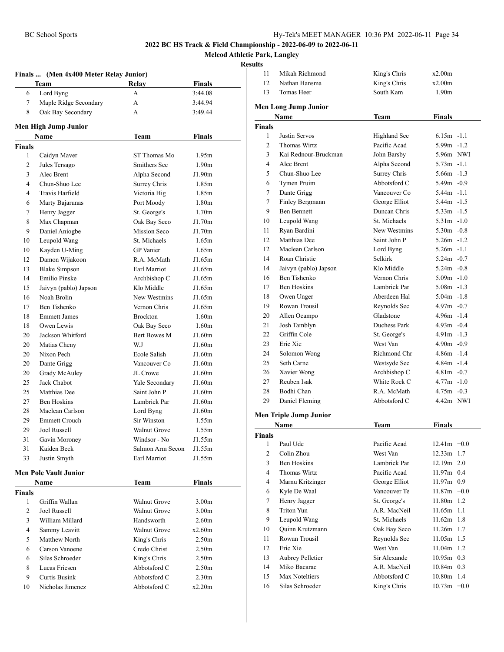**Mcleod Athletic Park, Langley**

|               | Finals  (Men 4x400 Meter Relay Junior) |                     |                   |  |
|---------------|----------------------------------------|---------------------|-------------------|--|
|               | Team                                   | Relay               | Finals            |  |
| 6             | Lord Byng                              | A                   | 3:44.08           |  |
| 7             | Maple Ridge Secondary                  | A                   | 3:44.94           |  |
| 8             | Oak Bay Secondary                      | A                   | 3:49.44           |  |
|               | Men High Jump Junior                   |                     |                   |  |
|               | Name                                   | <b>Team</b>         | Finals            |  |
| <b>Finals</b> |                                        |                     |                   |  |
| 1             | Caidyn Maver                           | ST Thomas Mo        | 1.95m             |  |
| 2             | Jules Tersago                          | Smithers Sec        | 1.90 <sub>m</sub> |  |
| 3             | Alec Brent                             | Alpha Second        | J1.90m            |  |
| 4             | Chun-Shuo Lee                          | Surrey Chris        | 1.85m             |  |
| 4             | Travis Harfield                        | Victoria Hig        | 1.85m             |  |
| 6             | Marty Bajarunas                        | Port Moody          | 1.80 <sub>m</sub> |  |
| 7             | Henry Jagger                           | St. George's        | 1.70 <sub>m</sub> |  |
| 8             | Max Chapman                            | Oak Bay Seco        | J1.70m            |  |
| 9             | Daniel Aniogbe                         | Mission Seco        | J1.70m            |  |
| 10            | Leupold Wang                           | St. Michaels        | 1.65m             |  |
| 10            | Kayden U-Ming                          | <b>GP</b> Vanier    | 1.65m             |  |
| 12            | Damon Wijakoon                         | R.A. McMath         | J1.65m            |  |
| 13            | <b>Blake Simpson</b>                   | Earl Marriot        | J1.65m            |  |
| 14            | Emilio Pinske                          | Archbishop C        | J1.65m            |  |
| 15            | Jaivyn (pablo) Japson                  | Klo Middle          | J1.65m            |  |
| 16            | Noah Brolin                            | New Westmins        | J1.65m            |  |
| 17            | Ben Tishenko                           | Vernon Chris        | J1.65m            |  |
| 18            | <b>Emmett James</b>                    | <b>Brockton</b>     | 1.60 <sub>m</sub> |  |
| 18            | Owen Lewis                             | Oak Bay Seco        | 1.60m             |  |
| 20            | Jackson Whitford                       | Bert Bowes M        | J1.60m            |  |
| 20            | Matias Cheny                           | W.J                 | J1.60m            |  |
| 20            | Nixon Pech                             | Ecole Salish        | J1.60m            |  |
| 20            | Dante Grigg                            | Vancouver Co        | J1.60m            |  |
| 20            | Grady McAuley                          | JL Crowe            | J1.60m            |  |
| 25            | Jack Chabot                            | Yale Secondary      | J1.60m            |  |
| 25            | Matthias Dee                           | Saint John P        | J1.60m            |  |
| 27            | <b>Ben Hoskins</b>                     | Lambrick Par        | J1.60m            |  |
| 28            | Maclean Carlson                        | Lord Byng           | J1.60m            |  |
| 29            | <b>Emmett Crouch</b>                   | Sir Winston         | 1.55m             |  |
| 29            | Joel Russell                           | <b>Walnut Grove</b> | 1.55m             |  |
| 31            | Gavin Moroney                          | Windsor - No        | J1.55m            |  |
| 31            | Kaiden Beck                            | Salmon Arm Secon    | J1.55m            |  |
| 33            | Justin Smyth                           | Earl Marriot        | J1.55m            |  |
|               | <b>Men Pole Vault Junior</b>           |                     |                   |  |
|               | Name                                   | Team                | <b>Finals</b>     |  |
| Finals        |                                        |                     |                   |  |
| 1             | Griffin Wallan                         | <b>Walnut Grove</b> | 3.00 <sub>m</sub> |  |
| 2             | Joel Russell                           | Walnut Grove        | 3.00 <sub>m</sub> |  |
| 3             | William Millard                        | Handsworth          | 2.60 <sub>m</sub> |  |
| 4             | Sammy Leavitt                          | Walnut Grove        | x2.60m            |  |
| 5             | Matthew North                          | King's Chris        | 2.50 <sub>m</sub> |  |
| 6             | Carson Vanoene                         | Credo Christ        | 2.50 <sub>m</sub> |  |
| 6             | Silas Schroeder                        | King's Chris        | 2.50 <sub>m</sub> |  |
| 8             | Lucas Friesen                          | Abbotsford C        | 2.50 <sub>m</sub> |  |
| 9             | <b>Curtis Busink</b>                   | Abbotsford C        | 2.30 <sub>m</sub> |  |
| 10            | Nicholas Jimenez                       | Abbotsford C        | x2.20m            |  |
|               |                                        |                     |                   |  |

| uns           |                               |                              |                            |
|---------------|-------------------------------|------------------------------|----------------------------|
| 11            | Mikah Richmond                | King's Chris                 | x2.00m                     |
| 12            | Nathan Hansma                 | King's Chris                 | x2.00m                     |
| 13            | Tomas Heer                    | South Kam                    | 1.90 <sub>m</sub>          |
|               |                               |                              |                            |
|               | <b>Men Long Jump Junior</b>   |                              |                            |
|               | Name                          | <b>Team</b>                  | Finals                     |
| <b>Finals</b> |                               |                              |                            |
| 1             | Justin Servos                 | Highland Sec                 | $6.15m - 1.1$              |
| 2             | Thomas Wirtz                  | Pacific Acad                 | $5.99m - 1.2$              |
| 3             | Kai Rednour-Bruckman          | John Barsby                  | 5.96m NWI                  |
| 4             | Alec Brent                    | Alpha Second                 | $5.73m -1.1$               |
| 5             | Chun-Shuo Lee                 | Surrey Chris                 | $5.66m - 1.3$              |
| 6             | Tymen Pruim                   | Abbotsford C                 | $5.49m - 0.9$              |
| 7             | Dante Grigg                   | Vancouver Co                 | $5.44m - 1.1$              |
| 7             | Finley Bergmann               | George Elliot                | $5.44m - 1.5$              |
| 9             | <b>Ben Bennett</b>            | Duncan Chris                 | $5.33m -1.5$               |
| 10            | Leupold Wang                  | St. Michaels                 | $5.31m -1.0$               |
| 11            | Ryan Bardini                  | New Westmins                 | $5.30m - 0.8$              |
| 12            | Matthias Dee                  | Saint John P                 | $5.26m - 1.2$              |
| 12            | Maclean Carlson               | Lord Byng                    | $5.26m - 1.1$              |
| 14            | Roan Christie                 | Selkirk                      | $5.24m - 0.7$              |
| 14            | Jaivyn (pablo) Japson         | Klo Middle                   | $5.24m - 0.8$              |
| 16            | <b>Ben Tishenko</b>           | Vernon Chris                 | $5.09m - 1.0$              |
| 17            | Ben Hoskins                   | Lambrick Par                 | $5.08m - 1.3$              |
| 18            | Owen Unger                    | Aberdeen Hal                 | $5.04m - 1.8$              |
| 19            | Rowan Trousil                 | Reynolds Sec                 | $4.97m - 0.7$              |
| 20            | Allen Ocampo                  | Gladstone                    | $4.96m - 1.4$              |
| 21            | Josh Tamblyn                  | Duchess Park                 | $4.93m - 0.4$              |
| 22            | Griffin Cole                  | St. George's                 | $4.91m - 1.3$              |
| 23            | Eric Xie                      | West Van                     | $4.90m - 0.9$              |
| 24            | Solomon Wong                  | Richmond Chr                 | $4.86m - 1.4$              |
| 25            | Seth Carne                    | Westsyde Sec                 | 4.84m -1.4                 |
| 26            | Xavier Wong                   | Archbishop C                 | $4.81m - 0.7$              |
| 27            | Reuben Isak                   | White Rock C                 | $4.77m - 1.0$              |
| 28            | Bodhi Chan                    | R.A. McMath                  | $4.75m - 0.3$              |
| 29            | Daniel Fleming                | Abbotsford C                 | 4.42m NWI                  |
|               |                               |                              |                            |
|               | <b>Men Triple Jump Junior</b> |                              |                            |
|               | Name                          | Team                         | <b>Finals</b>              |
| Finals<br>1   | Paul Ude                      | Pacific Acad                 | $12.41m + 0.0$             |
| 2             | Colin Zhou                    | West Van                     | 12.33m 1.7                 |
| 3             | <b>Ben Hoskins</b>            | Lambrick Par                 | 12.19m 2.0                 |
| 4             | Thomas Wirtz                  | Pacific Acad                 | 11.97m 0.4                 |
| 4             | Marnu Kritzinger              | George Elliot                | 11.97m 0.9                 |
| 6             | Kyle De Waal                  | Vancouver Te                 | $11.87m +0.0$              |
|               |                               |                              |                            |
| 7<br>8        | Henry Jagger<br>Triton Yun    | St. George's<br>A.R. MacNeil | 11.80m 1.2<br>$11.65m$ 1.1 |
| 9             | Leupold Wang                  | St. Michaels                 | 11.62m 1.8                 |
|               |                               |                              | 11.26m 1.7                 |
| 10            | Quinn Krutzmann               | Oak Bay Seco                 |                            |
| 11            | Rowan Trousil                 | Reynolds Sec                 | 11.05m 1.5                 |
| 12            | Eric Xie                      | West Van                     | 11.04m 1.2                 |
| 13            | Aubrey Pelletier              | Sir Alexande                 | $10.95m$ 0.3               |
| 14            | Miko Bacarac                  | A.R. MacNeil                 | 10.84m 0.3                 |
| 15            | Max Noteltiers                | Abbotsford C                 | 10.80m 1.4                 |
| 16            | Silas Schroeder               | King's Chris                 | $10.73m +0.0$              |
|               |                               |                              |                            |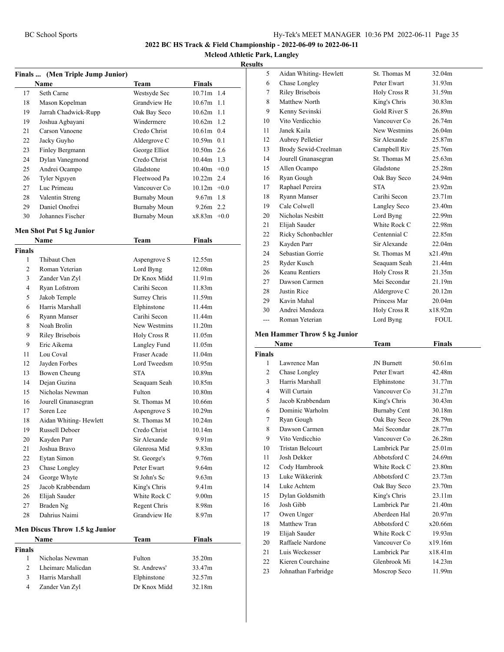**Mcleod Athletic Park, Langley**

# **Results**

|                | Finals  (Men Triple Jump Junior) |               |                    |
|----------------|----------------------------------|---------------|--------------------|
|                | Name                             | Team          | <b>Finals</b>      |
| 17             | Seth Carne                       | Westsyde Sec  | 10.71m 1.4         |
| 18             | Mason Kopelman                   | Grandview He  | $10.67m$ 1.1       |
| 19             | Jarrah Chadwick-Rupp             | Oak Bay Seco  | $10.62m$ 1.1       |
| 19             | Joshua Agbayani                  | Windermere    | $10.62m$ 1.2       |
| 21             | Carson Vanoene                   | Credo Christ  | 10.61m 0.4         |
| 22             | Jacky Guyho                      | Aldergrove C  | 10.59m 0.1         |
| 23             | Finley Bergmann                  | George Elliot | 10.50m 2.6         |
| 24             | Dylan Vanegmond                  | Credo Christ  | 10.44m 1.3         |
| 25             | Andrei Ocampo                    | Gladstone     | $10.40m + 0.0$     |
| 26             | Tyler Nguyen                     | Fleetwood Pa  | 10.22m 2.4         |
| 27             | Luc Primeau                      | Vancouver Co  | $10.12m + 0.0$     |
| 28             | Valentin Streng                  | Burnaby Moun  | $9.67m$ 1.8        |
| 29             | Daniel Onofrei                   | Burnaby Moun  | $9.26m$ 2.2        |
| 30             | Johannes Fischer                 | Burnaby Moun  | $x8.83m +0.0$      |
|                |                                  |               |                    |
|                | Men Shot Put 5 kg Junior         |               |                    |
|                | Name                             | <b>Team</b>   | <b>Finals</b>      |
| <b>Finals</b>  |                                  |               |                    |
| 1              | Thibaut Chen                     | Aspengrove S  | 12.55m             |
| $\overline{c}$ | Roman Yeterian                   | Lord Byng     | 12.08m             |
| 3              | Zander Van Zyl                   | Dr Knox Midd  | 11.91m             |
| $\overline{4}$ | Ryan Lofstrom                    | Carihi Secon  | 11.83m             |
| 5              | Jakob Temple                     | Surrey Chris  | 11.59m             |
| 6              | Harris Marshall                  | Elphinstone   | 11.44m             |
| 6              | <b>Ryann Manser</b>              | Carihi Secon  | 11.44m             |
| 8              | Noah Brolin                      | New Westmins  | 11.20m             |
| 9              | Riley Brisebois                  | Holy Cross R  | 11.05m             |
| 9              | Eric Aikema                      | Langley Fund  | 11.05m             |
| 11             | Lou Coval                        | Fraser Acade  | 11.04m             |
| 12             | Jayden Forbes                    | Lord Tweedsm  | 10.95m             |
| 13             | Bowen Cheung                     | <b>STA</b>    | 10.89 <sub>m</sub> |
| 14             | Dejan Guzina                     | Seaquam Seah  | 10.85m             |
| 15             | Nicholas Newman                  | Fulton        | 10.80 <sub>m</sub> |
| 16             | Jourell Gnanasegran              | St. Thomas M  | 10.66m             |
| 17             | Soren Lee                        | Aspengrove S  | 10.29m             |
| 18             | Aidan Whiting-Hewlett            | St. Thomas M  | 10.24m             |
| 19             | Russell Deboer                   | Credo Christ  | 10.14m             |
| 20             | Kayden Parr                      | Sir Alexande  | 9.91 <sub>m</sub>  |
| 21             | Joshua Bravo                     | Glenrosa Mid  | 9.83 <sub>m</sub>  |
| 22             | Eytan Simon                      | St. George's  | 9.76m              |
| 23             | Chase Longley                    | Peter Ewart   | 9.64m              |
| 24             | George Whyte                     | St John's Sc  | 9.63 <sub>m</sub>  |
| 25             | Jacob Krabbendam                 | King's Chris  | 9.41m              |
| 26             | Elijah Sauder                    | White Rock C  | 9.00 <sub>m</sub>  |
| 27             | Braden Ng                        | Regent Chris  | 8.98m              |
| 28             | Dahrius Naimi                    | Grandview He  | 8.97 <sub>m</sub>  |
|                |                                  |               |                    |
|                | Men Discus Throw 1.5 kg Junior   |               |                    |
|                | Name                             | Team          | Finals             |
| Finals         |                                  |               |                    |
| 1              | Nicholas Newman                  | Fulton        | 35.20m             |
| 2              | Lheimarc Malicdan                | St. Andrews'  | 33.47m             |
| 3              | Harris Marshall                  | Elphinstone   | 32.57m             |
| 4              | Zander Van Zyl                   | Dr Knox Midd  | 32.18m             |
|                |                                  |               |                    |

| S     |                             |              |             |
|-------|-----------------------------|--------------|-------------|
| 5     | Aidan Whiting-Hewlett       | St. Thomas M | 32.04m      |
| 6     | Chase Longley               | Peter Ewart  | 31.93m      |
| 7     | Riley Brisebois             | Holy Cross R | 31.59m      |
| 8     | Matthew North               | King's Chris | 30.83m      |
| 9     | Kenny Sevinski              | Gold River S | 26.89m      |
| 10    | Vito Verdicchio             | Vancouver Co | 26.74m      |
| 11    | Janek Kaila                 | New Westmins | 26.04m      |
| 12    | Aubrey Pelletier            | Sir Alexande | 25.87m      |
| 13    | Brody Sewid-Creelman        | Campbell Riv | 25.76m      |
| 14    | Jourell Gnanasegran         | St. Thomas M | 25.63m      |
| 15    | Allen Ocampo                | Gladstone    | 25.28m      |
| 16    | Ryan Gough                  | Oak Bay Seco | 24.94m      |
| 17    | Raphael Pereira             | <b>STA</b>   | 23.92m      |
| 18    | Ryann Manser                | Carihi Secon | 23.71m      |
| 19    | Cale Colwell                | Langley Seco | 23.40m      |
| 20    | Nicholas Nesbitt            | Lord Byng    | 22.99m      |
| 21    | Elijah Sauder               | White Rock C | 22.98m      |
| 22    | Ricky Schonbachler          | Centennial C | 22.85m      |
| 23    | Kayden Parr                 | Sir Alexande | 22.04m      |
| 24    | Sebastian Gorrie            | St. Thomas M | x21.49m     |
| 25    | Ryder Kusch                 | Seaquam Seah | 21.44m      |
| 26    | <b>Keanu Rentiers</b>       | Holy Cross R | 21.35m      |
| 27    | Dawson Carmen               | Mei Secondar | 21.19m      |
| 28    | Justin Rice                 | Aldergrove C | 20.12m      |
| 29    | Kavin Mahal                 | Princess Mar | 20.04m      |
| 30    | Andrei Mendoza              | Holy Cross R | x18.92m     |
| $---$ | Roman Yeterian              | Lord Byng    | <b>FOUL</b> |
|       | on Hommor Throw 5 kg Innion |              |             |

# **Men Hammer Throw 5 kg Junior**

| Name                    | Team                | Finals             |  |
|-------------------------|---------------------|--------------------|--|
|                         |                     |                    |  |
| Lawrence Man            | <b>JN</b> Burnett   | 50.61m             |  |
| Chase Longley           | Peter Ewart         | 42.48m             |  |
| Harris Marshall         | Elphinstone         | 31.77m             |  |
| Will Curtain            | Vancouver Co        | 31.27m             |  |
| Jacob Krabbendam        | King's Chris        | 30.43m             |  |
| Dominic Warholm         | <b>Burnaby Cent</b> | 30.18m             |  |
| Ryan Gough              | Oak Bay Seco        | 28.79m             |  |
| Dawson Carmen           | Mei Secondar        | 28.77m             |  |
| Vito Verdicchio         | Vancouver Co        | 26.28m             |  |
| <b>Tristan Belcourt</b> | Lambrick Par        | 25.01 <sub>m</sub> |  |
| Josh Dekker             | Abbotsford C        | 24.69m             |  |
| Cody Hambrook           | White Rock C        | 23.80m             |  |
| Luke Wikkerink          | Abbotsford C        | 23.73m             |  |
| Luke Achtem             | Oak Bay Seco        | 23.70m             |  |
| Dylan Goldsmith         | King's Chris        | 23.11m             |  |
| Josh Gibb               | Lambrick Par        | 21.40m             |  |
| Owen Unger              | Aberdeen Hal        | 20.97m             |  |
| Matthew Tran            | Abbotsford C        | x20.66m            |  |
| Elijah Sauder           | White Rock C        | 19.93m             |  |
| Raffaele Nardone        | Vancouver Co        | x19.16m            |  |
| Luis Weckesser          | Lambrick Par        | x18.41m            |  |
| Kieren Courchaine       | Glenbrook Mi        | 14.23m             |  |
| Johnathan Farbridge     | Moscrop Seco        | 11.99m             |  |
|                         |                     |                    |  |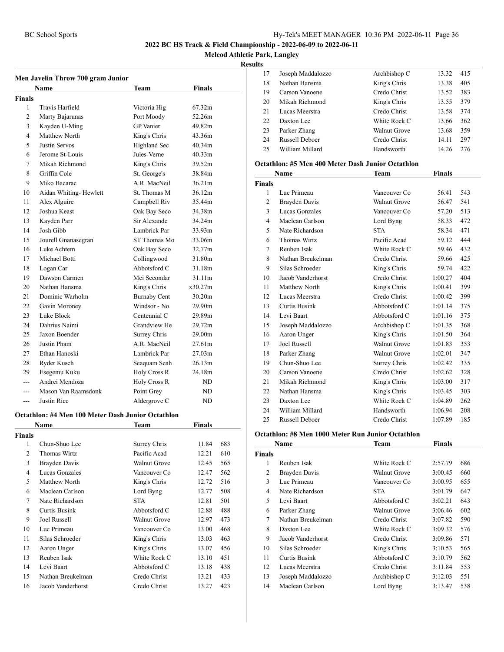**Mcleod Athletic Park, Langley**

#### **Results**

| Men Javelin Throw 700 gram Junior |                       |                     |                    |  |  |
|-----------------------------------|-----------------------|---------------------|--------------------|--|--|
|                                   | Name                  | Team                | <b>Finals</b>      |  |  |
| Finals                            |                       |                     |                    |  |  |
| 1                                 | Travis Harfield       | Victoria Hig        | 67.32m             |  |  |
| $\overline{c}$                    | Marty Bajarunas       | Port Moody          | 52.26m             |  |  |
| 3                                 | Kayden U-Ming         | <b>GP</b> Vanier    | 49.82m             |  |  |
| 4                                 | Matthew North         | King's Chris        | 43.36m             |  |  |
| 5                                 | Justin Servos         | Highland Sec        | 40.34m             |  |  |
| 6                                 | Jerome St-Louis       | Jules-Verne         | 40.33m             |  |  |
| 7                                 | Mikah Richmond        | King's Chris        | 39.52m             |  |  |
| 8                                 | Griffin Cole          | St. George's        | 38.84m             |  |  |
| 9                                 | Miko Bacarac          | A.R. MacNeil        | 36.21m             |  |  |
| 10                                | Aidan Whiting-Hewlett | St. Thomas M        | 36.12m             |  |  |
| 11                                | Alex Alguire          | Campbell Riv        | 35.44m             |  |  |
| 12                                | Joshua Keast          | Oak Bay Seco        | 34.38m             |  |  |
| 13                                | Kayden Parr           | Sir Alexande        | 34.24m             |  |  |
| 14                                | Josh Gibb             | Lambrick Par        | 33.93m             |  |  |
| 15                                | Jourell Gnanasegran   | ST Thomas Mo        | 33.06m             |  |  |
| 16                                | Luke Achtem           | Oak Bay Seco        | 32.77m             |  |  |
| 17                                | Michael Botti         | Collingwood         | 31.80m             |  |  |
| 18                                | Logan Car             | Abbotsford C        | 31.18m             |  |  |
| 19                                | Dawson Carmen         | Mei Secondar        | 31.11m             |  |  |
| 20                                | Nathan Hansma         | King's Chris        | x30.27m            |  |  |
| 21                                | Dominic Warholm       | <b>Burnaby Cent</b> | 30.20m             |  |  |
| 22                                | Gavin Moroney         | Windsor - No        | 29.90m             |  |  |
| 23                                | Luke Block            | Centennial C        | 29.89m             |  |  |
| 24                                | Dahrius Naimi         | Grandview He        | 29.72m             |  |  |
| 25                                | Jaxon Boender         | Surrey Chris        | 29.00 <sub>m</sub> |  |  |
| 26                                | Justin Pham           | A.R. MacNeil        | 27.61m             |  |  |
| 27                                | Ethan Hanoski         | Lambrick Par        | 27.03m             |  |  |
| 28                                | Ryder Kusch           | Seaquam Seah        | 26.13m             |  |  |
| 29                                | Esegemu Kuku          | Holy Cross R        | 24.18m             |  |  |
|                                   | Andrei Mendoza        | <b>Holy Cross R</b> | ND                 |  |  |
| ---                               | Mason Van Raamsdonk   | Point Grey          | ND                 |  |  |
| ---                               | Justin Rice           | Aldergrove C        | ND                 |  |  |

#### **Octathlon: #4 Men 100 Meter Dash Junior Octathlon**

|               | Name              | Team         | Finals |     |  |
|---------------|-------------------|--------------|--------|-----|--|
| <b>Finals</b> |                   |              |        |     |  |
| 1             | Chun-Shuo Lee     | Surrey Chris | 11.84  | 683 |  |
| 2             | Thomas Wirtz      | Pacific Acad | 12.21  | 610 |  |
| 3             | Brayden Davis     | Walnut Grove | 12.45  | 565 |  |
| 4             | Lucas Gonzales    | Vancouver Co | 12.47  | 562 |  |
| 5             | Matthew North     | King's Chris | 12.72  | 516 |  |
| 6             | Maclean Carlson   | Lord Byng    | 12.77  | 508 |  |
| 7             | Nate Richardson   | <b>STA</b>   | 12.81  | 501 |  |
| 8             | Curtis Busink     | Abbotsford C | 12.88  | 488 |  |
| 9             | Joel Russell      | Walnut Grove | 12.97  | 473 |  |
| 10            | Luc Primeau       | Vancouver Co | 13.00  | 468 |  |
| 11            | Silas Schroeder   | King's Chris | 13.03  | 463 |  |
| 12            | Aaron Unger       | King's Chris | 13.07  | 456 |  |
| 13            | Reuben Isak       | White Rock C | 13.10  | 451 |  |
| 14            | Levi Baart        | Abbotsford C | 13.18  | 438 |  |
| 15            | Nathan Breukelman | Credo Christ | 13.21  | 433 |  |
| 16            | Jacob Vanderhorst | Credo Christ | 13.27  | 423 |  |
|               |                   |              |        |     |  |

| 17 | Joseph Maddalozzo     | Archbishop C | 13.32 | 415 |
|----|-----------------------|--------------|-------|-----|
| 18 | Nathan Hansma         | King's Chris | 13.38 | 405 |
| 19 | Carson Vanoene        | Credo Christ | 13.52 | 383 |
| 20 | Mikah Richmond        | King's Chris | 13.55 | 379 |
| 21 | Lucas Meerstra        | Credo Christ | 13.58 | 374 |
| 22 | Daxton Lee            | White Rock C | 13.66 | 362 |
| 23 | Parker Zhang          | Walnut Grove | 13.68 | 359 |
| 24 | <b>Russell Deboer</b> | Credo Christ | 14.11 | 297 |
| 25 | William Millard       | Handsworth   | 14.26 | 276 |
|    |                       |              |       |     |

#### **Octathlon: #5 Men 400 Meter Dash Junior Octathlon**

| Name           |                       | Team                | <b>Finals</b> |     |  |
|----------------|-----------------------|---------------------|---------------|-----|--|
| <b>Finals</b>  |                       |                     |               |     |  |
| 1              | Luc Primeau           | Vancouver Co        | 56.41         | 543 |  |
| $\overline{c}$ | Brayden Davis         | <b>Walnut Grove</b> | 56.47         | 541 |  |
| 3              | Lucas Gonzales        | Vancouver Co        | 57.20         | 513 |  |
| $\overline{4}$ | Maclean Carlson       | Lord Byng           | 58.33         | 472 |  |
| 5              | Nate Richardson       | <b>STA</b>          | 58.34         | 471 |  |
| 6              | Thomas Wirtz          | Pacific Acad        | 59.12         | 444 |  |
| 7              | Reuben Isak           | White Rock C        | 59.46         | 432 |  |
| 8              | Nathan Breukelman     | Credo Christ        | 59.66         | 425 |  |
| 9              | Silas Schroeder       | King's Chris        | 59.74         | 422 |  |
| 10             | Jacob Vanderhorst     | Credo Christ        | 1:00.27       | 404 |  |
| 11             | Matthew North         | King's Chris        | 1:00.41       | 399 |  |
| 12             | Lucas Meerstra        | Credo Christ        | 1:00.42       | 399 |  |
| 13             | Curtis Busink         | Abbotsford C        | 1:01.14       | 375 |  |
| 14             | Levi Baart            | Abbotsford C        | 1:01.16       | 375 |  |
| 15             | Joseph Maddalozzo     | Archbishop C        | 1:01.35       | 368 |  |
| 16             | Aaron Unger           | King's Chris        | 1:01.50       | 364 |  |
| 17             | <b>Joel Russell</b>   | <b>Walnut Grove</b> | 1:01.83       | 353 |  |
| 18             | Parker Zhang          | Walnut Grove        | 1:02.01       | 347 |  |
| 19             | Chun-Shuo Lee         | Surrey Chris        | 1:02.42       | 335 |  |
| 20             | Carson Vanoene        | Credo Christ        | 1:02.62       | 328 |  |
| 21             | Mikah Richmond        | King's Chris        | 1:03.00       | 317 |  |
| 22             | Nathan Hansma         | King's Chris        | 1:03.45       | 303 |  |
| 23             | Daxton Lee            | White Rock C        | 1:04.89       | 262 |  |
| 24             | William Millard       | Handsworth          | 1:06.94       | 208 |  |
| 25             | <b>Russell Deboer</b> | Credo Christ        | 1:07.89       | 185 |  |

#### **Octathlon: #8 Men 1000 Meter Run Junior Octathlon**

|               | Name              | Team                | <b>Finals</b> |     |
|---------------|-------------------|---------------------|---------------|-----|
| <b>Finals</b> |                   |                     |               |     |
| 1             | Reuben Isak       | White Rock C        | 2:57.79       | 686 |
| 2             | Brayden Davis     | Walnut Grove        | 3:00.45       | 660 |
| 3             | Luc Primeau       | Vancouver Co        | 3:00.95       | 655 |
| 4             | Nate Richardson   | <b>STA</b>          | 3:01.79       | 647 |
| 5             | Levi Baart        | Abbotsford C        | 3:02.21       | 643 |
| 6             | Parker Zhang      | <b>Walnut Grove</b> | 3:06.46       | 602 |
| 7             | Nathan Breukelman | Credo Christ        | 3:07.82       | 590 |
| 8             | Daxton Lee        | White Rock C        | 3:09.32       | 576 |
| 9             | Jacob Vanderhorst | Credo Christ        | 3:09.86       | 571 |
| 10            | Silas Schroeder   | King's Chris        | 3:10.53       | 565 |
| 11            | Curtis Busink     | Abbotsford C        | 3:10.79       | 562 |
| 12            | Lucas Meerstra    | Credo Christ        | 3:11.84       | 553 |
| 13            | Joseph Maddalozzo | Archbishop C        | 3:12.03       | 551 |
| 14            | Maclean Carlson   | Lord Byng           | 3:13.47       | 538 |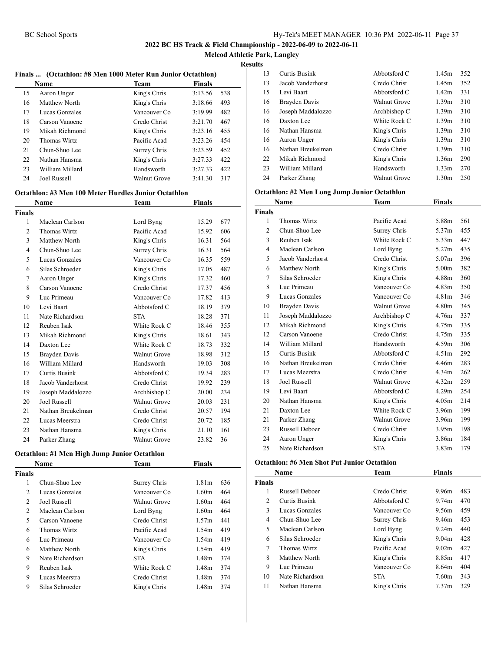**Mcleod Athletic Park, Langley**

**Results**

|    |                 | Finals  (Octathlon: #8 Men 1000 Meter Run Junior Octathlon) |               |     |
|----|-----------------|-------------------------------------------------------------|---------------|-----|
|    | <b>Name</b>     | <b>Team</b>                                                 | <b>Finals</b> |     |
| 15 | Aaron Unger     | King's Chris                                                | 3:13.56       | 538 |
| 16 | Matthew North   | King's Chris                                                | 3:18.66       | 493 |
| 17 | Lucas Gonzales  | Vancouver Co.                                               | 3:19.99       | 482 |
| 18 | Carson Vanoene  | Credo Christ                                                | 3:21.70       | 467 |
| 19 | Mikah Richmond  | King's Chris                                                | 3:23.16       | 455 |
| 20 | Thomas Wirtz    | Pacific Acad                                                | 3:23.26       | 454 |
| 21 | Chun-Shuo Lee   | Surrey Chris                                                | 3:23.59       | 452 |
| 22 | Nathan Hansma   | King's Chris                                                | 3:27.33       | 422 |
| 23 | William Millard | Handsworth                                                  | 3:27.33       | 422 |
| 24 | Joel Russell    | Walnut Grove                                                | 3:41.30       | 317 |

#### **Octathlon: #3 Men 100 Meter Hurdles Junior Octathlon**

|                | Name                 | Team                | Finals |     |
|----------------|----------------------|---------------------|--------|-----|
| Finals         |                      |                     |        |     |
| 1              | Maclean Carlson      | Lord Byng           | 15.29  | 677 |
| $\overline{2}$ | Thomas Wirtz         | Pacific Acad        | 15.92  | 606 |
| 3              | Matthew North        | King's Chris        | 16.31  | 564 |
| $\overline{4}$ | Chun-Shuo Lee        | Surrey Chris        | 16.31  | 564 |
| 5              | Lucas Gonzales       | Vancouver Co        | 16.35  | 559 |
| 6              | Silas Schroeder      | King's Chris        | 17.05  | 487 |
| 7              | Aaron Unger          | King's Chris        | 17.32  | 460 |
| 8              | Carson Vanoene       | Credo Christ        | 17.37  | 456 |
| 9              | Luc Primeau          | Vancouver Co        | 17.82  | 413 |
| 10             | Levi Baart           | Abbotsford C        | 18.19  | 379 |
| 11             | Nate Richardson      | <b>STA</b>          | 18.28  | 371 |
| 12             | Reuben Isak          | White Rock C        | 18.46  | 355 |
| 13             | Mikah Richmond       | King's Chris        | 18.61  | 343 |
| 14             | Daxton Lee           | White Rock C        | 18.73  | 332 |
| 15             | Brayden Davis        | <b>Walnut Grove</b> | 18.98  | 312 |
| 16             | William Millard      | Handsworth          | 19.03  | 308 |
| 17             | <b>Curtis Busink</b> | Abbotsford C        | 19.34  | 283 |
| 18             | Jacob Vanderhorst    | Credo Christ        | 19.92  | 239 |
| 19             | Joseph Maddalozzo    | Archbishop C        | 20.00  | 234 |
| 20             | Joel Russell         | <b>Walnut Grove</b> | 20.03  | 231 |
| 21             | Nathan Breukelman    | Credo Christ        | 20.57  | 194 |
| 22             | Lucas Meerstra       | Credo Christ        | 20.72  | 185 |
| 23             | Nathan Hansma        | King's Chris        | 21.10  | 161 |
| 24             | Parker Zhang         | <b>Walnut Grove</b> | 23.82  | 36  |

#### **Octathlon: #1 Men High Jump Junior Octathlon**

|                | <b>Name</b>     | <b>Team</b>  | <b>Finals</b>     |     |
|----------------|-----------------|--------------|-------------------|-----|
| <b>Finals</b>  |                 |              |                   |     |
| 1              | Chun-Shuo Lee   | Surrey Chris | 1.81 <sub>m</sub> | 636 |
| $\overline{2}$ | Lucas Gonzales  | Vancouver Co | 1.60m             | 464 |
| 2              | Joel Russell    | Walnut Grove | 1.60m             | 464 |
| 2              | Maclean Carlson | Lord Byng    | 1.60m             | 464 |
| 5              | Carson Vanoene  | Credo Christ | 1.57m             | 441 |
| 6              | Thomas Wirtz    | Pacific Acad | 1.54m             | 419 |
| 6              | Luc Primeau     | Vancouver Co | 1.54m             | 419 |
| 6              | Matthew North   | King's Chris | 1.54m             | 419 |
| 9              | Nate Richardson | <b>STA</b>   | 1.48 <sub>m</sub> | 374 |
| 9              | Reuben Isak     | White Rock C | 1.48 <sub>m</sub> | 374 |
| 9              | Lucas Meerstra  | Credo Christ | 1.48 <sub>m</sub> | 374 |
| 9              | Silas Schroeder | King's Chris | 1.48 <sub>m</sub> | 374 |

| 13 | Curtis Busink     | Abbotsford C        | 1.45m             | 352 |
|----|-------------------|---------------------|-------------------|-----|
| 13 | Jacob Vanderhorst | Credo Christ        | 1.45m             | 352 |
| 15 | Levi Baart        | Abbotsford C        | 1.42m             | 331 |
| 16 | Brayden Davis     | <b>Walnut Grove</b> | 1.39m             | 310 |
| 16 | Joseph Maddalozzo | Archbishop C        | 1.39m             | 310 |
| 16 | Daxton Lee        | White Rock C        | 1.39m             | 310 |
| 16 | Nathan Hansma     | King's Chris        | 1.39m             | 310 |
| 16 | Aaron Unger       | King's Chris        | 1.39m             | 310 |
| 16 | Nathan Breukelman | Credo Christ        | 1.39m             | 310 |
| 22 | Mikah Richmond    | King's Chris        | 1.36m             | 290 |
| 23 | William Millard   | Handsworth          | 1.33m             | 270 |
| 24 | Parker Zhang      | <b>Walnut Grove</b> | 1.30 <sub>m</sub> | 250 |

#### **Octathlon: #2 Men Long Jump Junior Octathlon**

|                | <b>Name</b>           | Team                | <b>Finals</b>     |     |
|----------------|-----------------------|---------------------|-------------------|-----|
| <b>Finals</b>  |                       |                     |                   |     |
| 1              | Thomas Wirtz          | Pacific Acad        | 5.88m             | 561 |
| $\overline{c}$ | Chun-Shuo Lee         | Surrey Chris        | 5.37m             | 455 |
| 3              | Reuben Isak           | White Rock C        | 5.33m             | 447 |
| 4              | Maclean Carlson       | Lord Byng           | 5.27m             | 435 |
| 5              | Jacob Vanderhorst     | Credo Christ        | 5.07m             | 396 |
| 6              | Matthew North         | King's Chris        | 5.00 <sub>m</sub> | 382 |
| 7              | Silas Schroeder       | King's Chris        | 4.88m             | 360 |
| 8              | Luc Primeau           | Vancouver Co        | 4.83m             | 350 |
| 9              | Lucas Gonzales        | Vancouver Co        | 4.81 <sub>m</sub> | 346 |
| 10             | Brayden Davis         | <b>Walnut Grove</b> | 4.80 <sub>m</sub> | 345 |
| 11             | Joseph Maddalozzo     | Archbishop C        | 4.76m             | 337 |
| 12             | Mikah Richmond        | King's Chris        | 4.75m             | 335 |
| 12             | Carson Vanoene        | Credo Christ        | 4.75m             | 335 |
| 14             | William Millard       | Handsworth          | 4.59m             | 306 |
| 15             | <b>Curtis Busink</b>  | Abbotsford C        | 4.51 <sub>m</sub> | 292 |
| 16             | Nathan Breukelman     | Credo Christ        | 4.46m             | 283 |
| 17             | Lucas Meerstra        | Credo Christ        | 4.34 <sub>m</sub> | 262 |
| 18             | Joel Russell          | <b>Walnut Grove</b> | 4.32m             | 259 |
| 19             | Levi Baart            | Abbotsford C        | 4.29m             | 254 |
| 20             | Nathan Hansma         | King's Chris        | 4.05m             | 214 |
| 21             | Daxton Lee            | White Rock C        | 3.96m             | 199 |
| 21             | Parker Zhang          | Walnut Grove        | 3.96m             | 199 |
| 23             | <b>Russell Deboer</b> | Credo Christ        | 3.95 <sub>m</sub> | 198 |
| 24             | Aaron Unger           | King's Chris        | 3.86m             | 184 |
| 25             | Nate Richardson       | <b>STA</b>          | 3.83 <sub>m</sub> | 179 |

#### **Octathlon: #6 Men Shot Put Junior Octathlon**

| Name          |                       | Team         | <b>Finals</b>     |     |
|---------------|-----------------------|--------------|-------------------|-----|
| <b>Finals</b> |                       |              |                   |     |
| 1             | <b>Russell Deboer</b> | Credo Christ | 9.96m             | 483 |
| 2             | Curtis Busink         | Abbotsford C | 9.74m             | 470 |
| 3             | Lucas Gonzales        | Vancouver Co | 9.56m             | 459 |
| 4             | Chun-Shuo Lee         | Surrey Chris | 9.46m             | 453 |
| 5             | Maclean Carlson       | Lord Byng    | 9.24m             | 440 |
| 6             | Silas Schroeder       | King's Chris | 9.04m             | 428 |
| 7             | Thomas Wirtz          | Pacific Acad | 9.02 <sub>m</sub> | 427 |
| 8             | Matthew North         | King's Chris | 8.85m             | 417 |
| 9             | Luc Primeau           | Vancouver Co | 8.64m             | 404 |
| 10            | Nate Richardson       | <b>STA</b>   | 7.60m             | 343 |
| 11            | Nathan Hansma         | King's Chris | 7.37 <sub>m</sub> | 329 |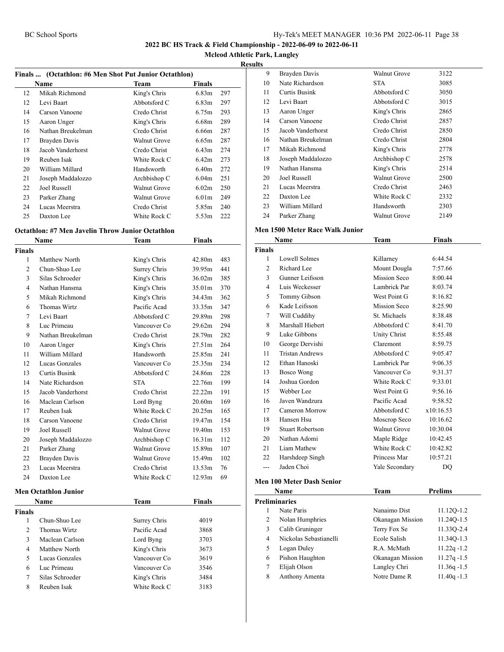**Mcleod Athletic Park, Langley**

**Results**

|    | Finals  (Octathlon: #6 Men Shot Put Junior Octathlon) |                     |                   |     |
|----|-------------------------------------------------------|---------------------|-------------------|-----|
|    | Name                                                  | Team                | <b>Finals</b>     |     |
| 12 | Mikah Richmond                                        | King's Chris        | 6.83 <sub>m</sub> | 297 |
| 12 | Levi Baart                                            | Abbotsford C        | 6.83 <sub>m</sub> | 297 |
| 14 | Carson Vanoene                                        | Credo Christ        | 6.75m             | 293 |
| 15 | Aaron Unger                                           | King's Chris        | 6.68m             | 289 |
| 16 | Nathan Breukelman                                     | Credo Christ        | 6.66m             | 287 |
| 17 | Brayden Davis                                         | <b>Walnut Grove</b> | 6.65m             | 287 |
| 18 | Jacob Vanderhorst                                     | Credo Christ        | 6.43m             | 274 |
| 19 | Reuben Isak                                           | White Rock C        | 6.42m             | 273 |
| 20 | William Millard                                       | Handsworth          | 6.40m             | 272 |
| 21 | Joseph Maddalozzo                                     | Archbishop C        | 6.04 <sub>m</sub> | 251 |
| 22 | Joel Russell                                          | Walnut Grove        | 6.02m             | 250 |
| 23 | Parker Zhang                                          | Walnut Grove        | 6.01 <sub>m</sub> | 249 |
| 24 | Lucas Meerstra                                        | Credo Christ        | 5.85m             | 240 |
| 25 | Daxton Lee                                            | White Rock C        | 5.53m             | 222 |
|    |                                                       |                     |                   |     |

# **Octathlon: #7 Men Javelin Throw Junior Octathlon**

|                | Name                        | Team                | <b>Finals</b>      |     |
|----------------|-----------------------------|---------------------|--------------------|-----|
| Finals         |                             |                     |                    |     |
| 1              | Matthew North               | King's Chris        | 42.80m             | 483 |
| $\mathfrak{D}$ | Chun-Shuo Lee               | Surrey Chris        | 39.95m             | 441 |
| 3              | Silas Schroeder             | King's Chris        | 36.02m             | 385 |
| 4              | Nathan Hansma               | King's Chris        | 35.01m             | 370 |
| 5              | Mikah Richmond              | King's Chris        | 34.43m             | 362 |
| 6              | Thomas Wirtz                | Pacific Acad        | 33.35m             | 347 |
| 7              | Levi Baart                  | Abbotsford C        | 29.89m             | 298 |
| 8              | Luc Primeau                 | Vancouver Co        | 29.62m             | 294 |
| 9              | Nathan Breukelman           | Credo Christ        | 28.79m             | 282 |
| 10             | Aaron Unger                 | King's Chris        | 27.51m             | 264 |
| 11             | William Millard             | Handsworth          | 25.85m             | 241 |
| 12             | Lucas Gonzales              | Vancouver Co        | 25.35m             | 234 |
| 13             | <b>Curtis Busink</b>        | Abbotsford C        | 24.86m             | 228 |
| 14             | Nate Richardson             | <b>STA</b>          | 22.76m             | 199 |
| 15             | Jacob Vanderhorst           | Credo Christ        | 22.22m             | 191 |
| 16             | Maclean Carlson             | Lord Byng           | 20.60m             | 169 |
| 17             | Reuben Isak                 | White Rock C        | 20.25m             | 165 |
| 18             | Carson Vanoene              | Credo Christ        | 19.47m             | 154 |
| 19             | Joel Russell                | <b>Walnut Grove</b> | 19.40m             | 153 |
| 20             | Joseph Maddalozzo           | Archbishop C        | 16.31m             | 112 |
| 21             | Parker Zhang                | <b>Walnut Grove</b> | 15.89 <sub>m</sub> | 107 |
| 22             | Brayden Davis               | <b>Walnut Grove</b> | 15.49m             | 102 |
| 23             | Lucas Meerstra              | Credo Christ        | 13.53m             | 76  |
| 24             | Daxton Lee                  | White Rock C        | 12.93m             | 69  |
|                | <b>Men Octathlon Junior</b> |                     |                    |     |
|                | <b>Name</b>                 | <b>Team</b>         | <b>Finals</b>      |     |
| <b>Finals</b>  |                             |                     |                    |     |
| 1              | Chun-Shuo Lee               | Surrey Chris        | 4019               |     |
| $\mathfrak{D}$ | Thomas Wirtz                | Pacific Acad        | 3868               |     |
| 3              | Maclean Carlson             | Lord Byng           | 3703               |     |
| 4              | Matthew North               | King's Chris        | 3673               |     |
| 5              | Lucas Gonzales              | Vancouver Co        | 3619               |     |
| 6              | Luc Primeau                 | Vancouver Co        | 3546               |     |
| 7              | Silas Schroeder             | King's Chris        | 3484               |     |
| 8              | Reuben Isak                 | White Rock C        | 3183               |     |
|                |                             |                     |                    |     |

| . . |                   |                     |      |
|-----|-------------------|---------------------|------|
| 9   | Brayden Davis     | Walnut Grove        | 3122 |
| 10  | Nate Richardson   | <b>STA</b>          | 3085 |
| 11  | Curtis Busink     | Abbotsford C        | 3050 |
| 12  | Levi Baart        | Abbotsford C        | 3015 |
| 13  | Aaron Unger       | King's Chris        | 2865 |
| 14  | Carson Vanoene    | Credo Christ        | 2857 |
| 15  | Jacob Vanderhorst | Credo Christ        | 2850 |
| 16  | Nathan Breukelman | Credo Christ        | 2804 |
| 17  | Mikah Richmond    | King's Chris        | 2778 |
| 18  | Joseph Maddalozzo | Archbishop C        | 2578 |
| 19  | Nathan Hansma     | King's Chris        | 2514 |
| 20  | Joel Russell      | <b>Walnut Grove</b> | 2500 |
| 21  | Lucas Meerstra    | Credo Christ        | 2463 |
| 22  | Daxton Lee        | White Rock C        | 2332 |
| 23  | William Millard   | Handsworth          | 2303 |
| 24  | Parker Zhang      | <b>Walnut Grove</b> | 2149 |
|     |                   |                     |      |

#### **Men 1500 Meter Race Walk Junior**

|                | Name                    | Team                | Finals    |  |
|----------------|-------------------------|---------------------|-----------|--|
| <b>Finals</b>  |                         |                     |           |  |
| 1              | Lowell Solmes           | Killarney           | 6:44.54   |  |
| $\overline{c}$ | Richard Lee             | Mount Dougla        | 7:57.66   |  |
| 3              | Gunner Leifsson         | Mission Seco        | 8:00.44   |  |
| 4              | Luis Weckesser          | Lambrick Par        | 8:03.74   |  |
| 5              | Tommy Gibson            | West Point G        | 8:16.82   |  |
| 6              | Kade Leifsson           | Mission Seco        | 8:25.90   |  |
| 7              | Will Cuddihy            | St. Michaels        | 8:38.48   |  |
| 8              | Marshall Hiebert        | Abbotsford C        | 8:41.70   |  |
| 9              | Luke Gibbons            | Unity Christ        | 8:55.48   |  |
| 10             | George Dervishi         | Claremont           | 8:59.75   |  |
| 11             | <b>Tristan Andrews</b>  | Abbotsford C        | 9:05.47   |  |
| 12             | Ethan Hanoski           | Lambrick Par        | 9:06.35   |  |
| 13             | Bosco Wong              | Vancouver Co        | 9:31.37   |  |
| 14             | Joshua Gordon           | White Rock C        | 9:33.01   |  |
| 15             | Webber Lee              | West Point G        | 9:56.16   |  |
| 16             | Javen Wandzura          | Pacific Acad        | 9:58.52   |  |
| 17             | Cameron Morrow          | Abbotsford C        | x10:16.53 |  |
| 18             | Hansen Hsu              | Moscrop Seco        | 10:16.62  |  |
| 19             | <b>Stuart Robertson</b> | <b>Walnut Grove</b> | 10:30.04  |  |
| 20             | Nathan Adomi            | Maple Ridge         | 10:42.45  |  |
| 21             | Liam Mathew             | White Rock C        | 10:42.82  |  |
| 22             | Harshdeep Singh         | Princess Mar        | 10:57.21  |  |
| ---            | Jaden Choi              | Yale Secondary      | DQ        |  |
|                |                         |                     |           |  |

### **Men 100 Meter Dash Senior**

|   | Name                   | Team             | <b>Prelims</b> |
|---|------------------------|------------------|----------------|
|   | <b>Preliminaries</b>   |                  |                |
|   | Nate Paris             | Nanaimo Dist     | 11.120-1.2     |
| 2 | Nolan Humphries        | Okanagan Mission | 11.240-1.5     |
| 3 | Calib Gruninger        | Terry Fox Se     | 11.330-2.4     |
| 4 | Nickolas Sebastianelli | Ecole Salish     | 11.34Q-1.3     |
| 5 | Logan Duley            | R.A. McMath      | $11.22q - 1.2$ |
| 6 | Pishon Haughton        | Okanagan Mission | $11.27q - 1.5$ |
|   | Elijah Olson           | Langley Chri     | $11.36q - 1.5$ |
| 8 | Anthony Amenta         | Notre Dame R     | $11.40q - 1.3$ |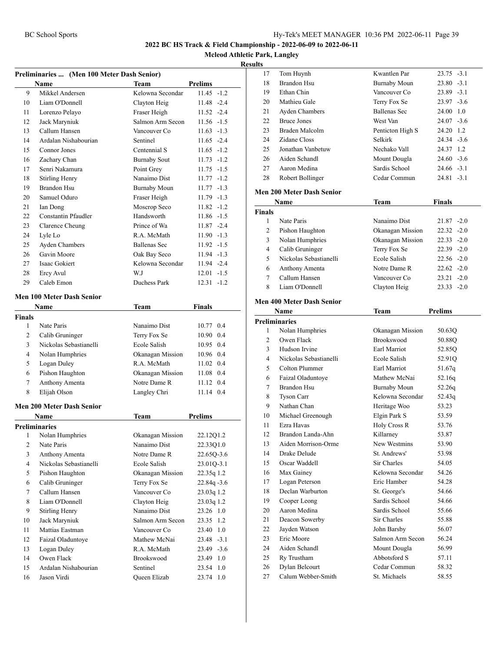**Mcleod Athletic Park, Langley**

#### **Results** Tom Huynh Kwantlen Par 23.75 -3.1

|                | Preliminaries  (Men 100 Meter Dash Senior)<br>Name | <b>Team</b>         | Prelims        |
|----------------|----------------------------------------------------|---------------------|----------------|
| 9              | Mikkel Andersen                                    | Kelowna Secondar    | $11.45 - 1.2$  |
| 10             | Liam O'Donnell                                     | Clayton Heig        | 11.48 -2.4     |
| 11             | Lorenzo Pelayo                                     | Fraser Heigh        | $11.52 -2.4$   |
| 12             | Jack Maryniuk                                      | Salmon Arm Secon    | $11.56 - 1.5$  |
| 13             | Callum Hansen                                      | Vancouver Co        | $11.63 - 1.3$  |
| 14             | Ardalan Nishabourian                               | Sentinel            | $11.65 -2.4$   |
| 15             | Connor Jones                                       | Centennial S        | $11.65 - 1.2$  |
| 16             | Zachary Chan                                       | <b>Burnaby Sout</b> | $11.73 - 1.2$  |
| 17             | Senri Nakamura                                     | Point Grey          | $11.75 - 1.5$  |
| 18             | <b>Stirling Henry</b>                              | Nanaimo Dist        | $11.77 - 1.2$  |
| 19             | <b>Brandon Hsu</b>                                 | <b>Burnaby Moun</b> | $11.77 - 1.3$  |
| 20             | Samuel Oduro                                       | Fraser Heigh        | $11.79 - 1.3$  |
| 21             | Ian Dong                                           | Moscrop Seco        | $11.82 - 1.2$  |
| 22             | <b>Constantin Pfaudler</b>                         | Handsworth          | $11.86 - 1.5$  |
| 23             | Clarence Cheung                                    | Prince of Wa        | $11.87 - 2.4$  |
| 24             | Lyle Lo                                            | R.A. McMath         | $11.90 - 1.3$  |
| 25             | Ayden Chambers                                     | Ballenas Sec        | $11.92 -1.5$   |
| 26             | Gavin Moore                                        | Oak Bay Seco        | 11.94 -1.3     |
| 27             | <b>Isaac Gokiert</b>                               | Kelowna Secondar    | 11.94 -2.4     |
| 28             | Ercy Avul                                          | W.J                 | $12.01 - 1.5$  |
| 29             | Caleb Emon                                         | Duchess Park        | $12.31 - 1.2$  |
|                | Men 100 Meter Dash Senior                          |                     |                |
|                | Name                                               | Team                | Finals         |
| <b>Finals</b>  |                                                    |                     |                |
| 1              | Nate Paris                                         | Nanaimo Dist        | 10.77 0.4      |
| 2              | Calib Gruninger                                    | Terry Fox Se        | 10.90 0.4      |
| 3              | Nickolas Sebastianelli                             | Ecole Salish        | 10.95 0.4      |
| 4              | Nolan Humphries                                    | Okanagan Mission    | 10.96 0.4      |
| 5              | Logan Duley                                        | R.A. McMath         | 11.02 0.4      |
| 6              | Pishon Haughton                                    | Okanagan Mission    | 11.08 0.4      |
| 7              | Anthony Amenta                                     | Notre Dame R        | 11.12 0.4      |
| 8              | Elijah Olson                                       | Langley Chri        | 11.14 0.4      |
|                | <b>Men 200 Meter Dash Senior</b>                   |                     |                |
|                | Name                                               | Team                | <b>Prelims</b> |
|                | <b>Preliminaries</b>                               |                     |                |
| 1              | Nolan Humphries                                    | Okanagan Mission    | 22.12Q1.2      |
| 2              | Nate Paris                                         | Nanaimo Dist        | 22.33Q1.0      |
| 3              | Anthony Amenta                                     | Notre Dame R        | 22.65Q-3.6     |
| $\overline{4}$ | Nickolas Sebastianelli                             | Ecole Salish        | 23.01Q-3.1     |
| 5              | Pishon Haughton                                    | Okanagan Mission    | 22.35q 1.2     |
| 6              | Calib Gruninger                                    | Terry Fox Se        | $22.84q - 3.6$ |
| $\tau$         | Callum Hansen                                      | Vancouver Co        | 23.03q 1.2     |
| 8              | Liam O'Donnell                                     | Clayton Heig        | 23.03q 1.2     |
| 9              | Stirling Henry                                     | Nanaimo Dist        | 23.26 1.0      |
| 10             | Jack Maryniuk                                      | Salmon Arm Secon    | 23.35<br>1.2   |
| 11             | Mattias Eastman                                    | Vancouver Co        | 23.40 1.0      |
| 12             | Faizal Oladuntoye                                  | Mathew McNai        | 23.48 -3.1     |
| 13             | Logan Duley                                        | R.A. McMath         | 23.49 -3.6     |
| 14             | Owen Flack                                         | Brookswood          | 23.49 1.0      |
| 15             | Ardalan Nishabourian                               | Sentinel            | 23.54 1.0      |
| 16             | Jason Virdi                                        | Queen Elizab        | 23.74 1.0      |

| 18             | <b>Brandon Hsu</b>                   | <b>Burnaby Moun</b>          | $-3.1$<br>23.80 |
|----------------|--------------------------------------|------------------------------|-----------------|
| 19             | Ethan Chin                           | Vancouver Co                 | 23.89 -3.1      |
| 20             | Mathieu Gale                         | Terry Fox Se                 | $23.97 - 3.6$   |
| 21             | Ayden Chambers                       | <b>Ballenas Sec</b>          | 24.00 1.0       |
| 22             | <b>Bruce Jones</b>                   | West Van                     | $24.07 - 3.6$   |
| 23             | Braden Malcolm                       | Penticton High S             | 24.20 1.2       |
| 24             | Zidane Closs                         | Selkirk                      | $24.34 - 3.6$   |
| 25             | Jonathan Vanbetuw                    | Nechako Vall                 | 24.37 1.2       |
| 26             | Aiden Schandl                        | Mount Dougla                 | $24.60 - 3.6$   |
| 27             | Aaron Medina                         | Sardis School                | $24.66 - 3.1$   |
| 28             | Robert Bollinger                     | Cedar Commun                 | $24.81 - 3.1$   |
|                |                                      |                              |                 |
|                | <b>Men 200 Meter Dash Senior</b>     |                              |                 |
|                | Name                                 | <b>Team</b>                  | Finals          |
| <b>Finals</b>  |                                      |                              |                 |
| 1              | Nate Paris                           | Nanaimo Dist                 | $21.87 - 2.0$   |
| $\overline{2}$ | Pishon Haughton                      | Okanagan Mission             | $22.32 - 2.0$   |
| 3              | Nolan Humphries                      | Okanagan Mission             | $22.33 - 2.0$   |
| 4              | Calib Gruninger                      | Terry Fox Se                 | $22.39 - 2.0$   |
| 5              | Nickolas Sebastianelli               | Ecole Salish                 | $22.56 - 2.0$   |
| 6              | Anthony Amenta                       | Notre Dame R                 | $22.62 - 2.0$   |
| 7              | Callum Hansen                        | Vancouver Co                 | $23.21 -2.0$    |
| 8              | Liam O'Donnell                       | Clayton Heig                 | $23.33 - 2.0$   |
|                | <b>Men 400 Meter Dash Senior</b>     |                              |                 |
|                | <b>Name</b>                          | Team                         | <b>Prelims</b>  |
|                | <b>Preliminaries</b>                 |                              |                 |
| 1              | Nolan Humphries                      | Okanagan Mission             | 50.63Q          |
|                |                                      |                              |                 |
| 2              | Owen Flack                           | Brookswood                   |                 |
|                |                                      |                              | 50.88Q          |
| 3              | Hudson Irvine                        | <b>Earl Marriot</b>          | 52.85Q          |
| 4              | Nickolas Sebastianelli               | Ecole Salish                 | 52.91Q          |
| 5              | Colton Plummer                       | Earl Marriot                 | 51.67q          |
| 6              | Faizal Oladuntoye                    | Mathew McNai                 | 52.16q          |
| 7              | <b>Brandon Hsu</b>                   | <b>Burnaby Moun</b>          | 52.26q          |
| 8              | <b>Tyson Carr</b>                    | Kelowna Secondar             | 52.43q          |
| 9              | Nathan Chan                          | Heritage Woo                 | 53.23           |
| 10             | Michael Greenough                    | Elgin Park S                 | 53.59           |
| 11             | Ezra Havas                           | Holy Cross R                 | 53.76           |
| 12             | Brandon Landa-Ahn                    | Killarney                    | 53.87           |
| 13             | Aiden Morrison-Orme                  | New Westmins                 | 53.90           |
| 14             | Drake Delude                         | St. Andrews'                 | 53.98           |
| 15             | Oscar Waddell                        | Sir Charles                  | 54.05           |
| 16             | Max Gainey                           | Kelowna Secondar             | 54.26           |
| 17             | Logan Peterson                       | Eric Hamber                  | 54.28           |
| 18             | Declan Warburton                     | St. George's                 | 54.66           |
| 19             | Cooper Leong                         | Sardis School                | 54.66           |
| 20             | Aaron Medina                         | Sardis School                | 55.66           |
| 21             | Deacon Sowerby                       | Sir Charles                  | 55.88           |
| 22             | Jayden Watson                        | John Barsby                  | 56.07           |
| 23             | Eric Moore                           | Salmon Arm Secon             | 56.24           |
| 24             | Aiden Schandl                        | Mount Dougla                 | 56.99           |
| 25             | Ry Trustham                          | Abbotsford S                 | 57.11           |
| 26<br>27       | Dylan Belcourt<br>Calum Webber-Smith | Cedar Commun<br>St. Michaels | 58.32<br>58.55  |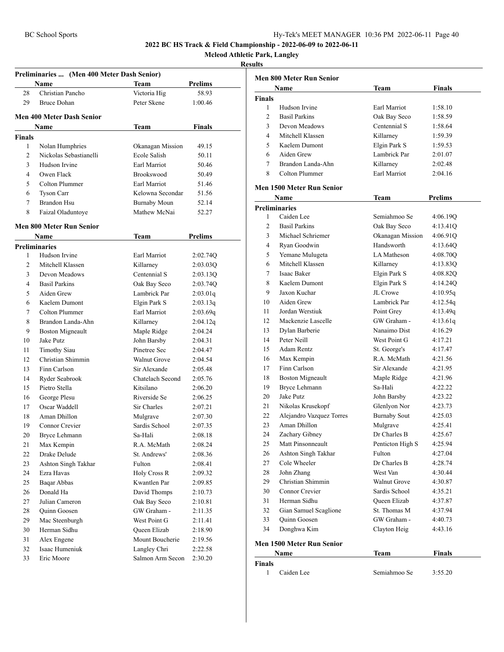**Mcleod Athletic Park, Langley**

| Preliminaries  (Men 400 Meter Dash Senior) |                                           |                                  |                |  |
|--------------------------------------------|-------------------------------------------|----------------------------------|----------------|--|
|                                            | Name                                      | Team                             | Prelims        |  |
| 28                                         | Christian Pancho                          | Victoria Hig                     | 58.93          |  |
| 29                                         | <b>Bruce Dohan</b>                        | Peter Skene                      | 1:00.46        |  |
|                                            | <b>Men 400 Meter Dash Senior</b>          |                                  |                |  |
|                                            |                                           |                                  |                |  |
|                                            | Name                                      | Team                             | Finals         |  |
| <b>Finals</b><br>1                         |                                           |                                  |                |  |
| $\overline{2}$                             | Nolan Humphries<br>Nickolas Sebastianelli | Okanagan Mission<br>Ecole Salish | 49.15<br>50.11 |  |
| 3                                          | Hudson Irvine                             | Earl Marriot                     | 50.46          |  |
| 4                                          | Owen Flack                                | Brookswood                       | 50.49          |  |
| 5                                          | Colton Plummer                            | Earl Marriot                     | 51.46          |  |
|                                            | <b>Tyson Carr</b>                         | Kelowna Secondar                 | 51.56          |  |
| 6<br>7                                     |                                           |                                  |                |  |
|                                            | Brandon Hsu                               | Burnaby Moun                     | 52.14          |  |
| 8                                          | Faizal Oladuntoye                         | Mathew McNai                     | 52.27          |  |
|                                            | <b>Men 800 Meter Run Senior</b>           |                                  |                |  |
|                                            | Name                                      | Team                             | <b>Prelims</b> |  |
|                                            | <b>Preliminaries</b>                      |                                  |                |  |
| 1                                          | Hudson Irvine                             | Earl Marriot                     | 2:02.74Q       |  |
| $\overline{c}$                             | Mitchell Klassen                          | Killarney                        | 2:03.03Q       |  |
| 3                                          | Devon Meadows                             | Centennial S                     | 2:03.13Q       |  |
| 4                                          | <b>Basil Parkins</b>                      | Oak Bay Seco                     | 2:03.74Q       |  |
| 5                                          | Aiden Grew                                | Lambrick Par                     | 2:03.01q       |  |
| 6                                          | Kaelem Dumont                             | Elgin Park S                     | 2:03.13q       |  |
| 7                                          | Colton Plummer                            | Earl Marriot                     | 2:03.69q       |  |
| 8                                          | Brandon Landa-Ahn                         | Killarney                        | 2:04.12q       |  |
| 9                                          | <b>Boston Migneault</b>                   | Maple Ridge                      | 2:04.24        |  |
| 10                                         | Jake Putz                                 | John Barsby                      | 2:04.31        |  |
| 11                                         | <b>Timothy Siau</b>                       | Pinetree Sec                     | 2:04.47        |  |
| 12                                         | Christian Shimmin                         | <b>Walnut Grove</b>              | 2:04.54        |  |
| 13                                         | Finn Carlson                              | Sir Alexande                     | 2:05.48        |  |
| 14                                         | Ryder Seabrook                            | Chatelach Second                 | 2:05.76        |  |
| 15                                         | Pietro Stella                             | Kitsilano                        | 2:06.20        |  |
| 16                                         | George Plesu                              | Riverside Se                     | 2:06.25        |  |
| 17                                         | Oscar Waddell                             | Sir Charles                      | 2:07.21        |  |
| 18                                         | Aman Dhillon                              | Mulgrave                         | 2:07.30        |  |
| 19                                         | Connor Crevier                            | Sardis School                    | 2:07.35        |  |
| 20                                         | Bryce Lehmann                             | Sa-Hali                          | 2:08.18        |  |
| 21                                         | Max Kempin                                | R.A. McMath                      | 2:08.24        |  |
| 22                                         | Drake Delude                              | St. Andrews'                     | 2:08.36        |  |
| 23                                         | Ashton Singh Takhar                       | Fulton                           | 2:08.41        |  |
| 24                                         | Ezra Havas                                | Holy Cross R                     | 2:09.32        |  |
| 25                                         | Baqar Abbas                               | Kwantlen Par                     | 2:09.85        |  |
| 26                                         | Donald Ha                                 | David Thomps                     | 2:10.73        |  |
| 27                                         | Julian Cameron                            | Oak Bay Seco                     | 2:10.81        |  |
| 28                                         | <b>Ouinn Goosen</b>                       | GW Graham -                      | 2:11.35        |  |
| 29                                         | Mac Steenburgh                            | West Point G                     | 2:11.41        |  |
| 30                                         | Herman Sidhu                              | <b>Oueen Elizab</b>              | 2:18.90        |  |
| 31                                         | Alex Engene                               | Mount Boucherie                  | 2:19.56        |  |
| 32                                         | Isaac Humeniuk                            | Langley Chri                     | 2:22.58        |  |
| 33                                         | Eric Moore                                | Salmon Arm Secon                 | 2:30.20        |  |

| Finals<br>Name<br>Team<br><b>Finals</b><br>Hudson Irvine<br>Earl Marriot<br>1<br>1:58.10<br>2<br><b>Basil Parkins</b><br>1:58.59<br>Oak Bay Seco<br>3<br>Centennial S<br>Devon Meadows<br>1:58.64<br>Mitchell Klassen<br>4<br>Killarney<br>1:59.39<br>5<br>Kaelem Dumont<br>Elgin Park S<br>1:59.53<br>6<br>Aiden Grew<br>Lambrick Par<br>2:01.07<br>$\tau$<br>Brandon Landa-Ahn<br>Killarney<br>2:02.48<br>8<br>Colton Plummer<br>Earl Marriot<br>2:04.16<br><b>Men 1500 Meter Run Senior</b><br>Prelims<br>Name<br>Team<br><b>Preliminaries</b><br>Caiden Lee<br>1<br>Semiahmoo Se<br>4:06.19Q<br>$\overline{2}$<br><b>Basil Parkins</b><br>Oak Bay Seco<br>4:13.41Q<br>3<br>Michael Schriemer<br>Okanagan Mission<br>4:06.91Q<br>Handsworth<br>4<br>Ryan Goodwin<br>4:13.64Q<br>LA Matheson<br>5<br>Yemane Mulugeta<br>4:08.70Q<br>6<br>Mitchell Klassen<br>Killarney<br>4:13.83Q<br>Isaac Baker<br>Elgin Park S<br>7<br>4:08.82O<br>Kaelem Dumont<br>Elgin Park S<br>8<br>4:14.24Q<br>9<br>Jaxon Kuchar<br>JL Crowe<br>4:10.95q<br>Aiden Grew<br>4:12.54q<br>10<br>Lambrick Par<br>Jordan Werstiuk<br>11<br>4:13.49q<br>Point Grey<br>Mackenzie Lascelle<br>GW Graham -<br>12<br>4:13.61q<br>Nanaimo Dist<br>4:16.29<br>13<br>Dylan Barberie<br>Peter Neill<br>West Point G<br>14<br>4:17.21<br>Adam Rentz<br>15<br>St. George's<br>4:17.47<br>R.A. McMath<br>16<br>Max Kempin<br>4:21.56<br>Finn Carlson<br>Sir Alexande<br>17<br>4:21.95<br>18<br><b>Boston Migneault</b><br>Maple Ridge<br>4:21.96<br>Bryce Lehmann<br>Sa-Hali<br>19<br>4:22.22<br>20<br>Jake Putz<br>John Barsby<br>4:23.22<br>Glenlyon Nor<br>21<br>Nikolas Krusekopf<br>4:23.73<br>Alejandro Vazquez Torres<br>22<br><b>Burnaby Sout</b><br>4:25.03<br>Aman Dhillon<br>23<br>Mulgrave<br>4:25.41<br>24<br>Dr Charles B<br>Zachary Gibney<br>4:25.67<br>25<br>Matt Pinsonneault<br>Penticton High S<br>4:25.94<br>26<br>Ashton Singh Takhar<br>Fulton<br>4:27.04<br>27<br>Cole Wheeler<br>Dr Charles B<br>4:28.74<br>John Zhang<br>West Van<br>4:30.44<br>28<br>Christian Shimmin<br>29<br><b>Walnut Grove</b><br>4:30.87<br>30<br>Connor Crevier<br>Sardis School<br>4:35.21<br>31<br>Herman Sidhu<br>Queen Elizab<br>4:37.87<br>32<br>Gian Samuel Scaglione<br>St. Thomas M<br>4:37.94<br>33<br>Quinn Goosen<br>GW Graham -<br>4:40.73<br>34<br>Donghwa Kim<br>Clayton Heig<br>4:43.16<br>Men 1500 Meter Run Senior<br><b>Team</b><br><b>Finals</b><br>Name<br><b>Finals</b><br>$\mathbf{1}$<br>Caiden Lee<br>Semiahmoo Se<br>3:55.20 | <b>Men 800 Meter Run Senior</b> |  |  |  |  |
|------------------------------------------------------------------------------------------------------------------------------------------------------------------------------------------------------------------------------------------------------------------------------------------------------------------------------------------------------------------------------------------------------------------------------------------------------------------------------------------------------------------------------------------------------------------------------------------------------------------------------------------------------------------------------------------------------------------------------------------------------------------------------------------------------------------------------------------------------------------------------------------------------------------------------------------------------------------------------------------------------------------------------------------------------------------------------------------------------------------------------------------------------------------------------------------------------------------------------------------------------------------------------------------------------------------------------------------------------------------------------------------------------------------------------------------------------------------------------------------------------------------------------------------------------------------------------------------------------------------------------------------------------------------------------------------------------------------------------------------------------------------------------------------------------------------------------------------------------------------------------------------------------------------------------------------------------------------------------------------------------------------------------------------------------------------------------------------------------------------------------------------------------------------------------------------------------------------------------------------------------------------------------------------------------------------------------------------------------------------------------------------------------------------------------------------------------------------------------------------------------------------|---------------------------------|--|--|--|--|
|                                                                                                                                                                                                                                                                                                                                                                                                                                                                                                                                                                                                                                                                                                                                                                                                                                                                                                                                                                                                                                                                                                                                                                                                                                                                                                                                                                                                                                                                                                                                                                                                                                                                                                                                                                                                                                                                                                                                                                                                                                                                                                                                                                                                                                                                                                                                                                                                                                                                                                                  |                                 |  |  |  |  |
|                                                                                                                                                                                                                                                                                                                                                                                                                                                                                                                                                                                                                                                                                                                                                                                                                                                                                                                                                                                                                                                                                                                                                                                                                                                                                                                                                                                                                                                                                                                                                                                                                                                                                                                                                                                                                                                                                                                                                                                                                                                                                                                                                                                                                                                                                                                                                                                                                                                                                                                  |                                 |  |  |  |  |
|                                                                                                                                                                                                                                                                                                                                                                                                                                                                                                                                                                                                                                                                                                                                                                                                                                                                                                                                                                                                                                                                                                                                                                                                                                                                                                                                                                                                                                                                                                                                                                                                                                                                                                                                                                                                                                                                                                                                                                                                                                                                                                                                                                                                                                                                                                                                                                                                                                                                                                                  |                                 |  |  |  |  |
|                                                                                                                                                                                                                                                                                                                                                                                                                                                                                                                                                                                                                                                                                                                                                                                                                                                                                                                                                                                                                                                                                                                                                                                                                                                                                                                                                                                                                                                                                                                                                                                                                                                                                                                                                                                                                                                                                                                                                                                                                                                                                                                                                                                                                                                                                                                                                                                                                                                                                                                  |                                 |  |  |  |  |
|                                                                                                                                                                                                                                                                                                                                                                                                                                                                                                                                                                                                                                                                                                                                                                                                                                                                                                                                                                                                                                                                                                                                                                                                                                                                                                                                                                                                                                                                                                                                                                                                                                                                                                                                                                                                                                                                                                                                                                                                                                                                                                                                                                                                                                                                                                                                                                                                                                                                                                                  |                                 |  |  |  |  |
|                                                                                                                                                                                                                                                                                                                                                                                                                                                                                                                                                                                                                                                                                                                                                                                                                                                                                                                                                                                                                                                                                                                                                                                                                                                                                                                                                                                                                                                                                                                                                                                                                                                                                                                                                                                                                                                                                                                                                                                                                                                                                                                                                                                                                                                                                                                                                                                                                                                                                                                  |                                 |  |  |  |  |
|                                                                                                                                                                                                                                                                                                                                                                                                                                                                                                                                                                                                                                                                                                                                                                                                                                                                                                                                                                                                                                                                                                                                                                                                                                                                                                                                                                                                                                                                                                                                                                                                                                                                                                                                                                                                                                                                                                                                                                                                                                                                                                                                                                                                                                                                                                                                                                                                                                                                                                                  |                                 |  |  |  |  |
|                                                                                                                                                                                                                                                                                                                                                                                                                                                                                                                                                                                                                                                                                                                                                                                                                                                                                                                                                                                                                                                                                                                                                                                                                                                                                                                                                                                                                                                                                                                                                                                                                                                                                                                                                                                                                                                                                                                                                                                                                                                                                                                                                                                                                                                                                                                                                                                                                                                                                                                  |                                 |  |  |  |  |
|                                                                                                                                                                                                                                                                                                                                                                                                                                                                                                                                                                                                                                                                                                                                                                                                                                                                                                                                                                                                                                                                                                                                                                                                                                                                                                                                                                                                                                                                                                                                                                                                                                                                                                                                                                                                                                                                                                                                                                                                                                                                                                                                                                                                                                                                                                                                                                                                                                                                                                                  |                                 |  |  |  |  |
|                                                                                                                                                                                                                                                                                                                                                                                                                                                                                                                                                                                                                                                                                                                                                                                                                                                                                                                                                                                                                                                                                                                                                                                                                                                                                                                                                                                                                                                                                                                                                                                                                                                                                                                                                                                                                                                                                                                                                                                                                                                                                                                                                                                                                                                                                                                                                                                                                                                                                                                  |                                 |  |  |  |  |
|                                                                                                                                                                                                                                                                                                                                                                                                                                                                                                                                                                                                                                                                                                                                                                                                                                                                                                                                                                                                                                                                                                                                                                                                                                                                                                                                                                                                                                                                                                                                                                                                                                                                                                                                                                                                                                                                                                                                                                                                                                                                                                                                                                                                                                                                                                                                                                                                                                                                                                                  |                                 |  |  |  |  |
|                                                                                                                                                                                                                                                                                                                                                                                                                                                                                                                                                                                                                                                                                                                                                                                                                                                                                                                                                                                                                                                                                                                                                                                                                                                                                                                                                                                                                                                                                                                                                                                                                                                                                                                                                                                                                                                                                                                                                                                                                                                                                                                                                                                                                                                                                                                                                                                                                                                                                                                  |                                 |  |  |  |  |
|                                                                                                                                                                                                                                                                                                                                                                                                                                                                                                                                                                                                                                                                                                                                                                                                                                                                                                                                                                                                                                                                                                                                                                                                                                                                                                                                                                                                                                                                                                                                                                                                                                                                                                                                                                                                                                                                                                                                                                                                                                                                                                                                                                                                                                                                                                                                                                                                                                                                                                                  |                                 |  |  |  |  |
|                                                                                                                                                                                                                                                                                                                                                                                                                                                                                                                                                                                                                                                                                                                                                                                                                                                                                                                                                                                                                                                                                                                                                                                                                                                                                                                                                                                                                                                                                                                                                                                                                                                                                                                                                                                                                                                                                                                                                                                                                                                                                                                                                                                                                                                                                                                                                                                                                                                                                                                  |                                 |  |  |  |  |
|                                                                                                                                                                                                                                                                                                                                                                                                                                                                                                                                                                                                                                                                                                                                                                                                                                                                                                                                                                                                                                                                                                                                                                                                                                                                                                                                                                                                                                                                                                                                                                                                                                                                                                                                                                                                                                                                                                                                                                                                                                                                                                                                                                                                                                                                                                                                                                                                                                                                                                                  |                                 |  |  |  |  |
|                                                                                                                                                                                                                                                                                                                                                                                                                                                                                                                                                                                                                                                                                                                                                                                                                                                                                                                                                                                                                                                                                                                                                                                                                                                                                                                                                                                                                                                                                                                                                                                                                                                                                                                                                                                                                                                                                                                                                                                                                                                                                                                                                                                                                                                                                                                                                                                                                                                                                                                  |                                 |  |  |  |  |
|                                                                                                                                                                                                                                                                                                                                                                                                                                                                                                                                                                                                                                                                                                                                                                                                                                                                                                                                                                                                                                                                                                                                                                                                                                                                                                                                                                                                                                                                                                                                                                                                                                                                                                                                                                                                                                                                                                                                                                                                                                                                                                                                                                                                                                                                                                                                                                                                                                                                                                                  |                                 |  |  |  |  |
|                                                                                                                                                                                                                                                                                                                                                                                                                                                                                                                                                                                                                                                                                                                                                                                                                                                                                                                                                                                                                                                                                                                                                                                                                                                                                                                                                                                                                                                                                                                                                                                                                                                                                                                                                                                                                                                                                                                                                                                                                                                                                                                                                                                                                                                                                                                                                                                                                                                                                                                  |                                 |  |  |  |  |
|                                                                                                                                                                                                                                                                                                                                                                                                                                                                                                                                                                                                                                                                                                                                                                                                                                                                                                                                                                                                                                                                                                                                                                                                                                                                                                                                                                                                                                                                                                                                                                                                                                                                                                                                                                                                                                                                                                                                                                                                                                                                                                                                                                                                                                                                                                                                                                                                                                                                                                                  |                                 |  |  |  |  |
|                                                                                                                                                                                                                                                                                                                                                                                                                                                                                                                                                                                                                                                                                                                                                                                                                                                                                                                                                                                                                                                                                                                                                                                                                                                                                                                                                                                                                                                                                                                                                                                                                                                                                                                                                                                                                                                                                                                                                                                                                                                                                                                                                                                                                                                                                                                                                                                                                                                                                                                  |                                 |  |  |  |  |
|                                                                                                                                                                                                                                                                                                                                                                                                                                                                                                                                                                                                                                                                                                                                                                                                                                                                                                                                                                                                                                                                                                                                                                                                                                                                                                                                                                                                                                                                                                                                                                                                                                                                                                                                                                                                                                                                                                                                                                                                                                                                                                                                                                                                                                                                                                                                                                                                                                                                                                                  |                                 |  |  |  |  |
|                                                                                                                                                                                                                                                                                                                                                                                                                                                                                                                                                                                                                                                                                                                                                                                                                                                                                                                                                                                                                                                                                                                                                                                                                                                                                                                                                                                                                                                                                                                                                                                                                                                                                                                                                                                                                                                                                                                                                                                                                                                                                                                                                                                                                                                                                                                                                                                                                                                                                                                  |                                 |  |  |  |  |
|                                                                                                                                                                                                                                                                                                                                                                                                                                                                                                                                                                                                                                                                                                                                                                                                                                                                                                                                                                                                                                                                                                                                                                                                                                                                                                                                                                                                                                                                                                                                                                                                                                                                                                                                                                                                                                                                                                                                                                                                                                                                                                                                                                                                                                                                                                                                                                                                                                                                                                                  |                                 |  |  |  |  |
|                                                                                                                                                                                                                                                                                                                                                                                                                                                                                                                                                                                                                                                                                                                                                                                                                                                                                                                                                                                                                                                                                                                                                                                                                                                                                                                                                                                                                                                                                                                                                                                                                                                                                                                                                                                                                                                                                                                                                                                                                                                                                                                                                                                                                                                                                                                                                                                                                                                                                                                  |                                 |  |  |  |  |
|                                                                                                                                                                                                                                                                                                                                                                                                                                                                                                                                                                                                                                                                                                                                                                                                                                                                                                                                                                                                                                                                                                                                                                                                                                                                                                                                                                                                                                                                                                                                                                                                                                                                                                                                                                                                                                                                                                                                                                                                                                                                                                                                                                                                                                                                                                                                                                                                                                                                                                                  |                                 |  |  |  |  |
|                                                                                                                                                                                                                                                                                                                                                                                                                                                                                                                                                                                                                                                                                                                                                                                                                                                                                                                                                                                                                                                                                                                                                                                                                                                                                                                                                                                                                                                                                                                                                                                                                                                                                                                                                                                                                                                                                                                                                                                                                                                                                                                                                                                                                                                                                                                                                                                                                                                                                                                  |                                 |  |  |  |  |
|                                                                                                                                                                                                                                                                                                                                                                                                                                                                                                                                                                                                                                                                                                                                                                                                                                                                                                                                                                                                                                                                                                                                                                                                                                                                                                                                                                                                                                                                                                                                                                                                                                                                                                                                                                                                                                                                                                                                                                                                                                                                                                                                                                                                                                                                                                                                                                                                                                                                                                                  |                                 |  |  |  |  |
|                                                                                                                                                                                                                                                                                                                                                                                                                                                                                                                                                                                                                                                                                                                                                                                                                                                                                                                                                                                                                                                                                                                                                                                                                                                                                                                                                                                                                                                                                                                                                                                                                                                                                                                                                                                                                                                                                                                                                                                                                                                                                                                                                                                                                                                                                                                                                                                                                                                                                                                  |                                 |  |  |  |  |
|                                                                                                                                                                                                                                                                                                                                                                                                                                                                                                                                                                                                                                                                                                                                                                                                                                                                                                                                                                                                                                                                                                                                                                                                                                                                                                                                                                                                                                                                                                                                                                                                                                                                                                                                                                                                                                                                                                                                                                                                                                                                                                                                                                                                                                                                                                                                                                                                                                                                                                                  |                                 |  |  |  |  |
|                                                                                                                                                                                                                                                                                                                                                                                                                                                                                                                                                                                                                                                                                                                                                                                                                                                                                                                                                                                                                                                                                                                                                                                                                                                                                                                                                                                                                                                                                                                                                                                                                                                                                                                                                                                                                                                                                                                                                                                                                                                                                                                                                                                                                                                                                                                                                                                                                                                                                                                  |                                 |  |  |  |  |
|                                                                                                                                                                                                                                                                                                                                                                                                                                                                                                                                                                                                                                                                                                                                                                                                                                                                                                                                                                                                                                                                                                                                                                                                                                                                                                                                                                                                                                                                                                                                                                                                                                                                                                                                                                                                                                                                                                                                                                                                                                                                                                                                                                                                                                                                                                                                                                                                                                                                                                                  |                                 |  |  |  |  |
|                                                                                                                                                                                                                                                                                                                                                                                                                                                                                                                                                                                                                                                                                                                                                                                                                                                                                                                                                                                                                                                                                                                                                                                                                                                                                                                                                                                                                                                                                                                                                                                                                                                                                                                                                                                                                                                                                                                                                                                                                                                                                                                                                                                                                                                                                                                                                                                                                                                                                                                  |                                 |  |  |  |  |
|                                                                                                                                                                                                                                                                                                                                                                                                                                                                                                                                                                                                                                                                                                                                                                                                                                                                                                                                                                                                                                                                                                                                                                                                                                                                                                                                                                                                                                                                                                                                                                                                                                                                                                                                                                                                                                                                                                                                                                                                                                                                                                                                                                                                                                                                                                                                                                                                                                                                                                                  |                                 |  |  |  |  |
|                                                                                                                                                                                                                                                                                                                                                                                                                                                                                                                                                                                                                                                                                                                                                                                                                                                                                                                                                                                                                                                                                                                                                                                                                                                                                                                                                                                                                                                                                                                                                                                                                                                                                                                                                                                                                                                                                                                                                                                                                                                                                                                                                                                                                                                                                                                                                                                                                                                                                                                  |                                 |  |  |  |  |
|                                                                                                                                                                                                                                                                                                                                                                                                                                                                                                                                                                                                                                                                                                                                                                                                                                                                                                                                                                                                                                                                                                                                                                                                                                                                                                                                                                                                                                                                                                                                                                                                                                                                                                                                                                                                                                                                                                                                                                                                                                                                                                                                                                                                                                                                                                                                                                                                                                                                                                                  |                                 |  |  |  |  |
|                                                                                                                                                                                                                                                                                                                                                                                                                                                                                                                                                                                                                                                                                                                                                                                                                                                                                                                                                                                                                                                                                                                                                                                                                                                                                                                                                                                                                                                                                                                                                                                                                                                                                                                                                                                                                                                                                                                                                                                                                                                                                                                                                                                                                                                                                                                                                                                                                                                                                                                  |                                 |  |  |  |  |
|                                                                                                                                                                                                                                                                                                                                                                                                                                                                                                                                                                                                                                                                                                                                                                                                                                                                                                                                                                                                                                                                                                                                                                                                                                                                                                                                                                                                                                                                                                                                                                                                                                                                                                                                                                                                                                                                                                                                                                                                                                                                                                                                                                                                                                                                                                                                                                                                                                                                                                                  |                                 |  |  |  |  |
|                                                                                                                                                                                                                                                                                                                                                                                                                                                                                                                                                                                                                                                                                                                                                                                                                                                                                                                                                                                                                                                                                                                                                                                                                                                                                                                                                                                                                                                                                                                                                                                                                                                                                                                                                                                                                                                                                                                                                                                                                                                                                                                                                                                                                                                                                                                                                                                                                                                                                                                  |                                 |  |  |  |  |
|                                                                                                                                                                                                                                                                                                                                                                                                                                                                                                                                                                                                                                                                                                                                                                                                                                                                                                                                                                                                                                                                                                                                                                                                                                                                                                                                                                                                                                                                                                                                                                                                                                                                                                                                                                                                                                                                                                                                                                                                                                                                                                                                                                                                                                                                                                                                                                                                                                                                                                                  |                                 |  |  |  |  |
|                                                                                                                                                                                                                                                                                                                                                                                                                                                                                                                                                                                                                                                                                                                                                                                                                                                                                                                                                                                                                                                                                                                                                                                                                                                                                                                                                                                                                                                                                                                                                                                                                                                                                                                                                                                                                                                                                                                                                                                                                                                                                                                                                                                                                                                                                                                                                                                                                                                                                                                  |                                 |  |  |  |  |
|                                                                                                                                                                                                                                                                                                                                                                                                                                                                                                                                                                                                                                                                                                                                                                                                                                                                                                                                                                                                                                                                                                                                                                                                                                                                                                                                                                                                                                                                                                                                                                                                                                                                                                                                                                                                                                                                                                                                                                                                                                                                                                                                                                                                                                                                                                                                                                                                                                                                                                                  |                                 |  |  |  |  |
|                                                                                                                                                                                                                                                                                                                                                                                                                                                                                                                                                                                                                                                                                                                                                                                                                                                                                                                                                                                                                                                                                                                                                                                                                                                                                                                                                                                                                                                                                                                                                                                                                                                                                                                                                                                                                                                                                                                                                                                                                                                                                                                                                                                                                                                                                                                                                                                                                                                                                                                  |                                 |  |  |  |  |
|                                                                                                                                                                                                                                                                                                                                                                                                                                                                                                                                                                                                                                                                                                                                                                                                                                                                                                                                                                                                                                                                                                                                                                                                                                                                                                                                                                                                                                                                                                                                                                                                                                                                                                                                                                                                                                                                                                                                                                                                                                                                                                                                                                                                                                                                                                                                                                                                                                                                                                                  |                                 |  |  |  |  |
|                                                                                                                                                                                                                                                                                                                                                                                                                                                                                                                                                                                                                                                                                                                                                                                                                                                                                                                                                                                                                                                                                                                                                                                                                                                                                                                                                                                                                                                                                                                                                                                                                                                                                                                                                                                                                                                                                                                                                                                                                                                                                                                                                                                                                                                                                                                                                                                                                                                                                                                  |                                 |  |  |  |  |
|                                                                                                                                                                                                                                                                                                                                                                                                                                                                                                                                                                                                                                                                                                                                                                                                                                                                                                                                                                                                                                                                                                                                                                                                                                                                                                                                                                                                                                                                                                                                                                                                                                                                                                                                                                                                                                                                                                                                                                                                                                                                                                                                                                                                                                                                                                                                                                                                                                                                                                                  |                                 |  |  |  |  |
|                                                                                                                                                                                                                                                                                                                                                                                                                                                                                                                                                                                                                                                                                                                                                                                                                                                                                                                                                                                                                                                                                                                                                                                                                                                                                                                                                                                                                                                                                                                                                                                                                                                                                                                                                                                                                                                                                                                                                                                                                                                                                                                                                                                                                                                                                                                                                                                                                                                                                                                  |                                 |  |  |  |  |
|                                                                                                                                                                                                                                                                                                                                                                                                                                                                                                                                                                                                                                                                                                                                                                                                                                                                                                                                                                                                                                                                                                                                                                                                                                                                                                                                                                                                                                                                                                                                                                                                                                                                                                                                                                                                                                                                                                                                                                                                                                                                                                                                                                                                                                                                                                                                                                                                                                                                                                                  |                                 |  |  |  |  |
|                                                                                                                                                                                                                                                                                                                                                                                                                                                                                                                                                                                                                                                                                                                                                                                                                                                                                                                                                                                                                                                                                                                                                                                                                                                                                                                                                                                                                                                                                                                                                                                                                                                                                                                                                                                                                                                                                                                                                                                                                                                                                                                                                                                                                                                                                                                                                                                                                                                                                                                  |                                 |  |  |  |  |
|                                                                                                                                                                                                                                                                                                                                                                                                                                                                                                                                                                                                                                                                                                                                                                                                                                                                                                                                                                                                                                                                                                                                                                                                                                                                                                                                                                                                                                                                                                                                                                                                                                                                                                                                                                                                                                                                                                                                                                                                                                                                                                                                                                                                                                                                                                                                                                                                                                                                                                                  |                                 |  |  |  |  |
|                                                                                                                                                                                                                                                                                                                                                                                                                                                                                                                                                                                                                                                                                                                                                                                                                                                                                                                                                                                                                                                                                                                                                                                                                                                                                                                                                                                                                                                                                                                                                                                                                                                                                                                                                                                                                                                                                                                                                                                                                                                                                                                                                                                                                                                                                                                                                                                                                                                                                                                  |                                 |  |  |  |  |
|                                                                                                                                                                                                                                                                                                                                                                                                                                                                                                                                                                                                                                                                                                                                                                                                                                                                                                                                                                                                                                                                                                                                                                                                                                                                                                                                                                                                                                                                                                                                                                                                                                                                                                                                                                                                                                                                                                                                                                                                                                                                                                                                                                                                                                                                                                                                                                                                                                                                                                                  |                                 |  |  |  |  |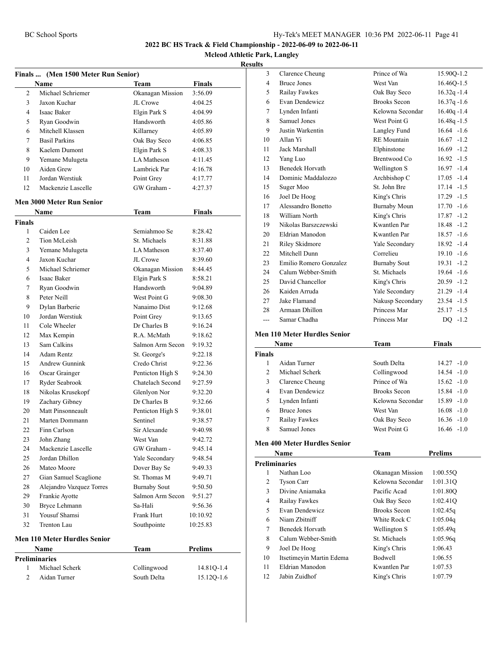**Mcleod Athletic Park, Langley**

#### **Results**

|                | Finals  (Men 1500 Meter Run Senior) |                     |                |
|----------------|-------------------------------------|---------------------|----------------|
|                | Name                                | Team                | <b>Finals</b>  |
| 2              | Michael Schriemer                   | Okanagan Mission    | 3:56.09        |
| 3              | Jaxon Kuchar                        | JL Crowe            | 4:04.25        |
| 4              | Isaac Baker                         | Elgin Park S        | 4:04.99        |
| 5              | Ryan Goodwin                        | Handsworth          | 4:05.86        |
| 6              | Mitchell Klassen                    | Killarney           | 4:05.89        |
| 7              | <b>Basil Parkins</b>                | Oak Bay Seco        | 4:06.85        |
| 8              | Kaelem Dumont                       | Elgin Park S        | 4:08.33        |
| 9              | Yemane Mulugeta                     | LA Matheson         | 4:11.45        |
| 10             | Aiden Grew                          | Lambrick Par        | 4:16.78        |
| 11             | Jordan Werstiuk                     | Point Grey          | 4:17.77        |
| 12             | Mackenzie Lascelle                  | GW Graham -         | 4:27.37        |
|                | <b>Men 3000 Meter Run Senior</b>    |                     |                |
|                | Name                                | Team                | <b>Finals</b>  |
| <b>Finals</b>  |                                     |                     |                |
| 1              | Caiden Lee                          | Semiahmoo Se        | 8:28.42        |
| 2              | Tion McLeish                        | St. Michaels        | 8:31.88        |
| 3              | Yemane Mulugeta                     | LA Matheson         | 8:37.40        |
| 4              | Jaxon Kuchar                        | JL Crowe            | 8:39.60        |
| 5              | Michael Schriemer                   | Okanagan Mission    | 8:44.45        |
| 6              | Isaac Baker                         | Elgin Park S        | 8:58.21        |
| 7              | Ryan Goodwin                        | Handsworth          | 9:04.89        |
| 8              | Peter Neill                         | West Point G        | 9:08.30        |
| 9              | Dylan Barberie                      | Nanaimo Dist        | 9:12.68        |
| 10             | Jordan Werstiuk                     | Point Grey          | 9:13.65        |
| 11             | Cole Wheeler                        | Dr Charles B        | 9:16.24        |
| 12             | Max Kempin                          | R.A. McMath         | 9:18.62        |
| 13             | Sam Calkins                         | Salmon Arm Secon    | 9:19.32        |
| 14             | <b>Adam Rentz</b>                   | St. George's        | 9:22.18        |
| 15             | <b>Andrew Gunnink</b>               | Credo Christ        | 9:22.36        |
| 16             | Oscar Grainger                      | Penticton High S    | 9:24.30        |
| 17             | Ryder Seabrook                      | Chatelach Second    | 9:27.59        |
| 18             | Nikolas Krusekopf                   | Glenlyon Nor        | 9:32.20        |
| 19             | Zachary Gibney                      | Dr Charles B        | 9:32.66        |
| 20             | Matt Pinsonneault                   | Penticton High S    | 9:38.01        |
| 21             | Marten Dommann                      | Sentinel            | 9:38.57        |
| 22             | Finn Carlson                        | Sir Alexande        | 9:40.98        |
| 23             | John Zhang                          | West Van            | 9:42.72        |
| 24             | Mackenzie Lascelle                  | GW Graham -         | 9:45.14        |
| 25             | Jordan Dhillon                      | Yale Secondary      | 9:48.54        |
| 26             | Mateo Moore                         | Dover Bay Se        | 9:49.33        |
| 27             | Gian Samuel Scaglione               | St. Thomas M        | 9:49.71        |
| 28             | Alejandro Vazquez Torres            | <b>Burnaby Sout</b> | 9:50.50        |
| 29             | Frankie Ayotte                      | Salmon Arm Secon    | 9:51.27        |
| 30             | Bryce Lehmann                       | Sa-Hali             | 9:56.36        |
| 31             | Yousuf Shamsi                       | <b>Frank Hurt</b>   | 10:10.92       |
| 32             | Trenton Lau                         | Southpointe         | 10:25.83       |
|                | <b>Men 110 Meter Hurdles Senior</b> |                     |                |
|                | Name                                | Team                | <b>Prelims</b> |
|                | <b>Preliminaries</b>                |                     |                |
| 1              | Michael Scherk                      | Collingwood         | 14.81Q-1.4     |
| $\overline{2}$ | Aidan Turner                        | South Delta         | 15.12Q-1.6     |
|                |                                     |                     |                |

| 5     |                        |                     |                |
|-------|------------------------|---------------------|----------------|
| 3     | Clarence Cheung        | Prince of Wa        | 15.90Q-1.2     |
| 4     | <b>Bruce Jones</b>     | West Van            | 16.46Q-1.5     |
| 5     | Railay Fawkes          | Oak Bay Seco        | $16.32q - 1.4$ |
| 6     | Evan Dendewicz         | <b>Brooks Secon</b> | $16.37q - 1.6$ |
| 7     | Lynden Infanti         | Kelowna Secondar    | $16.40q - 1.4$ |
| 8     | Samuel Jones           | West Point G        | $16.48q - 1.5$ |
| 9     | Justin Warkentin       | Langley Fund        | $16.64 - 1.6$  |
| 10    | Allan Yi               | <b>RE</b> Mountain  | $16.67 - 1.2$  |
| 11    | Jack Marshall          | Elphinstone         | $16.69 - 1.2$  |
| 12    | Yang Luo               | Brentwood Co        | $16.92 - 1.5$  |
| 13    | <b>Benedek Horvath</b> | Wellington S        | $16.97 - 1.4$  |
| 14    | Dominic Maddalozzo     | Archbishop C        | $17.05 - 1.4$  |
| 15    | Suger Moo              | St. John Bre        | $17.14 - 1.5$  |
| 16    | Joel De Hoog           | King's Chris        | $17.29 - 1.5$  |
| 17    | Alessandro Bonetto     | <b>Burnaby Moun</b> | $17.70 - 1.6$  |
| 18    | William North          | King's Chris        | $17.87 - 1.2$  |
| 19    | Nikolas Barszczewski   | Kwantlen Par        | $18.48 - 1.2$  |
| 20    | Eldrian Manodon        | Kwantlen Par        | $18.57 - 1.6$  |
| 21    | Riley Skidmore         | Yale Secondary      | $18.92 - 1.4$  |
| 22    | Mitchell Dunn          | Correlieu           | $19.10 - 1.6$  |
| 23    | Emilio Romero Gonzalez | <b>Burnaby Sout</b> | $19.31 - 1.2$  |
| 24    | Calum Webber-Smith     | St. Michaels        | $19.64 - 1.6$  |
| 25    | David Chancellor       | King's Chris        | $20.59 - 1.2$  |
| 26    | Kaiden Arruda          | Yale Secondary      | $21.29 -1.4$   |
| 27    | Jake Flamand           | Nakusp Secondary    | $23.54 -1.5$   |
| 28    | Armaan Dhillon         | Princess Mar        | $25.17 - 1.5$  |
| $---$ | Samar Chadha           | Princess Mar        | $DO -1.2$      |
|       |                        |                     |                |

#### **Men 110 Meter Hurdles Senior**

|                | Name               | Team                | Finals        |
|----------------|--------------------|---------------------|---------------|
| <b>Finals</b>  |                    |                     |               |
|                | Aidan Turner       | South Delta         | $14.27 - 1.0$ |
| $\mathfrak{D}$ | Michael Scherk     | Collingwood         | $14.54 - 1.0$ |
| 3              | Clarence Cheung    | Prince of Wa        | $15.62 - 1.0$ |
| 4              | Evan Dendewicz     | <b>Brooks Secon</b> | $15.84 - 1.0$ |
| 5              | Lynden Infanti     | Kelowna Secondar    | $15.89 - 1.0$ |
| 6              | <b>Bruce Jones</b> | West Van            | $16.08 - 1.0$ |
| 7              | Railay Fawkes      | Oak Bay Seco        | $16.36 - 1.0$ |
| 8              | Samuel Jones       | West Point G        | $16.46 - 1.0$ |

#### **Men 400 Meter Hurdles Senior**

|                      | Name                     | <b>Team</b>         | <b>Prelims</b> |  |  |
|----------------------|--------------------------|---------------------|----------------|--|--|
| <b>Preliminaries</b> |                          |                     |                |  |  |
| 1                    | Nathan Loo               | Okanagan Mission    | 1:00.55Q       |  |  |
| 2                    | <b>Tyson Carr</b>        | Kelowna Secondar    | 1:01.31Q       |  |  |
| 3                    | Divine Aniamaka          | Pacific Acad        | 1:01.80Q       |  |  |
| 4                    | Railay Fawkes            | Oak Bay Seco        | 1:02.41Q       |  |  |
| 5                    | Evan Dendewicz           | <b>Brooks Secon</b> | 1:02.45q       |  |  |
| 6                    | Niam Zhitniff            | White Rock C        | 1:05.04q       |  |  |
| 7                    | Benedek Horvath          | Wellington S        | 1:05.49q       |  |  |
| 8                    | Calum Webber-Smith       | St. Michaels        | 1:05.96q       |  |  |
| 9                    | Joel De Hoog             | King's Chris        | 1:06.43        |  |  |
| 10                   | Itsetimeyin Martin Edema | <b>Bodwell</b>      | 1:06.55        |  |  |
| 11                   | Eldrian Manodon          | Kwantlen Par        | 1:07.53        |  |  |
| 12                   | Jabin Zuidhof            | King's Chris        | 1:07.79        |  |  |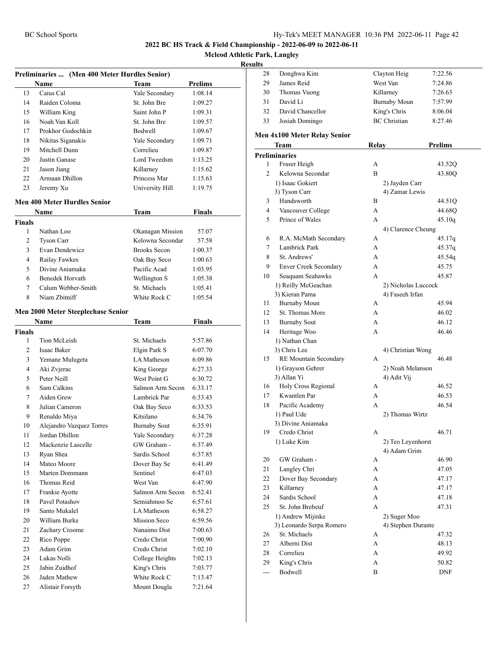**Mcleod Athletic Park, Langley**

| Preliminaries  (Men 400 Meter Hurdles Senior) |                                     |                     |                |  |
|-----------------------------------------------|-------------------------------------|---------------------|----------------|--|
|                                               | Name                                | <b>Team</b>         | <b>Prelims</b> |  |
| 13                                            | Caius Cal                           | Yale Secondary      | 1:08.14        |  |
| 14                                            | Raiden Coloma                       | St. John Bre        | 1:09.27        |  |
| 15                                            | William King                        | Saint John P        | 1:09.31        |  |
| 16                                            | Noah Van Koll                       | St. John Bre        | 1:09.57        |  |
| 17                                            | Prokhor Godochkin                   | Bodwell             | 1:09.67        |  |
| 18                                            | Nikitas Siganakis                   | Yale Secondary      | 1:09.71        |  |
| 19                                            | Mitchell Dunn                       | Correlieu           | 1:09.87        |  |
| 20                                            | Justin Ganase                       | Lord Tweedsm        | 1:13.25        |  |
| 21                                            | Jason Jiang                         | Killarney           | 1:15.62        |  |
| 22                                            | Armaan Dhillon                      | Princess Mar        | 1:15.63        |  |
| 23                                            | Jeremy Xu                           | University Hill     | 1:19.75        |  |
|                                               | <b>Men 400 Meter Hurdles Senior</b> |                     |                |  |
|                                               | Name                                | Team                | Finals         |  |
| Finals                                        |                                     |                     |                |  |
| 1                                             | Nathan Loo                          | Okanagan Mission    | 57.07          |  |
| 2                                             | <b>Tyson Carr</b>                   | Kelowna Secondar    | 57.58          |  |
| 3                                             | Evan Dendewicz                      | <b>Brooks Secon</b> | 1:00.37        |  |
| 4                                             | Railay Fawkes                       | Oak Bay Seco        | 1:00.63        |  |
| 5                                             | Divine Aniamaka                     | Pacific Acad        | 1:03.95        |  |
| 6                                             | Benedek Horvath                     | Wellington S        | 1:05.38        |  |
| 7                                             | Calum Webber-Smith                  | St. Michaels        | 1:05.41        |  |
| 8                                             | Niam Zbitniff                       | White Rock C        | 1:05.54        |  |
|                                               |                                     |                     |                |  |
|                                               | Men 2000 Meter Steeplechase Senior  |                     |                |  |
|                                               | <b>Name</b>                         | Team                | <b>Finals</b>  |  |
| <b>Finals</b>                                 |                                     |                     |                |  |
| 1                                             | Tion McLeish                        | St. Michaels        | 5:57.86        |  |
| 2                                             | Isaac Baker                         | Elgin Park S        | 6:07.70        |  |
| 3                                             | Yemane Mulugeta                     | LA Matheson         | 6:09.86        |  |
| 4                                             | Aki Zvjerac                         | King George         | 6:27.33        |  |
| 5                                             | Peter Neill                         | West Point G        | 6:30.72        |  |
| 6                                             | Sam Calkins                         | Salmon Arm Secon    | 6:33.17        |  |
| 7                                             | Aiden Grew                          | Lambrick Par        | 6:33.43        |  |
| 8                                             | Julian Cameron                      | Oak Bay Seco        | 6:33.53        |  |
| 9                                             | Renaldo Miya                        | Kitsilano           | 6:34.76        |  |
| 10                                            | Alejandro Vazquez Torres            | <b>Burnaby Sout</b> | 6:35.91        |  |
| 11                                            | Jordan Dhillon                      | Yale Secondary      | 6:37.28        |  |
| 12                                            | Mackenzie Lascelle                  | GW Graham -         | 6:37.49        |  |
| 13                                            | Ryan Shea                           | Sardis School       | 6:37.85        |  |
| 14                                            | Mateo Moore                         | Dover Bay Se        | 6:41.49        |  |
| 15                                            | Marten Dommann                      | Sentinel            | 6:47.03        |  |
| 16                                            | Thomas Reid                         | West Van            | 6:47.90        |  |
| 17                                            | Frankie Ayotte                      | Salmon Arm Secon    | 6:52.41        |  |
| 18                                            | Pavel Potashov                      | Semiahmoo Se        | 6:57.61        |  |
| 19                                            | Santo Mukalel                       | LA Matheson         | 6:58.27        |  |
| 20                                            | William Burke                       | Mission Seco        | 6:59.56        |  |
| 21                                            | Zachary Croome                      | Nanaimo Dist        | 7:00.63        |  |
| 22                                            | Rico Poppe                          | Credo Christ        | 7:00.90        |  |
| 23                                            | Adam Grim                           | Credo Christ        | 7:02.10        |  |
| 24                                            | Lukas Nolli                         | College Heights     | 7:02.13        |  |
| 25                                            | Jabin Zuidhof                       | King's Chris        | 7:03.77        |  |
| 26                                            | Jaden Mathew                        | White Rock C        | 7:13.47        |  |
| 27                                            | Alistair Forsyth                    | Mount Dougla        | 7:21.64        |  |

| uns            |                              |                     |                             |  |
|----------------|------------------------------|---------------------|-----------------------------|--|
| 28             | Donghwa Kim                  | Clayton Heig        | 7:22.56                     |  |
| 29             | James Reid                   | West Van            | 7:24.86                     |  |
| 30             | Thomas Vuong                 | Killarney           | 7:26.63                     |  |
| 31             | David Li                     | <b>Burnaby Moun</b> | 7:57.99                     |  |
| 32             | David Chancellor             | King's Chris        | 8:06.04                     |  |
| 33             | Josiah Domingo               | <b>BC</b> Christian | 8:27.46                     |  |
|                |                              |                     |                             |  |
|                | Men 4x100 Meter Relay Senior |                     |                             |  |
|                | Team                         | <b>Relay</b>        | <b>Prelims</b>              |  |
|                | <b>Preliminaries</b>         |                     |                             |  |
| 1              | Fraser Heigh                 | А                   | 43.52Q                      |  |
| $\overline{c}$ | Kelowna Secondar             | B                   | 43.80Q                      |  |
|                | 1) Isaac Gokiert             | 2) Jayden Carr      |                             |  |
|                | 3) Tyson Carr                | 4) Zamar Lewis      |                             |  |
| 3              | Handsworth                   | B                   | 44.51Q                      |  |
| 4              | Vancouver College            | A                   | 44.68Q                      |  |
| 5              | Prince of Wales              | A                   | 45.10q                      |  |
|                |                              | 4) Clarence Cheung  |                             |  |
| 6              | R.A. McMath Secondary        | А                   | 45.17q                      |  |
| 7              | Lambrick Park                | A                   | 45.37q                      |  |
| 8              | St. Andrews'                 | A                   | 45.54q                      |  |
| 9              | <b>Enver Creek Secondary</b> | А                   | 45.75                       |  |
| 10             | Seaquam Seahawks             | A                   | 45.87                       |  |
|                | 1) Reilly McGeachan          |                     | 2) Nicholas Luccock         |  |
|                | 3) Kieran Pama               | 4) Faseeh Irfan     |                             |  |
| 11             | <b>Burnaby Moun</b>          | А                   | 45.94                       |  |
| 12             | St. Thomas More              | А                   | 46.02                       |  |
| 13             | <b>Burnaby Sout</b>          | А                   | 46.12                       |  |
| 14             | Heritage Woo                 | A                   | 46.46                       |  |
|                | 1) Nathan Chan               |                     |                             |  |
|                | 3) Chris Lee                 | 4) Christian Wong   |                             |  |
| 15             | RE Mountain Secondary        | A                   | 46.48                       |  |
|                | 1) Grayson Gehrer            | 2) Noah Melanson    |                             |  |
|                | 3) Allan Yi                  | 4) Adit Vij         |                             |  |
| 16             | Holy Cross Regional          | А                   | 46.52                       |  |
| 17             | Kwantlen Par                 | A                   | 46.53                       |  |
| 18             | Pacific Academy              | A                   | 46.54                       |  |
|                | 1) Paul Ude                  | 2) Thomas Wirtz     |                             |  |
|                | 3) Divine Aniamaka           |                     |                             |  |
|                | 19 Credo Christ              | А                   | 46.71                       |  |
|                | 1) Luke Kim                  | 2) Teo Leyenhorst   |                             |  |
|                |                              | 4) Adam Grim        |                             |  |
| 20             | GW Graham -                  | А                   | 46.90                       |  |
| 21             | Langley Chri                 | A                   | 47.05                       |  |
| 22             | Dover Bay Secondary          | A                   | 47.17                       |  |
| 23             | Killarney                    | A                   | 47.17                       |  |
| 24             | Sardis School                | A                   | 47.18                       |  |
| 25             | St. John Brebeuf             | A                   | 47.31                       |  |
|                | 1) Andrew Mijinke            | 2) Suger Moo        |                             |  |
|                | 3) Leonardo Serpa Romero     | 4) Stephen Durante  |                             |  |
| 26             | St. Michaels                 | А                   | 47.32                       |  |
| 27             | Alberni Dist                 | A                   | 48.13                       |  |
| 28             | Correlieu                    | А                   | 49.92                       |  |
| 29             | King's Chris                 | А                   | 50.82                       |  |
| ---            | Bodwell                      | B                   | $\ensuremath{\mathsf{DNF}}$ |  |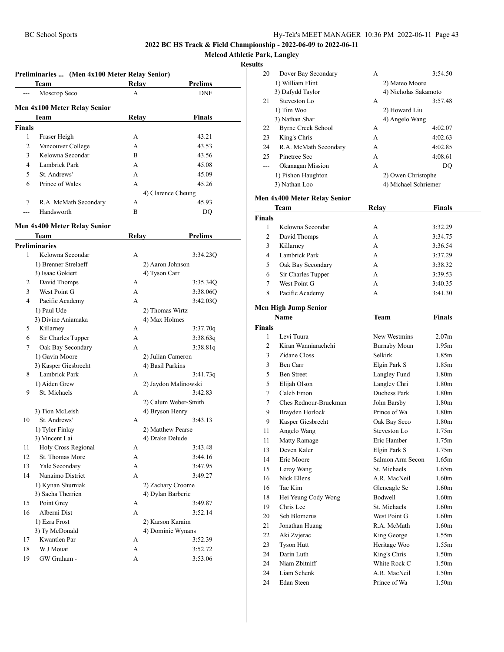14 Nanaimo District 1) Kynan Shurniak 3) Sacha Therrien 15 Point Grey 16 Alberni Dist 1) Ezra Frost 3) Ty McDonald 17 Kwantlen Par 18 W.J Mouat 19 GW Graham -

**2022 BC HS Track & Field Championship - 2022-06-09 to 2022-06-11**

**Mcleod Athletic Park, Langley**

#### **Result**

|                          | Preliminaries  (Men 4x100 Meter Relay Senior) |       |                      |
|--------------------------|-----------------------------------------------|-------|----------------------|
|                          | Team                                          | Relay | <b>Prelims</b>       |
|                          | Moscrop Seco                                  | A     | <b>DNF</b>           |
|                          | Men 4x100 Meter Relay Senior                  |       |                      |
|                          | Team                                          | Relay | <b>Finals</b>        |
| <b>Finals</b>            |                                               |       |                      |
| 1                        | Fraser Heigh                                  | А     | 43.21                |
| 2                        | Vancouver College                             | A     | 43.53                |
| 3                        | Kelowna Secondar                              | B     | 43.56                |
| $\overline{\mathcal{L}}$ | Lambrick Park                                 | А     | 45.08                |
| 5                        | St. Andrews'                                  | A     | 45.09                |
| 6                        | Prince of Wales                               | A     | 45.26                |
|                          |                                               |       | 4) Clarence Cheung   |
| 7                        | R.A. McMath Secondary                         | А     | 45.93                |
| ---                      | Handsworth                                    | B     | DO                   |
|                          |                                               |       |                      |
|                          | Men 4x400 Meter Relay Senior<br>Team          | Relay | <b>Prelims</b>       |
|                          | <b>Preliminaries</b>                          |       |                      |
| 1                        | Kelowna Secondar                              | A     | 3:34.23Q             |
|                          | 1) Brenner Strelaeff                          |       | 2) Aaron Johnson     |
|                          | 3) Isaac Gokiert                              |       | 4) Tyson Carr        |
| 2                        | David Thomps                                  | А     | 3:35.34Q             |
| 3                        | West Point G                                  | A     | 3:38.06Q             |
| $\overline{4}$           | Pacific Academy                               | A     | 3:42.03O             |
|                          | 1) Paul Ude                                   |       | 2) Thomas Wirtz      |
|                          | 3) Divine Aniamaka                            |       | 4) Max Holmes        |
| 5                        | Killarney                                     | A     | 3:37.70q             |
| 6                        | Sir Charles Tupper                            | A     | 3:38.63q             |
| 7                        | Oak Bay Secondary                             | A     | 3:38.81q             |
|                          | 1) Gavin Moore                                |       | 2) Julian Cameron    |
|                          | 3) Kasper Giesbrecht                          |       | 4) Basil Parkins     |
| 8                        | Lambrick Park                                 | A     | 3:41.73q             |
|                          | 1) Aiden Grew                                 |       | 2) Jaydon Malinowski |
| 9                        | St. Michaels                                  | A     | 3:42.83              |
|                          |                                               |       | 2) Calum Weber-Smith |
|                          | 3) Tion McLeish                               |       | 4) Bryson Henry      |
| 10                       | St. Andrews'                                  | A     | 3:43.13              |
|                          | 1) Tyler Finlay                               |       | 2) Matthew Pearse    |
|                          | 3) Vincent Lai                                |       | 4) Drake Delude      |
| 11                       | Holy Cross Regional                           | А     | 3:43.48              |
| 12                       | St. Thomas More                               | A     | 3:44.16              |
| 13                       | Yale Secondary                                | A     | 3:47.95              |

|    |   | 2) Calum Weber-Smith |
|----|---|----------------------|
|    |   | 4) Bryson Henry      |
|    | A | 3:43.13              |
|    |   | 2) Matthew Pearse    |
|    |   | 4) Drake Delude      |
| al | А | 3:43.48              |
|    | А | 3:44.16              |
|    | A | 3:47.95              |
|    | A | 3:49.27              |
|    |   | 2) Zachary Croome    |
|    |   | 4) Dylan Barberie    |
|    | А | 3:49.87              |
|    | A | 3:52.14              |
|    |   | 2) Karson Karaim     |
|    |   | 4) Dominic Wynans    |
|    | А | 3:52.39              |
|    | A | 3:52.72              |
|    | A | 3:53.06              |

| S  |                       |                |                      |  |
|----|-----------------------|----------------|----------------------|--|
| 20 | Dover Bay Secondary   | А              | 3:54.50              |  |
|    | 1) William Flint      | 2) Mateo Moore |                      |  |
|    | 3) Dafydd Taylor      |                | 4) Nicholas Sakamoto |  |
| 21 | Steveston Lo          | A              | 3:57.48              |  |
|    | 1) Tim Woo            | 2) Howard Liu  |                      |  |
|    | 3) Nathan Shar        | 4) Angelo Wang |                      |  |
| 22 | Byrne Creek School    | А              | 4:02.07              |  |
| 23 | King's Chris          | A              | 4:02.63              |  |
| 24 | R.A. McMath Secondary | A              | 4:02.85              |  |
| 25 | Pinetree Sec          | A              | 4:08.61              |  |
|    | Okanagan Mission      | A              | DO                   |  |
|    | 1) Pishon Haughton    |                | 2) Owen Christophe   |  |
|    | 3) Nathan Loo         |                | 4) Michael Schriemer |  |
|    |                       |                |                      |  |

#### **Men 4x400 Meter Relay Senior**

|               | Team               | Relay | Finals  |
|---------------|--------------------|-------|---------|
| <b>Finals</b> |                    |       |         |
|               | Kelowna Secondar   | А     | 3:32.29 |
| 2             | David Thomps       | А     | 3:34.75 |
| 3             | Killarney          | А     | 3:36.54 |
| 4             | Lambrick Park      | A     | 3:37.29 |
| 5             | Oak Bay Secondary  | А     | 3:38.32 |
| 6             | Sir Charles Tupper | A     | 3:39.53 |
| 7             | West Point G       | A     | 3:40.35 |
| 8             | Pacific Academy    | А     | 3:41.30 |

#### **Men High Jump Senior**

|                | Name                  | Team                | <b>Finals</b>     |
|----------------|-----------------------|---------------------|-------------------|
| <b>Finals</b>  |                       |                     |                   |
| 1              | Levi Tuura            | New Westmins        | 2.07 <sub>m</sub> |
| $\overline{c}$ | Kiran Wanniarachchi   | <b>Burnaby Moun</b> | 1.95m             |
| 3              | Zidane Closs          | Selkirk             | 1.85m             |
| 3              | Ben Carr              | Elgin Park S        | 1.85m             |
| 5              | <b>Ben Street</b>     | Langley Fund        | 1.80m             |
| 5              | Elijah Olson          | Langley Chri        | 1.80 <sub>m</sub> |
| 7              | Caleb Emon            | Duchess Park        | 1.80 <sub>m</sub> |
| 7              | Ches Rednour-Bruckman | John Barsby         | 1.80 <sub>m</sub> |
| 9              | Brayden Horlock       | Prince of Wa        | 1.80 <sub>m</sub> |
| 9              | Kasper Giesbrecht     | Oak Bay Seco        | 1.80 <sub>m</sub> |
| 11             | Angelo Wang           | Steveston Lo        | 1.75m             |
| 11             | <b>Matty Ramage</b>   | Eric Hamber         | 1.75m             |
| 13             | Deven Kaler           | Elgin Park S        | 1.75m             |
| 14             | Eric Moore            | Salmon Arm Secon    | 1.65m             |
| 15             | Leroy Wang            | St. Michaels        | 1.65m             |
| 16             | Nick Ellens           | A.R. MacNeil        | 1.60m             |
| 16             | Tae Kim               | Gleneagle Se        | 1.60m             |
| 18             | Hei Yeung Cody Wong   | Bodwell             | 1.60m             |
| 19             | Chris Lee             | St. Michaels        | 1.60m             |
| 20             | Seb Blomerus          | West Point G        | 1.60m             |
| 21             | Jonathan Huang        | R.A. McMath         | 1.60 <sub>m</sub> |
| 22             | Aki Zvjerac           | King George         | 1.55m             |
| 23             | <b>Tyson Hutt</b>     | Heritage Woo        | 1.55m             |
| 24             | Darin Luth            | King's Chris        | 1.50m             |
| 24             | Niam Zhitniff         | White Rock C        | 1.50m             |
| 24             | Liam Schenk           | A.R. MacNeil        | 1.50m             |
| 24             | Edan Steen            | Prince of Wa        | 1.50 <sub>m</sub> |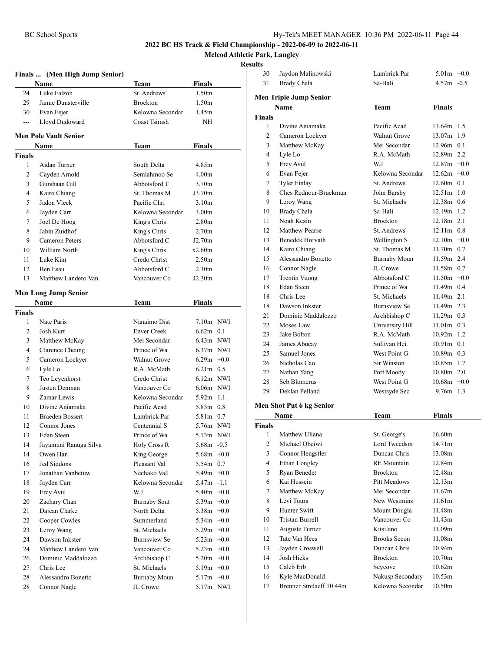Jaydon Malinowski Lambrick Par 5.01m +0.0

**2022 BC HS Track & Field Championship - 2022-06-09 to 2022-06-11**

**Mcleod Athletic Park, Langley**

|             | Finals  (Men High Jump Senior) |                      |                             |        |
|-------------|--------------------------------|----------------------|-----------------------------|--------|
| 24          | Name<br>Luke Falzon            | Team<br>St. Andrews' | Finals<br>1.50 <sub>m</sub> |        |
|             |                                |                      |                             |        |
| 29          | Jamie Dunsterville             | <b>Brockton</b>      | 1.50 <sub>m</sub>           |        |
| 30          | Evan Fejer                     | Kelowna Secondar     | 1.45m                       |        |
| $---$       | Lloyd Dudoward                 | Coast Tsimsh         | NH                          |        |
|             | <b>Men Pole Vault Senior</b>   |                      | Finals                      |        |
|             | Name                           | Team                 |                             |        |
| Finals<br>1 | Aidan Turner                   | South Delta          | 4.85m                       |        |
|             |                                | Semiahmoo Se         |                             |        |
| 2           | Cayden Arnold                  |                      | 4.00 <sub>m</sub>           |        |
| 3           | Gurshaan Gill                  | Abbotsford T         | 3.70 <sub>m</sub>           |        |
| 4           | Kairo Chiang                   | St. Thomas M         | J3.70m                      |        |
| 5           | Jadon Vleck                    | Pacific Chri         | 3.10 <sub>m</sub>           |        |
| 6           | Jayden Carr                    | Kelowna Secondar     | 3.00 <sub>m</sub>           |        |
| 7           | Joel De Hoog                   | King's Chris         | 2.80 <sub>m</sub>           |        |
| 8           | Jabin Zuidhof                  | King's Chris         | 2.70 <sub>m</sub>           |        |
| 9           | Cameron Peters                 | Abbotsford C         | J2.70m                      |        |
| 10          | William North                  | King's Chris         | x2.60m                      |        |
| 11          | Luke Kim                       | Credo Christ         | 2.50 <sub>m</sub>           |        |
| 12          | Ben Esau                       | Abbotsford C         | 2.30 <sub>m</sub>           |        |
| 13          | Matthew Landero Van            | Vancouver Co         | J2.30m                      |        |
|             | <b>Men Long Jump Senior</b>    |                      |                             |        |
|             | <b>Name</b>                    | Team                 | Finals                      |        |
| Finals      |                                |                      |                             |        |
| 1           | Nate Paris                     | Nanaimo Dist         | $7.10m$ NWI                 |        |
| 2           | Josh Kurt                      | <b>Enver Creek</b>   | $6.62m$ 0.1                 |        |
| 3           | Matthew McKay                  | Mei Secondar         | $6.43m$ NWI                 |        |
| 4           | Clarence Cheung                | Prince of Wa         | $6.37m$ NWI                 |        |
| 5           | Cameron Lockyer                | <b>Walnut Grove</b>  | $6.29m +0.0$                |        |
| 6           | Lyle Lo                        | R.A. McMath          | $6.21m$ 0.5                 |        |
| 7           | Teo Leyenhorst                 | Credo Christ         | $6.12m$ NWI                 |        |
| 8           | Justen Denman                  | Vancouver Co         | $6.06m$ NWI                 |        |
| 9           | Zamar Lewis                    | Kelowna Secondar     | $5.92m$ 1.1                 |        |
| 10          | Divine Aniamaka                | Pacific Acad         | $5.83m$ 0.8                 |        |
| 11          | <b>Braeden Bossert</b>         | Lambrick Par         | 5.81m 0.7                   |        |
| 12          | Connor Jones                   | Centennial S         | 5.76m NWI                   |        |
| 13          | Edan Steen                     | Prince of Wa         | 5.73m NWI                   |        |
| 14          | Jayamuni Ranuga Silva          | Holy Cross R         | $5.68m - 0.5$               |        |
| 14          | Owen Han                       | King George          | $5.68m + 0.0$               |        |
| 16          | Jed Siddons                    | Pleasant Val         | 5.54m 0.7                   |        |
| 17          | Jonathan Vanbetuw              | Nechako Vall         | $5.49m +0.0$                |        |
| 18          | Jayden Carr                    | Kelowna Secondar     | $5.47m -1.1$                |        |
| 19          | Ercy Avul                      | W.J                  | 5.40 <sub>m</sub>           | $+0.0$ |
| 20          | Zachary Chan                   | <b>Burnaby Sout</b>  | 5.39 $m +0.0$               |        |
| 21          | Dajean Clarke                  | North Delta          | $5.38m +0.0$                |        |
| 22          | Cooper Cowles                  | Summerland           | $5.34m +0.0$                |        |
| 23          | Leroy Wang                     | St. Michaels         | $5.29m +0.0$                |        |
| 24          | Dawson Inkster                 | <b>Burnsview Se</b>  | $5.23m +0.0$                |        |
| 24          | Matthew Landero Van            | Vancouver Co         | $5.23m +0.0$                |        |
| 26          | Dominic Maddalozzo             | Archbishop C         | $5.20m +0.0$                |        |
| 27          | Chris Lee                      | St. Michaels         | $5.19m +0.0$                |        |
| 28          | Alessandro Bonetto             | <b>Burnaby Moun</b>  | $5.17m +0.0$                |        |
| 28          | Connor Nagle                   | JL Crowe             | 5.17m NWI                   |        |

| 31                 | <b>Brady Chala</b>            | Sa-Hali                     | $4.57m - 0.5$               |
|--------------------|-------------------------------|-----------------------------|-----------------------------|
|                    | <b>Men Triple Jump Senior</b> |                             |                             |
|                    |                               |                             | Finals                      |
|                    | Name                          | Team                        |                             |
| <b>Finals</b><br>1 |                               | Pacific Acad                |                             |
|                    | Divine Aniamaka               | <b>Walnut Grove</b>         | 13.64m 1.5<br>13.07m<br>1.9 |
| 2                  | Cameron Lockyer               |                             |                             |
| 3                  | Matthew McKay                 | Mei Secondar<br>R.A. McMath | $12.96m$ 0.1<br>12.89m 2.2  |
| 4                  | Lyle Lo                       |                             |                             |
| 5                  | Ercy Avul                     | W.J                         | $12.87m +0.0$               |
| 6                  | Evan Fejer                    | Kelowna Secondar            | $12.62m + 0.0$              |
| 7                  | <b>Tyler Finlay</b>           | St. Andrews'                | $12.60m$ 0.1                |
| 8                  | Ches Rednour-Bruckman         | John Barsby                 | $12.51m$ 1.0                |
| 9                  | Leroy Wang                    | St. Michaels                | 12.38m 0.6                  |
| 10                 | Brady Chala                   | Sa-Hali                     | 12.19m 1.2                  |
| 11                 | Noah Kezin                    | <b>Brockton</b>             | 12.18m 2.1                  |
| 12                 | <b>Matthew Pearse</b>         | St. Andrews'                | 12.11m 0.8                  |
| 13                 | Benedek Horvath               | Wellington S                | $12.10m +0.0$               |
| 14                 | Kairo Chiang                  | St. Thomas M                | 11.70m 0.7                  |
| 15                 | Alessandro Bonetto            | <b>Burnaby Moun</b>         | 11.59m 2.4                  |
| 16                 | Connor Nagle                  | JL Crowe                    | 11.58m 0.7                  |
| 17                 | <b>Trentin Vuong</b>          | Abbotsford C                | $11.50m +0.0$               |
| 18                 | Edan Steen                    | Prince of Wa                | $11.49m$ 0.4                |
| 18                 | Chris Lee                     | St. Michaels                | 11.49m 2.1                  |
| 18                 | Dawson Inkster                | <b>Burnsview Se</b>         | 11.49m 2.3                  |
| 21                 | Dominic Maddalozzo            | Archbishop C                | $11.29m$ 0.3                |
| 22                 | Moses Law                     | University Hill             | 11.01m 0.3                  |
| 23                 | Jake Bolton                   | R.A. McMath                 | $10.92m$ 1.2                |
| 24                 | James Abucay                  | Sullivan Hei                | $10.91m$ 0.1                |
| 25                 | Samuel Jones                  | West Point G                | 10.89m 0.3                  |
| 26                 | Nicholas Cao                  | Sir Winston                 | 10.85m 1.7                  |
| 27                 | Nathan Yang                   | Port Moody                  | $10.80m$ 2.0                |
| 28                 | Seb Blomerus                  | West Point G                | $10.68m + 0.0$              |
| 29                 | Deklan Pelland                | Westsyde Sec                | 9.76m 1.3                   |
|                    | Men Shot Put 6 kg Senior      |                             |                             |
|                    | Name                          | Team                        | Finals                      |
| <b>Finals</b>      |                               |                             |                             |
| 1                  | Matthew Uliana                | St. George's                | 16.60m                      |
| $\overline{c}$     | Michael Obeiwi                | Lord Tweedsm                | 14.71m                      |
| 3                  | Connor Hengstler              | Duncan Chris                | 13.08m                      |
| 4                  | Ethan Longley                 | RE Mountain                 | 12.84m                      |
| 5                  | Ryan Benedet                  | <b>Brockton</b>             | 12.48m                      |
| 6                  | Kai Hussein                   | Pitt Meadows                | 12.13m                      |
| 7                  | Matthew McKay                 | Mei Secondar                | 11.67m                      |
| 8                  | Levi Tuura                    | New Westmins                | 11.61m                      |
| 9                  | Hunter Swift                  | Mount Dougla                | 11.48m                      |
| 10                 | <b>Tristan Burrell</b>        | Vancouver Co                | 11.43m                      |
| 11                 | Auguste Turner                | Kitsilano                   | 11.09m                      |
| 12                 | Tate Van Hees                 | <b>Brooks Secon</b>         | 11.08m                      |
| 13                 | Jayden Croswell               | Duncan Chris                | 10.94m                      |
| 14                 | Josh Hicks                    | <b>Brockton</b>             | 10.70m                      |
| 15                 | Caleb Erb                     | Seycove                     | 10.62m                      |
| 16                 | Kyle MacDonald                | Nakusp Secondary            | 10.53m                      |
| 17                 | Brenner Strelaeff 10.44m      | Kelowna Secondar            | 10.50m                      |
|                    |                               |                             |                             |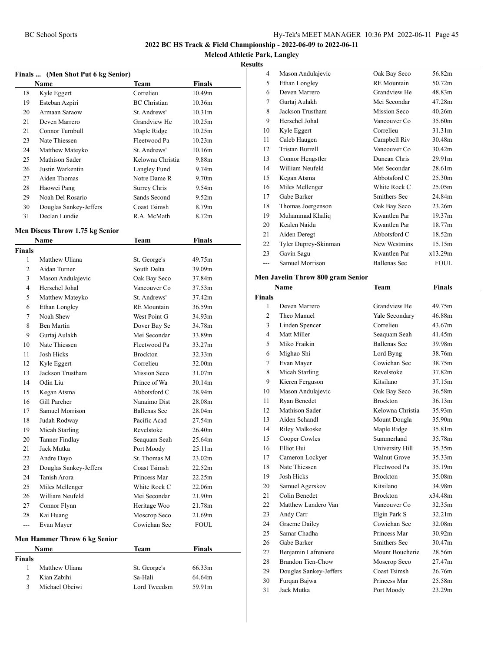#### **Mcleod Athletic Park, Langley**

#### **Results**

| Finals  (Men Shot Put 6 kg Senior) |                        |                     |                    |  |
|------------------------------------|------------------------|---------------------|--------------------|--|
|                                    | Name                   | Team                | Finals             |  |
| 18                                 | Kyle Eggert            | Correlieu           | 10.49m             |  |
| 19                                 | Esteban Azpiri         | <b>BC</b> Christian | 10.36m             |  |
| 20                                 | Armaan Saraow          | St. Andrews'        | 10.31 <sub>m</sub> |  |
| 21                                 | Deven Marrero          | Grandview He        | 10.25m             |  |
| 21                                 | Connor Turnbull        | Maple Ridge         | 10.25m             |  |
| 23                                 | Nate Thiessen          | Fleetwood Pa        | 10.23m             |  |
| 24                                 | Matthew Mateyko        | St. Andrews'        | 10.16m             |  |
| 25                                 | Mathison Sader         | Kelowna Christia    | 9.88m              |  |
| 26                                 | Justin Warkentin       | Langley Fund        | 9.74m              |  |
| 27                                 | Aiden Thomas           | Notre Dame R        | 9.70 <sub>m</sub>  |  |
| 28                                 | Haowei Pang            | Surrey Chris        | 9.54m              |  |
| 29                                 | Noah Del Rosario       | Sands Second        | 9.52m              |  |
| 30                                 | Douglas Sankey-Jeffers | Coast Tsimsh        | 8.79m              |  |
| 31                                 | Declan Lundie          | R.A. McMath         | 8.72m              |  |

#### **Men Discus Throw 1.75 kg Senior**

|                | Name                         | <b>Team</b>        | <b>Finals</b> |
|----------------|------------------------------|--------------------|---------------|
| Finals         |                              |                    |               |
| 1              | Matthew Uliana               | St. George's       | 49.75m        |
| $\overline{c}$ | Aidan Turner                 | South Delta        | 39.09m        |
| 3              | Mason Andulajevic            | Oak Bay Seco       | 37.84m        |
| 4              | Herschel Johal               | Vancouver Co       | 37.53m        |
| 5              | Matthew Mateyko              | St. Andrews'       | 37.42m        |
| 6              | Ethan Longley                | <b>RE</b> Mountain | 36.59m        |
| 7              | Noah Shew                    | West Point G       | 34.93m        |
| 8              | <b>Ben Martin</b>            | Dover Bay Se       | 34.78m        |
| 9              | Gurtaj Aulakh                | Mei Secondar       | 33.89m        |
| 10             | Nate Thiessen                | Fleetwood Pa       | 33.27m        |
| 11             | Josh Hicks                   | <b>Brockton</b>    | 32.33m        |
| 12             | Kyle Eggert                  | Correlieu          | 32.00m        |
| 13             | Jackson Trustham             | Mission Seco       | 31.07m        |
| 14             | Odin Liu                     | Prince of Wa       | 30.14m        |
| 15             | Kegan Atsma                  | Abbotsford C       | 28.94m        |
| 16             | Gill Parcher                 | Nanaimo Dist       | 28.08m        |
| 17             | Samuel Morrison              | Ballenas Sec       | 28.04m        |
| 18             | Judah Rodway                 | Pacific Acad       | 27.54m        |
| 19             | Micah Starling               | Revelstoke         | 26.40m        |
| 20             | <b>Tanner Findlay</b>        | Seaquam Seah       | 25.64m        |
| 21             | Jack Mutka                   | Port Moody         | 25.11m        |
| 22             | Andre Dayo                   | St. Thomas M       | 23.02m        |
| 23             | Douglas Sankey-Jeffers       | Coast Tsimsh       | 22.52m        |
| 24             | Tanish Arora                 | Princess Mar       | 22.25m        |
| 25             | Miles Mellenger              | White Rock C       | 22.06m        |
| 26             | William Neufeld              | Mei Secondar       | 21.90m        |
| 27             | Connor Flynn                 | Heritage Woo       | 21.78m        |
| 28             | Kai Huang                    | Moscrop Seco       | 21.69m        |
| ---            | Evan Mayer                   | Cowichan Sec       | <b>FOUL</b>   |
|                | Men Hammer Throw 6 kg Senior |                    |               |
|                | Name                         | Team               | <b>Finals</b> |
| Finals         |                              |                    |               |
| 1              | Matthew Uliana               | St. George's       | 66.33m        |
| $\overline{c}$ | Kian Zabihi                  | Sa-Hali            | 64.64m        |
| 3              | Michael Obeiwi               | Lord Tweedsm       | 59.91m        |
|                |                              |                    |               |

| 4  | Mason Andulajevic      | Oak Bay Seco       | 56.82m             |
|----|------------------------|--------------------|--------------------|
| 5  | Ethan Longley          | <b>RE</b> Mountain | 50.72m             |
| 6  | Deven Marrero          | Grandview He       | 48.83m             |
| 7  | Gurtaj Aulakh          | Mei Secondar       | 47.28m             |
| 8  | Jackson Trustham       | Mission Seco       | 40.26m             |
| 9  | Herschel Johal         | Vancouver Co       | 35.60m             |
| 10 | Kyle Eggert            | Correlieu          | 31.31m             |
| 11 | Caleb Haugen           | Campbell Riv       | 30.48m             |
| 12 | <b>Tristan Burrell</b> | Vancouver Co       | 30.42m             |
| 13 | Connor Hengstler       | Duncan Chris       | 29.91 <sub>m</sub> |
| 14 | William Neufeld        | Mei Secondar       | 28.61m             |
| 15 | Kegan Atsma            | Abbotsford C       | 25.30m             |
| 16 | Miles Mellenger        | White Rock C       | 25.05m             |
| 17 | Gabe Barker            | Smithers Sec       | 24.84m             |
| 18 | Thomas Joergenson      | Oak Bay Seco       | 23.26m             |
| 19 | Muhammad Khaliq        | Kwantlen Par       | 19.37m             |
| 20 | Kealen Naidu           | Kwantlen Par       | 18.77m             |
| 21 | Aiden Deregt           | Abbotsford C       | 18.52m             |
| 22 | Tyler Duprey-Skinman   | New Westmins       | 15.15m             |
| 23 | Gavin Sagu             | Kwantlen Par       | x13.29m            |
|    | Samuel Morrison        | Ballenas Sec       | FOUL               |
|    |                        |                    |                    |

#### **Men Javelin Throw 800 gram Senior**

|                | Name                   | Team                | <b>Finals</b> |  |
|----------------|------------------------|---------------------|---------------|--|
| <b>Finals</b>  |                        |                     |               |  |
| 1              | Deven Marrero          | Grandview He        | 49.75m        |  |
| $\overline{2}$ | Theo Manuel            | Yale Secondary      | 46.88m        |  |
| 3              | Linden Spencer         | Correlieu           | 43.67m        |  |
| 4              | Matt Miller            | Seaquam Seah        | 41.45m        |  |
| 5              | Miko Fraikin           | <b>Ballenas Sec</b> | 39.98m        |  |
| 6              | Mighao Shi             | Lord Byng           | 38.76m        |  |
| 7              | Evan Mayer             | Cowichan Sec        | 38.75m        |  |
| 8              | Micah Starling         | Revelstoke          | 37.82m        |  |
| 9              | Kieren Ferguson        | Kitsilano           | 37.15m        |  |
| 10             | Mason Andulajevic      | Oak Bay Seco        | 36.58m        |  |
| 11             | Ryan Benedet           | <b>Brockton</b>     | 36.13m        |  |
| 12             | Mathison Sader         | Kelowna Christia    | 35.93m        |  |
| 13             | Aiden Schandl          | Mount Dougla        | 35.90m        |  |
| 14             | <b>Riley Malkoske</b>  | Maple Ridge         | 35.81m        |  |
| 15             | Cooper Cowles          | Summerland          | 35.78m        |  |
| 16             | Elliot Hui             | University Hill     | 35.35m        |  |
| 17             | Cameron Lockyer        | <b>Walnut Grove</b> | 35.33m        |  |
| 18             | Nate Thiessen          | Fleetwood Pa        | 35.19m        |  |
| 19             | <b>Josh Hicks</b>      | <b>Brockton</b>     | 35.08m        |  |
| 20             | Samuel Agerskov        | Kitsilano           | 34.98m        |  |
| 21             | Colin Benedet          | <b>Brockton</b>     | x34.48m       |  |
| 22             | Matthew Landero Van    | Vancouver Co        | 32.35m        |  |
| 23             | Andy Carr              | Elgin Park S        | 32.21m        |  |
| 24             | Graeme Dailey          | Cowichan Sec        | 32.08m        |  |
| 25             | Samar Chadha           | Princess Mar        | 30.92m        |  |
| 26             | Gabe Barker            | Smithers Sec        | 30.47m        |  |
| 27             | Benjamin Lafreniere    | Mount Boucherie     | 28.56m        |  |
| 28             | Brandon Tien-Chow      | Moscrop Seco        | 27.47m        |  |
| 29             | Douglas Sankey-Jeffers | Coast Tsimsh        | 26.76m        |  |
| 30             | Furqan Bajwa           | Princess Mar        | 25.58m        |  |
| 31             | Jack Mutka             | Port Moody          | 23.29m        |  |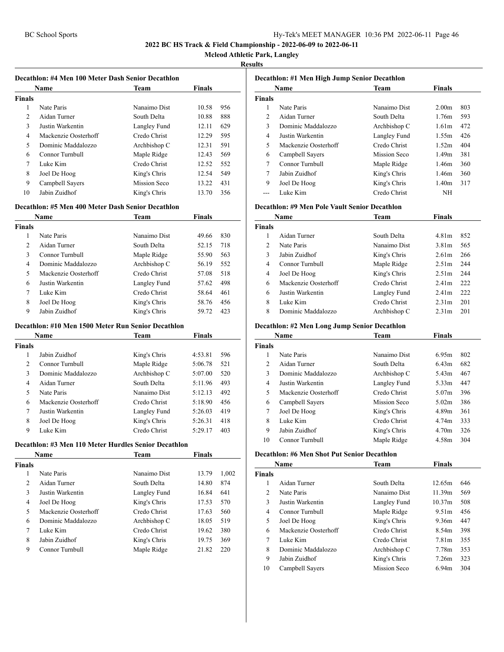**Mcleod Athletic Park, Langley**

#### **Results**

#### **Decathlon: #4 Men 100 Meter Dash Senior Decathlon**

|        | <b>Name</b>          | <b>Team</b>  | <b>Finals</b> |     |  |
|--------|----------------------|--------------|---------------|-----|--|
| Finals |                      |              |               |     |  |
| 1      | Nate Paris           | Nanaimo Dist | 10.58         | 956 |  |
| 2      | Aidan Turner         | South Delta  | 10.88         | 888 |  |
| 3      | Justin Warkentin     | Langley Fund | 12.11         | 629 |  |
| 4      | Mackenzie Oosterhoff | Credo Christ | 12.29         | 595 |  |
| 5      | Dominic Maddalozzo   | Archbishop C | 12.31         | 591 |  |
| 6      | Connor Turnbull      | Maple Ridge  | 12.43         | 569 |  |
| 7      | Luke Kim             | Credo Christ | 12.52         | 552 |  |
| 8      | Joel De Hoog         | King's Chris | 12.54         | 549 |  |
| 9      | Campbell Sayers      | Mission Seco | 13.22         | 431 |  |
| 10     | Jabin Zuidhof        | King's Chris | 13.70         | 356 |  |

#### **Decathlon: #5 Men 400 Meter Dash Senior Decathlon**

| Name          |                      | Team         | <b>Finals</b> |     |
|---------------|----------------------|--------------|---------------|-----|
| <b>Finals</b> |                      |              |               |     |
| 1             | Nate Paris           | Nanaimo Dist | 49.66         | 830 |
| 2             | Aidan Turner         | South Delta  | 52.15         | 718 |
| 3             | Connor Turnbull      | Maple Ridge  | 55.90         | 563 |
| 4             | Dominic Maddalozzo   | Archbishop C | 56.19         | 552 |
| 5             | Mackenzie Oosterhoff | Credo Christ | 57.08         | 518 |
| 6             | Justin Warkentin     | Langley Fund | 57.62         | 498 |
| 7             | Luke Kim             | Credo Christ | 58.64         | 461 |
| 8             | Joel De Hoog         | King's Chris | 58.76         | 456 |
| 9             | Jabin Zuidhof        | King's Chris | 59.72         | 423 |

#### **Decathlon: #10 Men 1500 Meter Run Senior Decathlon**

| Name          |                      | Team         | <b>Finals</b> |     |
|---------------|----------------------|--------------|---------------|-----|
| <b>Finals</b> |                      |              |               |     |
| 1             | Jahin Zuidhof        | King's Chris | 4:53.81       | 596 |
| 2             | Connor Turnbull      | Maple Ridge  | 5:06.78       | 521 |
| 3             | Dominic Maddalozzo   | Archbishop C | 5:07.00       | 520 |
| 4             | Aidan Turner         | South Delta  | 5:11.96       | 493 |
| 5             | Nate Paris           | Nanaimo Dist | 5:12.13       | 492 |
| 6             | Mackenzie Oosterhoff | Credo Christ | 5:18.90       | 456 |
| 7             | Justin Warkentin     | Langley Fund | 5:26.03       | 419 |
| 8             | Joel De Hoog         | King's Chris | 5:26.31       | 418 |
| 9             | Luke Kim             | Credo Christ | 5:29.17       | 403 |

#### **Decathlon: #3 Men 110 Meter Hurdles Senior Decathlon**

| Name          |                      | Team         | <b>Finals</b> |       |
|---------------|----------------------|--------------|---------------|-------|
| <b>Finals</b> |                      |              |               |       |
| 1             | Nate Paris           | Nanaimo Dist | 13.79         | 1,002 |
| 2             | Aidan Turner         | South Delta  | 14.80         | 874   |
| 3             | Justin Warkentin     | Langley Fund | 16.84         | 641   |
| 4             | Joel De Hoog         | King's Chris | 17.53         | 570   |
| 5             | Mackenzie Oosterhoff | Credo Christ | 17.63         | 560   |
| 6             | Dominic Maddalozzo   | Archbishop C | 18.05         | 519   |
| 7             | Luke Kim             | Credo Christ | 19.62         | 380   |
| 8             | Jabin Zuidhof        | King's Chris | 19.75         | 369   |
| 9             | Connor Turnbull      | Maple Ridge  | 21.82         | 220   |
|               |                      |              |               |       |

| Decathlon: #1 Men High Jump Senior Decathlon |                      |              |                   |     |  |
|----------------------------------------------|----------------------|--------------|-------------------|-----|--|
| <b>Finals</b><br><b>Name</b><br><b>Team</b>  |                      |              |                   |     |  |
| <b>Finals</b>                                |                      |              |                   |     |  |
| 1                                            | Nate Paris           | Nanaimo Dist | 2.00 <sub>m</sub> | 803 |  |
| $\mathfrak{D}$                               | Aidan Turner         | South Delta  | 1.76m             | 593 |  |
| 3                                            | Dominic Maddalozzo   | Archbishop C | 1.61m             | 472 |  |
| 4                                            | Justin Warkentin     | Langley Fund | 1.55m             | 426 |  |
| 5                                            | Mackenzie Oosterhoff | Credo Christ | 1.52m             | 404 |  |
| 6                                            | Campbell Sayers      | Mission Seco | 1.49m             | 381 |  |
| 7                                            | Connor Turnbull      | Maple Ridge  | 1.46m             | 360 |  |
| 7                                            | Jabin Zuidhof        | King's Chris | 1.46m             | 360 |  |
| 9                                            | Joel De Hoog         | King's Chris | 1.40m             | 317 |  |
|                                              | Luke Kim             | Credo Christ | NH                |     |  |

#### **Decathlon: #9 Men Pole Vault Senior Decathlon**

|        | Name                 | Team         | <b>Finals</b>     |     |  |
|--------|----------------------|--------------|-------------------|-----|--|
| Finals |                      |              |                   |     |  |
|        | Aidan Turner         | South Delta  | 4.81m             | 852 |  |
| 2      | Nate Paris           | Nanaimo Dist | 3.81m             | 565 |  |
| 3      | Jabin Zuidhof        | King's Chris | 2.61 <sub>m</sub> | 266 |  |
| 4      | Connor Turnbull      | Maple Ridge  | 2.51 <sub>m</sub> | 244 |  |
| 4      | Joel De Hoog         | King's Chris | 2.51 <sub>m</sub> | 244 |  |
| 6      | Mackenzie Oosterhoff | Credo Christ | 2.41 <sub>m</sub> | 222 |  |
| 6      | Justin Warkentin     | Langley Fund | 2.41m             | 222 |  |
| 8      | Luke Kim             | Credo Christ | 2.31 <sub>m</sub> | 201 |  |
| 8      | Dominic Maddalozzo   | Archbishop C | 2.31 <sub>m</sub> | 201 |  |

#### **Decathlon: #2 Men Long Jump Senior Decathlon**

| Name           |                      | Team         | <b>Finals</b>     |     |
|----------------|----------------------|--------------|-------------------|-----|
| <b>Finals</b>  |                      |              |                   |     |
| 1              | Nate Paris           | Nanaimo Dist | 6.95m             | 802 |
| $\mathfrak{D}$ | Aidan Turner         | South Delta  | 6.43 <sub>m</sub> | 682 |
| 3              | Dominic Maddalozzo   | Archbishop C | 5.43m             | 467 |
| 4              | Justin Warkentin     | Langley Fund | 5.33m             | 447 |
| 5              | Mackenzie Oosterhoff | Credo Christ | 5.07m             | 396 |
| 6              | Campbell Sayers      | Mission Seco | 5.02m             | 386 |
| 7              | Joel De Hoog         | King's Chris | 4.89m             | 361 |
| 8              | Luke Kim             | Credo Christ | 4.74m             | 333 |
| 9              | Jabin Zuidhof        | King's Chris | 4.70 <sub>m</sub> | 326 |
| 10             | Connor Turnbull      | Maple Ridge  | 4.58m             | 304 |

#### **Decathlon: #6 Men Shot Put Senior Decathlon**

| Name           |                      | Team         | <b>Finals</b>      |     |
|----------------|----------------------|--------------|--------------------|-----|
| <b>Finals</b>  |                      |              |                    |     |
| 1              | Aidan Turner         | South Delta  | 12.65m             | 646 |
| $\overline{c}$ | Nate Paris           | Nanaimo Dist | 11.39m             | 569 |
| 3              | Justin Warkentin     | Langley Fund | 10.37 <sub>m</sub> | 508 |
| 4              | Connor Turnbull      | Maple Ridge  | 9.51m              | 456 |
| 5              | Joel De Hoog         | King's Chris | 9.36m              | 447 |
| 6              | Mackenzie Oosterhoff | Credo Christ | 8.54m              | 398 |
| 7              | Luke Kim             | Credo Christ | 7.81m              | 355 |
| 8              | Dominic Maddalozzo   | Archbishop C | 7.78m              | 353 |
| 9              | Jabin Zuidhof        | King's Chris | 7.26m              | 323 |
| 10             | Campbell Sayers      | Mission Seco | 6.94m              | 304 |